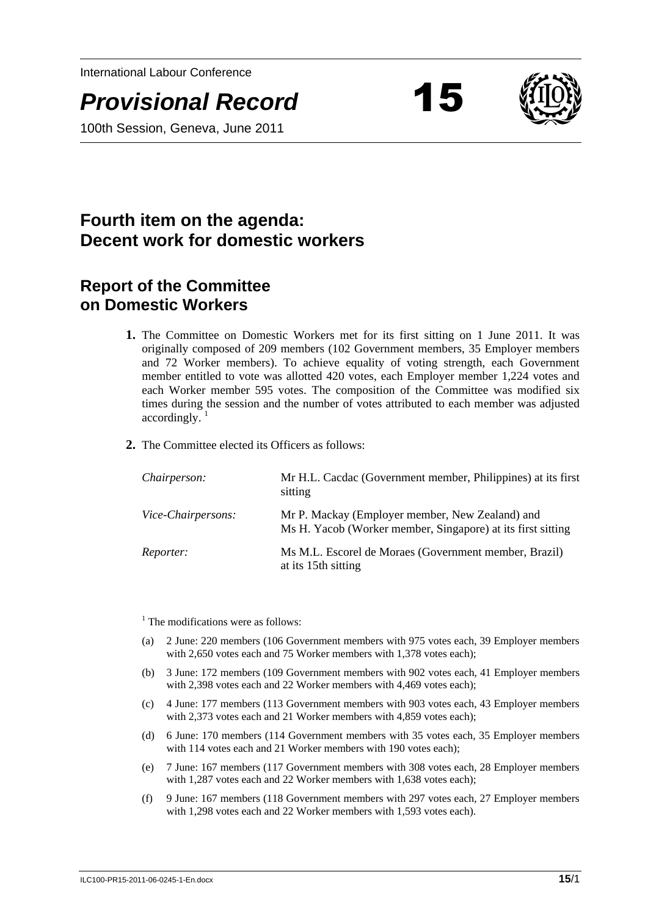International Labour Conference







# **Fourth item on the agenda: Decent work for domestic workers**

# **Report of the Committee on Domestic Workers**

- **1.** The Committee on Domestic Workers met for its first sitting on 1 June 2011. It was originally composed of 209 members (102 Government members, 35 Employer members and 72 Worker members). To achieve equality of voting strength, each Government member entitled to vote was allotted 420 votes, each Employer member 1,224 votes and each Worker member 595 votes. The composition of the Committee was modified six times during the session and the number of votes attributed to each member was adjusted  $accordinglv.$ <sup>1</sup>
- **2.** The Committee elected its Officers as follows:

| Chairperson:       | Mr H.L. Cacdac (Government member, Philippines) at its first<br>sitting                                        |
|--------------------|----------------------------------------------------------------------------------------------------------------|
| Vice-Chairpersons: | Mr P. Mackay (Employer member, New Zealand) and<br>Ms H. Yacob (Worker member, Singapore) at its first sitting |
| <i>Reporter:</i>   | Ms M.L. Escorel de Moraes (Government member, Brazil)<br>at its 15th sitting                                   |

 $<sup>1</sup>$  The modifications were as follows:</sup>

- (a) 2 June: 220 members (106 Government members with 975 votes each, 39 Employer members with 2,650 votes each and 75 Worker members with 1,378 votes each);
- (b) 3 June: 172 members (109 Government members with 902 votes each, 41 Employer members with 2,398 votes each and 22 Worker members with 4,469 votes each);
- (c) 4 June: 177 members (113 Government members with 903 votes each, 43 Employer members with 2,373 votes each and 21 Worker members with 4,859 votes each);
- (d) 6 June: 170 members (114 Government members with 35 votes each, 35 Employer members with 114 votes each and 21 Worker members with 190 votes each);
- (e) 7 June: 167 members (117 Government members with 308 votes each, 28 Employer members with 1,287 votes each and 22 Worker members with 1,638 votes each);
- (f) 9 June: 167 members (118 Government members with 297 votes each, 27 Employer members with 1,298 votes each and 22 Worker members with 1,593 votes each).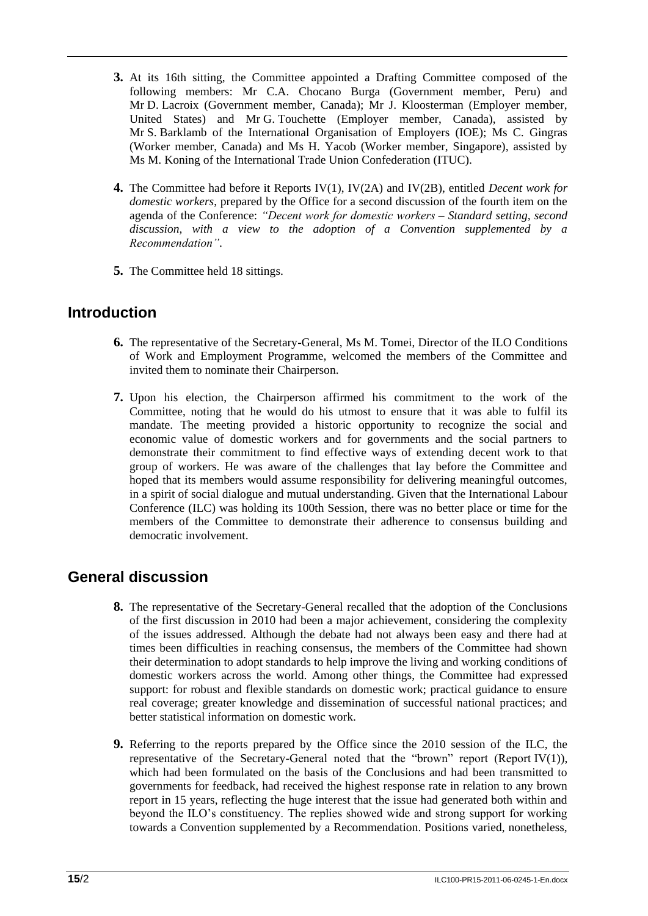- **3.** At its 16th sitting, the Committee appointed a Drafting Committee composed of the following members: Mr C.A. Chocano Burga (Government member, Peru) and Mr D. Lacroix (Government member, Canada); Mr J. Kloosterman (Employer member, United States) and Mr G. Touchette (Employer member, Canada), assisted by Mr S. Barklamb of the International Organisation of Employers (IOE); Ms C. Gingras (Worker member, Canada) and Ms H. Yacob (Worker member, Singapore), assisted by Ms M. Koning of the International Trade Union Confederation (ITUC).
- **4.** The Committee had before it Reports IV(1), IV(2A) and IV(2B), entitled *Decent work for domestic workers*, prepared by the Office for a second discussion of the fourth item on the agenda of the Conference: *"Decent work for domestic workers – Standard setting, second discussion, with a view to the adoption of a Convention supplemented by a Recommendation"*.
- **5.** The Committee held 18 sittings.

# **Introduction**

- **6.** The representative of the Secretary-General, Ms M. Tomei, Director of the ILO Conditions of Work and Employment Programme, welcomed the members of the Committee and invited them to nominate their Chairperson.
- **7.** Upon his election, the Chairperson affirmed his commitment to the work of the Committee, noting that he would do his utmost to ensure that it was able to fulfil its mandate. The meeting provided a historic opportunity to recognize the social and economic value of domestic workers and for governments and the social partners to demonstrate their commitment to find effective ways of extending decent work to that group of workers. He was aware of the challenges that lay before the Committee and hoped that its members would assume responsibility for delivering meaningful outcomes, in a spirit of social dialogue and mutual understanding. Given that the International Labour Conference (ILC) was holding its 100th Session, there was no better place or time for the members of the Committee to demonstrate their adherence to consensus building and democratic involvement.

# **General discussion**

- **8.** The representative of the Secretary-General recalled that the adoption of the Conclusions of the first discussion in 2010 had been a major achievement, considering the complexity of the issues addressed. Although the debate had not always been easy and there had at times been difficulties in reaching consensus, the members of the Committee had shown their determination to adopt standards to help improve the living and working conditions of domestic workers across the world. Among other things, the Committee had expressed support: for robust and flexible standards on domestic work; practical guidance to ensure real coverage; greater knowledge and dissemination of successful national practices; and better statistical information on domestic work.
- **9.** Referring to the reports prepared by the Office since the 2010 session of the ILC, the representative of the Secretary-General noted that the "brown" report (Report IV $(1)$ ), which had been formulated on the basis of the Conclusions and had been transmitted to governments for feedback, had received the highest response rate in relation to any brown report in 15 years, reflecting the huge interest that the issue had generated both within and beyond the ILO"s constituency. The replies showed wide and strong support for working towards a Convention supplemented by a Recommendation. Positions varied, nonetheless,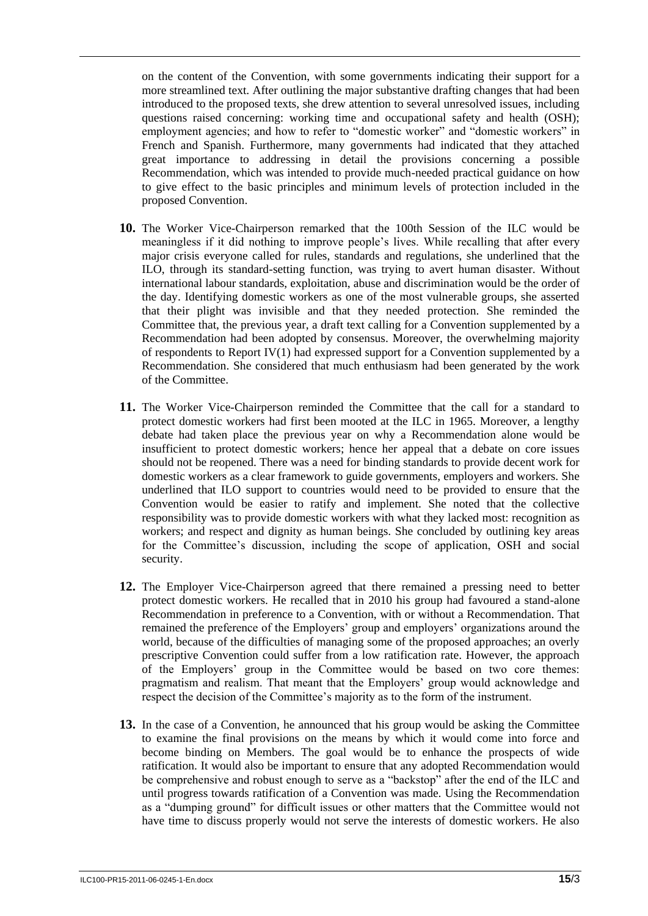on the content of the Convention, with some governments indicating their support for a more streamlined text. After outlining the major substantive drafting changes that had been introduced to the proposed texts, she drew attention to several unresolved issues, including questions raised concerning: working time and occupational safety and health (OSH); employment agencies; and how to refer to "domestic worker" and "domestic workers" in French and Spanish. Furthermore, many governments had indicated that they attached great importance to addressing in detail the provisions concerning a possible Recommendation, which was intended to provide much-needed practical guidance on how to give effect to the basic principles and minimum levels of protection included in the proposed Convention.

- **10.** The Worker Vice-Chairperson remarked that the 100th Session of the ILC would be meaningless if it did nothing to improve people"s lives. While recalling that after every major crisis everyone called for rules, standards and regulations, she underlined that the ILO, through its standard-setting function, was trying to avert human disaster. Without international labour standards, exploitation, abuse and discrimination would be the order of the day. Identifying domestic workers as one of the most vulnerable groups, she asserted that their plight was invisible and that they needed protection. She reminded the Committee that, the previous year, a draft text calling for a Convention supplemented by a Recommendation had been adopted by consensus. Moreover, the overwhelming majority of respondents to Report IV(1) had expressed support for a Convention supplemented by a Recommendation. She considered that much enthusiasm had been generated by the work of the Committee.
- **11.** The Worker Vice-Chairperson reminded the Committee that the call for a standard to protect domestic workers had first been mooted at the ILC in 1965. Moreover, a lengthy debate had taken place the previous year on why a Recommendation alone would be insufficient to protect domestic workers; hence her appeal that a debate on core issues should not be reopened. There was a need for binding standards to provide decent work for domestic workers as a clear framework to guide governments, employers and workers. She underlined that ILO support to countries would need to be provided to ensure that the Convention would be easier to ratify and implement. She noted that the collective responsibility was to provide domestic workers with what they lacked most: recognition as workers; and respect and dignity as human beings. She concluded by outlining key areas for the Committee"s discussion, including the scope of application, OSH and social security.
- **12.** The Employer Vice-Chairperson agreed that there remained a pressing need to better protect domestic workers. He recalled that in 2010 his group had favoured a stand-alone Recommendation in preference to a Convention, with or without a Recommendation. That remained the preference of the Employers' group and employers' organizations around the world, because of the difficulties of managing some of the proposed approaches; an overly prescriptive Convention could suffer from a low ratification rate. However, the approach of the Employers" group in the Committee would be based on two core themes: pragmatism and realism. That meant that the Employers" group would acknowledge and respect the decision of the Committee's majority as to the form of the instrument.
- **13.** In the case of a Convention, he announced that his group would be asking the Committee to examine the final provisions on the means by which it would come into force and become binding on Members. The goal would be to enhance the prospects of wide ratification. It would also be important to ensure that any adopted Recommendation would be comprehensive and robust enough to serve as a "backstop" after the end of the ILC and until progress towards ratification of a Convention was made. Using the Recommendation as a "dumping ground" for difficult issues or other matters that the Committee would not have time to discuss properly would not serve the interests of domestic workers. He also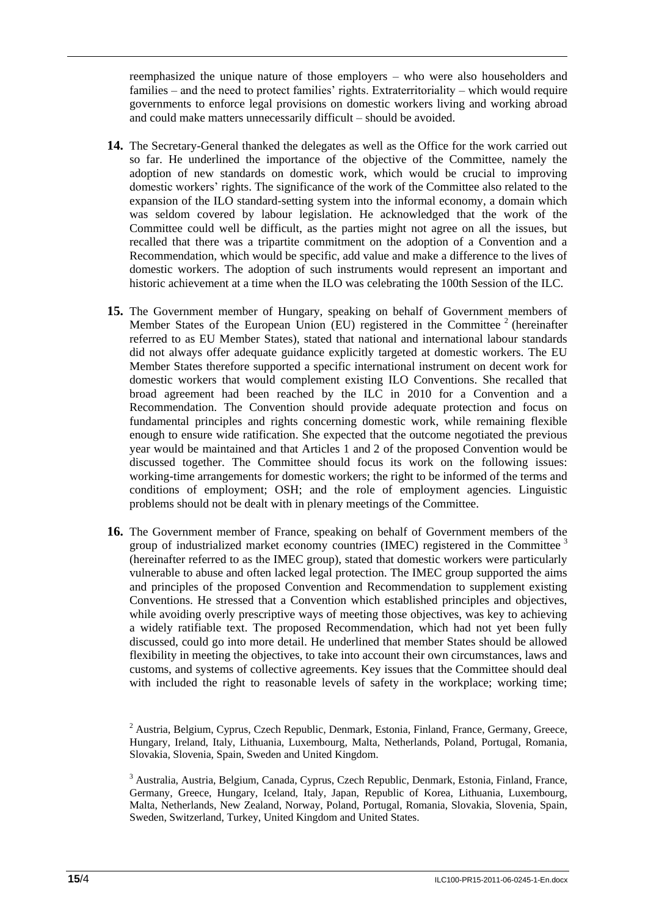reemphasized the unique nature of those employers – who were also householders and families – and the need to protect families' rights. Extraterritoriality – which would require governments to enforce legal provisions on domestic workers living and working abroad and could make matters unnecessarily difficult – should be avoided.

- **14.** The Secretary-General thanked the delegates as well as the Office for the work carried out so far. He underlined the importance of the objective of the Committee, namely the adoption of new standards on domestic work, which would be crucial to improving domestic workers" rights. The significance of the work of the Committee also related to the expansion of the ILO standard-setting system into the informal economy, a domain which was seldom covered by labour legislation. He acknowledged that the work of the Committee could well be difficult, as the parties might not agree on all the issues, but recalled that there was a tripartite commitment on the adoption of a Convention and a Recommendation, which would be specific, add value and make a difference to the lives of domestic workers. The adoption of such instruments would represent an important and historic achievement at a time when the ILO was celebrating the 100th Session of the ILC.
- **15.** The Government member of Hungary, speaking on behalf of Government members of Member States of the European Union (EU) registered in the Committee<sup>2</sup> (hereinafter referred to as EU Member States), stated that national and international labour standards did not always offer adequate guidance explicitly targeted at domestic workers. The EU Member States therefore supported a specific international instrument on decent work for domestic workers that would complement existing ILO Conventions. She recalled that broad agreement had been reached by the ILC in 2010 for a Convention and a Recommendation. The Convention should provide adequate protection and focus on fundamental principles and rights concerning domestic work, while remaining flexible enough to ensure wide ratification. She expected that the outcome negotiated the previous year would be maintained and that Articles 1 and 2 of the proposed Convention would be discussed together. The Committee should focus its work on the following issues: working-time arrangements for domestic workers; the right to be informed of the terms and conditions of employment; OSH; and the role of employment agencies. Linguistic problems should not be dealt with in plenary meetings of the Committee.
- **16.** The Government member of France, speaking on behalf of Government members of the group of industrialized market economy countries (IMEC) registered in the Committee<sup>3</sup> (hereinafter referred to as the IMEC group), stated that domestic workers were particularly vulnerable to abuse and often lacked legal protection. The IMEC group supported the aims and principles of the proposed Convention and Recommendation to supplement existing Conventions. He stressed that a Convention which established principles and objectives, while avoiding overly prescriptive ways of meeting those objectives, was key to achieving a widely ratifiable text. The proposed Recommendation, which had not yet been fully discussed, could go into more detail. He underlined that member States should be allowed flexibility in meeting the objectives, to take into account their own circumstances, laws and customs, and systems of collective agreements. Key issues that the Committee should deal with included the right to reasonable levels of safety in the workplace; working time;

 $<sup>2</sup>$  Austria, Belgium, Cyprus, Czech Republic, Denmark, Estonia, Finland, France, Germany, Greece,</sup> Hungary, Ireland, Italy, Lithuania, Luxembourg, Malta, Netherlands, Poland, Portugal, Romania, Slovakia, Slovenia, Spain, Sweden and United Kingdom.

<sup>&</sup>lt;sup>3</sup> Australia, Austria, Belgium, Canada, Cyprus, Czech Republic, Denmark, Estonia, Finland, France, Germany, Greece, Hungary, Iceland, Italy, Japan, Republic of Korea, Lithuania, Luxembourg, Malta, Netherlands, New Zealand, Norway, Poland, Portugal, Romania, Slovakia, Slovenia, Spain, Sweden, Switzerland, Turkey, United Kingdom and United States.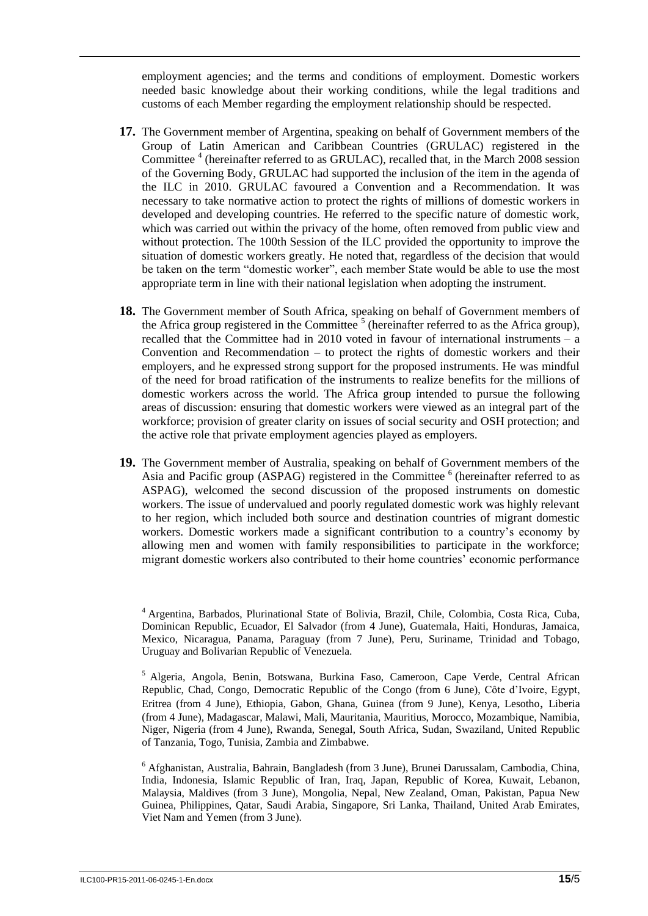employment agencies; and the terms and conditions of employment. Domestic workers needed basic knowledge about their working conditions, while the legal traditions and customs of each Member regarding the employment relationship should be respected.

- **17.** The Government member of Argentina, speaking on behalf of Government members of the Group of Latin American and Caribbean Countries (GRULAC) registered in the Committee<sup>4</sup> (hereinafter referred to as GRULAC), recalled that, in the March 2008 session of the Governing Body, GRULAC had supported the inclusion of the item in the agenda of the ILC in 2010. GRULAC favoured a Convention and a Recommendation. It was necessary to take normative action to protect the rights of millions of domestic workers in developed and developing countries. He referred to the specific nature of domestic work, which was carried out within the privacy of the home, often removed from public view and without protection. The 100th Session of the ILC provided the opportunity to improve the situation of domestic workers greatly. He noted that, regardless of the decision that would be taken on the term "domestic worker", each member State would be able to use the most appropriate term in line with their national legislation when adopting the instrument.
- **18.** The Government member of South Africa, speaking on behalf of Government members of the Africa group registered in the Committee<sup>5</sup> (hereinafter referred to as the Africa group), recalled that the Committee had in 2010 voted in favour of international instruments – a Convention and Recommendation – to protect the rights of domestic workers and their employers, and he expressed strong support for the proposed instruments. He was mindful of the need for broad ratification of the instruments to realize benefits for the millions of domestic workers across the world. The Africa group intended to pursue the following areas of discussion: ensuring that domestic workers were viewed as an integral part of the workforce; provision of greater clarity on issues of social security and OSH protection; and the active role that private employment agencies played as employers.
- **19.** The Government member of Australia, speaking on behalf of Government members of the Asia and Pacific group (ASPAG) registered in the Committee <sup>6</sup> (hereinafter referred to as ASPAG), welcomed the second discussion of the proposed instruments on domestic workers. The issue of undervalued and poorly regulated domestic work was highly relevant to her region, which included both source and destination countries of migrant domestic workers. Domestic workers made a significant contribution to a country"s economy by allowing men and women with family responsibilities to participate in the workforce; migrant domestic workers also contributed to their home countries" economic performance

<sup>4</sup> Argentina, Barbados, Plurinational State of Bolivia, Brazil, Chile, Colombia, Costa Rica, Cuba, Dominican Republic, Ecuador, El Salvador (from 4 June), Guatemala, Haiti, Honduras, Jamaica, Mexico, Nicaragua, Panama, Paraguay (from 7 June), Peru, Suriname, Trinidad and Tobago, Uruguay and Bolivarian Republic of Venezuela.

<sup>5</sup> Algeria, Angola, Benin, Botswana, Burkina Faso, Cameroon, Cape Verde, Central African Republic, Chad, Congo, Democratic Republic of the Congo (from 6 June), Côte d"Ivoire, Egypt, Eritrea (from 4 June), Ethiopia, Gabon, Ghana, Guinea (from 9 June), Kenya, Lesotho, Liberia (from 4 June), Madagascar, Malawi, Mali, Mauritania, Mauritius, Morocco, Mozambique, Namibia, Niger, Nigeria (from 4 June), Rwanda, Senegal, South Africa, Sudan, Swaziland, United Republic of Tanzania, Togo, Tunisia, Zambia and Zimbabwe.

<sup>6</sup> Afghanistan, Australia, Bahrain, Bangladesh (from 3 June), Brunei Darussalam, Cambodia, China, India, Indonesia, Islamic Republic of Iran, Iraq, Japan, Republic of Korea, Kuwait, Lebanon, Malaysia, Maldives (from 3 June), Mongolia, Nepal, New Zealand, Oman, Pakistan, Papua New Guinea, Philippines, Qatar, Saudi Arabia, Singapore, Sri Lanka, Thailand, United Arab Emirates, Viet Nam and Yemen (from 3 June).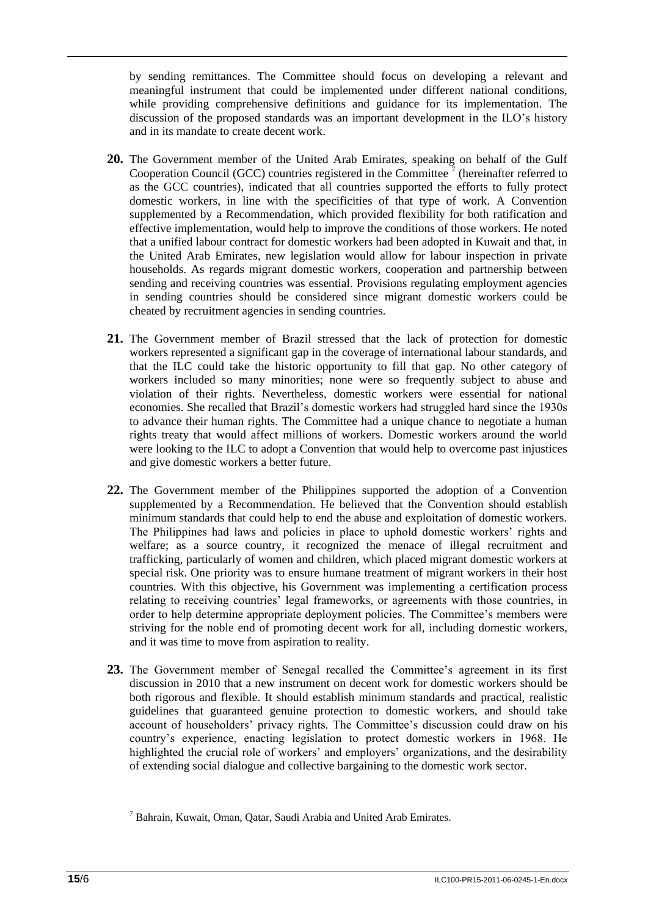by sending remittances. The Committee should focus on developing a relevant and meaningful instrument that could be implemented under different national conditions, while providing comprehensive definitions and guidance for its implementation. The discussion of the proposed standards was an important development in the ILO"s history and in its mandate to create decent work.

- **20.** The Government member of the United Arab Emirates, speaking on behalf of the Gulf Cooperation Council (GCC) countries registered in the Committee<sup>7</sup> (hereinafter referred to as the GCC countries), indicated that all countries supported the efforts to fully protect domestic workers, in line with the specificities of that type of work. A Convention supplemented by a Recommendation, which provided flexibility for both ratification and effective implementation, would help to improve the conditions of those workers. He noted that a unified labour contract for domestic workers had been adopted in Kuwait and that, in the United Arab Emirates, new legislation would allow for labour inspection in private households. As regards migrant domestic workers, cooperation and partnership between sending and receiving countries was essential. Provisions regulating employment agencies in sending countries should be considered since migrant domestic workers could be cheated by recruitment agencies in sending countries.
- **21.** The Government member of Brazil stressed that the lack of protection for domestic workers represented a significant gap in the coverage of international labour standards, and that the ILC could take the historic opportunity to fill that gap. No other category of workers included so many minorities; none were so frequently subject to abuse and violation of their rights. Nevertheless, domestic workers were essential for national economies. She recalled that Brazil"s domestic workers had struggled hard since the 1930s to advance their human rights. The Committee had a unique chance to negotiate a human rights treaty that would affect millions of workers. Domestic workers around the world were looking to the ILC to adopt a Convention that would help to overcome past injustices and give domestic workers a better future.
- **22.** The Government member of the Philippines supported the adoption of a Convention supplemented by a Recommendation. He believed that the Convention should establish minimum standards that could help to end the abuse and exploitation of domestic workers. The Philippines had laws and policies in place to uphold domestic workers' rights and welfare; as a source country, it recognized the menace of illegal recruitment and trafficking, particularly of women and children, which placed migrant domestic workers at special risk. One priority was to ensure humane treatment of migrant workers in their host countries. With this objective, his Government was implementing a certification process relating to receiving countries' legal frameworks, or agreements with those countries, in order to help determine appropriate deployment policies. The Committee"s members were striving for the noble end of promoting decent work for all, including domestic workers, and it was time to move from aspiration to reality.
- 23. The Government member of Senegal recalled the Committee's agreement in its first discussion in 2010 that a new instrument on decent work for domestic workers should be both rigorous and flexible. It should establish minimum standards and practical, realistic guidelines that guaranteed genuine protection to domestic workers, and should take account of householders' privacy rights. The Committee's discussion could draw on his country"s experience, enacting legislation to protect domestic workers in 1968. He highlighted the crucial role of workers' and employers' organizations, and the desirability of extending social dialogue and collective bargaining to the domestic work sector.

 $<sup>7</sup>$  Bahrain, Kuwait, Oman, Oatar, Saudi Arabia and United Arab Emirates.</sup>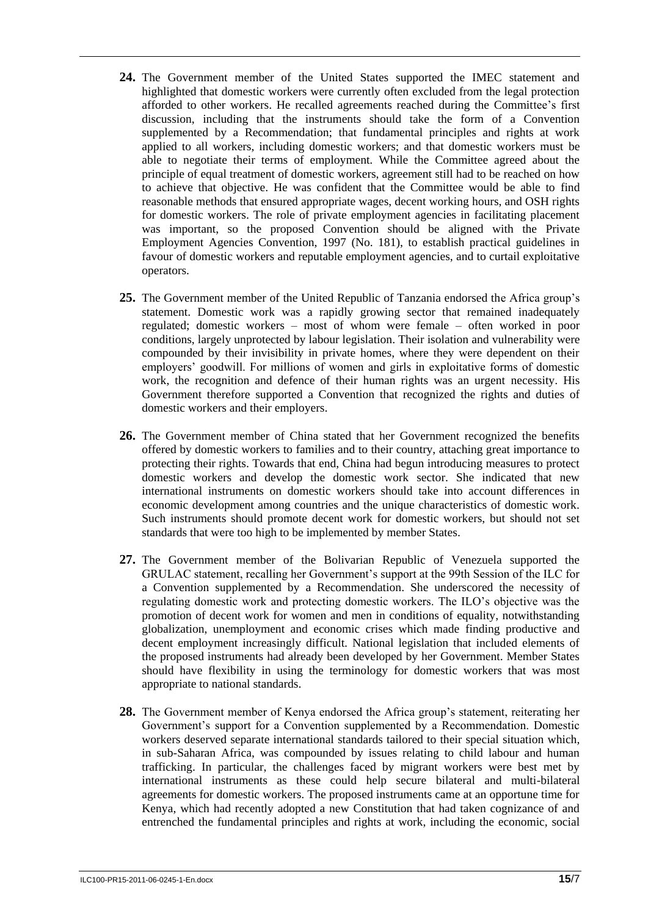- **24.** The Government member of the United States supported the IMEC statement and highlighted that domestic workers were currently often excluded from the legal protection afforded to other workers. He recalled agreements reached during the Committee"s first discussion, including that the instruments should take the form of a Convention supplemented by a Recommendation; that fundamental principles and rights at work applied to all workers, including domestic workers; and that domestic workers must be able to negotiate their terms of employment. While the Committee agreed about the principle of equal treatment of domestic workers, agreement still had to be reached on how to achieve that objective. He was confident that the Committee would be able to find reasonable methods that ensured appropriate wages, decent working hours, and OSH rights for domestic workers. The role of private employment agencies in facilitating placement was important, so the proposed Convention should be aligned with the Private Employment Agencies Convention, 1997 (No. 181), to establish practical guidelines in favour of domestic workers and reputable employment agencies, and to curtail exploitative operators.
- **25.** The Government member of the United Republic of Tanzania endorsed the Africa group"s statement. Domestic work was a rapidly growing sector that remained inadequately regulated; domestic workers – most of whom were female – often worked in poor conditions, largely unprotected by labour legislation. Their isolation and vulnerability were compounded by their invisibility in private homes, where they were dependent on their employers' goodwill. For millions of women and girls in exploitative forms of domestic work, the recognition and defence of their human rights was an urgent necessity. His Government therefore supported a Convention that recognized the rights and duties of domestic workers and their employers.
- **26.** The Government member of China stated that her Government recognized the benefits offered by domestic workers to families and to their country, attaching great importance to protecting their rights. Towards that end, China had begun introducing measures to protect domestic workers and develop the domestic work sector. She indicated that new international instruments on domestic workers should take into account differences in economic development among countries and the unique characteristics of domestic work. Such instruments should promote decent work for domestic workers, but should not set standards that were too high to be implemented by member States.
- **27.** The Government member of the Bolivarian Republic of Venezuela supported the GRULAC statement, recalling her Government"s support at the 99th Session of the ILC for a Convention supplemented by a Recommendation. She underscored the necessity of regulating domestic work and protecting domestic workers. The ILO"s objective was the promotion of decent work for women and men in conditions of equality, notwithstanding globalization, unemployment and economic crises which made finding productive and decent employment increasingly difficult. National legislation that included elements of the proposed instruments had already been developed by her Government. Member States should have flexibility in using the terminology for domestic workers that was most appropriate to national standards.
- **28.** The Government member of Kenya endorsed the Africa group"s statement, reiterating her Government's support for a Convention supplemented by a Recommendation. Domestic workers deserved separate international standards tailored to their special situation which, in sub-Saharan Africa, was compounded by issues relating to child labour and human trafficking. In particular, the challenges faced by migrant workers were best met by international instruments as these could help secure bilateral and multi-bilateral agreements for domestic workers. The proposed instruments came at an opportune time for Kenya, which had recently adopted a new Constitution that had taken cognizance of and entrenched the fundamental principles and rights at work, including the economic, social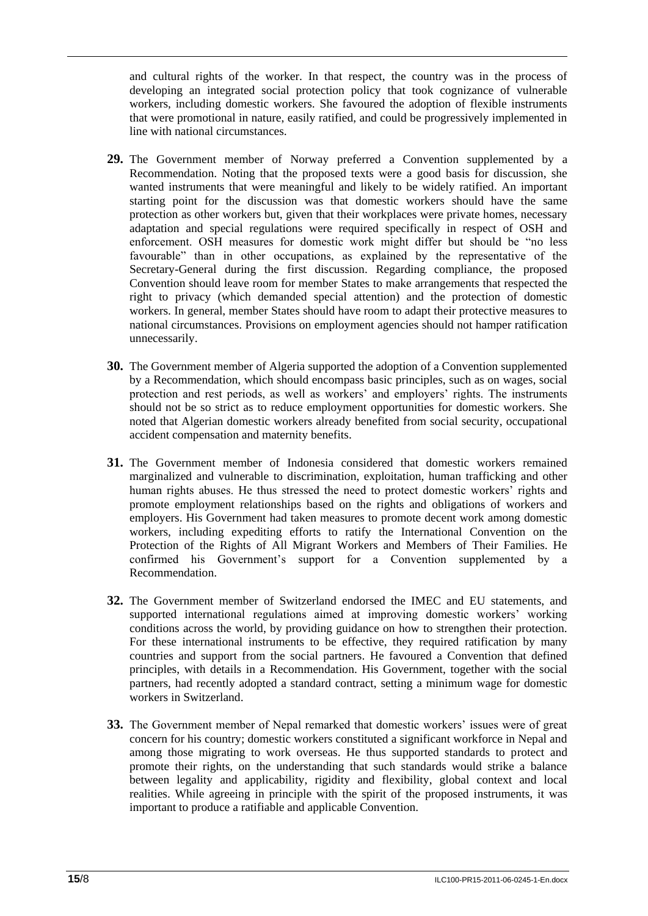and cultural rights of the worker. In that respect, the country was in the process of developing an integrated social protection policy that took cognizance of vulnerable workers, including domestic workers. She favoured the adoption of flexible instruments that were promotional in nature, easily ratified, and could be progressively implemented in line with national circumstances.

- **29.** The Government member of Norway preferred a Convention supplemented by a Recommendation. Noting that the proposed texts were a good basis for discussion, she wanted instruments that were meaningful and likely to be widely ratified. An important starting point for the discussion was that domestic workers should have the same protection as other workers but, given that their workplaces were private homes, necessary adaptation and special regulations were required specifically in respect of OSH and enforcement. OSH measures for domestic work might differ but should be "no less favourable" than in other occupations, as explained by the representative of the Secretary-General during the first discussion. Regarding compliance, the proposed Convention should leave room for member States to make arrangements that respected the right to privacy (which demanded special attention) and the protection of domestic workers. In general, member States should have room to adapt their protective measures to national circumstances. Provisions on employment agencies should not hamper ratification unnecessarily.
- **30.** The Government member of Algeria supported the adoption of a Convention supplemented by a Recommendation, which should encompass basic principles, such as on wages, social protection and rest periods, as well as workers' and employers' rights. The instruments should not be so strict as to reduce employment opportunities for domestic workers. She noted that Algerian domestic workers already benefited from social security, occupational accident compensation and maternity benefits.
- **31.** The Government member of Indonesia considered that domestic workers remained marginalized and vulnerable to discrimination, exploitation, human trafficking and other human rights abuses. He thus stressed the need to protect domestic workers' rights and promote employment relationships based on the rights and obligations of workers and employers. His Government had taken measures to promote decent work among domestic workers, including expediting efforts to ratify the International Convention on the Protection of the Rights of All Migrant Workers and Members of Their Families. He confirmed his Government's support for a Convention supplemented by a Recommendation.
- **32.** The Government member of Switzerland endorsed the IMEC and EU statements, and supported international regulations aimed at improving domestic workers' working conditions across the world, by providing guidance on how to strengthen their protection. For these international instruments to be effective, they required ratification by many countries and support from the social partners. He favoured a Convention that defined principles, with details in a Recommendation. His Government, together with the social partners, had recently adopted a standard contract, setting a minimum wage for domestic workers in Switzerland.
- **33.** The Government member of Nepal remarked that domestic workers' issues were of great concern for his country; domestic workers constituted a significant workforce in Nepal and among those migrating to work overseas. He thus supported standards to protect and promote their rights, on the understanding that such standards would strike a balance between legality and applicability, rigidity and flexibility, global context and local realities. While agreeing in principle with the spirit of the proposed instruments, it was important to produce a ratifiable and applicable Convention.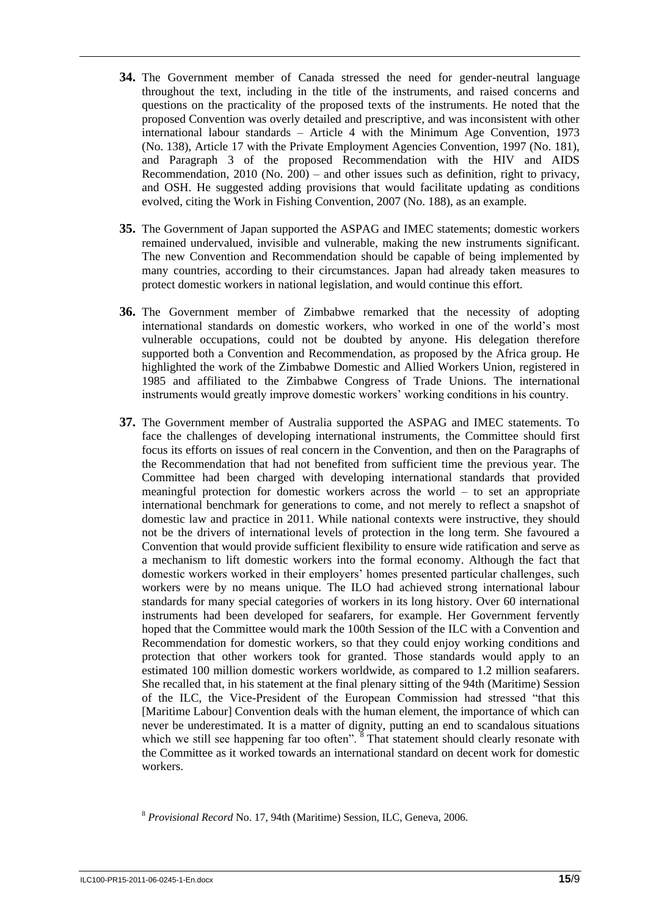- **34.** The Government member of Canada stressed the need for gender-neutral language throughout the text, including in the title of the instruments, and raised concerns and questions on the practicality of the proposed texts of the instruments. He noted that the proposed Convention was overly detailed and prescriptive, and was inconsistent with other international labour standards – Article 4 with the Minimum Age Convention, 1973 (No. 138), Article 17 with the Private Employment Agencies Convention, 1997 (No. 181), and Paragraph 3 of the proposed Recommendation with the HIV and AIDS Recommendation, 2010 (No. 200) – and other issues such as definition, right to privacy, and OSH. He suggested adding provisions that would facilitate updating as conditions evolved, citing the Work in Fishing Convention, 2007 (No. 188), as an example.
- **35.** The Government of Japan supported the ASPAG and IMEC statements; domestic workers remained undervalued, invisible and vulnerable, making the new instruments significant. The new Convention and Recommendation should be capable of being implemented by many countries, according to their circumstances. Japan had already taken measures to protect domestic workers in national legislation, and would continue this effort.
- **36.** The Government member of Zimbabwe remarked that the necessity of adopting international standards on domestic workers, who worked in one of the world"s most vulnerable occupations, could not be doubted by anyone. His delegation therefore supported both a Convention and Recommendation, as proposed by the Africa group. He highlighted the work of the Zimbabwe Domestic and Allied Workers Union, registered in 1985 and affiliated to the Zimbabwe Congress of Trade Unions. The international instruments would greatly improve domestic workers' working conditions in his country.
- **37.** The Government member of Australia supported the ASPAG and IMEC statements. To face the challenges of developing international instruments, the Committee should first focus its efforts on issues of real concern in the Convention, and then on the Paragraphs of the Recommendation that had not benefited from sufficient time the previous year. The Committee had been charged with developing international standards that provided meaningful protection for domestic workers across the world – to set an appropriate international benchmark for generations to come, and not merely to reflect a snapshot of domestic law and practice in 2011. While national contexts were instructive, they should not be the drivers of international levels of protection in the long term. She favoured a Convention that would provide sufficient flexibility to ensure wide ratification and serve as a mechanism to lift domestic workers into the formal economy. Although the fact that domestic workers worked in their employers" homes presented particular challenges, such workers were by no means unique. The ILO had achieved strong international labour standards for many special categories of workers in its long history. Over 60 international instruments had been developed for seafarers, for example. Her Government fervently hoped that the Committee would mark the 100th Session of the ILC with a Convention and Recommendation for domestic workers, so that they could enjoy working conditions and protection that other workers took for granted. Those standards would apply to an estimated 100 million domestic workers worldwide, as compared to 1.2 million seafarers. She recalled that, in his statement at the final plenary sitting of the 94th (Maritime) Session of the ILC, the Vice-President of the European Commission had stressed "that this [Maritime Labour] Convention deals with the human element, the importance of which can never be underestimated. It is a matter of dignity, putting an end to scandalous situations which we still see happening far too often".<sup>8</sup> That statement should clearly resonate with the Committee as it worked towards an international standard on decent work for domestic workers.

<sup>8</sup> *Provisional Record* No. 17, 94th (Maritime) Session, ILC, Geneva, 2006.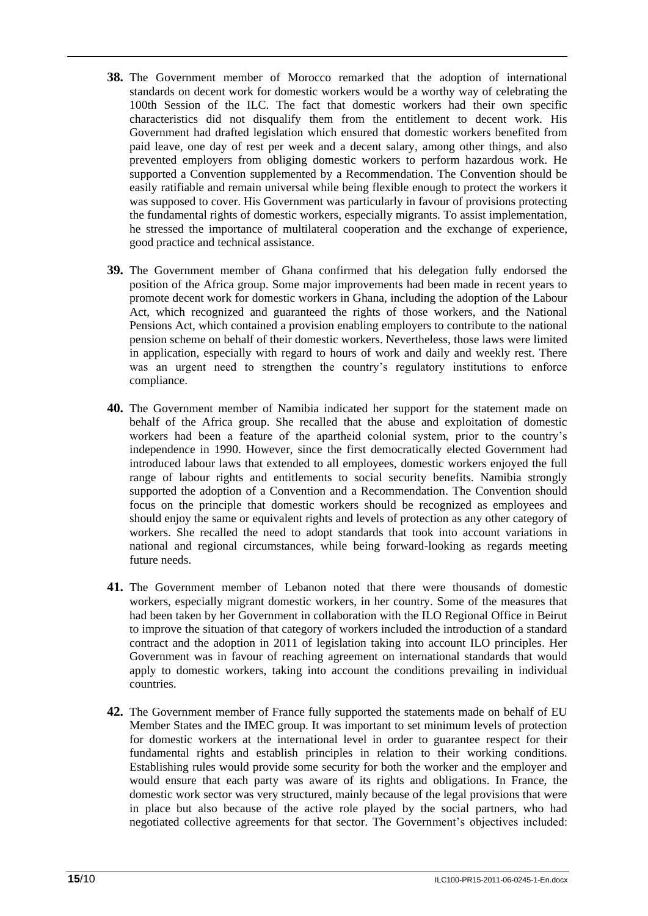- **38.** The Government member of Morocco remarked that the adoption of international standards on decent work for domestic workers would be a worthy way of celebrating the 100th Session of the ILC. The fact that domestic workers had their own specific characteristics did not disqualify them from the entitlement to decent work. His Government had drafted legislation which ensured that domestic workers benefited from paid leave, one day of rest per week and a decent salary, among other things, and also prevented employers from obliging domestic workers to perform hazardous work. He supported a Convention supplemented by a Recommendation. The Convention should be easily ratifiable and remain universal while being flexible enough to protect the workers it was supposed to cover. His Government was particularly in favour of provisions protecting the fundamental rights of domestic workers, especially migrants. To assist implementation, he stressed the importance of multilateral cooperation and the exchange of experience, good practice and technical assistance.
- **39.** The Government member of Ghana confirmed that his delegation fully endorsed the position of the Africa group. Some major improvements had been made in recent years to promote decent work for domestic workers in Ghana, including the adoption of the Labour Act, which recognized and guaranteed the rights of those workers, and the National Pensions Act, which contained a provision enabling employers to contribute to the national pension scheme on behalf of their domestic workers. Nevertheless, those laws were limited in application, especially with regard to hours of work and daily and weekly rest. There was an urgent need to strengthen the country's regulatory institutions to enforce compliance.
- **40.** The Government member of Namibia indicated her support for the statement made on behalf of the Africa group. She recalled that the abuse and exploitation of domestic workers had been a feature of the apartheid colonial system, prior to the country"s independence in 1990. However, since the first democratically elected Government had introduced labour laws that extended to all employees, domestic workers enjoyed the full range of labour rights and entitlements to social security benefits. Namibia strongly supported the adoption of a Convention and a Recommendation. The Convention should focus on the principle that domestic workers should be recognized as employees and should enjoy the same or equivalent rights and levels of protection as any other category of workers. She recalled the need to adopt standards that took into account variations in national and regional circumstances, while being forward-looking as regards meeting future needs.
- **41.** The Government member of Lebanon noted that there were thousands of domestic workers, especially migrant domestic workers, in her country. Some of the measures that had been taken by her Government in collaboration with the ILO Regional Office in Beirut to improve the situation of that category of workers included the introduction of a standard contract and the adoption in 2011 of legislation taking into account ILO principles. Her Government was in favour of reaching agreement on international standards that would apply to domestic workers, taking into account the conditions prevailing in individual countries.
- **42.** The Government member of France fully supported the statements made on behalf of EU Member States and the IMEC group. It was important to set minimum levels of protection for domestic workers at the international level in order to guarantee respect for their fundamental rights and establish principles in relation to their working conditions. Establishing rules would provide some security for both the worker and the employer and would ensure that each party was aware of its rights and obligations. In France, the domestic work sector was very structured, mainly because of the legal provisions that were in place but also because of the active role played by the social partners, who had negotiated collective agreements for that sector. The Government"s objectives included: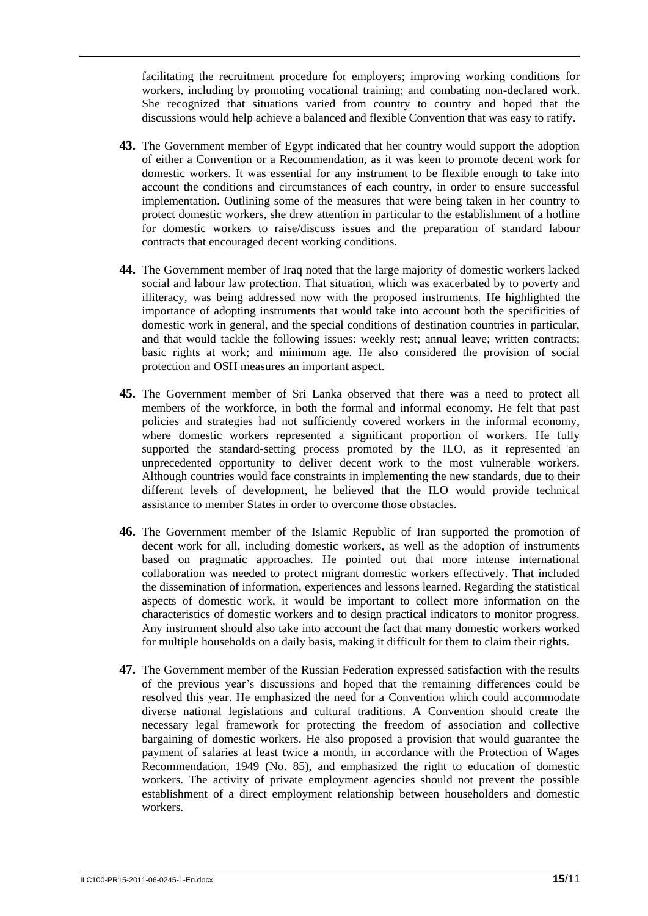facilitating the recruitment procedure for employers; improving working conditions for workers, including by promoting vocational training; and combating non-declared work. She recognized that situations varied from country to country and hoped that the discussions would help achieve a balanced and flexible Convention that was easy to ratify.

- **43.** The Government member of Egypt indicated that her country would support the adoption of either a Convention or a Recommendation, as it was keen to promote decent work for domestic workers. It was essential for any instrument to be flexible enough to take into account the conditions and circumstances of each country, in order to ensure successful implementation. Outlining some of the measures that were being taken in her country to protect domestic workers, she drew attention in particular to the establishment of a hotline for domestic workers to raise/discuss issues and the preparation of standard labour contracts that encouraged decent working conditions.
- **44.** The Government member of Iraq noted that the large majority of domestic workers lacked social and labour law protection. That situation, which was exacerbated by to poverty and illiteracy, was being addressed now with the proposed instruments. He highlighted the importance of adopting instruments that would take into account both the specificities of domestic work in general, and the special conditions of destination countries in particular, and that would tackle the following issues: weekly rest; annual leave; written contracts; basic rights at work; and minimum age. He also considered the provision of social protection and OSH measures an important aspect.
- **45.** The Government member of Sri Lanka observed that there was a need to protect all members of the workforce, in both the formal and informal economy. He felt that past policies and strategies had not sufficiently covered workers in the informal economy, where domestic workers represented a significant proportion of workers. He fully supported the standard-setting process promoted by the ILO, as it represented an unprecedented opportunity to deliver decent work to the most vulnerable workers. Although countries would face constraints in implementing the new standards, due to their different levels of development, he believed that the ILO would provide technical assistance to member States in order to overcome those obstacles.
- **46.** The Government member of the Islamic Republic of Iran supported the promotion of decent work for all, including domestic workers, as well as the adoption of instruments based on pragmatic approaches. He pointed out that more intense international collaboration was needed to protect migrant domestic workers effectively. That included the dissemination of information, experiences and lessons learned. Regarding the statistical aspects of domestic work, it would be important to collect more information on the characteristics of domestic workers and to design practical indicators to monitor progress. Any instrument should also take into account the fact that many domestic workers worked for multiple households on a daily basis, making it difficult for them to claim their rights.
- **47.** The Government member of the Russian Federation expressed satisfaction with the results of the previous year"s discussions and hoped that the remaining differences could be resolved this year. He emphasized the need for a Convention which could accommodate diverse national legislations and cultural traditions. A Convention should create the necessary legal framework for protecting the freedom of association and collective bargaining of domestic workers. He also proposed a provision that would guarantee the payment of salaries at least twice a month, in accordance with the Protection of Wages Recommendation, 1949 (No. 85), and emphasized the right to education of domestic workers. The activity of private employment agencies should not prevent the possible establishment of a direct employment relationship between householders and domestic workers.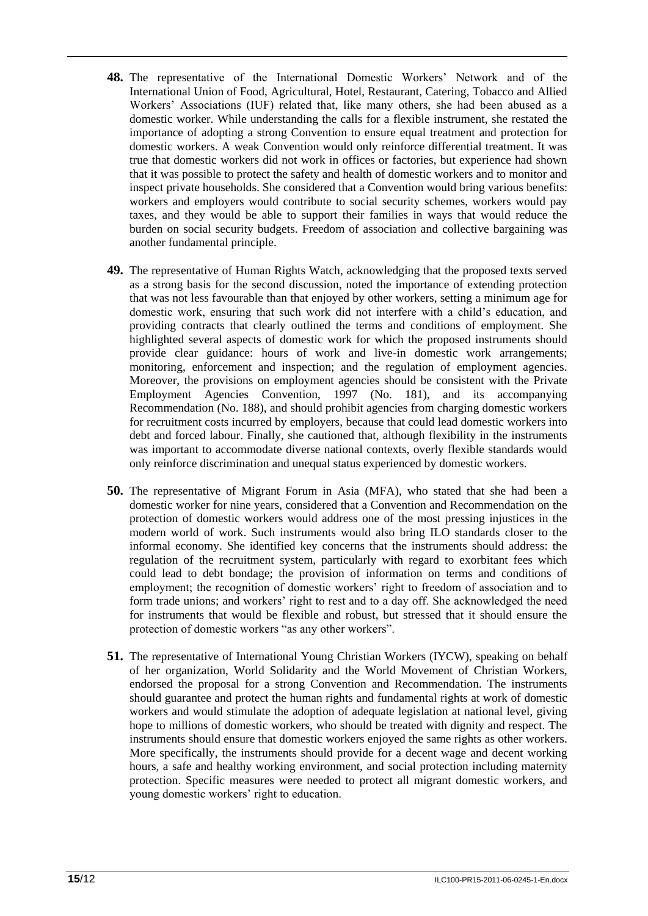- **48.** The representative of the International Domestic Workers" Network and of the International Union of Food, Agricultural, Hotel, Restaurant, Catering, Tobacco and Allied Workers" Associations (IUF) related that, like many others, she had been abused as a domestic worker. While understanding the calls for a flexible instrument, she restated the importance of adopting a strong Convention to ensure equal treatment and protection for domestic workers. A weak Convention would only reinforce differential treatment. It was true that domestic workers did not work in offices or factories, but experience had shown that it was possible to protect the safety and health of domestic workers and to monitor and inspect private households. She considered that a Convention would bring various benefits: workers and employers would contribute to social security schemes, workers would pay taxes, and they would be able to support their families in ways that would reduce the burden on social security budgets. Freedom of association and collective bargaining was another fundamental principle.
- **49.** The representative of Human Rights Watch, acknowledging that the proposed texts served as a strong basis for the second discussion, noted the importance of extending protection that was not less favourable than that enjoyed by other workers, setting a minimum age for domestic work, ensuring that such work did not interfere with a child"s education, and providing contracts that clearly outlined the terms and conditions of employment. She highlighted several aspects of domestic work for which the proposed instruments should provide clear guidance: hours of work and live-in domestic work arrangements; monitoring, enforcement and inspection; and the regulation of employment agencies. Moreover, the provisions on employment agencies should be consistent with the Private Employment Agencies Convention, 1997 (No. 181), and its accompanying Recommendation (No. 188), and should prohibit agencies from charging domestic workers for recruitment costs incurred by employers, because that could lead domestic workers into debt and forced labour. Finally, she cautioned that, although flexibility in the instruments was important to accommodate diverse national contexts, overly flexible standards would only reinforce discrimination and unequal status experienced by domestic workers.
- **50.** The representative of Migrant Forum in Asia (MFA), who stated that she had been a domestic worker for nine years, considered that a Convention and Recommendation on the protection of domestic workers would address one of the most pressing injustices in the modern world of work. Such instruments would also bring ILO standards closer to the informal economy. She identified key concerns that the instruments should address: the regulation of the recruitment system, particularly with regard to exorbitant fees which could lead to debt bondage; the provision of information on terms and conditions of employment; the recognition of domestic workers' right to freedom of association and to form trade unions; and workers" right to rest and to a day off. She acknowledged the need for instruments that would be flexible and robust, but stressed that it should ensure the protection of domestic workers "as any other workers".
- **51.** The representative of International Young Christian Workers (IYCW), speaking on behalf of her organization, World Solidarity and the World Movement of Christian Workers, endorsed the proposal for a strong Convention and Recommendation. The instruments should guarantee and protect the human rights and fundamental rights at work of domestic workers and would stimulate the adoption of adequate legislation at national level, giving hope to millions of domestic workers, who should be treated with dignity and respect. The instruments should ensure that domestic workers enjoyed the same rights as other workers. More specifically, the instruments should provide for a decent wage and decent working hours, a safe and healthy working environment, and social protection including maternity protection. Specific measures were needed to protect all migrant domestic workers, and young domestic workers" right to education.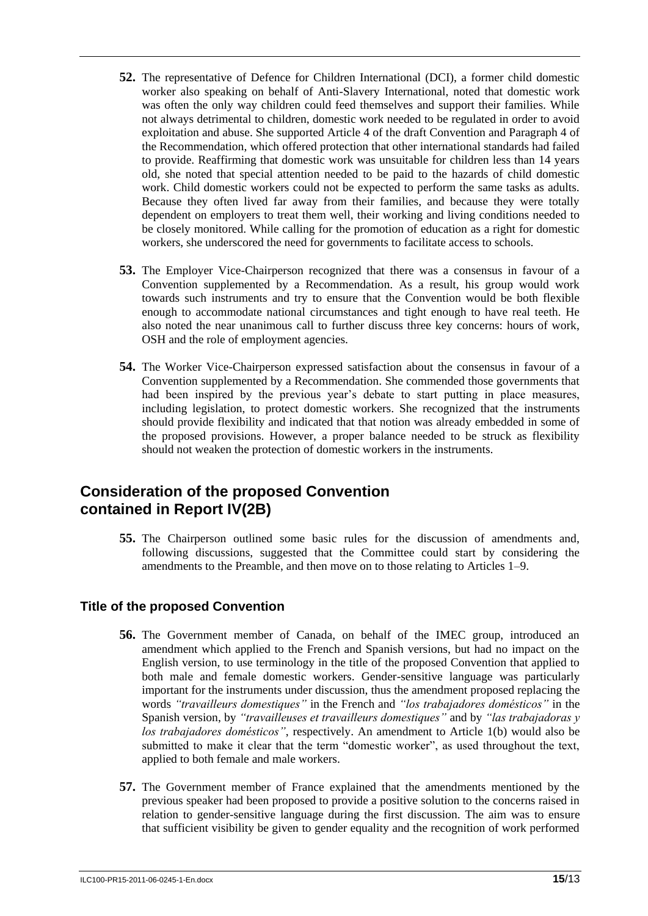- **52.** The representative of Defence for Children International (DCI), a former child domestic worker also speaking on behalf of Anti-Slavery International, noted that domestic work was often the only way children could feed themselves and support their families. While not always detrimental to children, domestic work needed to be regulated in order to avoid exploitation and abuse. She supported Article 4 of the draft Convention and Paragraph 4 of the Recommendation, which offered protection that other international standards had failed to provide. Reaffirming that domestic work was unsuitable for children less than 14 years old, she noted that special attention needed to be paid to the hazards of child domestic work. Child domestic workers could not be expected to perform the same tasks as adults. Because they often lived far away from their families, and because they were totally dependent on employers to treat them well, their working and living conditions needed to be closely monitored. While calling for the promotion of education as a right for domestic workers, she underscored the need for governments to facilitate access to schools.
- **53.** The Employer Vice-Chairperson recognized that there was a consensus in favour of a Convention supplemented by a Recommendation. As a result, his group would work towards such instruments and try to ensure that the Convention would be both flexible enough to accommodate national circumstances and tight enough to have real teeth. He also noted the near unanimous call to further discuss three key concerns: hours of work, OSH and the role of employment agencies.
- **54.** The Worker Vice-Chairperson expressed satisfaction about the consensus in favour of a Convention supplemented by a Recommendation. She commended those governments that had been inspired by the previous year's debate to start putting in place measures, including legislation, to protect domestic workers. She recognized that the instruments should provide flexibility and indicated that that notion was already embedded in some of the proposed provisions. However, a proper balance needed to be struck as flexibility should not weaken the protection of domestic workers in the instruments.

# **Consideration of the proposed Convention contained in Report IV(2B)**

**55.** The Chairperson outlined some basic rules for the discussion of amendments and, following discussions, suggested that the Committee could start by considering the amendments to the Preamble, and then move on to those relating to Articles 1–9.

# **Title of the proposed Convention**

- **56.** The Government member of Canada, on behalf of the IMEC group, introduced an amendment which applied to the French and Spanish versions, but had no impact on the English version, to use terminology in the title of the proposed Convention that applied to both male and female domestic workers. Gender-sensitive language was particularly important for the instruments under discussion, thus the amendment proposed replacing the words *"travailleurs domestiques"* in the French and *"los trabajadores domésticos"* in the Spanish version, by *"travailleuses et travailleurs domestiques"* and by *"las trabajadoras y los trabajadores domésticos"*, respectively. An amendment to Article 1(b) would also be submitted to make it clear that the term "domestic worker", as used throughout the text, applied to both female and male workers.
- **57.** The Government member of France explained that the amendments mentioned by the previous speaker had been proposed to provide a positive solution to the concerns raised in relation to gender-sensitive language during the first discussion. The aim was to ensure that sufficient visibility be given to gender equality and the recognition of work performed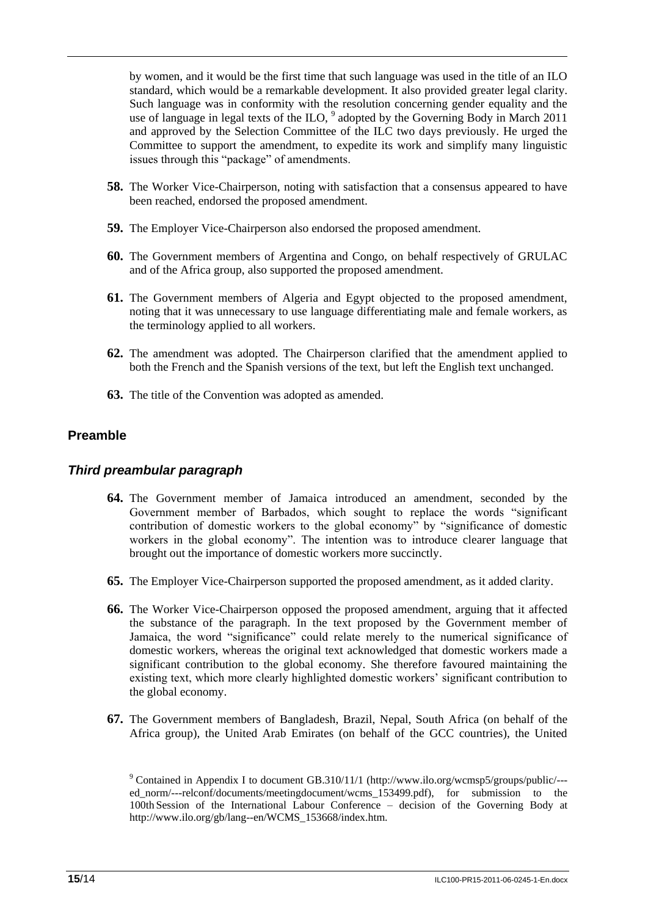by women, and it would be the first time that such language was used in the title of an ILO standard, which would be a remarkable development. It also provided greater legal clarity. Such language was in conformity with the resolution concerning gender equality and the use of language in legal texts of the  $ILO$ ,  $9$  adopted by the Governing Body in March 2011 and approved by the Selection Committee of the ILC two days previously. He urged the Committee to support the amendment, to expedite its work and simplify many linguistic issues through this "package" of amendments.

- **58.** The Worker Vice-Chairperson, noting with satisfaction that a consensus appeared to have been reached, endorsed the proposed amendment.
- **59.** The Employer Vice-Chairperson also endorsed the proposed amendment.
- **60.** The Government members of Argentina and Congo, on behalf respectively of GRULAC and of the Africa group, also supported the proposed amendment.
- **61.** The Government members of Algeria and Egypt objected to the proposed amendment, noting that it was unnecessary to use language differentiating male and female workers, as the terminology applied to all workers.
- **62.** The amendment was adopted. The Chairperson clarified that the amendment applied to both the French and the Spanish versions of the text, but left the English text unchanged.
- **63.** The title of the Convention was adopted as amended.

# **Preamble**

## *Third preambular paragraph*

- **64.** The Government member of Jamaica introduced an amendment, seconded by the Government member of Barbados, which sought to replace the words "significant contribution of domestic workers to the global economy" by "significance of domestic workers in the global economy". The intention was to introduce clearer language that brought out the importance of domestic workers more succinctly.
- **65.** The Employer Vice-Chairperson supported the proposed amendment, as it added clarity.
- **66.** The Worker Vice-Chairperson opposed the proposed amendment, arguing that it affected the substance of the paragraph. In the text proposed by the Government member of Jamaica, the word "significance" could relate merely to the numerical significance of domestic workers, whereas the original text acknowledged that domestic workers made a significant contribution to the global economy. She therefore favoured maintaining the existing text, which more clearly highlighted domestic workers" significant contribution to the global economy.
- **67.** The Government members of Bangladesh, Brazil, Nepal, South Africa (on behalf of the Africa group), the United Arab Emirates (on behalf of the GCC countries), the United

 $9^9$  Contained in Appendix I to document GB.310/11/1 (http://www.ilo.org/wcmsp5/groups/public/--ed\_norm/---relconf/documents/meetingdocument/wcms\_153499.pdf), for submission to the 100th Session of the International Labour Conference – decision of the Governing Body at http://www.ilo.org/gb/lang--en/WCMS\_153668/index.htm.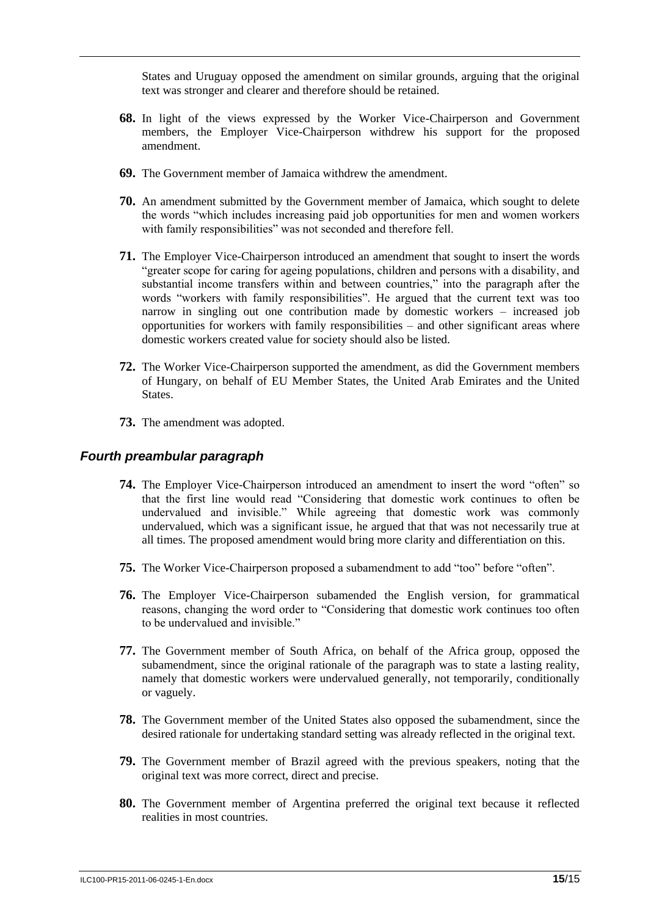States and Uruguay opposed the amendment on similar grounds, arguing that the original text was stronger and clearer and therefore should be retained.

- **68.** In light of the views expressed by the Worker Vice-Chairperson and Government members, the Employer Vice-Chairperson withdrew his support for the proposed amendment.
- **69.** The Government member of Jamaica withdrew the amendment.
- **70.** An amendment submitted by the Government member of Jamaica, which sought to delete the words "which includes increasing paid job opportunities for men and women workers with family responsibilities" was not seconded and therefore fell.
- **71.** The Employer Vice-Chairperson introduced an amendment that sought to insert the words "greater scope for caring for ageing populations, children and persons with a disability, and substantial income transfers within and between countries," into the paragraph after the words "workers with family responsibilities". He argued that the current text was too narrow in singling out one contribution made by domestic workers – increased job opportunities for workers with family responsibilities – and other significant areas where domestic workers created value for society should also be listed.
- **72.** The Worker Vice-Chairperson supported the amendment, as did the Government members of Hungary, on behalf of EU Member States, the United Arab Emirates and the United States.
- **73.** The amendment was adopted.

## *Fourth preambular paragraph*

- **74.** The Employer Vice-Chairperson introduced an amendment to insert the word "often" so that the first line would read "Considering that domestic work continues to often be undervalued and invisible." While agreeing that domestic work was commonly undervalued, which was a significant issue, he argued that that was not necessarily true at all times. The proposed amendment would bring more clarity and differentiation on this.
- **75.** The Worker Vice-Chairperson proposed a subamendment to add "too" before "often".
- **76.** The Employer Vice-Chairperson subamended the English version, for grammatical reasons, changing the word order to "Considering that domestic work continues too often to be undervalued and invisible."
- **77.** The Government member of South Africa, on behalf of the Africa group, opposed the subamendment, since the original rationale of the paragraph was to state a lasting reality, namely that domestic workers were undervalued generally, not temporarily, conditionally or vaguely.
- **78.** The Government member of the United States also opposed the subamendment, since the desired rationale for undertaking standard setting was already reflected in the original text.
- **79.** The Government member of Brazil agreed with the previous speakers, noting that the original text was more correct, direct and precise.
- **80.** The Government member of Argentina preferred the original text because it reflected realities in most countries.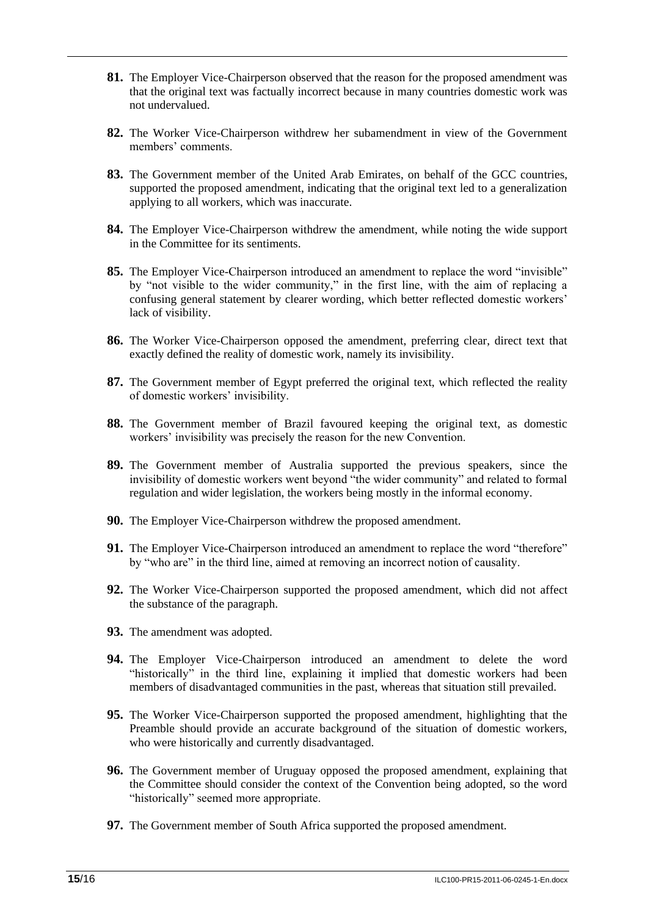- **81.** The Employer Vice-Chairperson observed that the reason for the proposed amendment was that the original text was factually incorrect because in many countries domestic work was not undervalued.
- **82.** The Worker Vice-Chairperson withdrew her subamendment in view of the Government members' comments.
- **83.** The Government member of the United Arab Emirates, on behalf of the GCC countries, supported the proposed amendment, indicating that the original text led to a generalization applying to all workers, which was inaccurate.
- **84.** The Employer Vice-Chairperson withdrew the amendment, while noting the wide support in the Committee for its sentiments.
- **85.** The Employer Vice-Chairperson introduced an amendment to replace the word "invisible" by "not visible to the wider community," in the first line, with the aim of replacing a confusing general statement by clearer wording, which better reflected domestic workers' lack of visibility.
- **86.** The Worker Vice-Chairperson opposed the amendment, preferring clear, direct text that exactly defined the reality of domestic work, namely its invisibility.
- **87.** The Government member of Egypt preferred the original text, which reflected the reality of domestic workers" invisibility.
- **88.** The Government member of Brazil favoured keeping the original text, as domestic workers' invisibility was precisely the reason for the new Convention.
- **89.** The Government member of Australia supported the previous speakers, since the invisibility of domestic workers went beyond "the wider community" and related to formal regulation and wider legislation, the workers being mostly in the informal economy.
- **90.** The Employer Vice-Chairperson withdrew the proposed amendment.
- **91.** The Employer Vice-Chairperson introduced an amendment to replace the word "therefore" by "who are" in the third line, aimed at removing an incorrect notion of causality.
- **92.** The Worker Vice-Chairperson supported the proposed amendment, which did not affect the substance of the paragraph.
- **93.** The amendment was adopted.
- **94.** The Employer Vice-Chairperson introduced an amendment to delete the word "historically" in the third line, explaining it implied that domestic workers had been members of disadvantaged communities in the past, whereas that situation still prevailed.
- **95.** The Worker Vice-Chairperson supported the proposed amendment, highlighting that the Preamble should provide an accurate background of the situation of domestic workers, who were historically and currently disadvantaged.
- **96.** The Government member of Uruguay opposed the proposed amendment, explaining that the Committee should consider the context of the Convention being adopted, so the word "historically" seemed more appropriate.
- **97.** The Government member of South Africa supported the proposed amendment.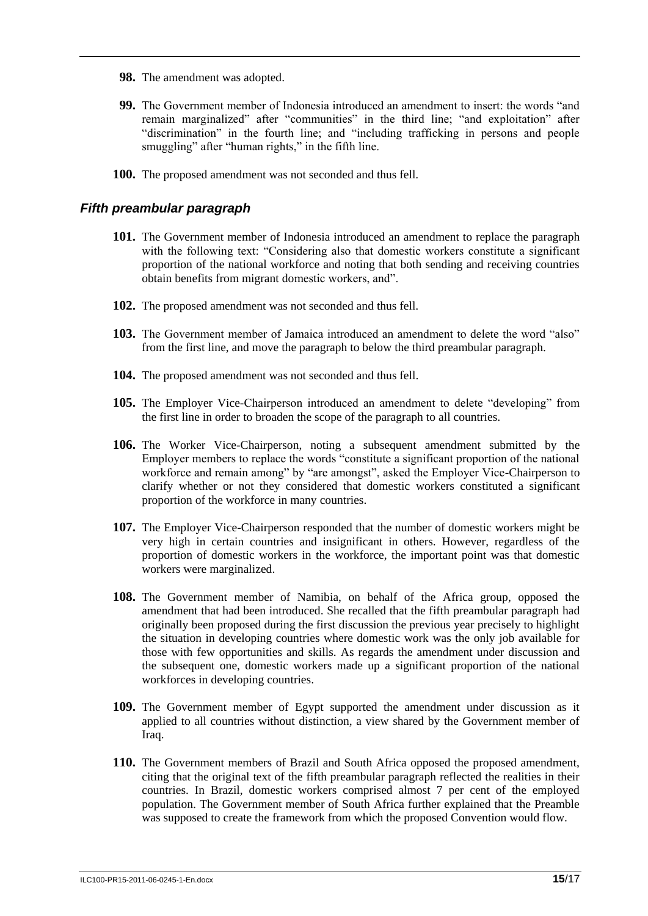- **98.** The amendment was adopted.
- **99.** The Government member of Indonesia introduced an amendment to insert: the words "and remain marginalized" after "communities" in the third line; "and exploitation" after "discrimination" in the fourth line; and "including trafficking in persons and people smuggling" after "human rights," in the fifth line.
- **100.** The proposed amendment was not seconded and thus fell.

### *Fifth preambular paragraph*

- **101.** The Government member of Indonesia introduced an amendment to replace the paragraph with the following text: "Considering also that domestic workers constitute a significant proportion of the national workforce and noting that both sending and receiving countries obtain benefits from migrant domestic workers, and".
- **102.** The proposed amendment was not seconded and thus fell.
- **103.** The Government member of Jamaica introduced an amendment to delete the word "also" from the first line, and move the paragraph to below the third preambular paragraph.
- **104.** The proposed amendment was not seconded and thus fell.
- **105.** The Employer Vice-Chairperson introduced an amendment to delete "developing" from the first line in order to broaden the scope of the paragraph to all countries.
- **106.** The Worker Vice-Chairperson, noting a subsequent amendment submitted by the Employer members to replace the words "constitute a significant proportion of the national workforce and remain among" by "are amongst", asked the Employer Vice-Chairperson to clarify whether or not they considered that domestic workers constituted a significant proportion of the workforce in many countries.
- **107.** The Employer Vice-Chairperson responded that the number of domestic workers might be very high in certain countries and insignificant in others. However, regardless of the proportion of domestic workers in the workforce, the important point was that domestic workers were marginalized.
- **108.** The Government member of Namibia, on behalf of the Africa group, opposed the amendment that had been introduced. She recalled that the fifth preambular paragraph had originally been proposed during the first discussion the previous year precisely to highlight the situation in developing countries where domestic work was the only job available for those with few opportunities and skills. As regards the amendment under discussion and the subsequent one, domestic workers made up a significant proportion of the national workforces in developing countries.
- **109.** The Government member of Egypt supported the amendment under discussion as it applied to all countries without distinction, a view shared by the Government member of Iraq.
- **110.** The Government members of Brazil and South Africa opposed the proposed amendment, citing that the original text of the fifth preambular paragraph reflected the realities in their countries. In Brazil, domestic workers comprised almost 7 per cent of the employed population. The Government member of South Africa further explained that the Preamble was supposed to create the framework from which the proposed Convention would flow.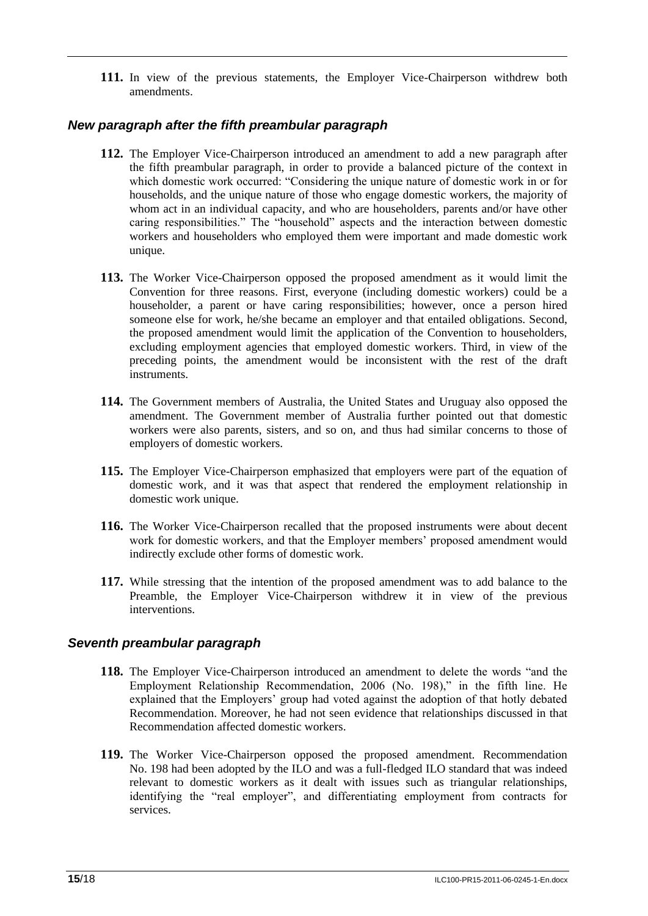111. In view of the previous statements, the Employer Vice-Chairperson withdrew both amendments.

## *New paragraph after the fifth preambular paragraph*

- **112.** The Employer Vice-Chairperson introduced an amendment to add a new paragraph after the fifth preambular paragraph, in order to provide a balanced picture of the context in which domestic work occurred: "Considering the unique nature of domestic work in or for households, and the unique nature of those who engage domestic workers, the majority of whom act in an individual capacity, and who are householders, parents and/or have other caring responsibilities." The "household" aspects and the interaction between domestic workers and householders who employed them were important and made domestic work unique.
- **113.** The Worker Vice-Chairperson opposed the proposed amendment as it would limit the Convention for three reasons. First, everyone (including domestic workers) could be a householder, a parent or have caring responsibilities; however, once a person hired someone else for work, he/she became an employer and that entailed obligations. Second, the proposed amendment would limit the application of the Convention to householders, excluding employment agencies that employed domestic workers. Third, in view of the preceding points, the amendment would be inconsistent with the rest of the draft instruments.
- **114.** The Government members of Australia, the United States and Uruguay also opposed the amendment. The Government member of Australia further pointed out that domestic workers were also parents, sisters, and so on, and thus had similar concerns to those of employers of domestic workers.
- **115.** The Employer Vice-Chairperson emphasized that employers were part of the equation of domestic work, and it was that aspect that rendered the employment relationship in domestic work unique.
- **116.** The Worker Vice-Chairperson recalled that the proposed instruments were about decent work for domestic workers, and that the Employer members' proposed amendment would indirectly exclude other forms of domestic work.
- **117.** While stressing that the intention of the proposed amendment was to add balance to the Preamble, the Employer Vice-Chairperson withdrew it in view of the previous interventions.

## *Seventh preambular paragraph*

- **118.** The Employer Vice-Chairperson introduced an amendment to delete the words "and the Employment Relationship Recommendation, 2006 (No. 198)," in the fifth line. He explained that the Employers" group had voted against the adoption of that hotly debated Recommendation. Moreover, he had not seen evidence that relationships discussed in that Recommendation affected domestic workers.
- **119.** The Worker Vice-Chairperson opposed the proposed amendment. Recommendation No. 198 had been adopted by the ILO and was a full-fledged ILO standard that was indeed relevant to domestic workers as it dealt with issues such as triangular relationships, identifying the "real employer", and differentiating employment from contracts for services.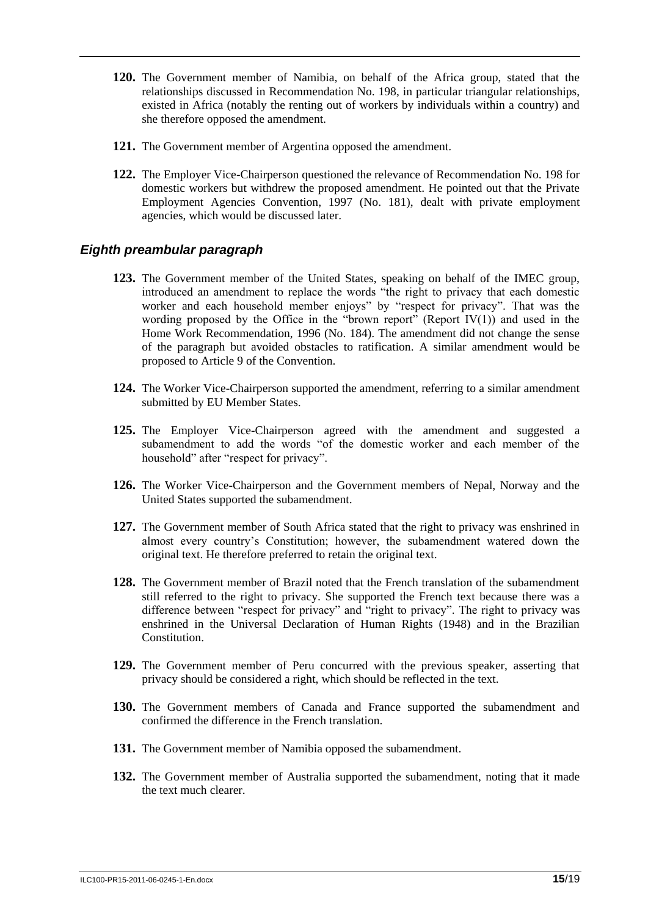- **120.** The Government member of Namibia, on behalf of the Africa group, stated that the relationships discussed in Recommendation No. 198, in particular triangular relationships, existed in Africa (notably the renting out of workers by individuals within a country) and she therefore opposed the amendment.
- **121.** The Government member of Argentina opposed the amendment.
- **122.** The Employer Vice-Chairperson questioned the relevance of Recommendation No. 198 for domestic workers but withdrew the proposed amendment. He pointed out that the Private Employment Agencies Convention, 1997 (No. 181), dealt with private employment agencies, which would be discussed later.

## *Eighth preambular paragraph*

- **123.** The Government member of the United States, speaking on behalf of the IMEC group, introduced an amendment to replace the words "the right to privacy that each domestic worker and each household member enjoys" by "respect for privacy". That was the wording proposed by the Office in the "brown report" (Report  $IV(1)$ ) and used in the Home Work Recommendation, 1996 (No. 184). The amendment did not change the sense of the paragraph but avoided obstacles to ratification. A similar amendment would be proposed to Article 9 of the Convention.
- **124.** The Worker Vice-Chairperson supported the amendment, referring to a similar amendment submitted by EU Member States.
- **125.** The Employer Vice-Chairperson agreed with the amendment and suggested a subamendment to add the words "of the domestic worker and each member of the household" after "respect for privacy".
- **126.** The Worker Vice-Chairperson and the Government members of Nepal, Norway and the United States supported the subamendment.
- **127.** The Government member of South Africa stated that the right to privacy was enshrined in almost every country"s Constitution; however, the subamendment watered down the original text. He therefore preferred to retain the original text.
- **128.** The Government member of Brazil noted that the French translation of the subamendment still referred to the right to privacy. She supported the French text because there was a difference between "respect for privacy" and "right to privacy". The right to privacy was enshrined in the Universal Declaration of Human Rights (1948) and in the Brazilian Constitution.
- **129.** The Government member of Peru concurred with the previous speaker, asserting that privacy should be considered a right, which should be reflected in the text.
- **130.** The Government members of Canada and France supported the subamendment and confirmed the difference in the French translation.
- **131.** The Government member of Namibia opposed the subamendment.
- **132.** The Government member of Australia supported the subamendment, noting that it made the text much clearer.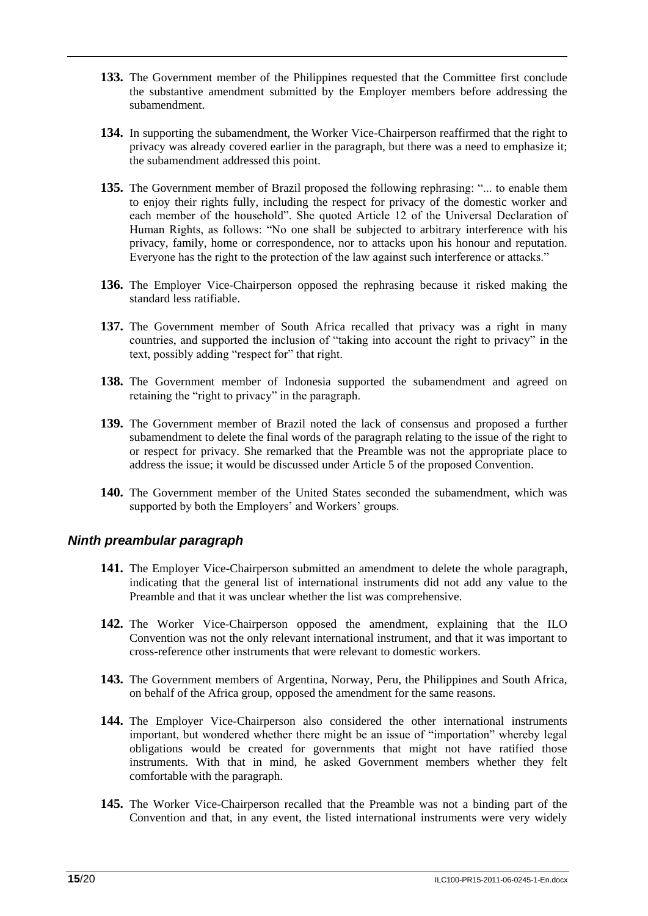- **133.** The Government member of the Philippines requested that the Committee first conclude the substantive amendment submitted by the Employer members before addressing the subamendment.
- **134.** In supporting the subamendment, the Worker Vice-Chairperson reaffirmed that the right to privacy was already covered earlier in the paragraph, but there was a need to emphasize it; the subamendment addressed this point.
- **135.** The Government member of Brazil proposed the following rephrasing: "... to enable them to enjoy their rights fully, including the respect for privacy of the domestic worker and each member of the household". She quoted Article 12 of the Universal Declaration of Human Rights, as follows: "No one shall be subjected to arbitrary interference with his privacy, family, home or correspondence, nor to attacks upon his honour and reputation. Everyone has the right to the protection of the law against such interference or attacks."
- **136.** The Employer Vice-Chairperson opposed the rephrasing because it risked making the standard less ratifiable.
- **137.** The Government member of South Africa recalled that privacy was a right in many countries, and supported the inclusion of "taking into account the right to privacy" in the text, possibly adding "respect for" that right.
- **138.** The Government member of Indonesia supported the subamendment and agreed on retaining the "right to privacy" in the paragraph.
- **139.** The Government member of Brazil noted the lack of consensus and proposed a further subamendment to delete the final words of the paragraph relating to the issue of the right to or respect for privacy. She remarked that the Preamble was not the appropriate place to address the issue; it would be discussed under Article 5 of the proposed Convention.
- **140.** The Government member of the United States seconded the subamendment, which was supported by both the Employers' and Workers' groups.

## *Ninth preambular paragraph*

- **141.** The Employer Vice-Chairperson submitted an amendment to delete the whole paragraph, indicating that the general list of international instruments did not add any value to the Preamble and that it was unclear whether the list was comprehensive.
- **142.** The Worker Vice-Chairperson opposed the amendment, explaining that the ILO Convention was not the only relevant international instrument, and that it was important to cross-reference other instruments that were relevant to domestic workers.
- **143.** The Government members of Argentina, Norway, Peru, the Philippines and South Africa, on behalf of the Africa group, opposed the amendment for the same reasons.
- **144.** The Employer Vice-Chairperson also considered the other international instruments important, but wondered whether there might be an issue of "importation" whereby legal obligations would be created for governments that might not have ratified those instruments. With that in mind, he asked Government members whether they felt comfortable with the paragraph.
- **145.** The Worker Vice-Chairperson recalled that the Preamble was not a binding part of the Convention and that, in any event, the listed international instruments were very widely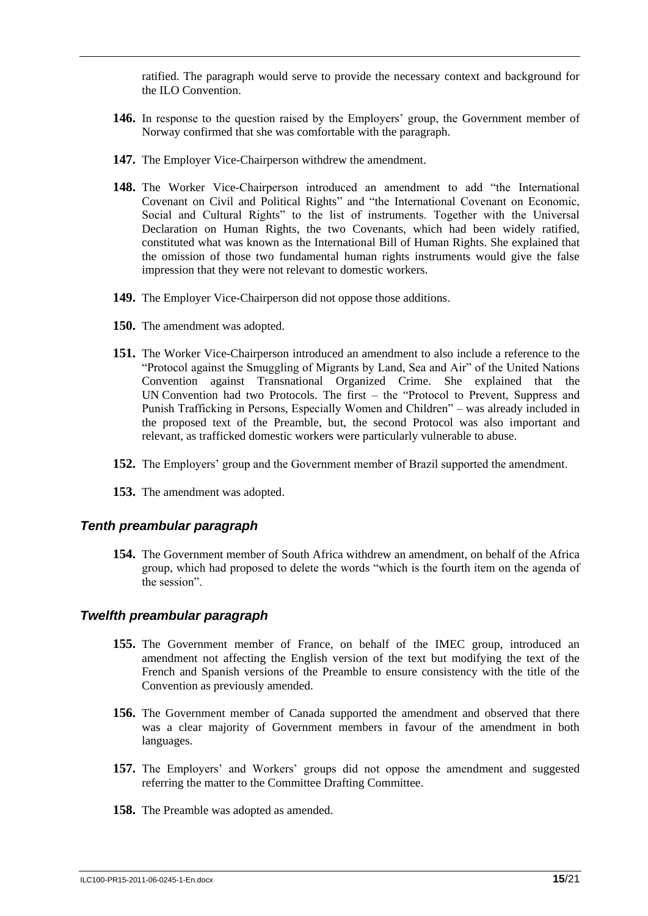ratified. The paragraph would serve to provide the necessary context and background for the ILO Convention.

- **146.** In response to the question raised by the Employers' group, the Government member of Norway confirmed that she was comfortable with the paragraph.
- **147.** The Employer Vice-Chairperson withdrew the amendment.
- **148.** The Worker Vice-Chairperson introduced an amendment to add "the International Covenant on Civil and Political Rights" and "the International Covenant on Economic, Social and Cultural Rights" to the list of instruments. Together with the Universal Declaration on Human Rights, the two Covenants, which had been widely ratified, constituted what was known as the International Bill of Human Rights. She explained that the omission of those two fundamental human rights instruments would give the false impression that they were not relevant to domestic workers.
- **149.** The Employer Vice-Chairperson did not oppose those additions.
- **150.** The amendment was adopted.
- **151.** The Worker Vice-Chairperson introduced an amendment to also include a reference to the "Protocol against the Smuggling of Migrants by Land, Sea and Air" of the United Nations Convention against Transnational Organized Crime. She explained that the UN Convention had two Protocols. The first – the "Protocol to Prevent, Suppress and Punish Trafficking in Persons, Especially Women and Children" – was already included in the proposed text of the Preamble, but, the second Protocol was also important and relevant, as trafficked domestic workers were particularly vulnerable to abuse.
- **152.** The Employers' group and the Government member of Brazil supported the amendment.
- **153.** The amendment was adopted.

#### *Tenth preambular paragraph*

**154.** The Government member of South Africa withdrew an amendment, on behalf of the Africa group, which had proposed to delete the words "which is the fourth item on the agenda of the session".

## *Twelfth preambular paragraph*

- **155.** The Government member of France, on behalf of the IMEC group, introduced an amendment not affecting the English version of the text but modifying the text of the French and Spanish versions of the Preamble to ensure consistency with the title of the Convention as previously amended.
- **156.** The Government member of Canada supported the amendment and observed that there was a clear majority of Government members in favour of the amendment in both languages.
- **157.** The Employers' and Workers' groups did not oppose the amendment and suggested referring the matter to the Committee Drafting Committee.
- **158.** The Preamble was adopted as amended.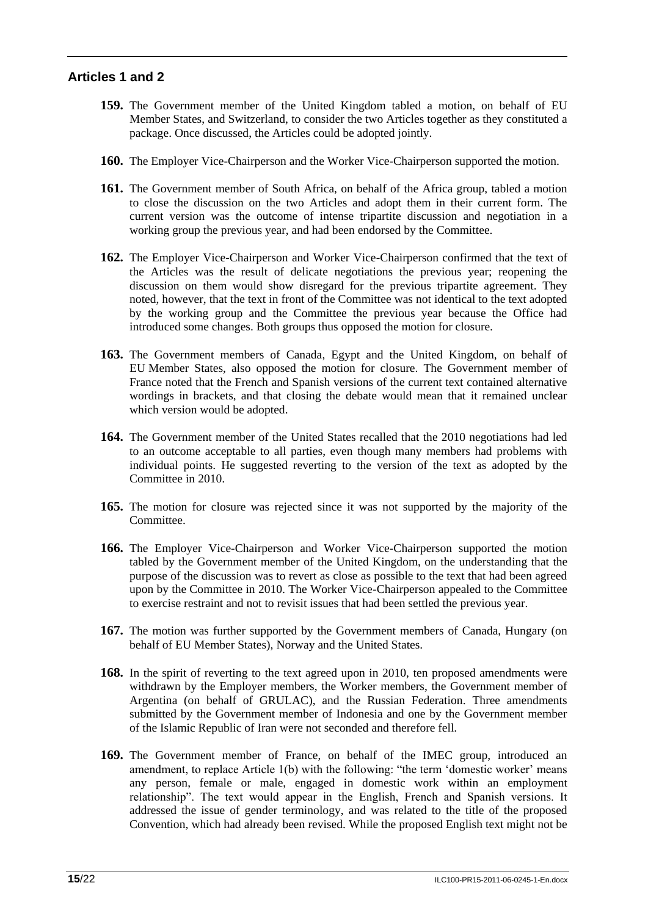# **Articles 1 and 2**

- **159.** The Government member of the United Kingdom tabled a motion, on behalf of EU Member States, and Switzerland, to consider the two Articles together as they constituted a package. Once discussed, the Articles could be adopted jointly.
- **160.** The Employer Vice-Chairperson and the Worker Vice-Chairperson supported the motion.
- **161.** The Government member of South Africa, on behalf of the Africa group, tabled a motion to close the discussion on the two Articles and adopt them in their current form. The current version was the outcome of intense tripartite discussion and negotiation in a working group the previous year, and had been endorsed by the Committee.
- **162.** The Employer Vice-Chairperson and Worker Vice-Chairperson confirmed that the text of the Articles was the result of delicate negotiations the previous year; reopening the discussion on them would show disregard for the previous tripartite agreement. They noted, however, that the text in front of the Committee was not identical to the text adopted by the working group and the Committee the previous year because the Office had introduced some changes. Both groups thus opposed the motion for closure.
- **163.** The Government members of Canada, Egypt and the United Kingdom, on behalf of EU Member States, also opposed the motion for closure. The Government member of France noted that the French and Spanish versions of the current text contained alternative wordings in brackets, and that closing the debate would mean that it remained unclear which version would be adopted.
- **164.** The Government member of the United States recalled that the 2010 negotiations had led to an outcome acceptable to all parties, even though many members had problems with individual points. He suggested reverting to the version of the text as adopted by the Committee in 2010.
- **165.** The motion for closure was rejected since it was not supported by the majority of the Committee.
- **166.** The Employer Vice-Chairperson and Worker Vice-Chairperson supported the motion tabled by the Government member of the United Kingdom, on the understanding that the purpose of the discussion was to revert as close as possible to the text that had been agreed upon by the Committee in 2010. The Worker Vice-Chairperson appealed to the Committee to exercise restraint and not to revisit issues that had been settled the previous year.
- **167.** The motion was further supported by the Government members of Canada, Hungary (on behalf of EU Member States), Norway and the United States.
- **168.** In the spirit of reverting to the text agreed upon in 2010, ten proposed amendments were withdrawn by the Employer members, the Worker members, the Government member of Argentina (on behalf of GRULAC), and the Russian Federation. Three amendments submitted by the Government member of Indonesia and one by the Government member of the Islamic Republic of Iran were not seconded and therefore fell.
- **169.** The Government member of France, on behalf of the IMEC group, introduced an amendment, to replace Article 1(b) with the following: "the term 'domestic worker' means any person, female or male, engaged in domestic work within an employment relationship". The text would appear in the English, French and Spanish versions. It addressed the issue of gender terminology, and was related to the title of the proposed Convention, which had already been revised. While the proposed English text might not be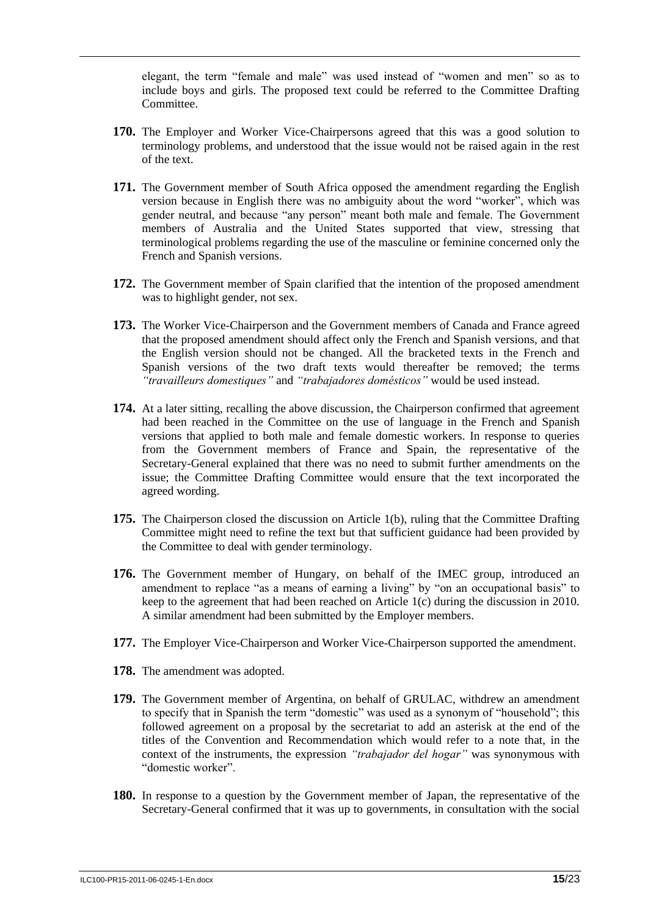elegant, the term "female and male" was used instead of "women and men" so as to include boys and girls. The proposed text could be referred to the Committee Drafting Committee.

- **170.** The Employer and Worker Vice-Chairpersons agreed that this was a good solution to terminology problems, and understood that the issue would not be raised again in the rest of the text.
- **171.** The Government member of South Africa opposed the amendment regarding the English version because in English there was no ambiguity about the word "worker", which was gender neutral, and because "any person" meant both male and female. The Government members of Australia and the United States supported that view, stressing that terminological problems regarding the use of the masculine or feminine concerned only the French and Spanish versions.
- **172.** The Government member of Spain clarified that the intention of the proposed amendment was to highlight gender, not sex.
- **173.** The Worker Vice-Chairperson and the Government members of Canada and France agreed that the proposed amendment should affect only the French and Spanish versions, and that the English version should not be changed. All the bracketed texts in the French and Spanish versions of the two draft texts would thereafter be removed; the terms *"travailleurs domestiques"* and *"trabajadores domésticos"* would be used instead.
- **174.** At a later sitting, recalling the above discussion, the Chairperson confirmed that agreement had been reached in the Committee on the use of language in the French and Spanish versions that applied to both male and female domestic workers. In response to queries from the Government members of France and Spain, the representative of the Secretary-General explained that there was no need to submit further amendments on the issue; the Committee Drafting Committee would ensure that the text incorporated the agreed wording.
- **175.** The Chairperson closed the discussion on Article 1(b), ruling that the Committee Drafting Committee might need to refine the text but that sufficient guidance had been provided by the Committee to deal with gender terminology.
- **176.** The Government member of Hungary, on behalf of the IMEC group, introduced an amendment to replace "as a means of earning a living" by "on an occupational basis" to keep to the agreement that had been reached on Article 1(c) during the discussion in 2010. A similar amendment had been submitted by the Employer members.
- **177.** The Employer Vice-Chairperson and Worker Vice-Chairperson supported the amendment.
- **178.** The amendment was adopted.
- **179.** The Government member of Argentina, on behalf of GRULAC, withdrew an amendment to specify that in Spanish the term "domestic" was used as a synonym of "household"; this followed agreement on a proposal by the secretariat to add an asterisk at the end of the titles of the Convention and Recommendation which would refer to a note that, in the context of the instruments, the expression *"trabajador del hogar"* was synonymous with "domestic worker".
- **180.** In response to a question by the Government member of Japan, the representative of the Secretary-General confirmed that it was up to governments, in consultation with the social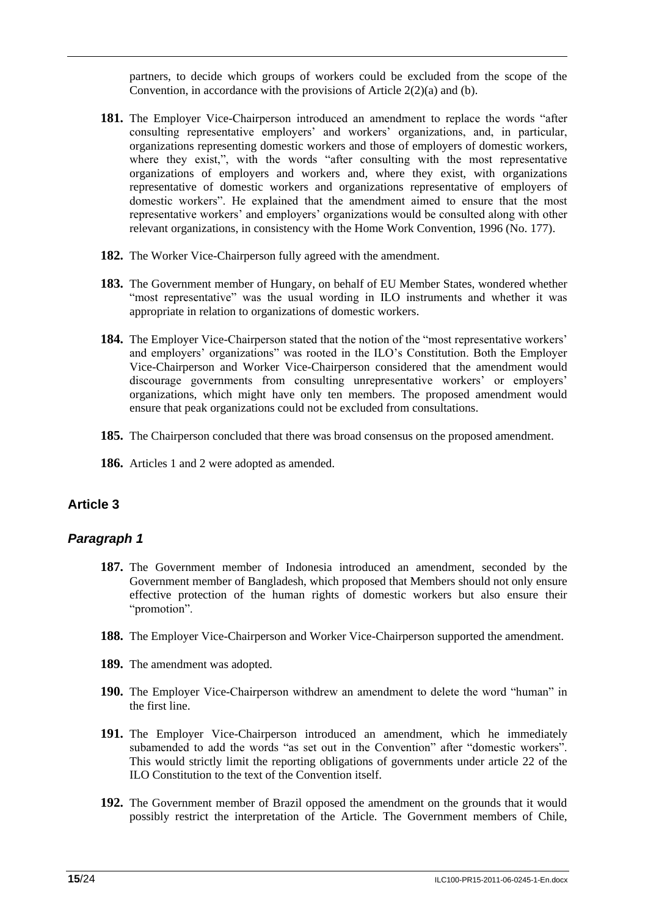partners, to decide which groups of workers could be excluded from the scope of the Convention, in accordance with the provisions of Article 2(2)(a) and (b).

- **181.** The Employer Vice-Chairperson introduced an amendment to replace the words "after consulting representative employers" and workers" organizations, and, in particular, organizations representing domestic workers and those of employers of domestic workers, where they exist,", with the words "after consulting with the most representative organizations of employers and workers and, where they exist, with organizations representative of domestic workers and organizations representative of employers of domestic workers". He explained that the amendment aimed to ensure that the most representative workers" and employers" organizations would be consulted along with other relevant organizations, in consistency with the Home Work Convention, 1996 (No. 177).
- **182.** The Worker Vice-Chairperson fully agreed with the amendment.
- **183.** The Government member of Hungary, on behalf of EU Member States, wondered whether "most representative" was the usual wording in ILO instruments and whether it was appropriate in relation to organizations of domestic workers.
- **184.** The Employer Vice-Chairperson stated that the notion of the "most representative workers" and employers" organizations" was rooted in the ILO"s Constitution. Both the Employer Vice-Chairperson and Worker Vice-Chairperson considered that the amendment would discourage governments from consulting unrepresentative workers' or employers' organizations, which might have only ten members. The proposed amendment would ensure that peak organizations could not be excluded from consultations.
- **185.** The Chairperson concluded that there was broad consensus on the proposed amendment.
- **186.** Articles 1 and 2 were adopted as amended.

# **Article 3**

# *Paragraph 1*

- **187.** The Government member of Indonesia introduced an amendment, seconded by the Government member of Bangladesh, which proposed that Members should not only ensure effective protection of the human rights of domestic workers but also ensure their "promotion".
- **188.** The Employer Vice-Chairperson and Worker Vice-Chairperson supported the amendment.
- **189.** The amendment was adopted.
- **190.** The Employer Vice-Chairperson withdrew an amendment to delete the word "human" in the first line.
- **191.** The Employer Vice-Chairperson introduced an amendment, which he immediately subamended to add the words "as set out in the Convention" after "domestic workers". This would strictly limit the reporting obligations of governments under article 22 of the ILO Constitution to the text of the Convention itself.
- **192.** The Government member of Brazil opposed the amendment on the grounds that it would possibly restrict the interpretation of the Article. The Government members of Chile,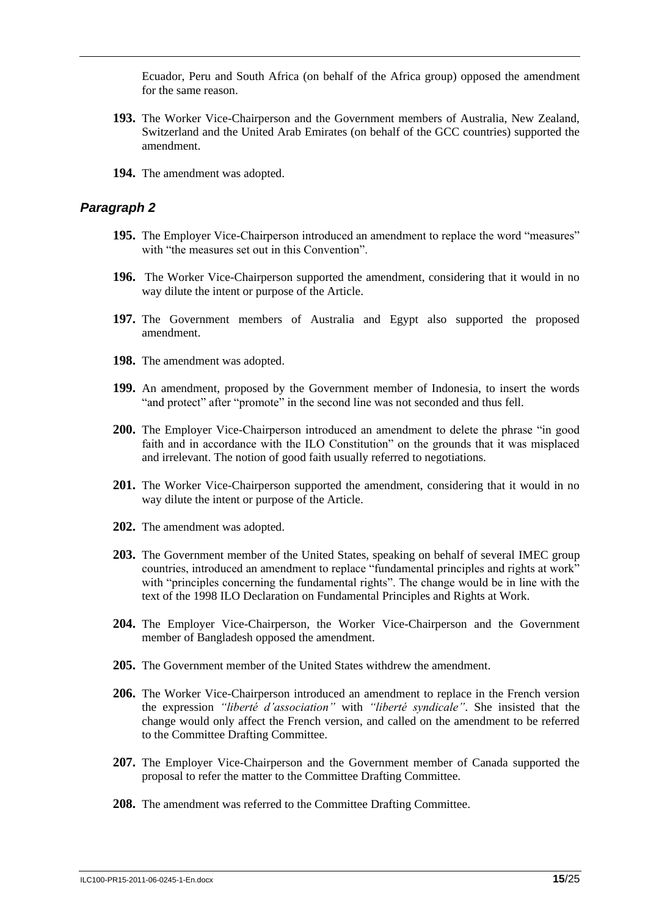Ecuador, Peru and South Africa (on behalf of the Africa group) opposed the amendment for the same reason.

- **193.** The Worker Vice-Chairperson and the Government members of Australia, New Zealand, Switzerland and the United Arab Emirates (on behalf of the GCC countries) supported the amendment.
- **194.** The amendment was adopted.

## *Paragraph 2*

- **195.** The Employer Vice-Chairperson introduced an amendment to replace the word "measures" with "the measures set out in this Convention".
- **196.** The Worker Vice-Chairperson supported the amendment, considering that it would in no way dilute the intent or purpose of the Article.
- **197.** The Government members of Australia and Egypt also supported the proposed amendment.
- **198.** The amendment was adopted.
- **199.** An amendment, proposed by the Government member of Indonesia, to insert the words "and protect" after "promote" in the second line was not seconded and thus fell.
- **200.** The Employer Vice-Chairperson introduced an amendment to delete the phrase "in good faith and in accordance with the ILO Constitution" on the grounds that it was misplaced and irrelevant. The notion of good faith usually referred to negotiations.
- **201.** The Worker Vice-Chairperson supported the amendment, considering that it would in no way dilute the intent or purpose of the Article.
- **202.** The amendment was adopted.
- **203.** The Government member of the United States, speaking on behalf of several IMEC group countries, introduced an amendment to replace "fundamental principles and rights at work" with "principles concerning the fundamental rights". The change would be in line with the text of the 1998 ILO Declaration on Fundamental Principles and Rights at Work.
- **204.** The Employer Vice-Chairperson, the Worker Vice-Chairperson and the Government member of Bangladesh opposed the amendment.
- **205.** The Government member of the United States withdrew the amendment.
- **206.** The Worker Vice-Chairperson introduced an amendment to replace in the French version the expression *"liberté d'association"* with *"liberté syndicale"*. She insisted that the change would only affect the French version, and called on the amendment to be referred to the Committee Drafting Committee.
- **207.** The Employer Vice-Chairperson and the Government member of Canada supported the proposal to refer the matter to the Committee Drafting Committee.
- **208.** The amendment was referred to the Committee Drafting Committee.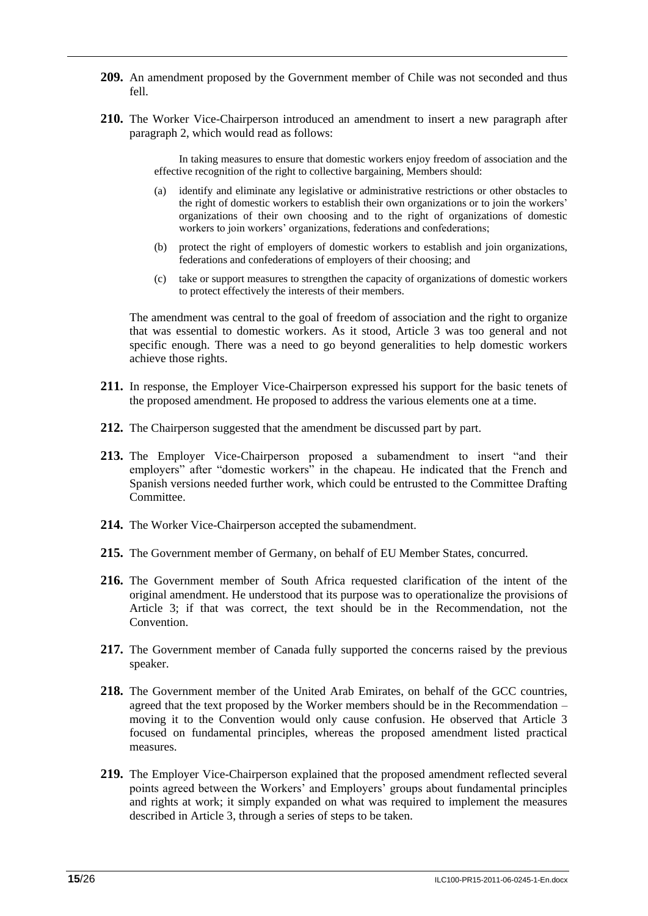- **209.** An amendment proposed by the Government member of Chile was not seconded and thus fell.
- **210.** The Worker Vice-Chairperson introduced an amendment to insert a new paragraph after paragraph 2, which would read as follows:

In taking measures to ensure that domestic workers enjoy freedom of association and the effective recognition of the right to collective bargaining, Members should:

- (a) identify and eliminate any legislative or administrative restrictions or other obstacles to the right of domestic workers to establish their own organizations or to join the workers" organizations of their own choosing and to the right of organizations of domestic workers to join workers' organizations, federations and confederations;
- (b) protect the right of employers of domestic workers to establish and join organizations, federations and confederations of employers of their choosing; and
- (c) take or support measures to strengthen the capacity of organizations of domestic workers to protect effectively the interests of their members.

The amendment was central to the goal of freedom of association and the right to organize that was essential to domestic workers. As it stood, Article 3 was too general and not specific enough. There was a need to go beyond generalities to help domestic workers achieve those rights.

- **211.** In response, the Employer Vice-Chairperson expressed his support for the basic tenets of the proposed amendment. He proposed to address the various elements one at a time.
- **212.** The Chairperson suggested that the amendment be discussed part by part.
- **213.** The Employer Vice-Chairperson proposed a subamendment to insert "and their employers" after "domestic workers" in the chapeau. He indicated that the French and Spanish versions needed further work, which could be entrusted to the Committee Drafting Committee.
- **214.** The Worker Vice-Chairperson accepted the subamendment.
- **215.** The Government member of Germany, on behalf of EU Member States, concurred.
- **216.** The Government member of South Africa requested clarification of the intent of the original amendment. He understood that its purpose was to operationalize the provisions of Article 3; if that was correct, the text should be in the Recommendation, not the Convention.
- **217.** The Government member of Canada fully supported the concerns raised by the previous speaker.
- **218.** The Government member of the United Arab Emirates, on behalf of the GCC countries, agreed that the text proposed by the Worker members should be in the Recommendation – moving it to the Convention would only cause confusion. He observed that Article 3 focused on fundamental principles, whereas the proposed amendment listed practical measures.
- **219.** The Employer Vice-Chairperson explained that the proposed amendment reflected several points agreed between the Workers' and Employers' groups about fundamental principles and rights at work; it simply expanded on what was required to implement the measures described in Article 3, through a series of steps to be taken.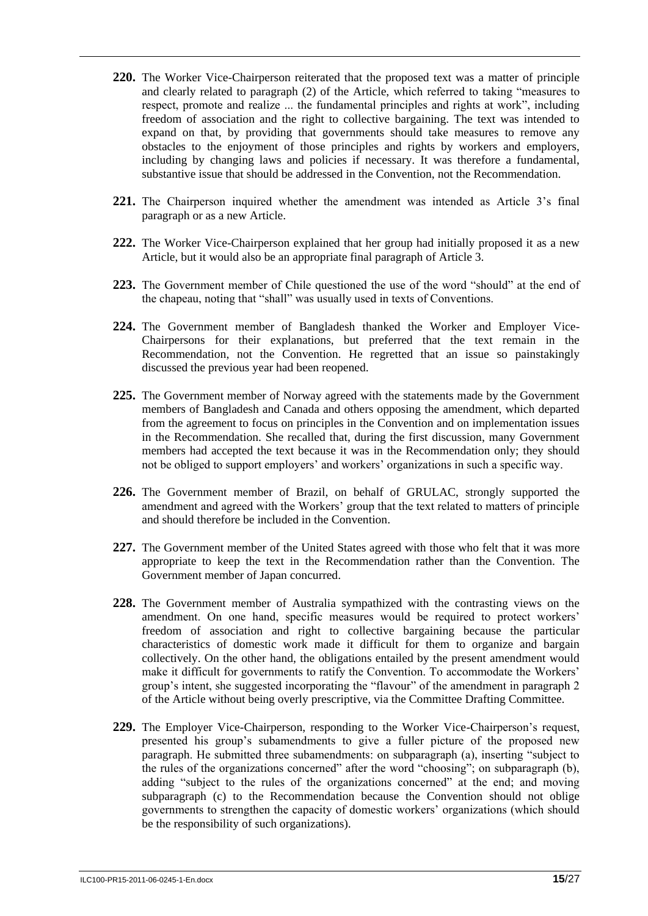- **220.** The Worker Vice-Chairperson reiterated that the proposed text was a matter of principle and clearly related to paragraph (2) of the Article, which referred to taking "measures to respect, promote and realize ... the fundamental principles and rights at work", including freedom of association and the right to collective bargaining. The text was intended to expand on that, by providing that governments should take measures to remove any obstacles to the enjoyment of those principles and rights by workers and employers, including by changing laws and policies if necessary. It was therefore a fundamental, substantive issue that should be addressed in the Convention, not the Recommendation.
- **221.** The Chairperson inquired whether the amendment was intended as Article 3"s final paragraph or as a new Article.
- **222.** The Worker Vice-Chairperson explained that her group had initially proposed it as a new Article, but it would also be an appropriate final paragraph of Article 3.
- **223.** The Government member of Chile questioned the use of the word "should" at the end of the chapeau, noting that "shall" was usually used in texts of Conventions.
- **224.** The Government member of Bangladesh thanked the Worker and Employer Vice-Chairpersons for their explanations, but preferred that the text remain in the Recommendation, not the Convention. He regretted that an issue so painstakingly discussed the previous year had been reopened.
- **225.** The Government member of Norway agreed with the statements made by the Government members of Bangladesh and Canada and others opposing the amendment, which departed from the agreement to focus on principles in the Convention and on implementation issues in the Recommendation. She recalled that, during the first discussion, many Government members had accepted the text because it was in the Recommendation only; they should not be obliged to support employers" and workers" organizations in such a specific way.
- **226.** The Government member of Brazil, on behalf of GRULAC, strongly supported the amendment and agreed with the Workers" group that the text related to matters of principle and should therefore be included in the Convention.
- **227.** The Government member of the United States agreed with those who felt that it was more appropriate to keep the text in the Recommendation rather than the Convention. The Government member of Japan concurred.
- **228.** The Government member of Australia sympathized with the contrasting views on the amendment. On one hand, specific measures would be required to protect workers" freedom of association and right to collective bargaining because the particular characteristics of domestic work made it difficult for them to organize and bargain collectively. On the other hand, the obligations entailed by the present amendment would make it difficult for governments to ratify the Convention. To accommodate the Workers' group"s intent, she suggested incorporating the "flavour" of the amendment in paragraph 2 of the Article without being overly prescriptive, via the Committee Drafting Committee.
- 229. The Employer Vice-Chairperson, responding to the Worker Vice-Chairperson's request, presented his group"s subamendments to give a fuller picture of the proposed new paragraph. He submitted three subamendments: on subparagraph (a), inserting "subject to the rules of the organizations concerned" after the word "choosing"; on subparagraph (b), adding "subject to the rules of the organizations concerned" at the end; and moving subparagraph (c) to the Recommendation because the Convention should not oblige governments to strengthen the capacity of domestic workers" organizations (which should be the responsibility of such organizations).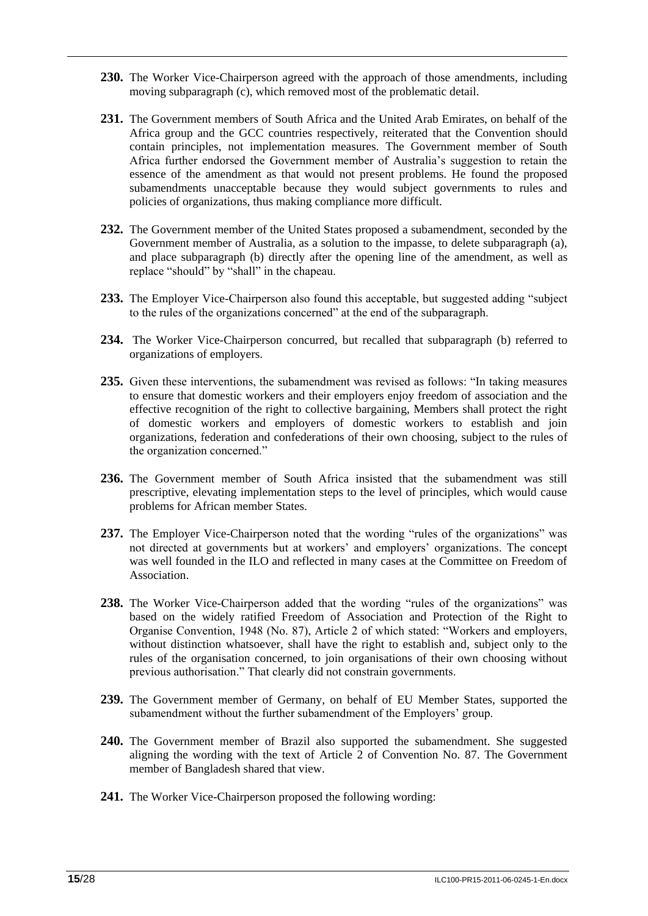- **230.** The Worker Vice-Chairperson agreed with the approach of those amendments, including moving subparagraph (c), which removed most of the problematic detail.
- **231.** The Government members of South Africa and the United Arab Emirates, on behalf of the Africa group and the GCC countries respectively, reiterated that the Convention should contain principles, not implementation measures. The Government member of South Africa further endorsed the Government member of Australia"s suggestion to retain the essence of the amendment as that would not present problems. He found the proposed subamendments unacceptable because they would subject governments to rules and policies of organizations, thus making compliance more difficult.
- **232.** The Government member of the United States proposed a subamendment, seconded by the Government member of Australia, as a solution to the impasse, to delete subparagraph (a), and place subparagraph (b) directly after the opening line of the amendment, as well as replace "should" by "shall" in the chapeau.
- 233. The Employer Vice-Chairperson also found this acceptable, but suggested adding "subject to the rules of the organizations concerned" at the end of the subparagraph.
- **234.** The Worker Vice-Chairperson concurred, but recalled that subparagraph (b) referred to organizations of employers.
- **235.** Given these interventions, the subamendment was revised as follows: "In taking measures to ensure that domestic workers and their employers enjoy freedom of association and the effective recognition of the right to collective bargaining, Members shall protect the right of domestic workers and employers of domestic workers to establish and join organizations, federation and confederations of their own choosing, subject to the rules of the organization concerned."
- **236.** The Government member of South Africa insisted that the subamendment was still prescriptive, elevating implementation steps to the level of principles, which would cause problems for African member States.
- **237.** The Employer Vice-Chairperson noted that the wording "rules of the organizations" was not directed at governments but at workers" and employers" organizations. The concept was well founded in the ILO and reflected in many cases at the Committee on Freedom of Association.
- **238.** The Worker Vice-Chairperson added that the wording "rules of the organizations" was based on the widely ratified Freedom of Association and Protection of the Right to Organise Convention, 1948 (No. 87), Article 2 of which stated: "Workers and employers, without distinction whatsoever, shall have the right to establish and, subject only to the rules of the organisation concerned, to join organisations of their own choosing without previous authorisation." That clearly did not constrain governments.
- **239.** The Government member of Germany, on behalf of EU Member States, supported the subamendment without the further subamendment of the Employers' group.
- **240.** The Government member of Brazil also supported the subamendment. She suggested aligning the wording with the text of Article 2 of Convention No. 87. The Government member of Bangladesh shared that view.
- **241.** The Worker Vice-Chairperson proposed the following wording: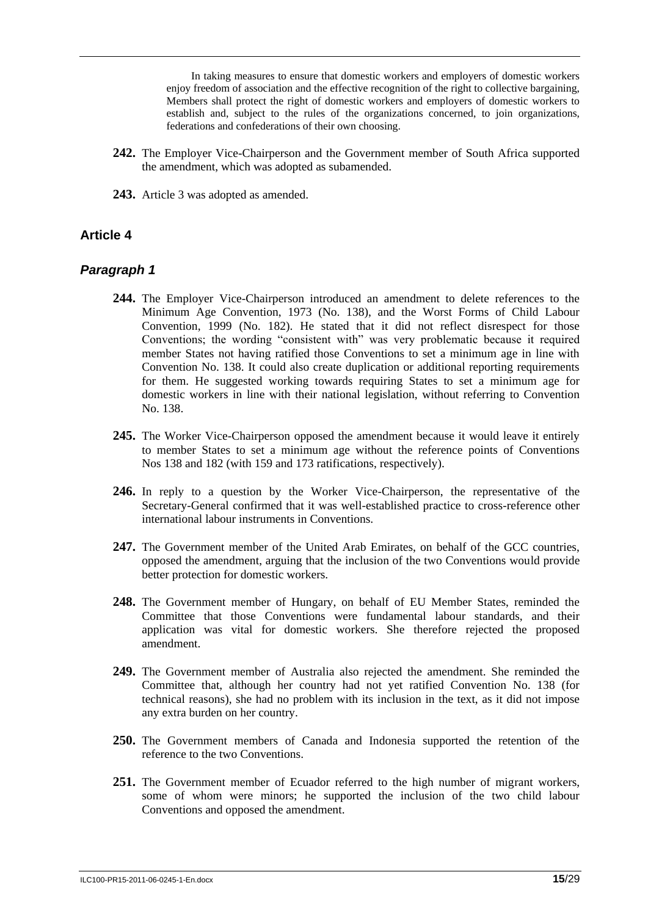In taking measures to ensure that domestic workers and employers of domestic workers enjoy freedom of association and the effective recognition of the right to collective bargaining, Members shall protect the right of domestic workers and employers of domestic workers to establish and, subject to the rules of the organizations concerned, to join organizations, federations and confederations of their own choosing.

- **242.** The Employer Vice-Chairperson and the Government member of South Africa supported the amendment, which was adopted as subamended.
- **243.** Article 3 was adopted as amended.

# **Article 4**

## *Paragraph 1*

- **244.** The Employer Vice-Chairperson introduced an amendment to delete references to the Minimum Age Convention, 1973 (No. 138), and the Worst Forms of Child Labour Convention, 1999 (No. 182). He stated that it did not reflect disrespect for those Conventions; the wording "consistent with" was very problematic because it required member States not having ratified those Conventions to set a minimum age in line with Convention No. 138. It could also create duplication or additional reporting requirements for them. He suggested working towards requiring States to set a minimum age for domestic workers in line with their national legislation, without referring to Convention No. 138.
- **245.** The Worker Vice-Chairperson opposed the amendment because it would leave it entirely to member States to set a minimum age without the reference points of Conventions Nos 138 and 182 (with 159 and 173 ratifications, respectively).
- **246.** In reply to a question by the Worker Vice-Chairperson, the representative of the Secretary-General confirmed that it was well-established practice to cross-reference other international labour instruments in Conventions.
- **247.** The Government member of the United Arab Emirates, on behalf of the GCC countries, opposed the amendment, arguing that the inclusion of the two Conventions would provide better protection for domestic workers.
- **248.** The Government member of Hungary, on behalf of EU Member States, reminded the Committee that those Conventions were fundamental labour standards, and their application was vital for domestic workers. She therefore rejected the proposed amendment.
- **249.** The Government member of Australia also rejected the amendment. She reminded the Committee that, although her country had not yet ratified Convention No. 138 (for technical reasons), she had no problem with its inclusion in the text, as it did not impose any extra burden on her country.
- **250.** The Government members of Canada and Indonesia supported the retention of the reference to the two Conventions.
- **251.** The Government member of Ecuador referred to the high number of migrant workers, some of whom were minors; he supported the inclusion of the two child labour Conventions and opposed the amendment.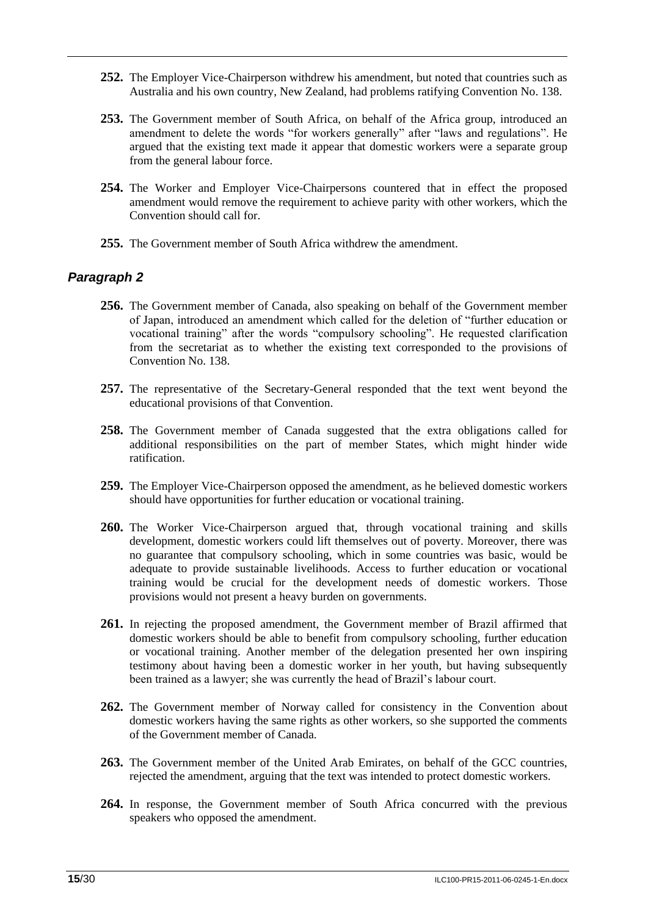- **252.** The Employer Vice-Chairperson withdrew his amendment, but noted that countries such as Australia and his own country, New Zealand, had problems ratifying Convention No. 138.
- **253.** The Government member of South Africa, on behalf of the Africa group, introduced an amendment to delete the words "for workers generally" after "laws and regulations". He argued that the existing text made it appear that domestic workers were a separate group from the general labour force.
- **254.** The Worker and Employer Vice-Chairpersons countered that in effect the proposed amendment would remove the requirement to achieve parity with other workers, which the Convention should call for.
- **255.** The Government member of South Africa withdrew the amendment.

# *Paragraph 2*

- **256.** The Government member of Canada, also speaking on behalf of the Government member of Japan, introduced an amendment which called for the deletion of "further education or vocational training" after the words "compulsory schooling". He requested clarification from the secretariat as to whether the existing text corresponded to the provisions of Convention No. 138.
- **257.** The representative of the Secretary-General responded that the text went beyond the educational provisions of that Convention.
- **258.** The Government member of Canada suggested that the extra obligations called for additional responsibilities on the part of member States, which might hinder wide ratification.
- **259.** The Employer Vice-Chairperson opposed the amendment, as he believed domestic workers should have opportunities for further education or vocational training.
- **260.** The Worker Vice-Chairperson argued that, through vocational training and skills development, domestic workers could lift themselves out of poverty. Moreover, there was no guarantee that compulsory schooling, which in some countries was basic, would be adequate to provide sustainable livelihoods. Access to further education or vocational training would be crucial for the development needs of domestic workers. Those provisions would not present a heavy burden on governments.
- **261.** In rejecting the proposed amendment, the Government member of Brazil affirmed that domestic workers should be able to benefit from compulsory schooling, further education or vocational training. Another member of the delegation presented her own inspiring testimony about having been a domestic worker in her youth, but having subsequently been trained as a lawyer; she was currently the head of Brazil"s labour court.
- **262.** The Government member of Norway called for consistency in the Convention about domestic workers having the same rights as other workers, so she supported the comments of the Government member of Canada.
- **263.** The Government member of the United Arab Emirates, on behalf of the GCC countries, rejected the amendment, arguing that the text was intended to protect domestic workers.
- **264.** In response, the Government member of South Africa concurred with the previous speakers who opposed the amendment.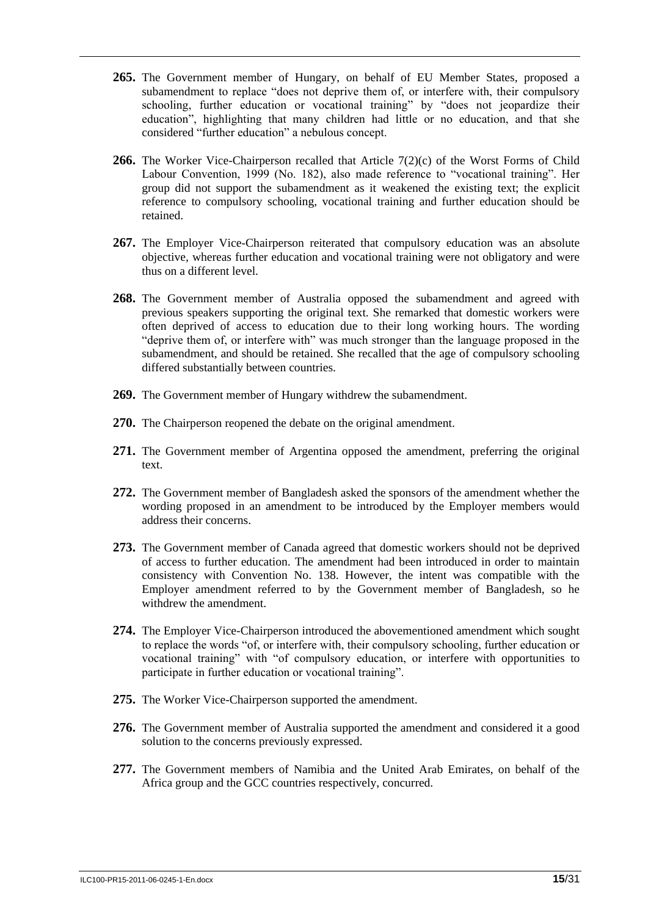- **265.** The Government member of Hungary, on behalf of EU Member States, proposed a subamendment to replace "does not deprive them of, or interfere with, their compulsory schooling, further education or vocational training" by "does not jeopardize their education", highlighting that many children had little or no education, and that she considered "further education" a nebulous concept.
- **266.** The Worker Vice-Chairperson recalled that Article 7(2)(c) of the Worst Forms of Child Labour Convention, 1999 (No. 182), also made reference to "vocational training". Her group did not support the subamendment as it weakened the existing text; the explicit reference to compulsory schooling, vocational training and further education should be retained.
- **267.** The Employer Vice-Chairperson reiterated that compulsory education was an absolute objective, whereas further education and vocational training were not obligatory and were thus on a different level.
- **268.** The Government member of Australia opposed the subamendment and agreed with previous speakers supporting the original text. She remarked that domestic workers were often deprived of access to education due to their long working hours. The wording "deprive them of, or interfere with" was much stronger than the language proposed in the subamendment, and should be retained. She recalled that the age of compulsory schooling differed substantially between countries.
- **269.** The Government member of Hungary withdrew the subamendment.
- **270.** The Chairperson reopened the debate on the original amendment.
- **271.** The Government member of Argentina opposed the amendment, preferring the original text.
- **272.** The Government member of Bangladesh asked the sponsors of the amendment whether the wording proposed in an amendment to be introduced by the Employer members would address their concerns.
- **273.** The Government member of Canada agreed that domestic workers should not be deprived of access to further education. The amendment had been introduced in order to maintain consistency with Convention No. 138. However, the intent was compatible with the Employer amendment referred to by the Government member of Bangladesh, so he withdrew the amendment.
- **274.** The Employer Vice-Chairperson introduced the abovementioned amendment which sought to replace the words "of, or interfere with, their compulsory schooling, further education or vocational training" with "of compulsory education, or interfere with opportunities to participate in further education or vocational training".
- **275.** The Worker Vice-Chairperson supported the amendment.
- **276.** The Government member of Australia supported the amendment and considered it a good solution to the concerns previously expressed.
- **277.** The Government members of Namibia and the United Arab Emirates, on behalf of the Africa group and the GCC countries respectively, concurred.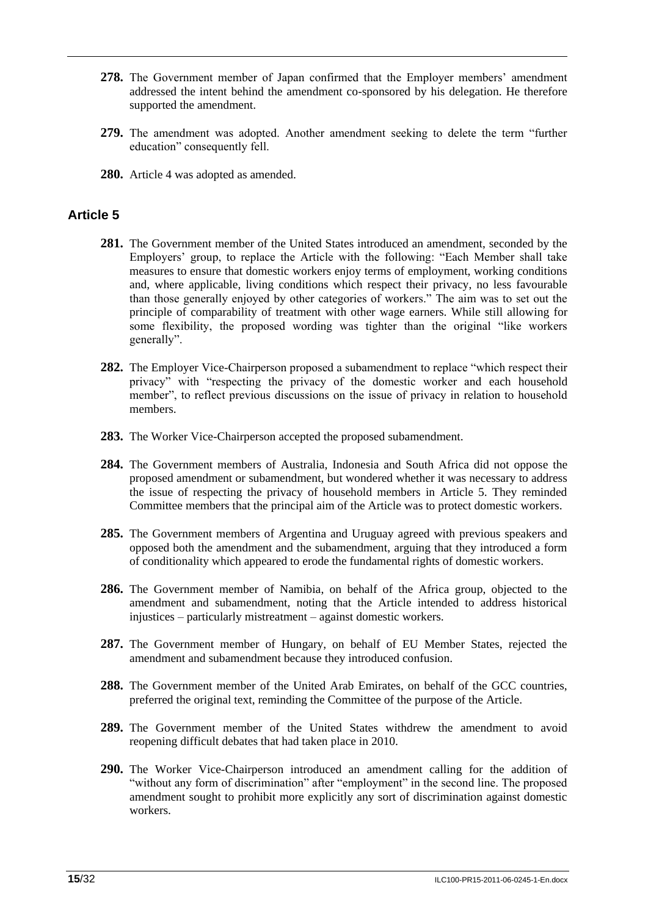- 278. The Government member of Japan confirmed that the Employer members' amendment addressed the intent behind the amendment co-sponsored by his delegation. He therefore supported the amendment.
- **279.** The amendment was adopted. Another amendment seeking to delete the term "further education" consequently fell.
- **280.** Article 4 was adopted as amended.

## **Article 5**

- **281.** The Government member of the United States introduced an amendment, seconded by the Employers" group, to replace the Article with the following: "Each Member shall take measures to ensure that domestic workers enjoy terms of employment, working conditions and, where applicable, living conditions which respect their privacy, no less favourable than those generally enjoyed by other categories of workers." The aim was to set out the principle of comparability of treatment with other wage earners. While still allowing for some flexibility, the proposed wording was tighter than the original "like workers generally".
- **282.** The Employer Vice-Chairperson proposed a subamendment to replace "which respect their privacy" with "respecting the privacy of the domestic worker and each household member", to reflect previous discussions on the issue of privacy in relation to household members.
- **283.** The Worker Vice-Chairperson accepted the proposed subamendment.
- **284.** The Government members of Australia, Indonesia and South Africa did not oppose the proposed amendment or subamendment, but wondered whether it was necessary to address the issue of respecting the privacy of household members in Article 5. They reminded Committee members that the principal aim of the Article was to protect domestic workers.
- **285.** The Government members of Argentina and Uruguay agreed with previous speakers and opposed both the amendment and the subamendment, arguing that they introduced a form of conditionality which appeared to erode the fundamental rights of domestic workers.
- **286.** The Government member of Namibia, on behalf of the Africa group, objected to the amendment and subamendment, noting that the Article intended to address historical injustices – particularly mistreatment – against domestic workers.
- **287.** The Government member of Hungary, on behalf of EU Member States, rejected the amendment and subamendment because they introduced confusion.
- **288.** The Government member of the United Arab Emirates, on behalf of the GCC countries, preferred the original text, reminding the Committee of the purpose of the Article.
- **289.** The Government member of the United States withdrew the amendment to avoid reopening difficult debates that had taken place in 2010.
- **290.** The Worker Vice-Chairperson introduced an amendment calling for the addition of "without any form of discrimination" after "employment" in the second line. The proposed amendment sought to prohibit more explicitly any sort of discrimination against domestic workers.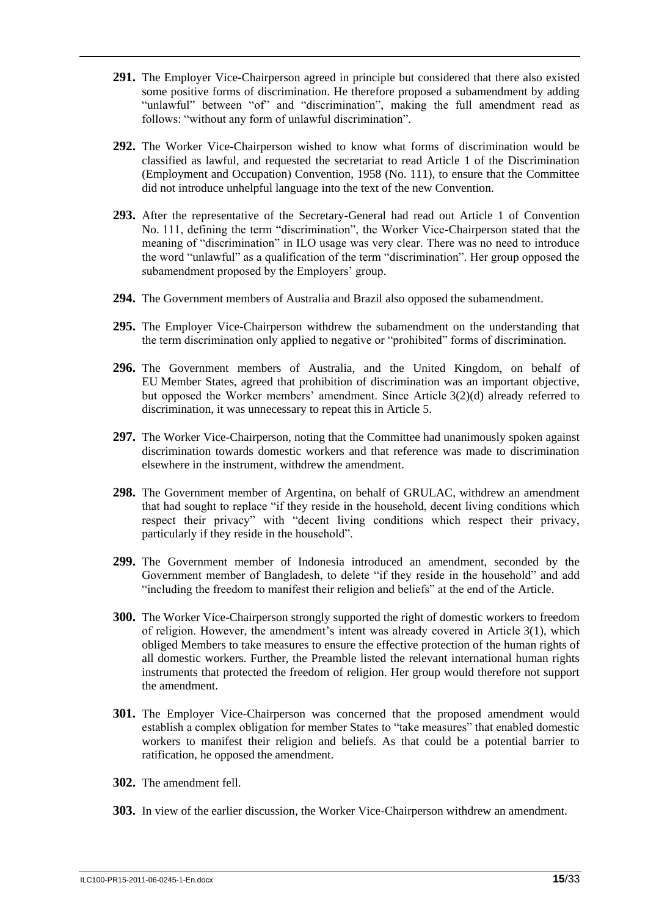- **291.** The Employer Vice-Chairperson agreed in principle but considered that there also existed some positive forms of discrimination. He therefore proposed a subamendment by adding "unlawful" between "of" and "discrimination", making the full amendment read as follows: "without any form of unlawful discrimination".
- **292.** The Worker Vice-Chairperson wished to know what forms of discrimination would be classified as lawful, and requested the secretariat to read Article 1 of the Discrimination (Employment and Occupation) Convention, 1958 (No. 111), to ensure that the Committee did not introduce unhelpful language into the text of the new Convention.
- **293.** After the representative of the Secretary-General had read out Article 1 of Convention No. 111, defining the term "discrimination", the Worker Vice-Chairperson stated that the meaning of "discrimination" in ILO usage was very clear. There was no need to introduce the word "unlawful" as a qualification of the term "discrimination". Her group opposed the subamendment proposed by the Employers' group.
- **294.** The Government members of Australia and Brazil also opposed the subamendment.
- **295.** The Employer Vice-Chairperson withdrew the subamendment on the understanding that the term discrimination only applied to negative or "prohibited" forms of discrimination.
- **296.** The Government members of Australia, and the United Kingdom, on behalf of EU Member States, agreed that prohibition of discrimination was an important objective, but opposed the Worker members' amendment. Since Article 3(2)(d) already referred to discrimination, it was unnecessary to repeat this in Article 5.
- **297.** The Worker Vice-Chairperson, noting that the Committee had unanimously spoken against discrimination towards domestic workers and that reference was made to discrimination elsewhere in the instrument, withdrew the amendment.
- **298.** The Government member of Argentina, on behalf of GRULAC, withdrew an amendment that had sought to replace "if they reside in the household, decent living conditions which respect their privacy" with "decent living conditions which respect their privacy, particularly if they reside in the household".
- **299.** The Government member of Indonesia introduced an amendment, seconded by the Government member of Bangladesh, to delete "if they reside in the household" and add "including the freedom to manifest their religion and beliefs" at the end of the Article.
- **300.** The Worker Vice-Chairperson strongly supported the right of domestic workers to freedom of religion. However, the amendment's intent was already covered in Article 3(1), which obliged Members to take measures to ensure the effective protection of the human rights of all domestic workers. Further, the Preamble listed the relevant international human rights instruments that protected the freedom of religion. Her group would therefore not support the amendment.
- **301.** The Employer Vice-Chairperson was concerned that the proposed amendment would establish a complex obligation for member States to "take measures" that enabled domestic workers to manifest their religion and beliefs. As that could be a potential barrier to ratification, he opposed the amendment.
- **302.** The amendment fell.
- **303.** In view of the earlier discussion, the Worker Vice-Chairperson withdrew an amendment.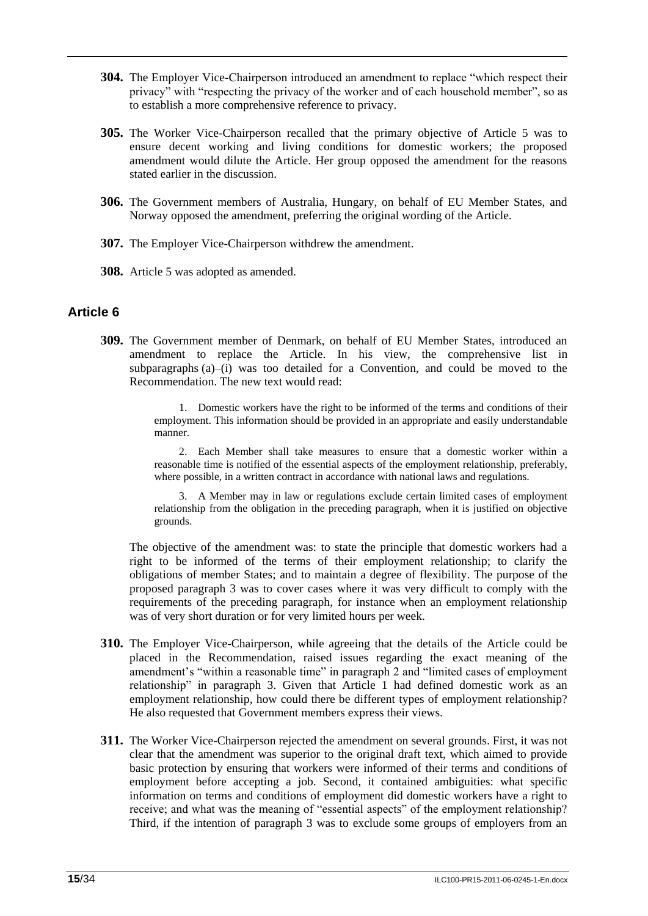- **304.** The Employer Vice-Chairperson introduced an amendment to replace "which respect their privacy<sup>3</sup> with "respecting the privacy of the worker and of each household member", so as to establish a more comprehensive reference to privacy.
- **305.** The Worker Vice-Chairperson recalled that the primary objective of Article 5 was to ensure decent working and living conditions for domestic workers; the proposed amendment would dilute the Article. Her group opposed the amendment for the reasons stated earlier in the discussion.
- **306.** The Government members of Australia, Hungary, on behalf of EU Member States, and Norway opposed the amendment, preferring the original wording of the Article.
- **307.** The Employer Vice-Chairperson withdrew the amendment.
- **308.** Article 5 was adopted as amended.

## **Article 6**

**309.** The Government member of Denmark, on behalf of EU Member States, introduced an amendment to replace the Article. In his view, the comprehensive list in subparagraphs  $(a)$ – $(i)$  was too detailed for a Convention, and could be moved to the Recommendation. The new text would read:

> 1. Domestic workers have the right to be informed of the terms and conditions of their employment. This information should be provided in an appropriate and easily understandable manner.

> 2. Each Member shall take measures to ensure that a domestic worker within a reasonable time is notified of the essential aspects of the employment relationship, preferably, where possible, in a written contract in accordance with national laws and regulations.

> 3. A Member may in law or regulations exclude certain limited cases of employment relationship from the obligation in the preceding paragraph, when it is justified on objective grounds.

The objective of the amendment was: to state the principle that domestic workers had a right to be informed of the terms of their employment relationship; to clarify the obligations of member States; and to maintain a degree of flexibility. The purpose of the proposed paragraph 3 was to cover cases where it was very difficult to comply with the requirements of the preceding paragraph, for instance when an employment relationship was of very short duration or for very limited hours per week.

- **310.** The Employer Vice-Chairperson, while agreeing that the details of the Article could be placed in the Recommendation, raised issues regarding the exact meaning of the amendment's "within a reasonable time" in paragraph 2 and "limited cases of employment relationship" in paragraph 3. Given that Article 1 had defined domestic work as an employment relationship, how could there be different types of employment relationship? He also requested that Government members express their views.
- **311.** The Worker Vice-Chairperson rejected the amendment on several grounds. First, it was not clear that the amendment was superior to the original draft text, which aimed to provide basic protection by ensuring that workers were informed of their terms and conditions of employment before accepting a job. Second, it contained ambiguities: what specific information on terms and conditions of employment did domestic workers have a right to receive; and what was the meaning of "essential aspects" of the employment relationship? Third, if the intention of paragraph 3 was to exclude some groups of employers from an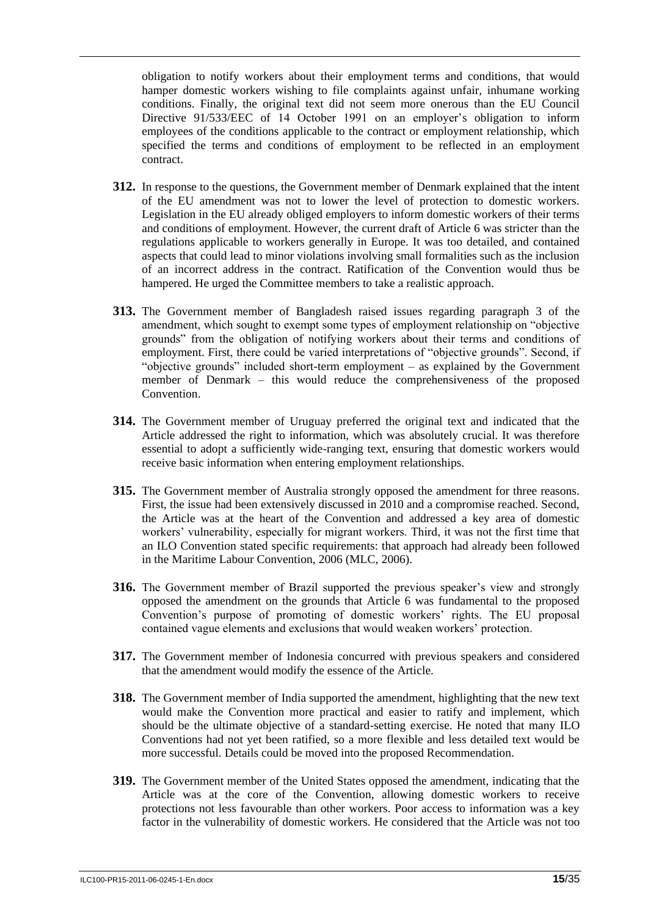obligation to notify workers about their employment terms and conditions, that would hamper domestic workers wishing to file complaints against unfair, inhumane working conditions. Finally, the original text did not seem more onerous than the EU Council Directive 91/533/EEC of 14 October 1991 on an employer's obligation to inform employees of the conditions applicable to the contract or employment relationship, which specified the terms and conditions of employment to be reflected in an employment contract.

- **312.** In response to the questions, the Government member of Denmark explained that the intent of the EU amendment was not to lower the level of protection to domestic workers. Legislation in the EU already obliged employers to inform domestic workers of their terms and conditions of employment. However, the current draft of Article 6 was stricter than the regulations applicable to workers generally in Europe. It was too detailed, and contained aspects that could lead to minor violations involving small formalities such as the inclusion of an incorrect address in the contract. Ratification of the Convention would thus be hampered. He urged the Committee members to take a realistic approach.
- **313.** The Government member of Bangladesh raised issues regarding paragraph 3 of the amendment, which sought to exempt some types of employment relationship on "objective grounds" from the obligation of notifying workers about their terms and conditions of employment. First, there could be varied interpretations of "objective grounds". Second, if "objective grounds" included short-term employment – as explained by the Government member of Denmark – this would reduce the comprehensiveness of the proposed **Convention**
- **314.** The Government member of Uruguay preferred the original text and indicated that the Article addressed the right to information, which was absolutely crucial. It was therefore essential to adopt a sufficiently wide-ranging text, ensuring that domestic workers would receive basic information when entering employment relationships.
- **315.** The Government member of Australia strongly opposed the amendment for three reasons. First, the issue had been extensively discussed in 2010 and a compromise reached. Second, the Article was at the heart of the Convention and addressed a key area of domestic workers" vulnerability, especially for migrant workers. Third, it was not the first time that an ILO Convention stated specific requirements: that approach had already been followed in the Maritime Labour Convention, 2006 (MLC, 2006).
- **316.** The Government member of Brazil supported the previous speaker's view and strongly opposed the amendment on the grounds that Article 6 was fundamental to the proposed Convention's purpose of promoting of domestic workers' rights. The EU proposal contained vague elements and exclusions that would weaken workers' protection.
- **317.** The Government member of Indonesia concurred with previous speakers and considered that the amendment would modify the essence of the Article.
- **318.** The Government member of India supported the amendment, highlighting that the new text would make the Convention more practical and easier to ratify and implement, which should be the ultimate objective of a standard-setting exercise. He noted that many ILO Conventions had not yet been ratified, so a more flexible and less detailed text would be more successful. Details could be moved into the proposed Recommendation.
- **319.** The Government member of the United States opposed the amendment, indicating that the Article was at the core of the Convention, allowing domestic workers to receive protections not less favourable than other workers. Poor access to information was a key factor in the vulnerability of domestic workers. He considered that the Article was not too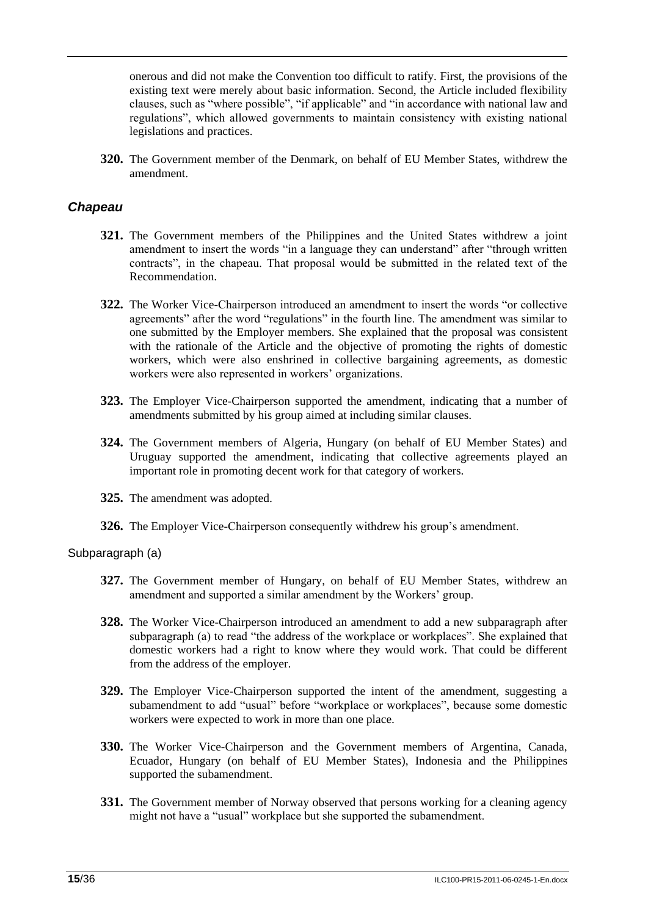onerous and did not make the Convention too difficult to ratify. First, the provisions of the existing text were merely about basic information. Second, the Article included flexibility clauses, such as "where possible", "if applicable" and "in accordance with national law and regulations", which allowed governments to maintain consistency with existing national legislations and practices.

**320.** The Government member of the Denmark, on behalf of EU Member States, withdrew the amendment.

## *Chapeau*

- **321.** The Government members of the Philippines and the United States withdrew a joint amendment to insert the words "in a language they can understand" after "through written contracts", in the chapeau. That proposal would be submitted in the related text of the Recommendation.
- **322.** The Worker Vice-Chairperson introduced an amendment to insert the words "or collective agreements" after the word "regulations" in the fourth line. The amendment was similar to one submitted by the Employer members. She explained that the proposal was consistent with the rationale of the Article and the objective of promoting the rights of domestic workers, which were also enshrined in collective bargaining agreements, as domestic workers were also represented in workers' organizations.
- **323.** The Employer Vice-Chairperson supported the amendment, indicating that a number of amendments submitted by his group aimed at including similar clauses.
- **324.** The Government members of Algeria, Hungary (on behalf of EU Member States) and Uruguay supported the amendment, indicating that collective agreements played an important role in promoting decent work for that category of workers.
- **325.** The amendment was adopted.
- **326.** The Employer Vice-Chairperson consequently withdrew his group"s amendment.

## Subparagraph (a)

- **327.** The Government member of Hungary, on behalf of EU Member States, withdrew an amendment and supported a similar amendment by the Workers' group.
- **328.** The Worker Vice-Chairperson introduced an amendment to add a new subparagraph after subparagraph (a) to read "the address of the workplace or workplaces". She explained that domestic workers had a right to know where they would work. That could be different from the address of the employer.
- **329.** The Employer Vice-Chairperson supported the intent of the amendment, suggesting a subamendment to add "usual" before "workplace or workplaces", because some domestic workers were expected to work in more than one place.
- **330.** The Worker Vice-Chairperson and the Government members of Argentina, Canada, Ecuador, Hungary (on behalf of EU Member States), Indonesia and the Philippines supported the subamendment.
- **331.** The Government member of Norway observed that persons working for a cleaning agency might not have a "usual" workplace but she supported the subamendment.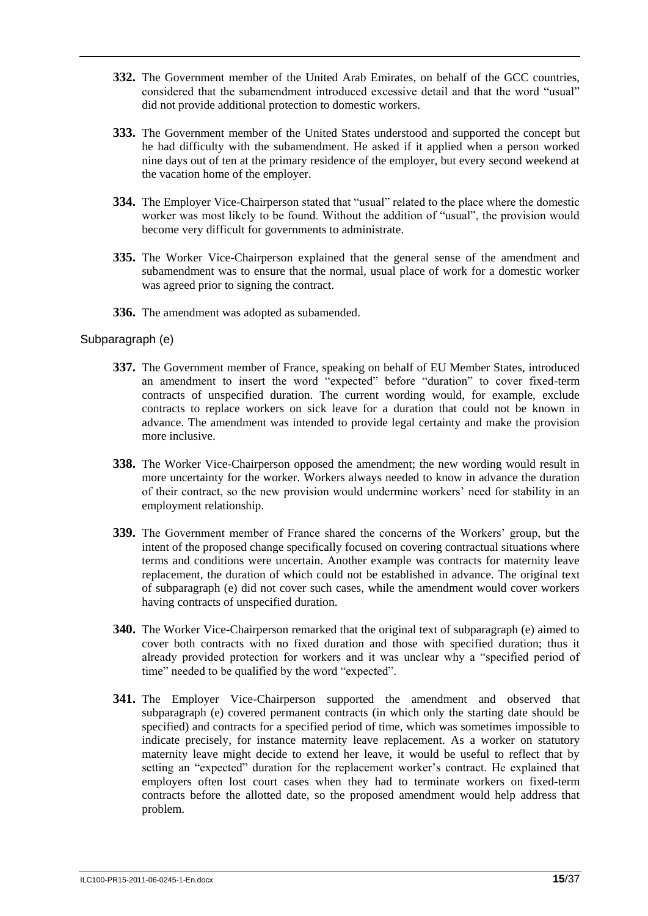- **332.** The Government member of the United Arab Emirates, on behalf of the GCC countries, considered that the subamendment introduced excessive detail and that the word "usual" did not provide additional protection to domestic workers.
- **333.** The Government member of the United States understood and supported the concept but he had difficulty with the subamendment. He asked if it applied when a person worked nine days out of ten at the primary residence of the employer, but every second weekend at the vacation home of the employer.
- **334.** The Employer Vice-Chairperson stated that "usual" related to the place where the domestic worker was most likely to be found. Without the addition of "usual", the provision would become very difficult for governments to administrate.
- **335.** The Worker Vice-Chairperson explained that the general sense of the amendment and subamendment was to ensure that the normal, usual place of work for a domestic worker was agreed prior to signing the contract.
- **336.** The amendment was adopted as subamended.

#### Subparagraph (e)

- **337.** The Government member of France, speaking on behalf of EU Member States, introduced an amendment to insert the word "expected" before "duration" to cover fixed-term contracts of unspecified duration. The current wording would, for example, exclude contracts to replace workers on sick leave for a duration that could not be known in advance. The amendment was intended to provide legal certainty and make the provision more inclusive.
- **338.** The Worker Vice-Chairperson opposed the amendment; the new wording would result in more uncertainty for the worker. Workers always needed to know in advance the duration of their contract, so the new provision would undermine workers" need for stability in an employment relationship.
- **339.** The Government member of France shared the concerns of the Workers' group, but the intent of the proposed change specifically focused on covering contractual situations where terms and conditions were uncertain. Another example was contracts for maternity leave replacement, the duration of which could not be established in advance. The original text of subparagraph (e) did not cover such cases, while the amendment would cover workers having contracts of unspecified duration.
- **340.** The Worker Vice-Chairperson remarked that the original text of subparagraph (e) aimed to cover both contracts with no fixed duration and those with specified duration; thus it already provided protection for workers and it was unclear why a "specified period of time" needed to be qualified by the word "expected".
- **341.** The Employer Vice-Chairperson supported the amendment and observed that subparagraph (e) covered permanent contracts (in which only the starting date should be specified) and contracts for a specified period of time, which was sometimes impossible to indicate precisely, for instance maternity leave replacement. As a worker on statutory maternity leave might decide to extend her leave, it would be useful to reflect that by setting an "expected" duration for the replacement worker's contract. He explained that employers often lost court cases when they had to terminate workers on fixed-term contracts before the allotted date, so the proposed amendment would help address that problem.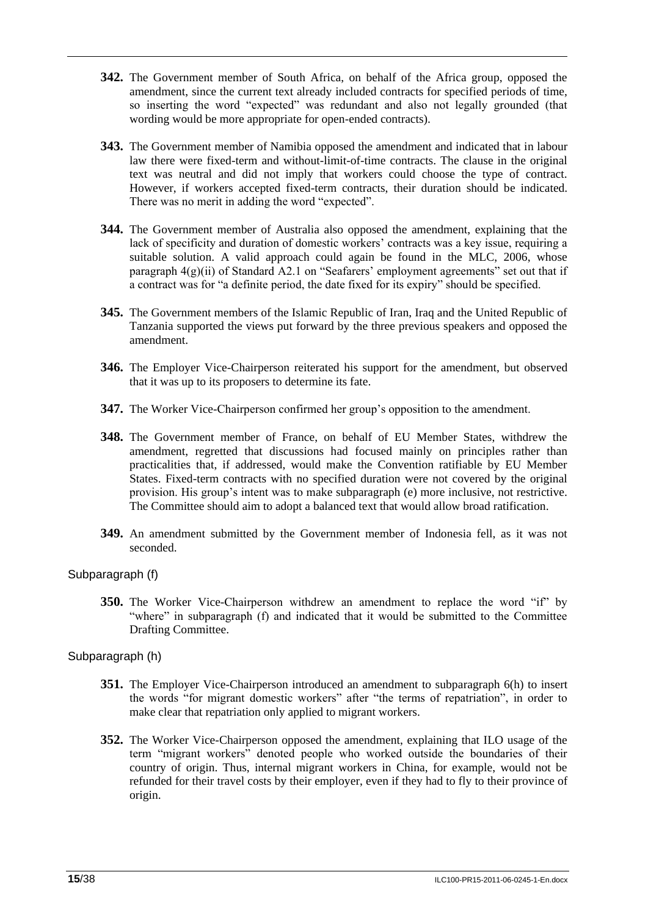- **342.** The Government member of South Africa, on behalf of the Africa group, opposed the amendment, since the current text already included contracts for specified periods of time, so inserting the word "expected" was redundant and also not legally grounded (that wording would be more appropriate for open-ended contracts).
- **343.** The Government member of Namibia opposed the amendment and indicated that in labour law there were fixed-term and without-limit-of-time contracts. The clause in the original text was neutral and did not imply that workers could choose the type of contract. However, if workers accepted fixed-term contracts, their duration should be indicated. There was no merit in adding the word "expected".
- **344.** The Government member of Australia also opposed the amendment, explaining that the lack of specificity and duration of domestic workers' contracts was a key issue, requiring a suitable solution. A valid approach could again be found in the MLC, 2006, whose paragraph  $4(g)(ii)$  of Standard A2.1 on "Seafarers' employment agreements" set out that if a contract was for "a definite period, the date fixed for its expiry" should be specified.
- **345.** The Government members of the Islamic Republic of Iran, Iraq and the United Republic of Tanzania supported the views put forward by the three previous speakers and opposed the amendment.
- **346.** The Employer Vice-Chairperson reiterated his support for the amendment, but observed that it was up to its proposers to determine its fate.
- **347.** The Worker Vice-Chairperson confirmed her group's opposition to the amendment.
- **348.** The Government member of France, on behalf of EU Member States, withdrew the amendment, regretted that discussions had focused mainly on principles rather than practicalities that, if addressed, would make the Convention ratifiable by EU Member States. Fixed-term contracts with no specified duration were not covered by the original provision. His group"s intent was to make subparagraph (e) more inclusive, not restrictive. The Committee should aim to adopt a balanced text that would allow broad ratification.
- **349.** An amendment submitted by the Government member of Indonesia fell, as it was not seconded.
- Subparagraph (f)
	- **350.** The Worker Vice-Chairperson withdrew an amendment to replace the word "if" by "where" in subparagraph (f) and indicated that it would be submitted to the Committee Drafting Committee.
- Subparagraph (h)
	- **351.** The Employer Vice-Chairperson introduced an amendment to subparagraph 6(h) to insert the words "for migrant domestic workers" after "the terms of repatriation", in order to make clear that repatriation only applied to migrant workers.
	- **352.** The Worker Vice-Chairperson opposed the amendment, explaining that ILO usage of the term "migrant workers" denoted people who worked outside the boundaries of their country of origin. Thus, internal migrant workers in China, for example, would not be refunded for their travel costs by their employer, even if they had to fly to their province of origin.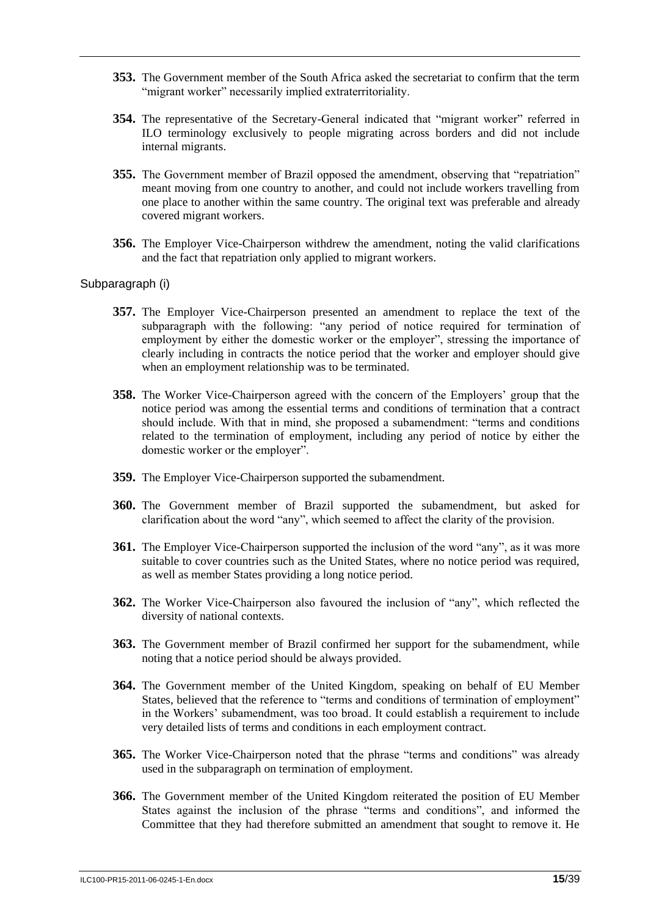- **353.** The Government member of the South Africa asked the secretariat to confirm that the term "migrant worker" necessarily implied extraterritoriality.
- **354.** The representative of the Secretary-General indicated that "migrant worker" referred in ILO terminology exclusively to people migrating across borders and did not include internal migrants.
- **355.** The Government member of Brazil opposed the amendment, observing that "repatriation" meant moving from one country to another, and could not include workers travelling from one place to another within the same country. The original text was preferable and already covered migrant workers.
- **356.** The Employer Vice-Chairperson withdrew the amendment, noting the valid clarifications and the fact that repatriation only applied to migrant workers.

#### Subparagraph (i)

- **357.** The Employer Vice-Chairperson presented an amendment to replace the text of the subparagraph with the following: "any period of notice required for termination of employment by either the domestic worker or the employer", stressing the importance of clearly including in contracts the notice period that the worker and employer should give when an employment relationship was to be terminated.
- **358.** The Worker Vice-Chairperson agreed with the concern of the Employers' group that the notice period was among the essential terms and conditions of termination that a contract should include. With that in mind, she proposed a subamendment: "terms and conditions related to the termination of employment, including any period of notice by either the domestic worker or the employer".
- **359.** The Employer Vice-Chairperson supported the subamendment.
- **360.** The Government member of Brazil supported the subamendment, but asked for clarification about the word "any", which seemed to affect the clarity of the provision.
- **361.** The Employer Vice-Chairperson supported the inclusion of the word "any", as it was more suitable to cover countries such as the United States, where no notice period was required, as well as member States providing a long notice period.
- **362.** The Worker Vice-Chairperson also favoured the inclusion of "any", which reflected the diversity of national contexts.
- **363.** The Government member of Brazil confirmed her support for the subamendment, while noting that a notice period should be always provided.
- **364.** The Government member of the United Kingdom, speaking on behalf of EU Member States, believed that the reference to "terms and conditions of termination of employment" in the Workers" subamendment, was too broad. It could establish a requirement to include very detailed lists of terms and conditions in each employment contract.
- **365.** The Worker Vice-Chairperson noted that the phrase "terms and conditions" was already used in the subparagraph on termination of employment.
- **366.** The Government member of the United Kingdom reiterated the position of EU Member States against the inclusion of the phrase "terms and conditions", and informed the Committee that they had therefore submitted an amendment that sought to remove it. He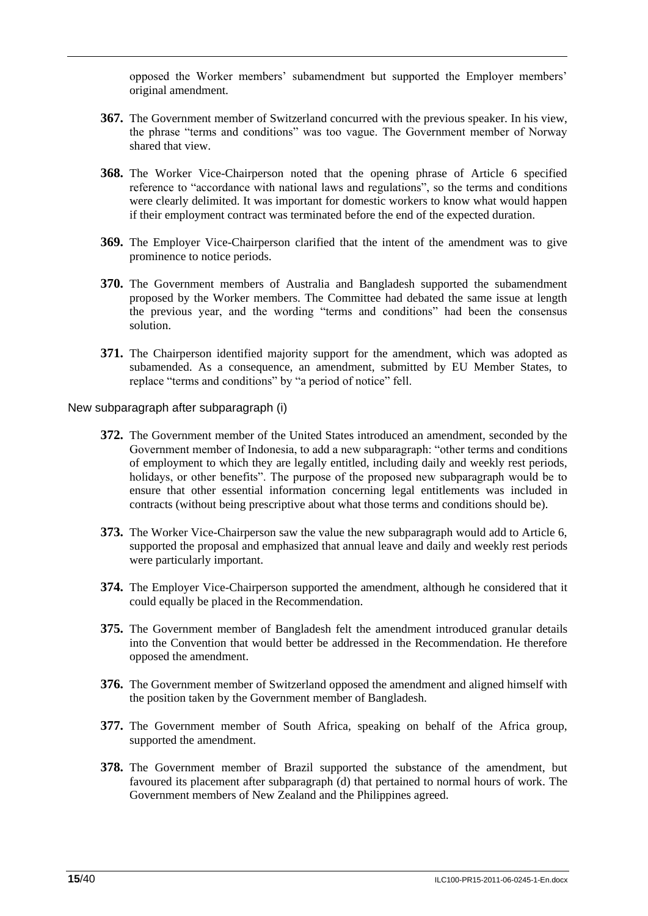opposed the Worker members' subamendment but supported the Employer members' original amendment.

- **367.** The Government member of Switzerland concurred with the previous speaker. In his view, the phrase "terms and conditions" was too vague. The Government member of Norway shared that view.
- **368.** The Worker Vice-Chairperson noted that the opening phrase of Article 6 specified reference to "accordance with national laws and regulations", so the terms and conditions were clearly delimited. It was important for domestic workers to know what would happen if their employment contract was terminated before the end of the expected duration.
- **369.** The Employer Vice-Chairperson clarified that the intent of the amendment was to give prominence to notice periods.
- **370.** The Government members of Australia and Bangladesh supported the subamendment proposed by the Worker members. The Committee had debated the same issue at length the previous year, and the wording "terms and conditions" had been the consensus solution.
- **371.** The Chairperson identified majority support for the amendment, which was adopted as subamended. As a consequence, an amendment, submitted by EU Member States, to replace "terms and conditions" by "a period of notice" fell.

New subparagraph after subparagraph (i)

- **372.** The Government member of the United States introduced an amendment, seconded by the Government member of Indonesia, to add a new subparagraph: "other terms and conditions of employment to which they are legally entitled, including daily and weekly rest periods, holidays, or other benefits". The purpose of the proposed new subparagraph would be to ensure that other essential information concerning legal entitlements was included in contracts (without being prescriptive about what those terms and conditions should be).
- **373.** The Worker Vice-Chairperson saw the value the new subparagraph would add to Article 6, supported the proposal and emphasized that annual leave and daily and weekly rest periods were particularly important.
- **374.** The Employer Vice-Chairperson supported the amendment, although he considered that it could equally be placed in the Recommendation.
- **375.** The Government member of Bangladesh felt the amendment introduced granular details into the Convention that would better be addressed in the Recommendation. He therefore opposed the amendment.
- **376.** The Government member of Switzerland opposed the amendment and aligned himself with the position taken by the Government member of Bangladesh.
- **377.** The Government member of South Africa, speaking on behalf of the Africa group, supported the amendment.
- **378.** The Government member of Brazil supported the substance of the amendment, but favoured its placement after subparagraph (d) that pertained to normal hours of work. The Government members of New Zealand and the Philippines agreed.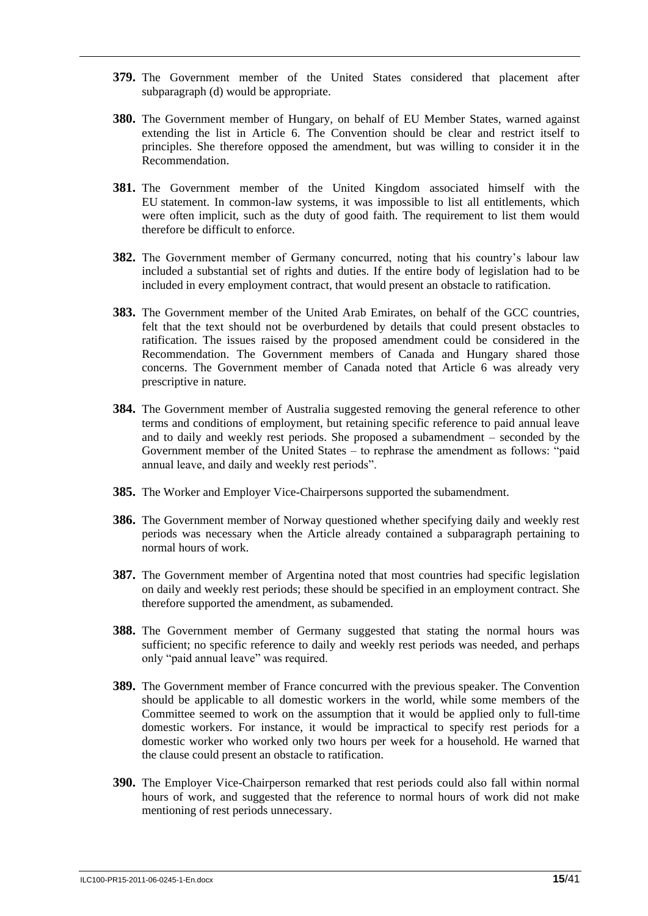- **379.** The Government member of the United States considered that placement after subparagraph (d) would be appropriate.
- **380.** The Government member of Hungary, on behalf of EU Member States, warned against extending the list in Article 6. The Convention should be clear and restrict itself to principles. She therefore opposed the amendment, but was willing to consider it in the Recommendation.
- **381.** The Government member of the United Kingdom associated himself with the EU statement. In common-law systems, it was impossible to list all entitlements, which were often implicit, such as the duty of good faith. The requirement to list them would therefore be difficult to enforce.
- **382.** The Government member of Germany concurred, noting that his country's labour law included a substantial set of rights and duties. If the entire body of legislation had to be included in every employment contract, that would present an obstacle to ratification.
- **383.** The Government member of the United Arab Emirates, on behalf of the GCC countries, felt that the text should not be overburdened by details that could present obstacles to ratification. The issues raised by the proposed amendment could be considered in the Recommendation. The Government members of Canada and Hungary shared those concerns. The Government member of Canada noted that Article 6 was already very prescriptive in nature.
- **384.** The Government member of Australia suggested removing the general reference to other terms and conditions of employment, but retaining specific reference to paid annual leave and to daily and weekly rest periods. She proposed a subamendment – seconded by the Government member of the United States – to rephrase the amendment as follows: "paid annual leave, and daily and weekly rest periods".
- **385.** The Worker and Employer Vice-Chairpersons supported the subamendment.
- **386.** The Government member of Norway questioned whether specifying daily and weekly rest periods was necessary when the Article already contained a subparagraph pertaining to normal hours of work.
- **387.** The Government member of Argentina noted that most countries had specific legislation on daily and weekly rest periods; these should be specified in an employment contract. She therefore supported the amendment, as subamended.
- **388.** The Government member of Germany suggested that stating the normal hours was sufficient; no specific reference to daily and weekly rest periods was needed, and perhaps only "paid annual leave" was required.
- **389.** The Government member of France concurred with the previous speaker. The Convention should be applicable to all domestic workers in the world, while some members of the Committee seemed to work on the assumption that it would be applied only to full-time domestic workers. For instance, it would be impractical to specify rest periods for a domestic worker who worked only two hours per week for a household. He warned that the clause could present an obstacle to ratification.
- **390.** The Employer Vice-Chairperson remarked that rest periods could also fall within normal hours of work, and suggested that the reference to normal hours of work did not make mentioning of rest periods unnecessary.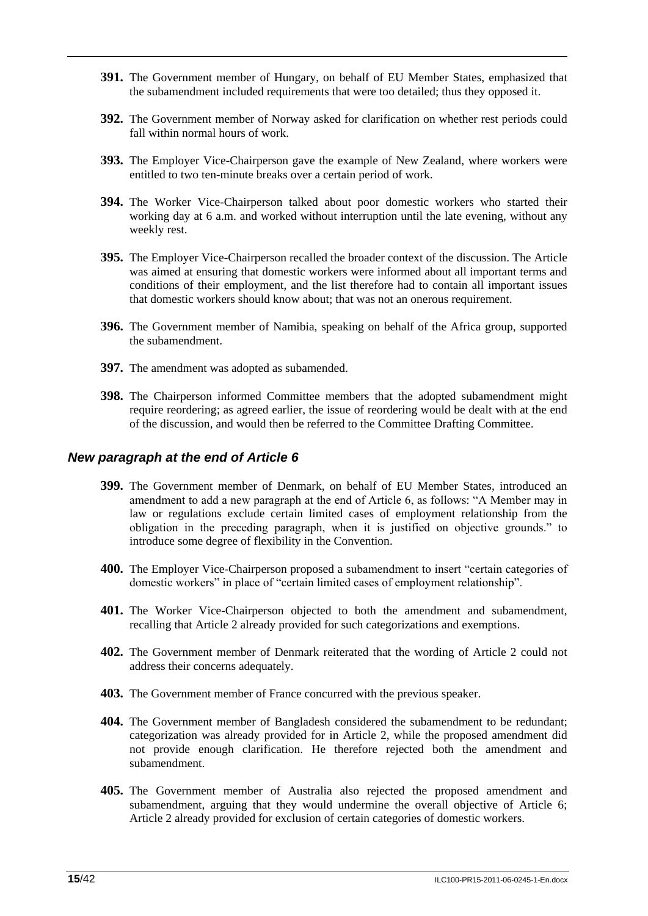- **391.** The Government member of Hungary, on behalf of EU Member States, emphasized that the subamendment included requirements that were too detailed; thus they opposed it.
- **392.** The Government member of Norway asked for clarification on whether rest periods could fall within normal hours of work.
- **393.** The Employer Vice-Chairperson gave the example of New Zealand, where workers were entitled to two ten-minute breaks over a certain period of work.
- **394.** The Worker Vice-Chairperson talked about poor domestic workers who started their working day at 6 a.m. and worked without interruption until the late evening, without any weekly rest.
- **395.** The Employer Vice-Chairperson recalled the broader context of the discussion. The Article was aimed at ensuring that domestic workers were informed about all important terms and conditions of their employment, and the list therefore had to contain all important issues that domestic workers should know about; that was not an onerous requirement.
- **396.** The Government member of Namibia, speaking on behalf of the Africa group, supported the subamendment.
- **397.** The amendment was adopted as subamended.
- **398.** The Chairperson informed Committee members that the adopted subamendment might require reordering; as agreed earlier, the issue of reordering would be dealt with at the end of the discussion, and would then be referred to the Committee Drafting Committee.

#### *New paragraph at the end of Article 6*

- **399.** The Government member of Denmark, on behalf of EU Member States, introduced an amendment to add a new paragraph at the end of Article 6, as follows: "A Member may in law or regulations exclude certain limited cases of employment relationship from the obligation in the preceding paragraph, when it is justified on objective grounds." to introduce some degree of flexibility in the Convention.
- **400.** The Employer Vice-Chairperson proposed a subamendment to insert "certain categories of domestic workers" in place of "certain limited cases of employment relationship".
- **401.** The Worker Vice-Chairperson objected to both the amendment and subamendment, recalling that Article 2 already provided for such categorizations and exemptions.
- **402.** The Government member of Denmark reiterated that the wording of Article 2 could not address their concerns adequately.
- **403.** The Government member of France concurred with the previous speaker.
- **404.** The Government member of Bangladesh considered the subamendment to be redundant; categorization was already provided for in Article 2, while the proposed amendment did not provide enough clarification. He therefore rejected both the amendment and subamendment.
- **405.** The Government member of Australia also rejected the proposed amendment and subamendment, arguing that they would undermine the overall objective of Article 6: Article 2 already provided for exclusion of certain categories of domestic workers.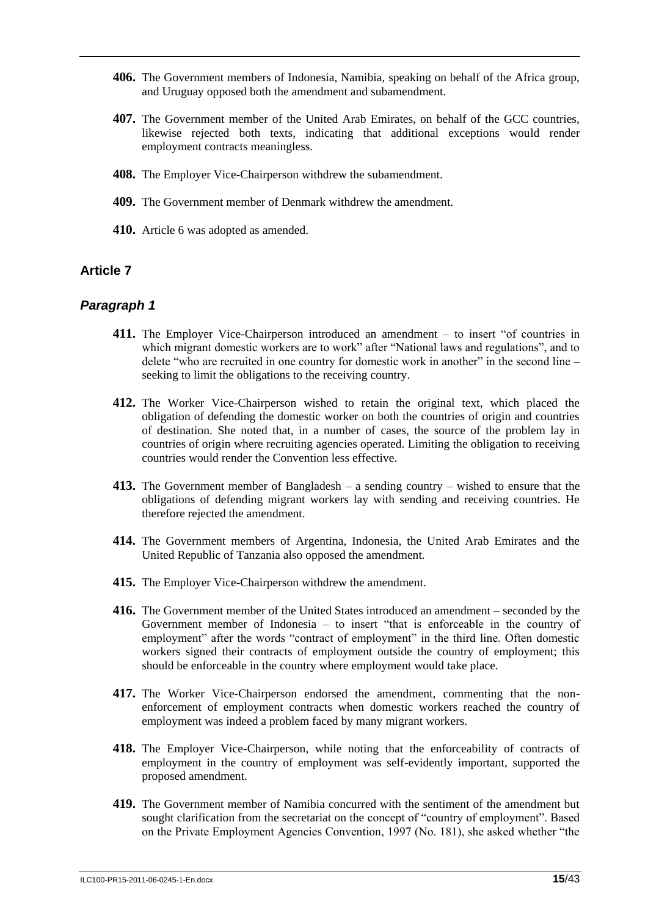- **406.** The Government members of Indonesia, Namibia, speaking on behalf of the Africa group, and Uruguay opposed both the amendment and subamendment.
- **407.** The Government member of the United Arab Emirates, on behalf of the GCC countries, likewise rejected both texts, indicating that additional exceptions would render employment contracts meaningless.
- **408.** The Employer Vice-Chairperson withdrew the subamendment.
- **409.** The Government member of Denmark withdrew the amendment.
- **410.** Article 6 was adopted as amended.

- 411. The Employer Vice-Chairperson introduced an amendment to insert "of countries in which migrant domestic workers are to work" after "National laws and regulations", and to delete "who are recruited in one country for domestic work in another" in the second line – seeking to limit the obligations to the receiving country.
- **412.** The Worker Vice-Chairperson wished to retain the original text, which placed the obligation of defending the domestic worker on both the countries of origin and countries of destination. She noted that, in a number of cases, the source of the problem lay in countries of origin where recruiting agencies operated. Limiting the obligation to receiving countries would render the Convention less effective.
- **413.** The Government member of Bangladesh a sending country wished to ensure that the obligations of defending migrant workers lay with sending and receiving countries. He therefore rejected the amendment.
- **414.** The Government members of Argentina, Indonesia, the United Arab Emirates and the United Republic of Tanzania also opposed the amendment.
- **415.** The Employer Vice-Chairperson withdrew the amendment.
- **416.** The Government member of the United States introduced an amendment seconded by the Government member of Indonesia – to insert "that is enforceable in the country of employment" after the words "contract of employment" in the third line. Often domestic workers signed their contracts of employment outside the country of employment; this should be enforceable in the country where employment would take place.
- **417.** The Worker Vice-Chairperson endorsed the amendment, commenting that the nonenforcement of employment contracts when domestic workers reached the country of employment was indeed a problem faced by many migrant workers.
- **418.** The Employer Vice-Chairperson, while noting that the enforceability of contracts of employment in the country of employment was self-evidently important, supported the proposed amendment.
- **419.** The Government member of Namibia concurred with the sentiment of the amendment but sought clarification from the secretariat on the concept of "country of employment". Based on the Private Employment Agencies Convention, 1997 (No. 181), she asked whether "the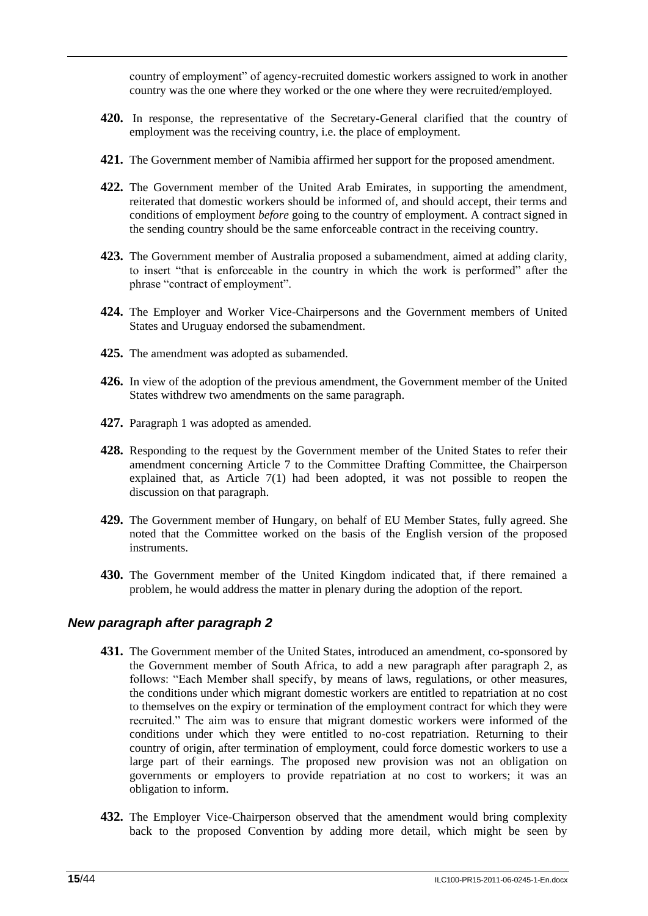country of employment" of agency-recruited domestic workers assigned to work in another country was the one where they worked or the one where they were recruited/employed.

- **420.** In response, the representative of the Secretary-General clarified that the country of employment was the receiving country, i.e. the place of employment.
- **421.** The Government member of Namibia affirmed her support for the proposed amendment.
- **422.** The Government member of the United Arab Emirates, in supporting the amendment, reiterated that domestic workers should be informed of, and should accept, their terms and conditions of employment *before* going to the country of employment. A contract signed in the sending country should be the same enforceable contract in the receiving country.
- **423.** The Government member of Australia proposed a subamendment, aimed at adding clarity, to insert "that is enforceable in the country in which the work is performed" after the phrase "contract of employment".
- **424.** The Employer and Worker Vice-Chairpersons and the Government members of United States and Uruguay endorsed the subamendment.
- **425.** The amendment was adopted as subamended.
- **426.** In view of the adoption of the previous amendment, the Government member of the United States withdrew two amendments on the same paragraph.
- **427.** Paragraph 1 was adopted as amended.
- **428.** Responding to the request by the Government member of the United States to refer their amendment concerning Article 7 to the Committee Drafting Committee, the Chairperson explained that, as Article 7(1) had been adopted, it was not possible to reopen the discussion on that paragraph.
- **429.** The Government member of Hungary, on behalf of EU Member States, fully agreed. She noted that the Committee worked on the basis of the English version of the proposed instruments.
- **430.** The Government member of the United Kingdom indicated that, if there remained a problem, he would address the matter in plenary during the adoption of the report.

# *New paragraph after paragraph 2*

- **431.** The Government member of the United States, introduced an amendment, co-sponsored by the Government member of South Africa, to add a new paragraph after paragraph 2, as follows: "Each Member shall specify, by means of laws, regulations, or other measures, the conditions under which migrant domestic workers are entitled to repatriation at no cost to themselves on the expiry or termination of the employment contract for which they were recruited." The aim was to ensure that migrant domestic workers were informed of the conditions under which they were entitled to no-cost repatriation. Returning to their country of origin, after termination of employment, could force domestic workers to use a large part of their earnings. The proposed new provision was not an obligation on governments or employers to provide repatriation at no cost to workers; it was an obligation to inform.
- **432.** The Employer Vice-Chairperson observed that the amendment would bring complexity back to the proposed Convention by adding more detail, which might be seen by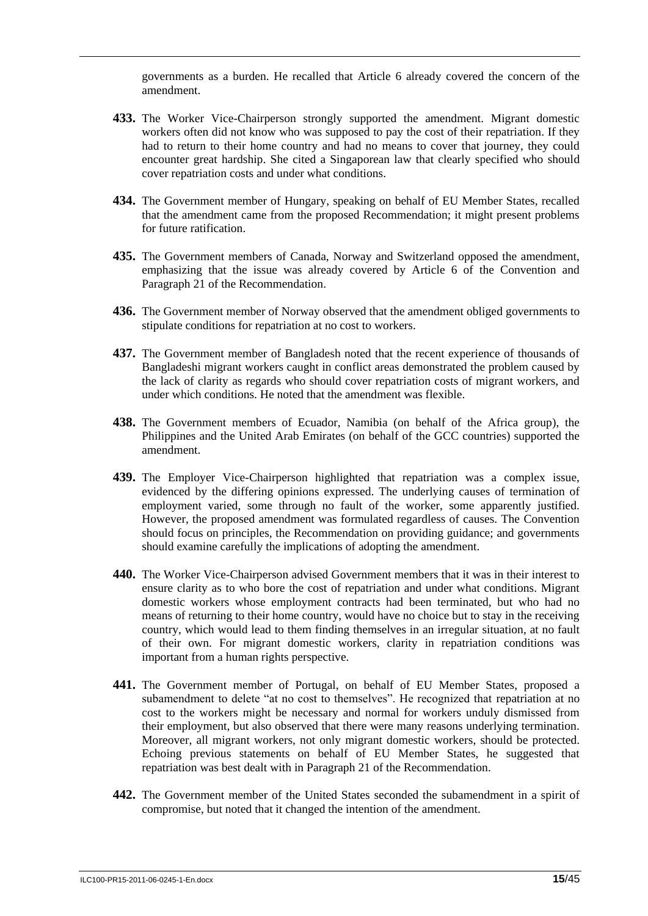governments as a burden. He recalled that Article 6 already covered the concern of the amendment.

- **433.** The Worker Vice-Chairperson strongly supported the amendment. Migrant domestic workers often did not know who was supposed to pay the cost of their repatriation. If they had to return to their home country and had no means to cover that journey, they could encounter great hardship. She cited a Singaporean law that clearly specified who should cover repatriation costs and under what conditions.
- **434.** The Government member of Hungary, speaking on behalf of EU Member States, recalled that the amendment came from the proposed Recommendation; it might present problems for future ratification.
- **435.** The Government members of Canada, Norway and Switzerland opposed the amendment, emphasizing that the issue was already covered by Article 6 of the Convention and Paragraph 21 of the Recommendation.
- **436.** The Government member of Norway observed that the amendment obliged governments to stipulate conditions for repatriation at no cost to workers.
- **437.** The Government member of Bangladesh noted that the recent experience of thousands of Bangladeshi migrant workers caught in conflict areas demonstrated the problem caused by the lack of clarity as regards who should cover repatriation costs of migrant workers, and under which conditions. He noted that the amendment was flexible.
- **438.** The Government members of Ecuador, Namibia (on behalf of the Africa group), the Philippines and the United Arab Emirates (on behalf of the GCC countries) supported the amendment.
- **439.** The Employer Vice-Chairperson highlighted that repatriation was a complex issue, evidenced by the differing opinions expressed. The underlying causes of termination of employment varied, some through no fault of the worker, some apparently justified. However, the proposed amendment was formulated regardless of causes. The Convention should focus on principles, the Recommendation on providing guidance; and governments should examine carefully the implications of adopting the amendment.
- **440.** The Worker Vice-Chairperson advised Government members that it was in their interest to ensure clarity as to who bore the cost of repatriation and under what conditions. Migrant domestic workers whose employment contracts had been terminated, but who had no means of returning to their home country, would have no choice but to stay in the receiving country, which would lead to them finding themselves in an irregular situation, at no fault of their own. For migrant domestic workers, clarity in repatriation conditions was important from a human rights perspective.
- **441.** The Government member of Portugal, on behalf of EU Member States, proposed a subamendment to delete "at no cost to themselves". He recognized that repatriation at no cost to the workers might be necessary and normal for workers unduly dismissed from their employment, but also observed that there were many reasons underlying termination. Moreover, all migrant workers, not only migrant domestic workers, should be protected. Echoing previous statements on behalf of EU Member States, he suggested that repatriation was best dealt with in Paragraph 21 of the Recommendation.
- **442.** The Government member of the United States seconded the subamendment in a spirit of compromise, but noted that it changed the intention of the amendment.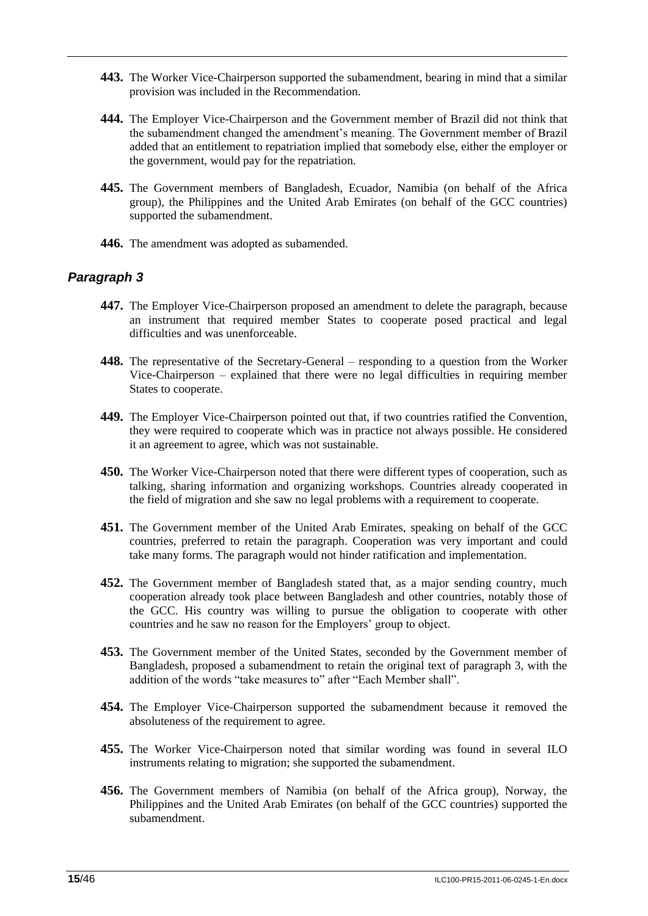- **443.** The Worker Vice-Chairperson supported the subamendment, bearing in mind that a similar provision was included in the Recommendation.
- **444.** The Employer Vice-Chairperson and the Government member of Brazil did not think that the subamendment changed the amendment"s meaning. The Government member of Brazil added that an entitlement to repatriation implied that somebody else, either the employer or the government, would pay for the repatriation.
- **445.** The Government members of Bangladesh, Ecuador, Namibia (on behalf of the Africa group), the Philippines and the United Arab Emirates (on behalf of the GCC countries) supported the subamendment.
- **446.** The amendment was adopted as subamended.

- **447.** The Employer Vice-Chairperson proposed an amendment to delete the paragraph, because an instrument that required member States to cooperate posed practical and legal difficulties and was unenforceable.
- **448.** The representative of the Secretary-General responding to a question from the Worker Vice-Chairperson – explained that there were no legal difficulties in requiring member States to cooperate.
- **449.** The Employer Vice-Chairperson pointed out that, if two countries ratified the Convention, they were required to cooperate which was in practice not always possible. He considered it an agreement to agree, which was not sustainable.
- **450.** The Worker Vice-Chairperson noted that there were different types of cooperation, such as talking, sharing information and organizing workshops. Countries already cooperated in the field of migration and she saw no legal problems with a requirement to cooperate.
- **451.** The Government member of the United Arab Emirates, speaking on behalf of the GCC countries, preferred to retain the paragraph. Cooperation was very important and could take many forms. The paragraph would not hinder ratification and implementation.
- **452.** The Government member of Bangladesh stated that, as a major sending country, much cooperation already took place between Bangladesh and other countries, notably those of the GCC. His country was willing to pursue the obligation to cooperate with other countries and he saw no reason for the Employers' group to object.
- **453.** The Government member of the United States, seconded by the Government member of Bangladesh, proposed a subamendment to retain the original text of paragraph 3, with the addition of the words "take measures to" after "Each Member shall".
- **454.** The Employer Vice-Chairperson supported the subamendment because it removed the absoluteness of the requirement to agree.
- **455.** The Worker Vice-Chairperson noted that similar wording was found in several ILO instruments relating to migration; she supported the subamendment.
- **456.** The Government members of Namibia (on behalf of the Africa group), Norway, the Philippines and the United Arab Emirates (on behalf of the GCC countries) supported the subamendment.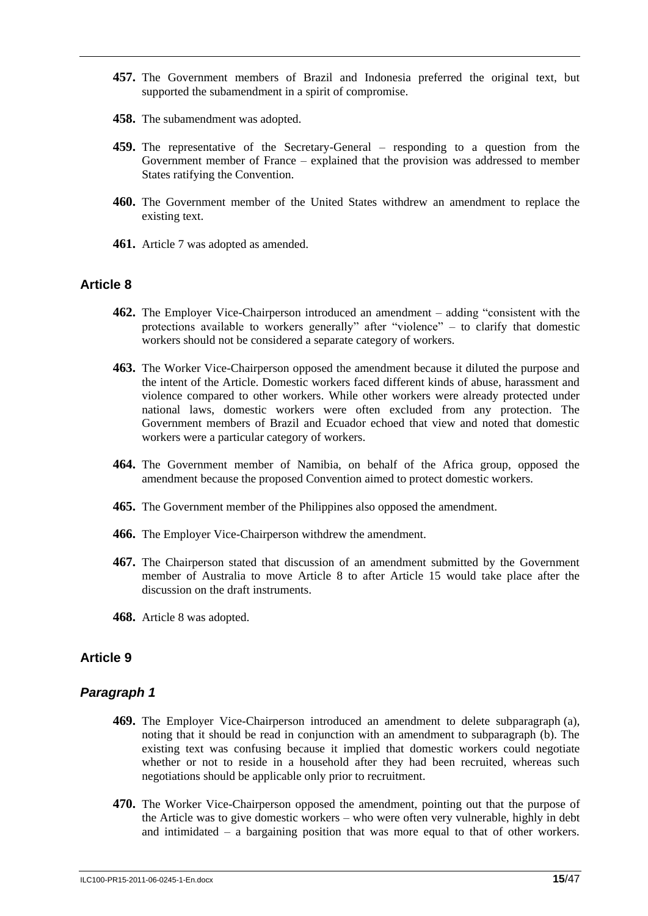- **457.** The Government members of Brazil and Indonesia preferred the original text, but supported the subamendment in a spirit of compromise.
- **458.** The subamendment was adopted.
- **459.** The representative of the Secretary-General responding to a question from the Government member of France – explained that the provision was addressed to member States ratifying the Convention.
- **460.** The Government member of the United States withdrew an amendment to replace the existing text.
- **461.** Article 7 was adopted as amended.

- **462.** The Employer Vice-Chairperson introduced an amendment adding "consistent with the protections available to workers generally" after "violence" – to clarify that domestic workers should not be considered a separate category of workers.
- **463.** The Worker Vice-Chairperson opposed the amendment because it diluted the purpose and the intent of the Article. Domestic workers faced different kinds of abuse, harassment and violence compared to other workers. While other workers were already protected under national laws, domestic workers were often excluded from any protection. The Government members of Brazil and Ecuador echoed that view and noted that domestic workers were a particular category of workers.
- **464.** The Government member of Namibia, on behalf of the Africa group, opposed the amendment because the proposed Convention aimed to protect domestic workers.
- **465.** The Government member of the Philippines also opposed the amendment.
- **466.** The Employer Vice-Chairperson withdrew the amendment.
- **467.** The Chairperson stated that discussion of an amendment submitted by the Government member of Australia to move Article 8 to after Article 15 would take place after the discussion on the draft instruments.
- **468.** Article 8 was adopted.

### **Article 9**

- **469.** The Employer Vice-Chairperson introduced an amendment to delete subparagraph (a), noting that it should be read in conjunction with an amendment to subparagraph (b). The existing text was confusing because it implied that domestic workers could negotiate whether or not to reside in a household after they had been recruited, whereas such negotiations should be applicable only prior to recruitment.
- **470.** The Worker Vice-Chairperson opposed the amendment, pointing out that the purpose of the Article was to give domestic workers – who were often very vulnerable, highly in debt and intimidated  $-\tilde{a}$  bargaining position that was more equal to that of other workers.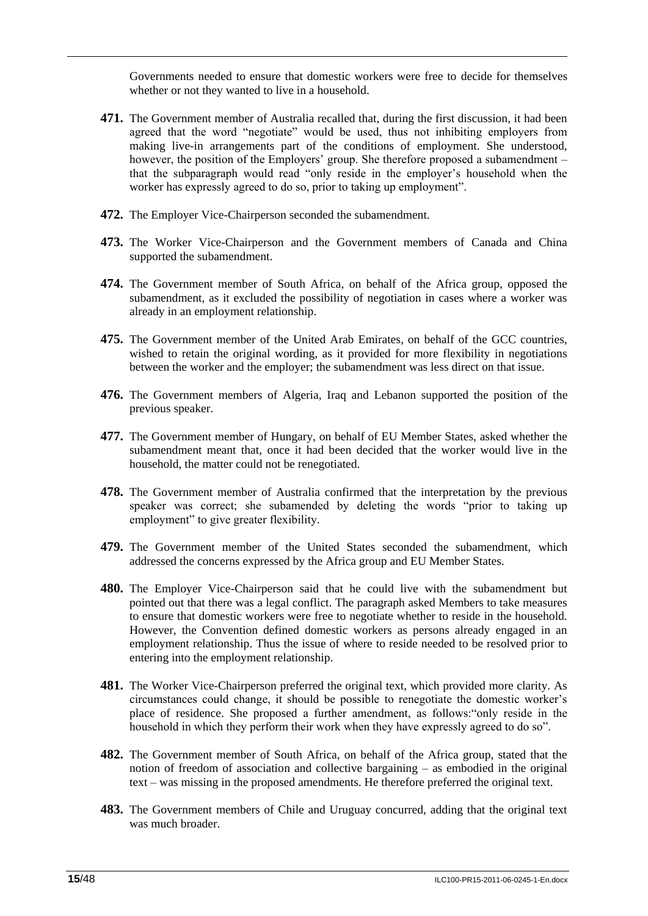Governments needed to ensure that domestic workers were free to decide for themselves whether or not they wanted to live in a household.

- **471.** The Government member of Australia recalled that, during the first discussion, it had been agreed that the word "negotiate" would be used, thus not inhibiting employers from making live-in arrangements part of the conditions of employment. She understood, however, the position of the Employers' group. She therefore proposed a subamendment – that the subparagraph would read "only reside in the employer"s household when the worker has expressly agreed to do so, prior to taking up employment".
- **472.** The Employer Vice-Chairperson seconded the subamendment.
- **473.** The Worker Vice-Chairperson and the Government members of Canada and China supported the subamendment.
- **474.** The Government member of South Africa, on behalf of the Africa group, opposed the subamendment, as it excluded the possibility of negotiation in cases where a worker was already in an employment relationship.
- **475.** The Government member of the United Arab Emirates, on behalf of the GCC countries, wished to retain the original wording, as it provided for more flexibility in negotiations between the worker and the employer; the subamendment was less direct on that issue.
- **476.** The Government members of Algeria, Iraq and Lebanon supported the position of the previous speaker.
- **477.** The Government member of Hungary, on behalf of EU Member States, asked whether the subamendment meant that, once it had been decided that the worker would live in the household, the matter could not be renegotiated.
- **478.** The Government member of Australia confirmed that the interpretation by the previous speaker was correct; she subamended by deleting the words "prior to taking up employment" to give greater flexibility.
- **479.** The Government member of the United States seconded the subamendment, which addressed the concerns expressed by the Africa group and EU Member States.
- **480.** The Employer Vice-Chairperson said that he could live with the subamendment but pointed out that there was a legal conflict. The paragraph asked Members to take measures to ensure that domestic workers were free to negotiate whether to reside in the household. However, the Convention defined domestic workers as persons already engaged in an employment relationship. Thus the issue of where to reside needed to be resolved prior to entering into the employment relationship.
- **481.** The Worker Vice-Chairperson preferred the original text, which provided more clarity. As circumstances could change, it should be possible to renegotiate the domestic worker"s place of residence. She proposed a further amendment, as follows:"only reside in the household in which they perform their work when they have expressly agreed to do so".
- **482.** The Government member of South Africa, on behalf of the Africa group, stated that the notion of freedom of association and collective bargaining – as embodied in the original text – was missing in the proposed amendments. He therefore preferred the original text.
- **483.** The Government members of Chile and Uruguay concurred, adding that the original text was much broader.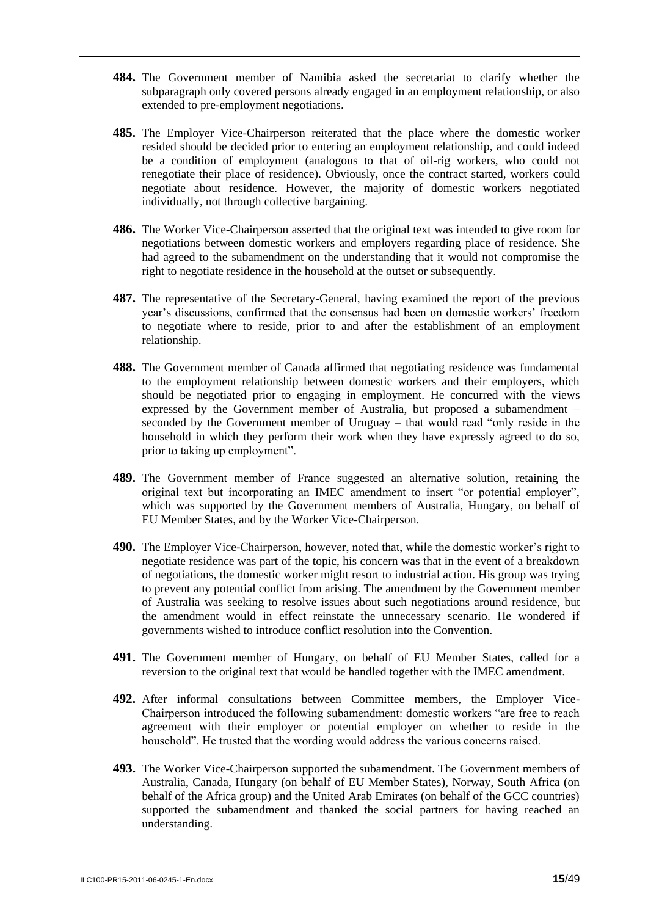- **484.** The Government member of Namibia asked the secretariat to clarify whether the subparagraph only covered persons already engaged in an employment relationship, or also extended to pre-employment negotiations.
- **485.** The Employer Vice-Chairperson reiterated that the place where the domestic worker resided should be decided prior to entering an employment relationship, and could indeed be a condition of employment (analogous to that of oil-rig workers, who could not renegotiate their place of residence). Obviously, once the contract started, workers could negotiate about residence. However, the majority of domestic workers negotiated individually, not through collective bargaining.
- **486.** The Worker Vice-Chairperson asserted that the original text was intended to give room for negotiations between domestic workers and employers regarding place of residence. She had agreed to the subamendment on the understanding that it would not compromise the right to negotiate residence in the household at the outset or subsequently.
- **487.** The representative of the Secretary-General, having examined the report of the previous year's discussions, confirmed that the consensus had been on domestic workers' freedom to negotiate where to reside, prior to and after the establishment of an employment relationship.
- **488.** The Government member of Canada affirmed that negotiating residence was fundamental to the employment relationship between domestic workers and their employers, which should be negotiated prior to engaging in employment. He concurred with the views expressed by the Government member of Australia, but proposed a subamendment – seconded by the Government member of Uruguay – that would read "only reside in the household in which they perform their work when they have expressly agreed to do so, prior to taking up employment".
- **489.** The Government member of France suggested an alternative solution, retaining the original text but incorporating an IMEC amendment to insert "or potential employer", which was supported by the Government members of Australia, Hungary, on behalf of EU Member States, and by the Worker Vice-Chairperson.
- **490.** The Employer Vice-Chairperson, however, noted that, while the domestic worker's right to negotiate residence was part of the topic, his concern was that in the event of a breakdown of negotiations, the domestic worker might resort to industrial action. His group was trying to prevent any potential conflict from arising. The amendment by the Government member of Australia was seeking to resolve issues about such negotiations around residence, but the amendment would in effect reinstate the unnecessary scenario. He wondered if governments wished to introduce conflict resolution into the Convention.
- **491.** The Government member of Hungary, on behalf of EU Member States, called for a reversion to the original text that would be handled together with the IMEC amendment.
- **492.** After informal consultations between Committee members, the Employer Vice-Chairperson introduced the following subamendment: domestic workers "are free to reach agreement with their employer or potential employer on whether to reside in the household". He trusted that the wording would address the various concerns raised.
- **493.** The Worker Vice-Chairperson supported the subamendment. The Government members of Australia, Canada, Hungary (on behalf of EU Member States), Norway, South Africa (on behalf of the Africa group) and the United Arab Emirates (on behalf of the GCC countries) supported the subamendment and thanked the social partners for having reached an understanding.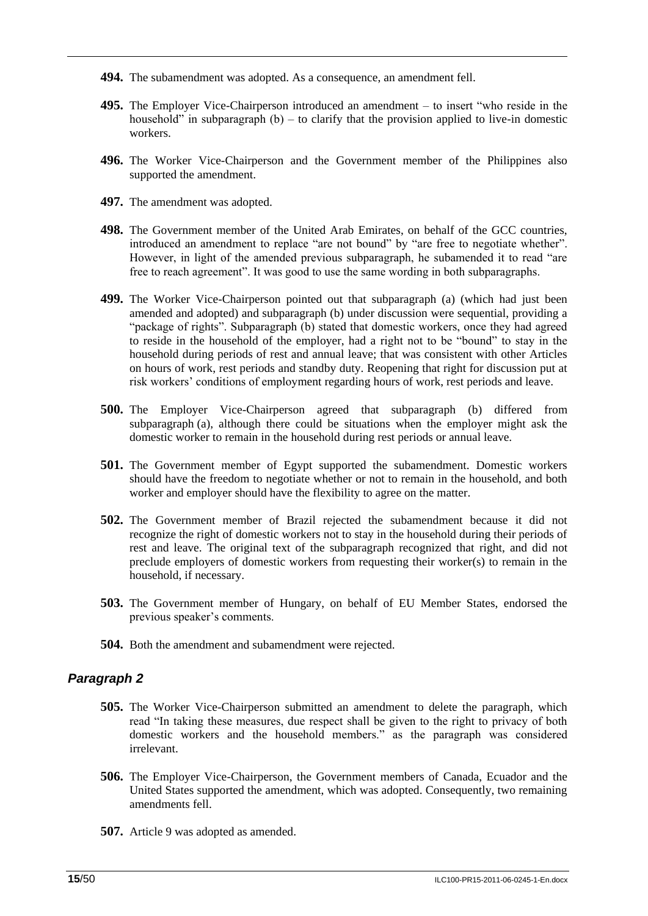- **494.** The subamendment was adopted. As a consequence, an amendment fell.
- **495.** The Employer Vice-Chairperson introduced an amendment to insert "who reside in the household" in subparagraph  $(b)$  – to clarify that the provision applied to live-in domestic workers.
- **496.** The Worker Vice-Chairperson and the Government member of the Philippines also supported the amendment.
- **497.** The amendment was adopted.
- **498.** The Government member of the United Arab Emirates, on behalf of the GCC countries, introduced an amendment to replace "are not bound" by "are free to negotiate whether". However, in light of the amended previous subparagraph, he subamended it to read "are free to reach agreement". It was good to use the same wording in both subparagraphs.
- **499.** The Worker Vice-Chairperson pointed out that subparagraph (a) (which had just been amended and adopted) and subparagraph (b) under discussion were sequential, providing a "package of rights". Subparagraph (b) stated that domestic workers, once they had agreed to reside in the household of the employer, had a right not to be "bound" to stay in the household during periods of rest and annual leave; that was consistent with other Articles on hours of work, rest periods and standby duty. Reopening that right for discussion put at risk workers" conditions of employment regarding hours of work, rest periods and leave.
- **500.** The Employer Vice-Chairperson agreed that subparagraph (b) differed from subparagraph (a), although there could be situations when the employer might ask the domestic worker to remain in the household during rest periods or annual leave.
- **501.** The Government member of Egypt supported the subamendment. Domestic workers should have the freedom to negotiate whether or not to remain in the household, and both worker and employer should have the flexibility to agree on the matter.
- **502.** The Government member of Brazil rejected the subamendment because it did not recognize the right of domestic workers not to stay in the household during their periods of rest and leave. The original text of the subparagraph recognized that right, and did not preclude employers of domestic workers from requesting their worker(s) to remain in the household, if necessary.
- **503.** The Government member of Hungary, on behalf of EU Member States, endorsed the previous speaker"s comments.
- **504.** Both the amendment and subamendment were rejected.

- **505.** The Worker Vice-Chairperson submitted an amendment to delete the paragraph, which read "In taking these measures, due respect shall be given to the right to privacy of both domestic workers and the household members." as the paragraph was considered irrelevant.
- **506.** The Employer Vice-Chairperson, the Government members of Canada, Ecuador and the United States supported the amendment, which was adopted. Consequently, two remaining amendments fell.
- **507.** Article 9 was adopted as amended.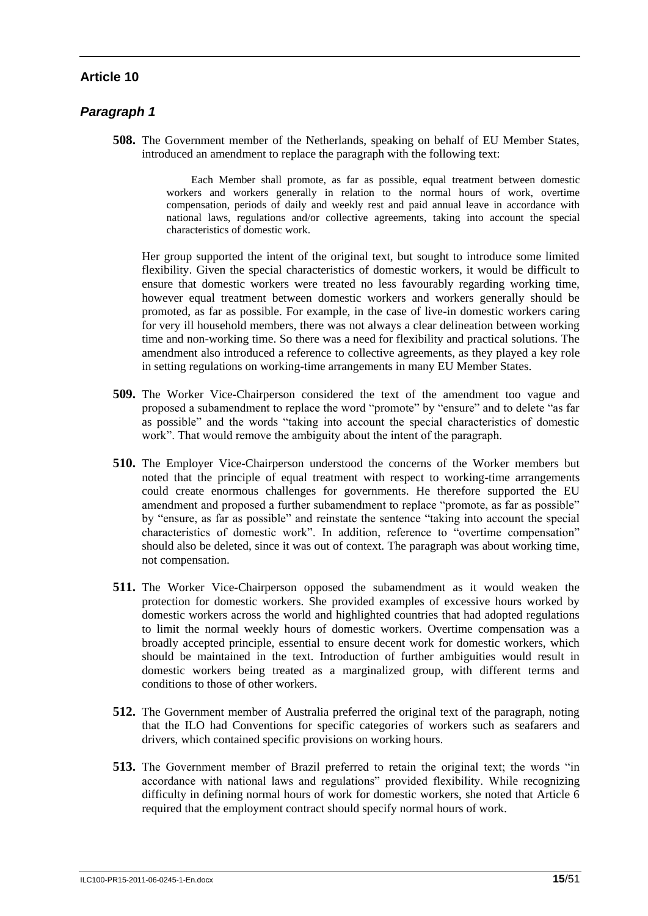# *Paragraph 1*

**508.** The Government member of the Netherlands, speaking on behalf of EU Member States, introduced an amendment to replace the paragraph with the following text:

> Each Member shall promote, as far as possible, equal treatment between domestic workers and workers generally in relation to the normal hours of work, overtime compensation, periods of daily and weekly rest and paid annual leave in accordance with national laws, regulations and/or collective agreements, taking into account the special characteristics of domestic work.

Her group supported the intent of the original text, but sought to introduce some limited flexibility. Given the special characteristics of domestic workers, it would be difficult to ensure that domestic workers were treated no less favourably regarding working time, however equal treatment between domestic workers and workers generally should be promoted, as far as possible. For example, in the case of live-in domestic workers caring for very ill household members, there was not always a clear delineation between working time and non-working time. So there was a need for flexibility and practical solutions. The amendment also introduced a reference to collective agreements, as they played a key role in setting regulations on working-time arrangements in many EU Member States.

- **509.** The Worker Vice-Chairperson considered the text of the amendment too vague and proposed a subamendment to replace the word "promote" by "ensure" and to delete "as far as possible" and the words "taking into account the special characteristics of domestic work". That would remove the ambiguity about the intent of the paragraph.
- **510.** The Employer Vice-Chairperson understood the concerns of the Worker members but noted that the principle of equal treatment with respect to working-time arrangements could create enormous challenges for governments. He therefore supported the EU amendment and proposed a further subamendment to replace "promote, as far as possible" by "ensure, as far as possible" and reinstate the sentence "taking into account the special characteristics of domestic work". In addition, reference to "overtime compensation" should also be deleted, since it was out of context. The paragraph was about working time, not compensation.
- **511.** The Worker Vice-Chairperson opposed the subamendment as it would weaken the protection for domestic workers. She provided examples of excessive hours worked by domestic workers across the world and highlighted countries that had adopted regulations to limit the normal weekly hours of domestic workers. Overtime compensation was a broadly accepted principle, essential to ensure decent work for domestic workers, which should be maintained in the text. Introduction of further ambiguities would result in domestic workers being treated as a marginalized group, with different terms and conditions to those of other workers.
- **512.** The Government member of Australia preferred the original text of the paragraph, noting that the ILO had Conventions for specific categories of workers such as seafarers and drivers, which contained specific provisions on working hours.
- **513.** The Government member of Brazil preferred to retain the original text; the words "in accordance with national laws and regulations" provided flexibility. While recognizing difficulty in defining normal hours of work for domestic workers, she noted that Article 6 required that the employment contract should specify normal hours of work.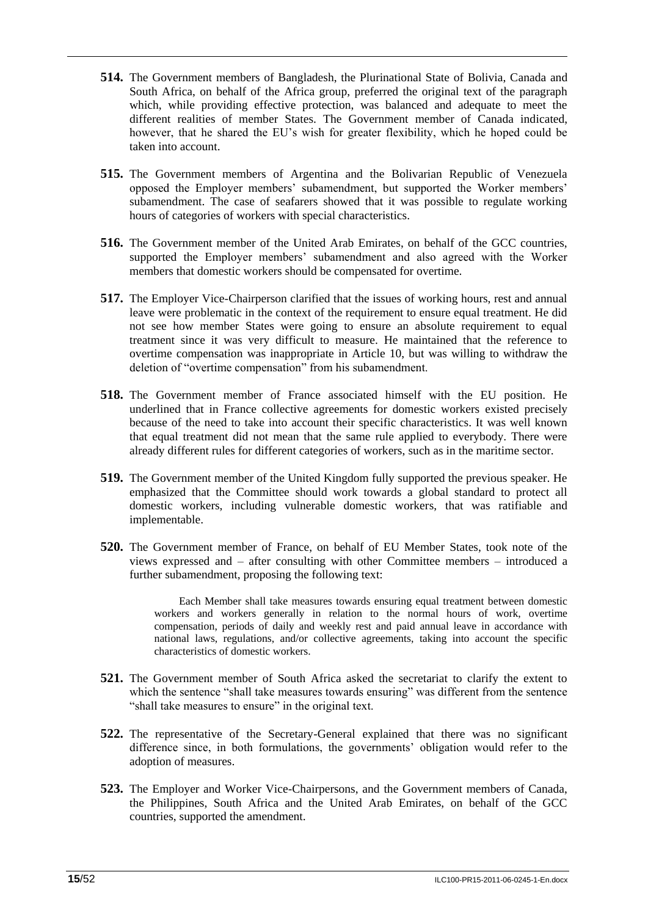- **514.** The Government members of Bangladesh, the Plurinational State of Bolivia, Canada and South Africa, on behalf of the Africa group, preferred the original text of the paragraph which, while providing effective protection, was balanced and adequate to meet the different realities of member States. The Government member of Canada indicated, however, that he shared the EU"s wish for greater flexibility, which he hoped could be taken into account.
- **515.** The Government members of Argentina and the Bolivarian Republic of Venezuela opposed the Employer members" subamendment, but supported the Worker members" subamendment. The case of seafarers showed that it was possible to regulate working hours of categories of workers with special characteristics.
- **516.** The Government member of the United Arab Emirates, on behalf of the GCC countries, supported the Employer members' subamendment and also agreed with the Worker members that domestic workers should be compensated for overtime.
- **517.** The Employer Vice-Chairperson clarified that the issues of working hours, rest and annual leave were problematic in the context of the requirement to ensure equal treatment. He did not see how member States were going to ensure an absolute requirement to equal treatment since it was very difficult to measure. He maintained that the reference to overtime compensation was inappropriate in Article 10, but was willing to withdraw the deletion of "overtime compensation" from his subamendment.
- **518.** The Government member of France associated himself with the EU position. He underlined that in France collective agreements for domestic workers existed precisely because of the need to take into account their specific characteristics. It was well known that equal treatment did not mean that the same rule applied to everybody. There were already different rules for different categories of workers, such as in the maritime sector.
- **519.** The Government member of the United Kingdom fully supported the previous speaker. He emphasized that the Committee should work towards a global standard to protect all domestic workers, including vulnerable domestic workers, that was ratifiable and implementable.
- **520.** The Government member of France, on behalf of EU Member States, took note of the views expressed and – after consulting with other Committee members – introduced a further subamendment, proposing the following text:

Each Member shall take measures towards ensuring equal treatment between domestic workers and workers generally in relation to the normal hours of work, overtime compensation, periods of daily and weekly rest and paid annual leave in accordance with national laws, regulations, and/or collective agreements, taking into account the specific characteristics of domestic workers.

- **521.** The Government member of South Africa asked the secretariat to clarify the extent to which the sentence "shall take measures towards ensuring" was different from the sentence "shall take measures to ensure" in the original text.
- **522.** The representative of the Secretary-General explained that there was no significant difference since, in both formulations, the governments' obligation would refer to the adoption of measures.
- **523.** The Employer and Worker Vice-Chairpersons, and the Government members of Canada, the Philippines, South Africa and the United Arab Emirates, on behalf of the GCC countries, supported the amendment.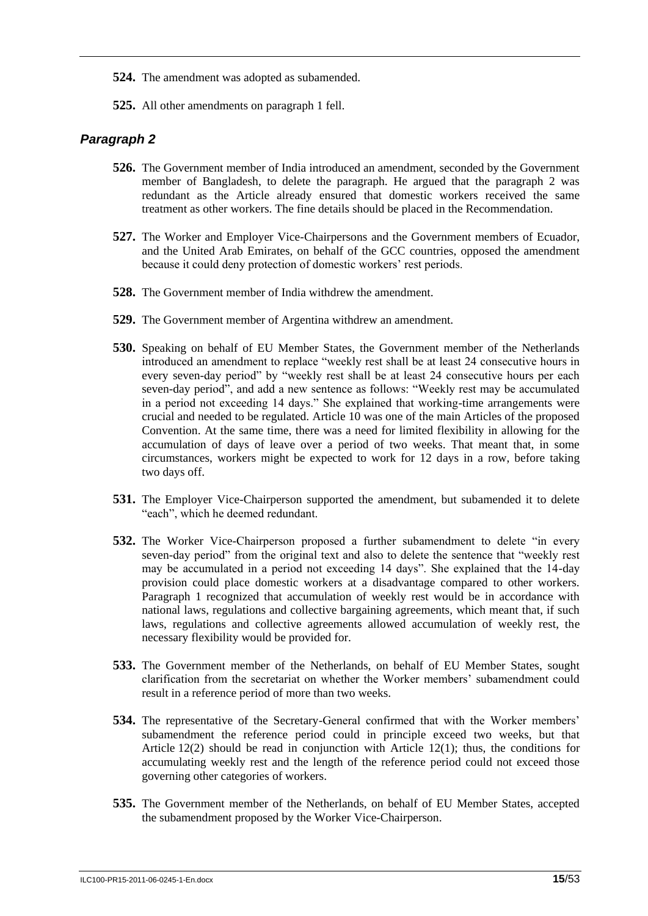- **524.** The amendment was adopted as subamended.
- **525.** All other amendments on paragraph 1 fell.

- **526.** The Government member of India introduced an amendment, seconded by the Government member of Bangladesh, to delete the paragraph. He argued that the paragraph 2 was redundant as the Article already ensured that domestic workers received the same treatment as other workers. The fine details should be placed in the Recommendation.
- **527.** The Worker and Employer Vice-Chairpersons and the Government members of Ecuador, and the United Arab Emirates, on behalf of the GCC countries, opposed the amendment because it could deny protection of domestic workers' rest periods.
- **528.** The Government member of India withdrew the amendment.
- **529.** The Government member of Argentina withdrew an amendment.
- **530.** Speaking on behalf of EU Member States, the Government member of the Netherlands introduced an amendment to replace "weekly rest shall be at least 24 consecutive hours in every seven-day period" by "weekly rest shall be at least 24 consecutive hours per each seven-day period", and add a new sentence as follows: "Weekly rest may be accumulated in a period not exceeding 14 days." She explained that working-time arrangements were crucial and needed to be regulated. Article 10 was one of the main Articles of the proposed Convention. At the same time, there was a need for limited flexibility in allowing for the accumulation of days of leave over a period of two weeks. That meant that, in some circumstances, workers might be expected to work for 12 days in a row, before taking two days off.
- **531.** The Employer Vice-Chairperson supported the amendment, but subamended it to delete "each", which he deemed redundant.
- **532.** The Worker Vice-Chairperson proposed a further subamendment to delete "in every seven-day period" from the original text and also to delete the sentence that "weekly rest may be accumulated in a period not exceeding 14 days". She explained that the 14-day provision could place domestic workers at a disadvantage compared to other workers. Paragraph 1 recognized that accumulation of weekly rest would be in accordance with national laws, regulations and collective bargaining agreements, which meant that, if such laws, regulations and collective agreements allowed accumulation of weekly rest, the necessary flexibility would be provided for.
- **533.** The Government member of the Netherlands, on behalf of EU Member States, sought clarification from the secretariat on whether the Worker members" subamendment could result in a reference period of more than two weeks.
- **534.** The representative of the Secretary-General confirmed that with the Worker members' subamendment the reference period could in principle exceed two weeks, but that Article 12(2) should be read in conjunction with Article 12(1); thus, the conditions for accumulating weekly rest and the length of the reference period could not exceed those governing other categories of workers.
- **535.** The Government member of the Netherlands, on behalf of EU Member States, accepted the subamendment proposed by the Worker Vice-Chairperson.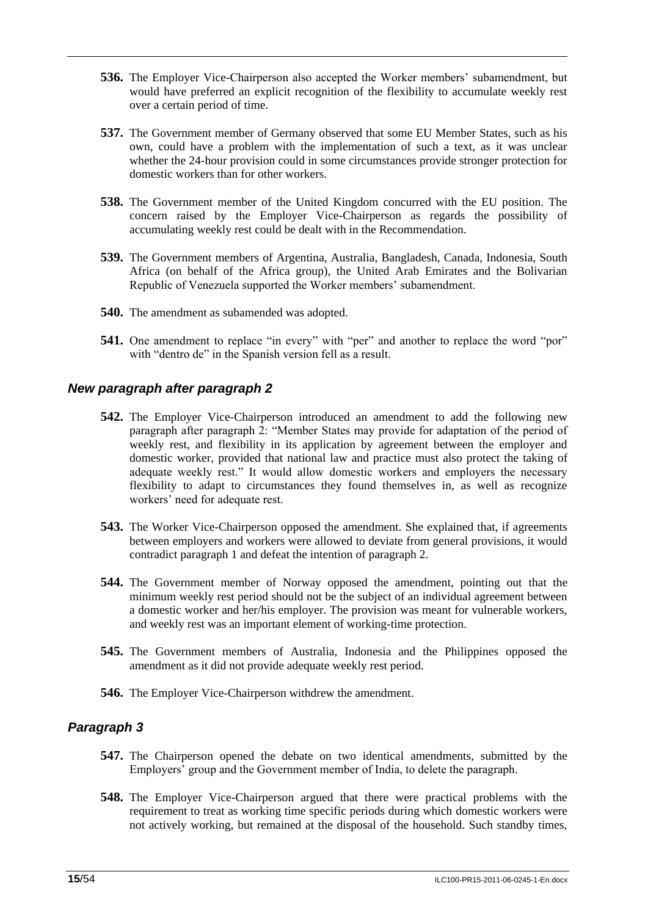- **536.** The Employer Vice-Chairperson also accepted the Worker members' subamendment, but would have preferred an explicit recognition of the flexibility to accumulate weekly rest over a certain period of time.
- **537.** The Government member of Germany observed that some EU Member States, such as his own, could have a problem with the implementation of such a text, as it was unclear whether the 24-hour provision could in some circumstances provide stronger protection for domestic workers than for other workers.
- **538.** The Government member of the United Kingdom concurred with the EU position. The concern raised by the Employer Vice-Chairperson as regards the possibility of accumulating weekly rest could be dealt with in the Recommendation.
- **539.** The Government members of Argentina, Australia, Bangladesh, Canada, Indonesia, South Africa (on behalf of the Africa group), the United Arab Emirates and the Bolivarian Republic of Venezuela supported the Worker members' subamendment.
- **540.** The amendment as subamended was adopted.
- **541.** One amendment to replace "in every" with "per" and another to replace the word "por" with "dentro de" in the Spanish version fell as a result.

### *New paragraph after paragraph 2*

- **542.** The Employer Vice-Chairperson introduced an amendment to add the following new paragraph after paragraph 2: "Member States may provide for adaptation of the period of weekly rest, and flexibility in its application by agreement between the employer and domestic worker, provided that national law and practice must also protect the taking of adequate weekly rest." It would allow domestic workers and employers the necessary flexibility to adapt to circumstances they found themselves in, as well as recognize workers" need for adequate rest.
- **543.** The Worker Vice-Chairperson opposed the amendment. She explained that, if agreements between employers and workers were allowed to deviate from general provisions, it would contradict paragraph 1 and defeat the intention of paragraph 2.
- **544.** The Government member of Norway opposed the amendment, pointing out that the minimum weekly rest period should not be the subject of an individual agreement between a domestic worker and her/his employer. The provision was meant for vulnerable workers, and weekly rest was an important element of working-time protection.
- **545.** The Government members of Australia, Indonesia and the Philippines opposed the amendment as it did not provide adequate weekly rest period.
- **546.** The Employer Vice-Chairperson withdrew the amendment.

- **547.** The Chairperson opened the debate on two identical amendments, submitted by the Employers" group and the Government member of India, to delete the paragraph.
- **548.** The Employer Vice-Chairperson argued that there were practical problems with the requirement to treat as working time specific periods during which domestic workers were not actively working, but remained at the disposal of the household. Such standby times,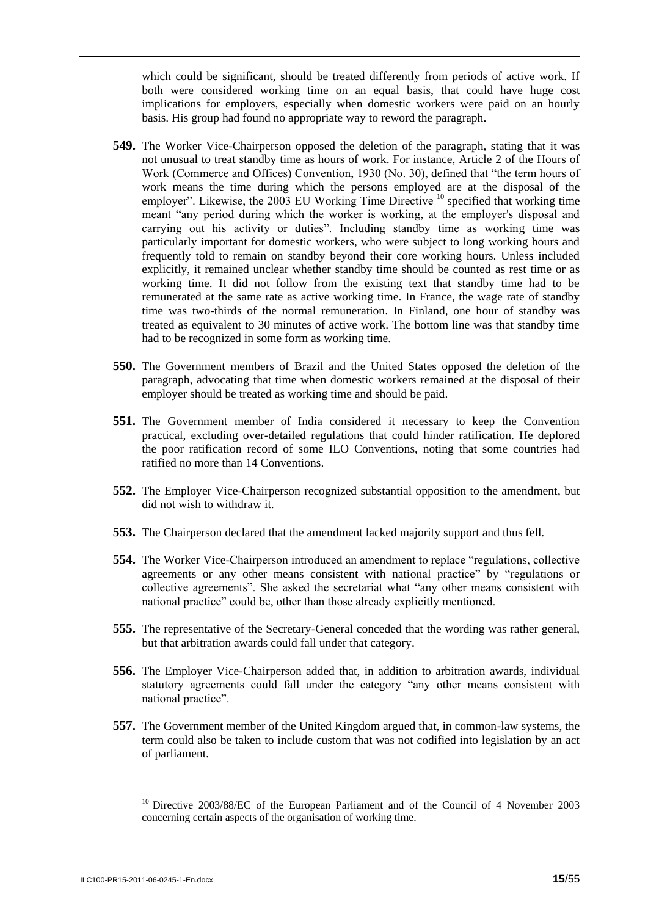which could be significant, should be treated differently from periods of active work. If both were considered working time on an equal basis, that could have huge cost implications for employers, especially when domestic workers were paid on an hourly basis. His group had found no appropriate way to reword the paragraph.

- **549.** The Worker Vice-Chairperson opposed the deletion of the paragraph, stating that it was not unusual to treat standby time as hours of work. For instance, Article 2 of the Hours of Work (Commerce and Offices) Convention, 1930 (No. 30), defined that "the term hours of work means the time during which the persons employed are at the disposal of the employer". Likewise, the  $2003$  EU Working Time Directive  $10$  specified that working time meant "any period during which the worker is working, at the employer's disposal and carrying out his activity or duties". Including standby time as working time was particularly important for domestic workers, who were subject to long working hours and frequently told to remain on standby beyond their core working hours. Unless included explicitly, it remained unclear whether standby time should be counted as rest time or as working time. It did not follow from the existing text that standby time had to be remunerated at the same rate as active working time. In France, the wage rate of standby time was two-thirds of the normal remuneration. In Finland, one hour of standby was treated as equivalent to 30 minutes of active work. The bottom line was that standby time had to be recognized in some form as working time.
- **550.** The Government members of Brazil and the United States opposed the deletion of the paragraph, advocating that time when domestic workers remained at the disposal of their employer should be treated as working time and should be paid.
- **551.** The Government member of India considered it necessary to keep the Convention practical, excluding over-detailed regulations that could hinder ratification. He deplored the poor ratification record of some ILO Conventions, noting that some countries had ratified no more than 14 Conventions.
- **552.** The Employer Vice-Chairperson recognized substantial opposition to the amendment, but did not wish to withdraw it.
- **553.** The Chairperson declared that the amendment lacked majority support and thus fell.
- **554.** The Worker Vice-Chairperson introduced an amendment to replace "regulations, collective agreements or any other means consistent with national practice" by "regulations or collective agreements". She asked the secretariat what "any other means consistent with national practice" could be, other than those already explicitly mentioned.
- **555.** The representative of the Secretary-General conceded that the wording was rather general, but that arbitration awards could fall under that category.
- **556.** The Employer Vice-Chairperson added that, in addition to arbitration awards, individual statutory agreements could fall under the category "any other means consistent with national practice".
- **557.** The Government member of the United Kingdom argued that, in common-law systems, the term could also be taken to include custom that was not codified into legislation by an act of parliament.

<sup>10</sup> Directive 2003/88/EC of the European Parliament and of the Council of 4 November 2003 concerning certain aspects of the organisation of working time.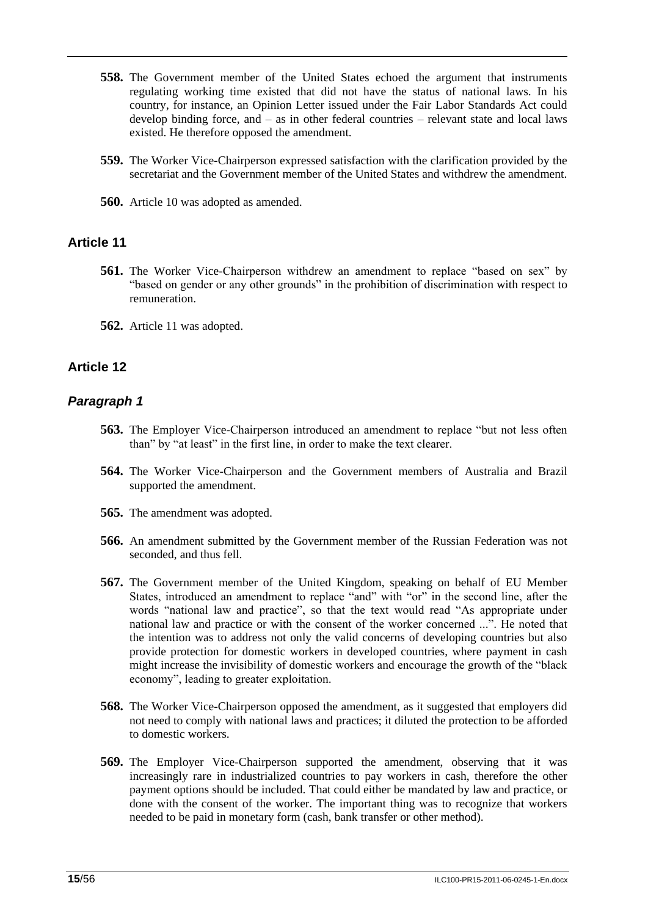- **558.** The Government member of the United States echoed the argument that instruments regulating working time existed that did not have the status of national laws. In his country, for instance, an Opinion Letter issued under the Fair Labor Standards Act could develop binding force, and – as in other federal countries – relevant state and local laws existed. He therefore opposed the amendment.
- **559.** The Worker Vice-Chairperson expressed satisfaction with the clarification provided by the secretariat and the Government member of the United States and withdrew the amendment.
- **560.** Article 10 was adopted as amended.

- **561.** The Worker Vice-Chairperson withdrew an amendment to replace "based on sex" by "based on gender or any other grounds" in the prohibition of discrimination with respect to remuneration.
- **562.** Article 11 was adopted.

# **Article 12**

- **563.** The Employer Vice-Chairperson introduced an amendment to replace "but not less often than" by "at least" in the first line, in order to make the text clearer.
- **564.** The Worker Vice-Chairperson and the Government members of Australia and Brazil supported the amendment.
- **565.** The amendment was adopted.
- **566.** An amendment submitted by the Government member of the Russian Federation was not seconded, and thus fell.
- **567.** The Government member of the United Kingdom, speaking on behalf of EU Member States, introduced an amendment to replace "and" with "or" in the second line, after the words "national law and practice", so that the text would read "As appropriate under national law and practice or with the consent of the worker concerned ...". He noted that the intention was to address not only the valid concerns of developing countries but also provide protection for domestic workers in developed countries, where payment in cash might increase the invisibility of domestic workers and encourage the growth of the "black economy", leading to greater exploitation.
- **568.** The Worker Vice-Chairperson opposed the amendment, as it suggested that employers did not need to comply with national laws and practices; it diluted the protection to be afforded to domestic workers.
- **569.** The Employer Vice-Chairperson supported the amendment, observing that it was increasingly rare in industrialized countries to pay workers in cash, therefore the other payment options should be included. That could either be mandated by law and practice, or done with the consent of the worker. The important thing was to recognize that workers needed to be paid in monetary form (cash, bank transfer or other method).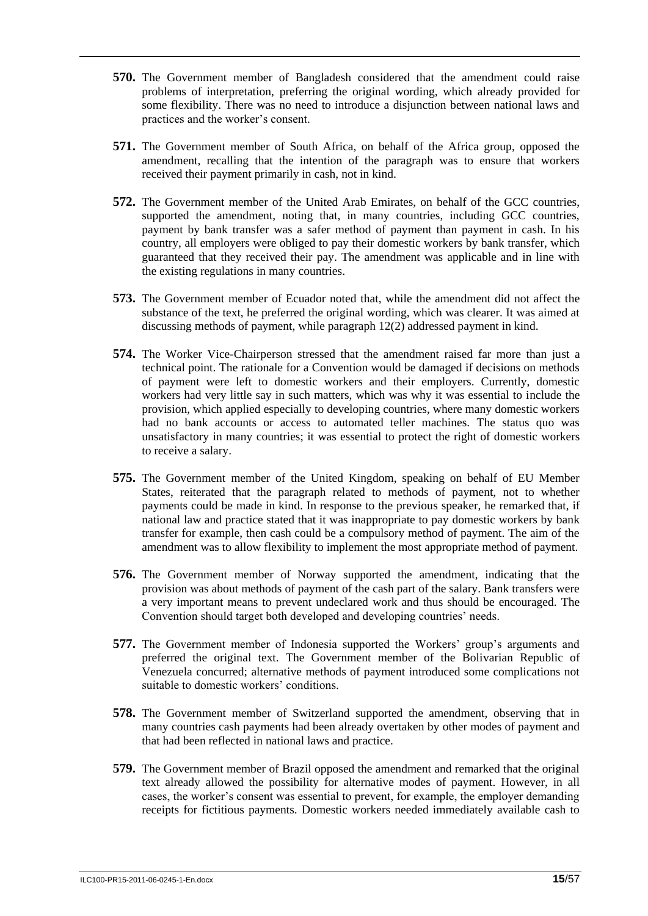- **570.** The Government member of Bangladesh considered that the amendment could raise problems of interpretation, preferring the original wording, which already provided for some flexibility. There was no need to introduce a disjunction between national laws and practices and the worker"s consent.
- **571.** The Government member of South Africa, on behalf of the Africa group, opposed the amendment, recalling that the intention of the paragraph was to ensure that workers received their payment primarily in cash, not in kind.
- **572.** The Government member of the United Arab Emirates, on behalf of the GCC countries, supported the amendment, noting that, in many countries, including GCC countries, payment by bank transfer was a safer method of payment than payment in cash. In his country, all employers were obliged to pay their domestic workers by bank transfer, which guaranteed that they received their pay. The amendment was applicable and in line with the existing regulations in many countries.
- **573.** The Government member of Ecuador noted that, while the amendment did not affect the substance of the text, he preferred the original wording, which was clearer. It was aimed at discussing methods of payment, while paragraph 12(2) addressed payment in kind.
- **574.** The Worker Vice-Chairperson stressed that the amendment raised far more than just a technical point. The rationale for a Convention would be damaged if decisions on methods of payment were left to domestic workers and their employers. Currently, domestic workers had very little say in such matters, which was why it was essential to include the provision, which applied especially to developing countries, where many domestic workers had no bank accounts or access to automated teller machines. The status quo was unsatisfactory in many countries; it was essential to protect the right of domestic workers to receive a salary.
- **575.** The Government member of the United Kingdom, speaking on behalf of EU Member States, reiterated that the paragraph related to methods of payment, not to whether payments could be made in kind. In response to the previous speaker, he remarked that, if national law and practice stated that it was inappropriate to pay domestic workers by bank transfer for example, then cash could be a compulsory method of payment. The aim of the amendment was to allow flexibility to implement the most appropriate method of payment.
- **576.** The Government member of Norway supported the amendment, indicating that the provision was about methods of payment of the cash part of the salary. Bank transfers were a very important means to prevent undeclared work and thus should be encouraged. The Convention should target both developed and developing countries' needs.
- **577.** The Government member of Indonesia supported the Workers' group's arguments and preferred the original text. The Government member of the Bolivarian Republic of Venezuela concurred; alternative methods of payment introduced some complications not suitable to domestic workers' conditions.
- **578.** The Government member of Switzerland supported the amendment, observing that in many countries cash payments had been already overtaken by other modes of payment and that had been reflected in national laws and practice.
- **579.** The Government member of Brazil opposed the amendment and remarked that the original text already allowed the possibility for alternative modes of payment. However, in all cases, the worker"s consent was essential to prevent, for example, the employer demanding receipts for fictitious payments. Domestic workers needed immediately available cash to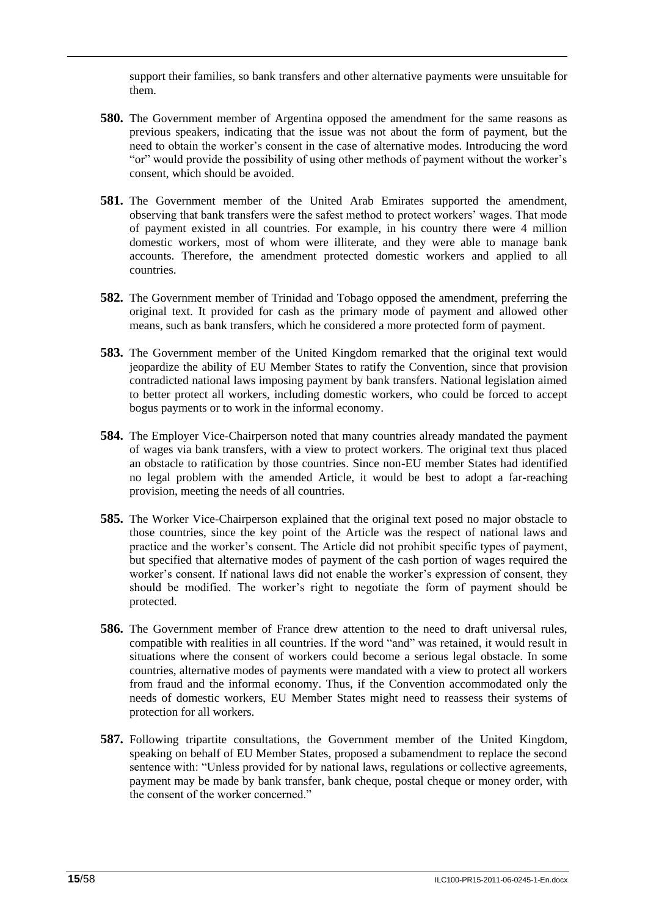support their families, so bank transfers and other alternative payments were unsuitable for them.

- **580.** The Government member of Argentina opposed the amendment for the same reasons as previous speakers, indicating that the issue was not about the form of payment, but the need to obtain the worker"s consent in the case of alternative modes. Introducing the word "or" would provide the possibility of using other methods of payment without the worker"s consent, which should be avoided.
- **581.** The Government member of the United Arab Emirates supported the amendment, observing that bank transfers were the safest method to protect workers" wages. That mode of payment existed in all countries. For example, in his country there were 4 million domestic workers, most of whom were illiterate, and they were able to manage bank accounts. Therefore, the amendment protected domestic workers and applied to all countries.
- **582.** The Government member of Trinidad and Tobago opposed the amendment, preferring the original text. It provided for cash as the primary mode of payment and allowed other means, such as bank transfers, which he considered a more protected form of payment.
- **583.** The Government member of the United Kingdom remarked that the original text would jeopardize the ability of EU Member States to ratify the Convention, since that provision contradicted national laws imposing payment by bank transfers. National legislation aimed to better protect all workers, including domestic workers, who could be forced to accept bogus payments or to work in the informal economy.
- **584.** The Employer Vice-Chairperson noted that many countries already mandated the payment of wages via bank transfers, with a view to protect workers. The original text thus placed an obstacle to ratification by those countries. Since non-EU member States had identified no legal problem with the amended Article, it would be best to adopt a far-reaching provision, meeting the needs of all countries.
- **585.** The Worker Vice-Chairperson explained that the original text posed no major obstacle to those countries, since the key point of the Article was the respect of national laws and practice and the worker"s consent. The Article did not prohibit specific types of payment, but specified that alternative modes of payment of the cash portion of wages required the worker's consent. If national laws did not enable the worker's expression of consent, they should be modified. The worker's right to negotiate the form of payment should be protected.
- **586.** The Government member of France drew attention to the need to draft universal rules, compatible with realities in all countries. If the word "and" was retained, it would result in situations where the consent of workers could become a serious legal obstacle. In some countries, alternative modes of payments were mandated with a view to protect all workers from fraud and the informal economy. Thus, if the Convention accommodated only the needs of domestic workers, EU Member States might need to reassess their systems of protection for all workers.
- **587.** Following tripartite consultations, the Government member of the United Kingdom, speaking on behalf of EU Member States, proposed a subamendment to replace the second sentence with: "Unless provided for by national laws, regulations or collective agreements, payment may be made by bank transfer, bank cheque, postal cheque or money order, with the consent of the worker concerned."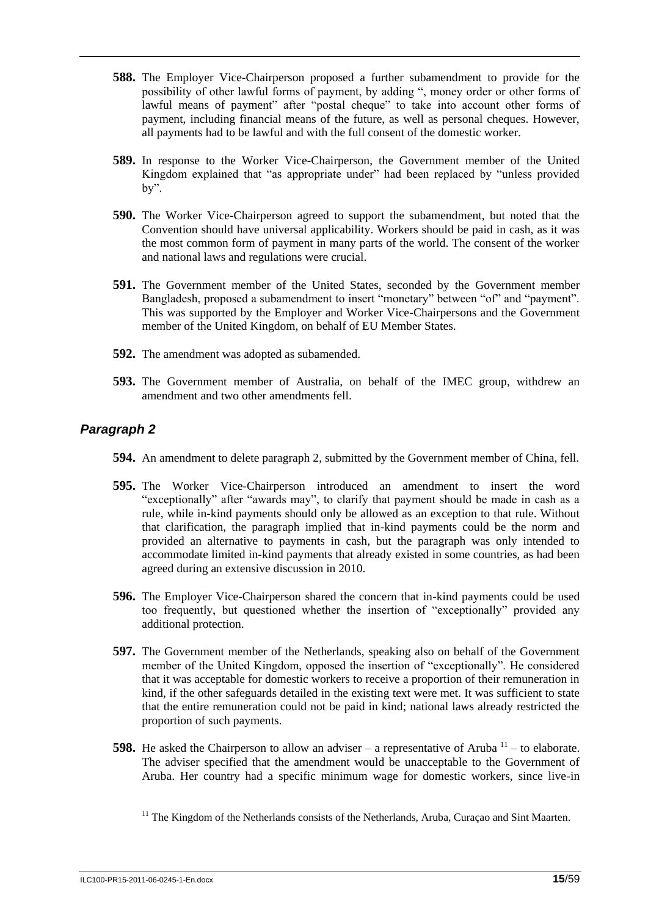- **588.** The Employer Vice-Chairperson proposed a further subamendment to provide for the possibility of other lawful forms of payment, by adding ", money order or other forms of lawful means of payment" after "postal cheque" to take into account other forms of payment, including financial means of the future, as well as personal cheques. However, all payments had to be lawful and with the full consent of the domestic worker.
- **589.** In response to the Worker Vice-Chairperson, the Government member of the United Kingdom explained that "as appropriate under" had been replaced by "unless provided  $bv$ ".
- **590.** The Worker Vice-Chairperson agreed to support the subamendment, but noted that the Convention should have universal applicability. Workers should be paid in cash, as it was the most common form of payment in many parts of the world. The consent of the worker and national laws and regulations were crucial.
- **591.** The Government member of the United States, seconded by the Government member Bangladesh, proposed a subamendment to insert "monetary" between "of" and "payment". This was supported by the Employer and Worker Vice-Chairpersons and the Government member of the United Kingdom, on behalf of EU Member States.
- **592.** The amendment was adopted as subamended.
- **593.** The Government member of Australia, on behalf of the IMEC group, withdrew an amendment and two other amendments fell.

- **594.** An amendment to delete paragraph 2, submitted by the Government member of China, fell.
- **595.** The Worker Vice-Chairperson introduced an amendment to insert the word "exceptionally" after "awards may", to clarify that payment should be made in cash as a rule, while in-kind payments should only be allowed as an exception to that rule. Without that clarification, the paragraph implied that in-kind payments could be the norm and provided an alternative to payments in cash, but the paragraph was only intended to accommodate limited in-kind payments that already existed in some countries, as had been agreed during an extensive discussion in 2010.
- **596.** The Employer Vice-Chairperson shared the concern that in-kind payments could be used too frequently, but questioned whether the insertion of "exceptionally" provided any additional protection.
- **597.** The Government member of the Netherlands, speaking also on behalf of the Government member of the United Kingdom, opposed the insertion of "exceptionally". He considered that it was acceptable for domestic workers to receive a proportion of their remuneration in kind, if the other safeguards detailed in the existing text were met. It was sufficient to state that the entire remuneration could not be paid in kind; national laws already restricted the proportion of such payments.
- **598.** He asked the Chairperson to allow an adviser  $-$  a representative of Aruba  $11 -$  to elaborate. The adviser specified that the amendment would be unacceptable to the Government of Aruba. Her country had a specific minimum wage for domestic workers, since live-in

<sup>&</sup>lt;sup>11</sup> The Kingdom of the Netherlands consists of the Netherlands, Aruba, Curaçao and Sint Maarten.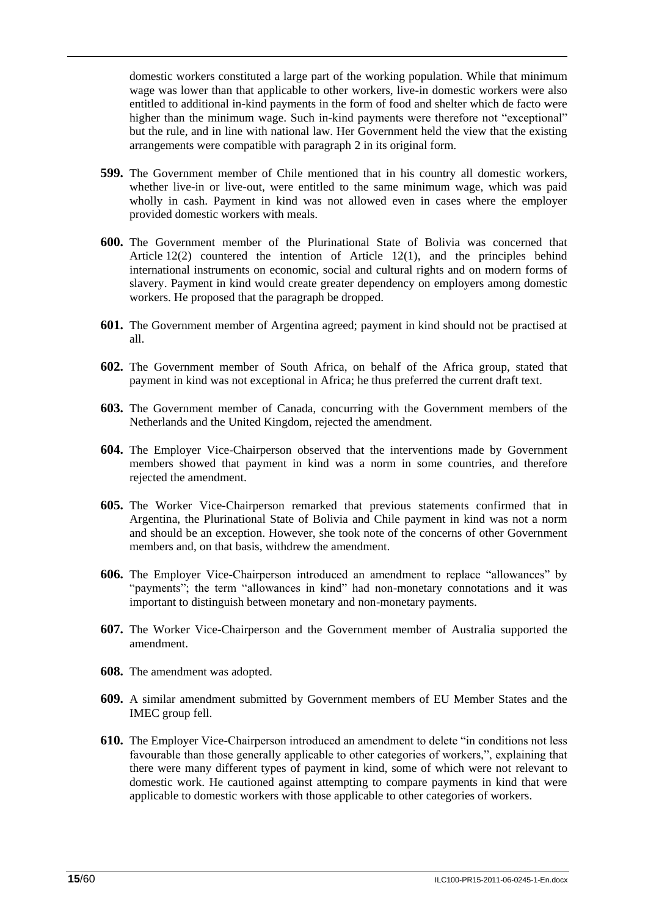domestic workers constituted a large part of the working population. While that minimum wage was lower than that applicable to other workers, live-in domestic workers were also entitled to additional in-kind payments in the form of food and shelter which de facto were higher than the minimum wage. Such in-kind payments were therefore not "exceptional" but the rule, and in line with national law. Her Government held the view that the existing arrangements were compatible with paragraph 2 in its original form.

- **599.** The Government member of Chile mentioned that in his country all domestic workers, whether live-in or live-out, were entitled to the same minimum wage, which was paid wholly in cash. Payment in kind was not allowed even in cases where the employer provided domestic workers with meals.
- **600.** The Government member of the Plurinational State of Bolivia was concerned that Article 12(2) countered the intention of Article 12(1), and the principles behind international instruments on economic, social and cultural rights and on modern forms of slavery. Payment in kind would create greater dependency on employers among domestic workers. He proposed that the paragraph be dropped.
- **601.** The Government member of Argentina agreed; payment in kind should not be practised at all.
- **602.** The Government member of South Africa, on behalf of the Africa group, stated that payment in kind was not exceptional in Africa; he thus preferred the current draft text.
- **603.** The Government member of Canada, concurring with the Government members of the Netherlands and the United Kingdom, rejected the amendment.
- **604.** The Employer Vice-Chairperson observed that the interventions made by Government members showed that payment in kind was a norm in some countries, and therefore rejected the amendment.
- **605.** The Worker Vice-Chairperson remarked that previous statements confirmed that in Argentina, the Plurinational State of Bolivia and Chile payment in kind was not a norm and should be an exception. However, she took note of the concerns of other Government members and, on that basis, withdrew the amendment.
- **606.** The Employer Vice-Chairperson introduced an amendment to replace "allowances" by "payments"; the term "allowances in kind" had non-monetary connotations and it was important to distinguish between monetary and non-monetary payments.
- **607.** The Worker Vice-Chairperson and the Government member of Australia supported the amendment.
- **608.** The amendment was adopted.
- **609.** A similar amendment submitted by Government members of EU Member States and the IMEC group fell.
- **610.** The Employer Vice-Chairperson introduced an amendment to delete "in conditions not less favourable than those generally applicable to other categories of workers,", explaining that there were many different types of payment in kind, some of which were not relevant to domestic work. He cautioned against attempting to compare payments in kind that were applicable to domestic workers with those applicable to other categories of workers.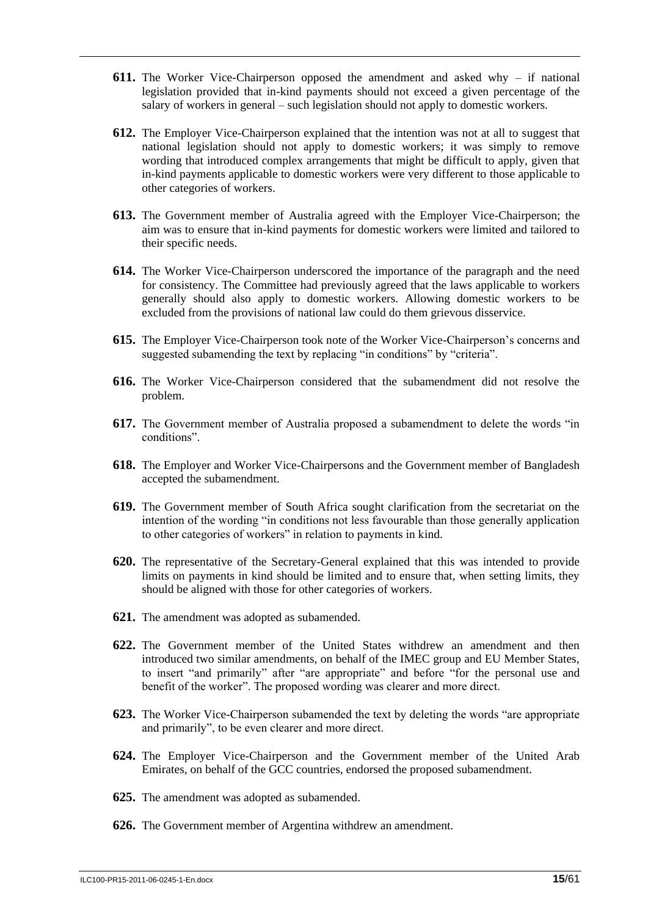- **611.** The Worker Vice-Chairperson opposed the amendment and asked why if national legislation provided that in-kind payments should not exceed a given percentage of the salary of workers in general – such legislation should not apply to domestic workers.
- **612.** The Employer Vice-Chairperson explained that the intention was not at all to suggest that national legislation should not apply to domestic workers; it was simply to remove wording that introduced complex arrangements that might be difficult to apply, given that in-kind payments applicable to domestic workers were very different to those applicable to other categories of workers.
- **613.** The Government member of Australia agreed with the Employer Vice-Chairperson; the aim was to ensure that in-kind payments for domestic workers were limited and tailored to their specific needs.
- **614.** The Worker Vice-Chairperson underscored the importance of the paragraph and the need for consistency. The Committee had previously agreed that the laws applicable to workers generally should also apply to domestic workers. Allowing domestic workers to be excluded from the provisions of national law could do them grievous disservice.
- **615.** The Employer Vice-Chairperson took note of the Worker Vice-Chairperson"s concerns and suggested subamending the text by replacing "in conditions" by "criteria".
- **616.** The Worker Vice-Chairperson considered that the subamendment did not resolve the problem.
- **617.** The Government member of Australia proposed a subamendment to delete the words "in conditions".
- **618.** The Employer and Worker Vice-Chairpersons and the Government member of Bangladesh accepted the subamendment.
- **619.** The Government member of South Africa sought clarification from the secretariat on the intention of the wording "in conditions not less favourable than those generally application to other categories of workers" in relation to payments in kind.
- **620.** The representative of the Secretary-General explained that this was intended to provide limits on payments in kind should be limited and to ensure that, when setting limits, they should be aligned with those for other categories of workers.
- **621.** The amendment was adopted as subamended.
- **622.** The Government member of the United States withdrew an amendment and then introduced two similar amendments, on behalf of the IMEC group and EU Member States, to insert "and primarily" after "are appropriate" and before "for the personal use and benefit of the worker". The proposed wording was clearer and more direct.
- **623.** The Worker Vice-Chairperson subamended the text by deleting the words "are appropriate and primarily", to be even clearer and more direct.
- **624.** The Employer Vice-Chairperson and the Government member of the United Arab Emirates, on behalf of the GCC countries, endorsed the proposed subamendment.
- **625.** The amendment was adopted as subamended.
- **626.** The Government member of Argentina withdrew an amendment.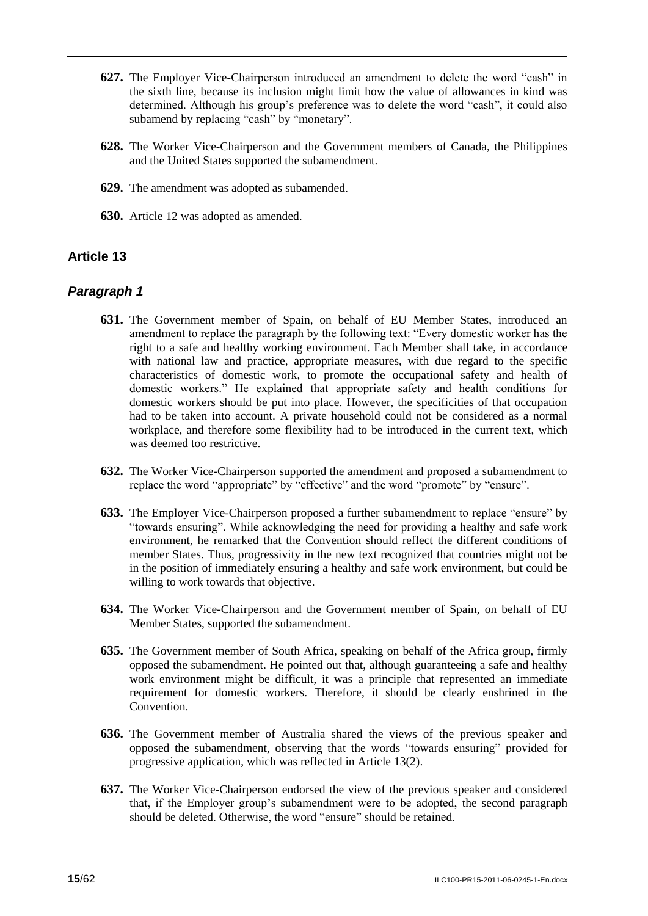- **627.** The Employer Vice-Chairperson introduced an amendment to delete the word "cash" in the sixth line, because its inclusion might limit how the value of allowances in kind was determined. Although his group's preference was to delete the word "cash", it could also subamend by replacing "cash" by "monetary".
- **628.** The Worker Vice-Chairperson and the Government members of Canada, the Philippines and the United States supported the subamendment.
- **629.** The amendment was adopted as subamended.
- **630.** Article 12 was adopted as amended.

- **631.** The Government member of Spain, on behalf of EU Member States, introduced an amendment to replace the paragraph by the following text: "Every domestic worker has the right to a safe and healthy working environment. Each Member shall take, in accordance with national law and practice, appropriate measures, with due regard to the specific characteristics of domestic work, to promote the occupational safety and health of domestic workers." He explained that appropriate safety and health conditions for domestic workers should be put into place. However, the specificities of that occupation had to be taken into account. A private household could not be considered as a normal workplace, and therefore some flexibility had to be introduced in the current text, which was deemed too restrictive.
- **632.** The Worker Vice-Chairperson supported the amendment and proposed a subamendment to replace the word "appropriate" by "effective" and the word "promote" by "ensure".
- **633.** The Employer Vice-Chairperson proposed a further subamendment to replace "ensure" by "towards ensuring". While acknowledging the need for providing a healthy and safe work environment, he remarked that the Convention should reflect the different conditions of member States. Thus, progressivity in the new text recognized that countries might not be in the position of immediately ensuring a healthy and safe work environment, but could be willing to work towards that objective.
- **634.** The Worker Vice-Chairperson and the Government member of Spain, on behalf of EU Member States, supported the subamendment.
- **635.** The Government member of South Africa, speaking on behalf of the Africa group, firmly opposed the subamendment. He pointed out that, although guaranteeing a safe and healthy work environment might be difficult, it was a principle that represented an immediate requirement for domestic workers. Therefore, it should be clearly enshrined in the Convention.
- **636.** The Government member of Australia shared the views of the previous speaker and opposed the subamendment, observing that the words "towards ensuring" provided for progressive application, which was reflected in Article 13(2).
- **637.** The Worker Vice-Chairperson endorsed the view of the previous speaker and considered that, if the Employer group"s subamendment were to be adopted, the second paragraph should be deleted. Otherwise, the word "ensure" should be retained.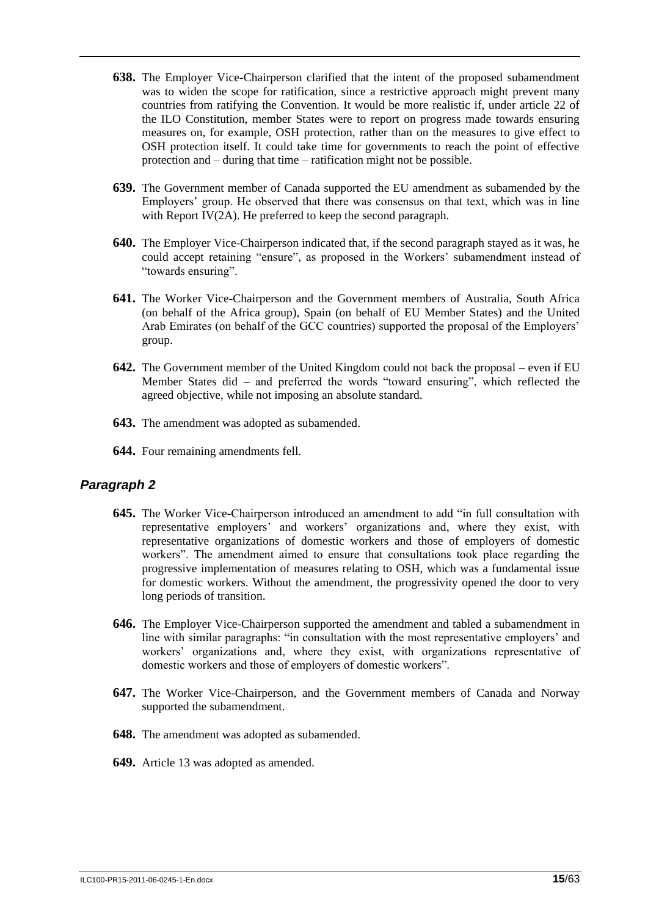- **638.** The Employer Vice-Chairperson clarified that the intent of the proposed subamendment was to widen the scope for ratification, since a restrictive approach might prevent many countries from ratifying the Convention. It would be more realistic if, under article 22 of the ILO Constitution, member States were to report on progress made towards ensuring measures on, for example, OSH protection, rather than on the measures to give effect to OSH protection itself. It could take time for governments to reach the point of effective protection and – during that time – ratification might not be possible.
- **639.** The Government member of Canada supported the EU amendment as subamended by the Employers" group. He observed that there was consensus on that text, which was in line with Report IV(2A). He preferred to keep the second paragraph.
- **640.** The Employer Vice-Chairperson indicated that, if the second paragraph stayed as it was, he could accept retaining "ensure", as proposed in the Workers" subamendment instead of "towards ensuring".
- **641.** The Worker Vice-Chairperson and the Government members of Australia, South Africa (on behalf of the Africa group), Spain (on behalf of EU Member States) and the United Arab Emirates (on behalf of the GCC countries) supported the proposal of the Employers" group.
- **642.** The Government member of the United Kingdom could not back the proposal even if EU Member States did – and preferred the words "toward ensuring", which reflected the agreed objective, while not imposing an absolute standard.
- **643.** The amendment was adopted as subamended.
- **644.** Four remaining amendments fell.

- **645.** The Worker Vice-Chairperson introduced an amendment to add "in full consultation with representative employers' and workers' organizations and, where they exist, with representative organizations of domestic workers and those of employers of domestic workers". The amendment aimed to ensure that consultations took place regarding the progressive implementation of measures relating to OSH, which was a fundamental issue for domestic workers. Without the amendment, the progressivity opened the door to very long periods of transition.
- **646.** The Employer Vice-Chairperson supported the amendment and tabled a subamendment in line with similar paragraphs: "in consultation with the most representative employers" and workers" organizations and, where they exist, with organizations representative of domestic workers and those of employers of domestic workers".
- **647.** The Worker Vice-Chairperson, and the Government members of Canada and Norway supported the subamendment.
- **648.** The amendment was adopted as subamended.
- **649.** Article 13 was adopted as amended.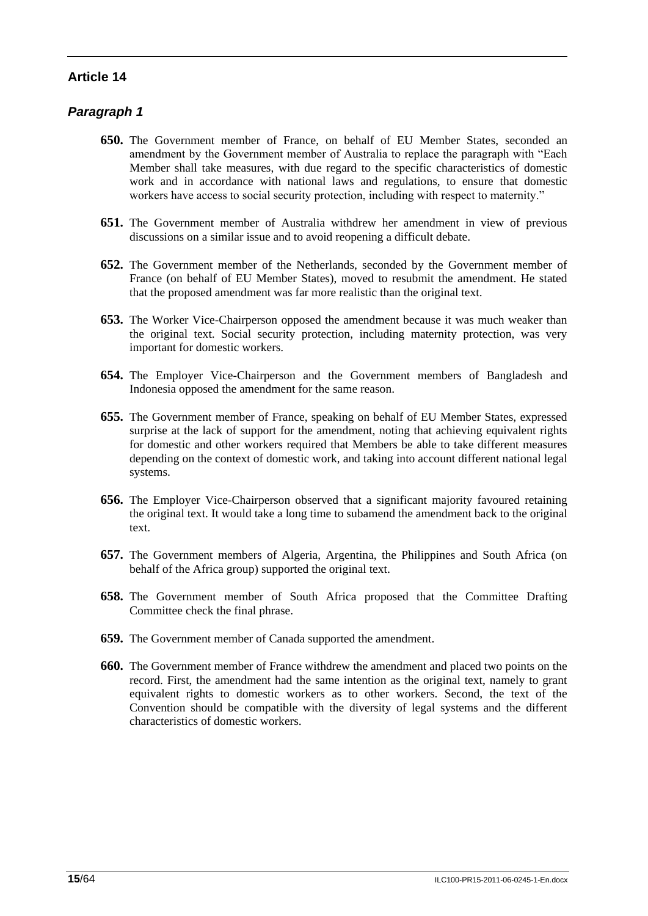- **650.** The Government member of France, on behalf of EU Member States, seconded an amendment by the Government member of Australia to replace the paragraph with "Each Member shall take measures, with due regard to the specific characteristics of domestic work and in accordance with national laws and regulations, to ensure that domestic workers have access to social security protection, including with respect to maternity."
- **651.** The Government member of Australia withdrew her amendment in view of previous discussions on a similar issue and to avoid reopening a difficult debate.
- **652.** The Government member of the Netherlands, seconded by the Government member of France (on behalf of EU Member States), moved to resubmit the amendment. He stated that the proposed amendment was far more realistic than the original text.
- **653.** The Worker Vice-Chairperson opposed the amendment because it was much weaker than the original text. Social security protection, including maternity protection, was very important for domestic workers.
- **654.** The Employer Vice-Chairperson and the Government members of Bangladesh and Indonesia opposed the amendment for the same reason.
- **655.** The Government member of France, speaking on behalf of EU Member States, expressed surprise at the lack of support for the amendment, noting that achieving equivalent rights for domestic and other workers required that Members be able to take different measures depending on the context of domestic work, and taking into account different national legal systems.
- **656.** The Employer Vice-Chairperson observed that a significant majority favoured retaining the original text. It would take a long time to subamend the amendment back to the original text.
- **657.** The Government members of Algeria, Argentina, the Philippines and South Africa (on behalf of the Africa group) supported the original text.
- **658.** The Government member of South Africa proposed that the Committee Drafting Committee check the final phrase.
- **659.** The Government member of Canada supported the amendment.
- **660.** The Government member of France withdrew the amendment and placed two points on the record. First, the amendment had the same intention as the original text, namely to grant equivalent rights to domestic workers as to other workers. Second, the text of the Convention should be compatible with the diversity of legal systems and the different characteristics of domestic workers.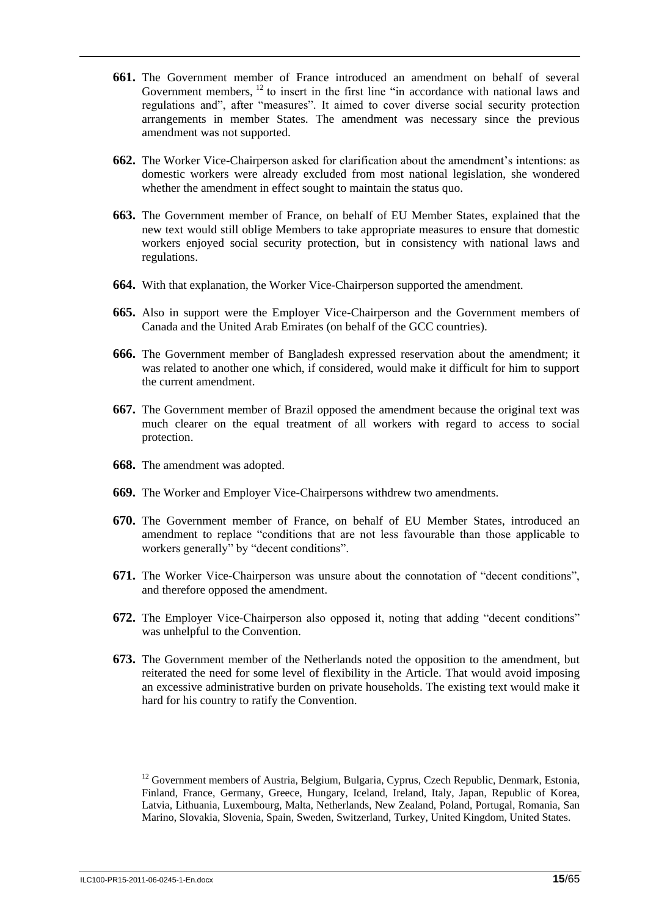- **661.** The Government member of France introduced an amendment on behalf of several Government members, <sup>12</sup> to insert in the first line "in accordance with national laws and regulations and", after "measures". It aimed to cover diverse social security protection arrangements in member States. The amendment was necessary since the previous amendment was not supported.
- **662.** The Worker Vice-Chairperson asked for clarification about the amendment's intentions: as domestic workers were already excluded from most national legislation, she wondered whether the amendment in effect sought to maintain the status quo.
- **663.** The Government member of France, on behalf of EU Member States, explained that the new text would still oblige Members to take appropriate measures to ensure that domestic workers enjoyed social security protection, but in consistency with national laws and regulations.
- **664.** With that explanation, the Worker Vice-Chairperson supported the amendment.
- **665.** Also in support were the Employer Vice-Chairperson and the Government members of Canada and the United Arab Emirates (on behalf of the GCC countries).
- **666.** The Government member of Bangladesh expressed reservation about the amendment; it was related to another one which, if considered, would make it difficult for him to support the current amendment.
- **667.** The Government member of Brazil opposed the amendment because the original text was much clearer on the equal treatment of all workers with regard to access to social protection.
- **668.** The amendment was adopted.
- **669.** The Worker and Employer Vice-Chairpersons withdrew two amendments.
- **670.** The Government member of France, on behalf of EU Member States, introduced an amendment to replace "conditions that are not less favourable than those applicable to workers generally" by "decent conditions".
- **671.** The Worker Vice-Chairperson was unsure about the connotation of "decent conditions", and therefore opposed the amendment.
- **672.** The Employer Vice-Chairperson also opposed it, noting that adding "decent conditions" was unhelpful to the Convention.
- **673.** The Government member of the Netherlands noted the opposition to the amendment, but reiterated the need for some level of flexibility in the Article. That would avoid imposing an excessive administrative burden on private households. The existing text would make it hard for his country to ratify the Convention.

 $12$  Government members of Austria, Belgium, Bulgaria, Cyprus, Czech Republic, Denmark, Estonia, Finland, France, Germany, Greece, Hungary, Iceland, Ireland, Italy, Japan, Republic of Korea, Latvia, Lithuania, Luxembourg, Malta, Netherlands, New Zealand, Poland, Portugal, Romania, San Marino, Slovakia, Slovenia, Spain, Sweden, Switzerland, Turkey, United Kingdom, United States.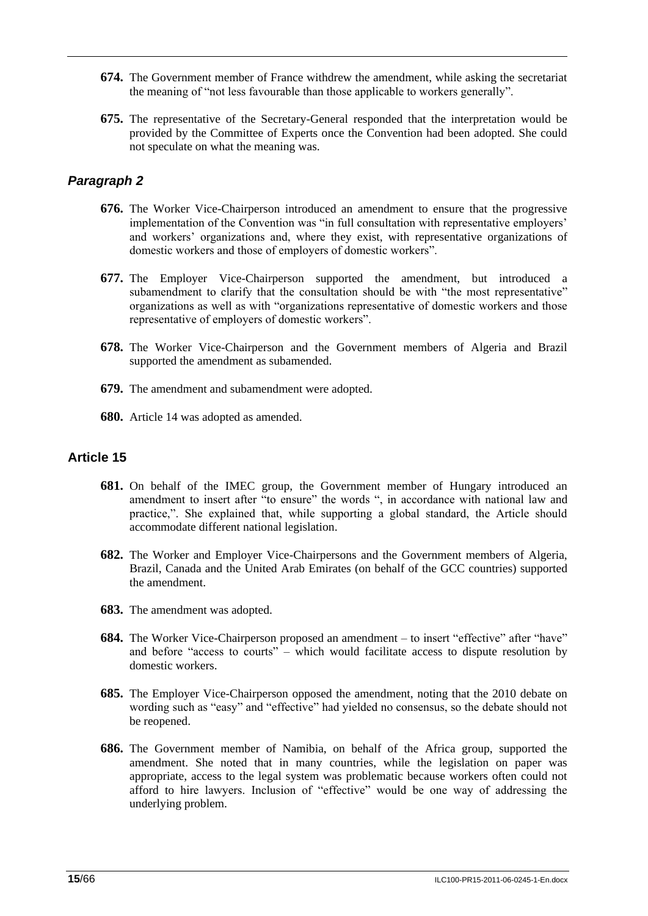- **674.** The Government member of France withdrew the amendment, while asking the secretariat the meaning of "not less favourable than those applicable to workers generally".
- **675.** The representative of the Secretary-General responded that the interpretation would be provided by the Committee of Experts once the Convention had been adopted. She could not speculate on what the meaning was.

- **676.** The Worker Vice-Chairperson introduced an amendment to ensure that the progressive implementation of the Convention was "in full consultation with representative employers' and workers" organizations and, where they exist, with representative organizations of domestic workers and those of employers of domestic workers".
- **677.** The Employer Vice-Chairperson supported the amendment, but introduced a subamendment to clarify that the consultation should be with "the most representative" organizations as well as with "organizations representative of domestic workers and those representative of employers of domestic workers".
- **678.** The Worker Vice-Chairperson and the Government members of Algeria and Brazil supported the amendment as subamended.
- **679.** The amendment and subamendment were adopted.
- **680.** Article 14 was adopted as amended.

#### **Article 15**

- **681.** On behalf of the IMEC group, the Government member of Hungary introduced an amendment to insert after "to ensure" the words ", in accordance with national law and practice,". She explained that, while supporting a global standard, the Article should accommodate different national legislation.
- **682.** The Worker and Employer Vice-Chairpersons and the Government members of Algeria, Brazil, Canada and the United Arab Emirates (on behalf of the GCC countries) supported the amendment.
- **683.** The amendment was adopted.
- **684.** The Worker Vice-Chairperson proposed an amendment to insert "effective" after "have" and before "access to courts" – which would facilitate access to dispute resolution by domestic workers.
- **685.** The Employer Vice-Chairperson opposed the amendment, noting that the 2010 debate on wording such as "easy" and "effective" had yielded no consensus, so the debate should not be reopened.
- **686.** The Government member of Namibia, on behalf of the Africa group, supported the amendment. She noted that in many countries, while the legislation on paper was appropriate, access to the legal system was problematic because workers often could not afford to hire lawyers. Inclusion of "effective" would be one way of addressing the underlying problem.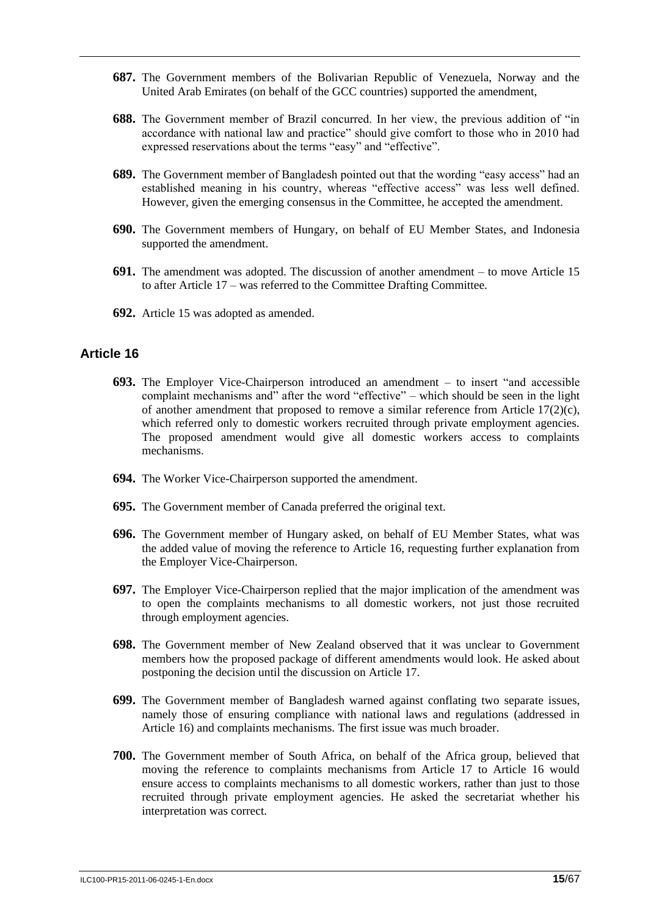- **687.** The Government members of the Bolivarian Republic of Venezuela, Norway and the United Arab Emirates (on behalf of the GCC countries) supported the amendment,
- **688.** The Government member of Brazil concurred. In her view, the previous addition of "in accordance with national law and practice" should give comfort to those who in 2010 had expressed reservations about the terms "easy" and "effective".
- **689.** The Government member of Bangladesh pointed out that the wording "easy access" had an established meaning in his country, whereas "effective access" was less well defined. However, given the emerging consensus in the Committee, he accepted the amendment.
- **690.** The Government members of Hungary, on behalf of EU Member States, and Indonesia supported the amendment.
- **691.** The amendment was adopted. The discussion of another amendment to move Article 15 to after Article 17 – was referred to the Committee Drafting Committee.
- **692.** Article 15 was adopted as amended.

- **693.** The Employer Vice-Chairperson introduced an amendment to insert "and accessible complaint mechanisms and" after the word "effective" – which should be seen in the light of another amendment that proposed to remove a similar reference from Article 17(2)(c), which referred only to domestic workers recruited through private employment agencies. The proposed amendment would give all domestic workers access to complaints mechanisms.
- **694.** The Worker Vice-Chairperson supported the amendment.
- **695.** The Government member of Canada preferred the original text.
- **696.** The Government member of Hungary asked, on behalf of EU Member States, what was the added value of moving the reference to Article 16, requesting further explanation from the Employer Vice-Chairperson.
- **697.** The Employer Vice-Chairperson replied that the major implication of the amendment was to open the complaints mechanisms to all domestic workers, not just those recruited through employment agencies.
- **698.** The Government member of New Zealand observed that it was unclear to Government members how the proposed package of different amendments would look. He asked about postponing the decision until the discussion on Article 17.
- **699.** The Government member of Bangladesh warned against conflating two separate issues, namely those of ensuring compliance with national laws and regulations (addressed in Article 16) and complaints mechanisms. The first issue was much broader.
- **700.** The Government member of South Africa, on behalf of the Africa group, believed that moving the reference to complaints mechanisms from Article 17 to Article 16 would ensure access to complaints mechanisms to all domestic workers, rather than just to those recruited through private employment agencies. He asked the secretariat whether his interpretation was correct.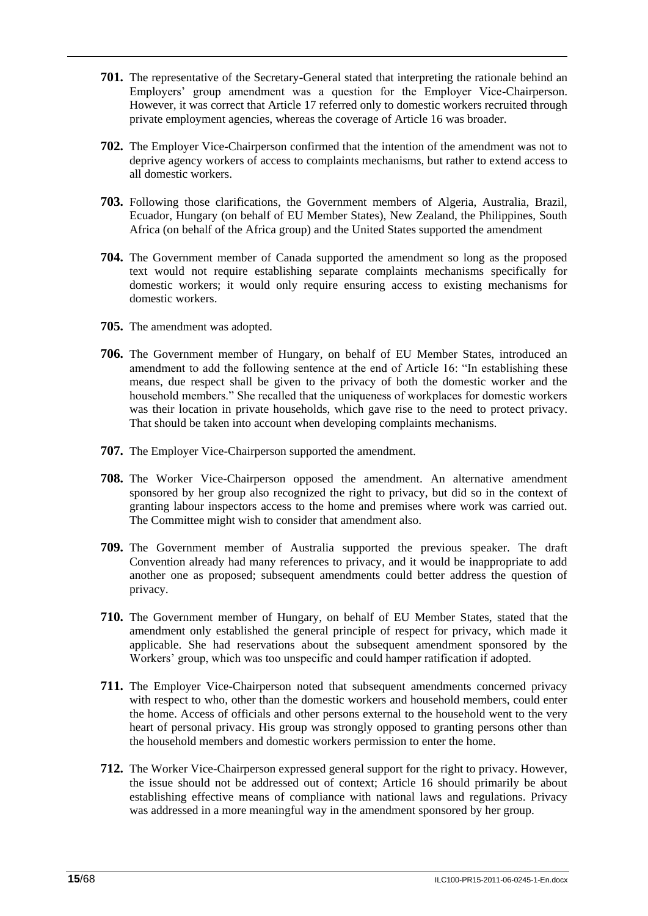- **701.** The representative of the Secretary-General stated that interpreting the rationale behind an Employers" group amendment was a question for the Employer Vice-Chairperson. However, it was correct that Article 17 referred only to domestic workers recruited through private employment agencies, whereas the coverage of Article 16 was broader.
- **702.** The Employer Vice-Chairperson confirmed that the intention of the amendment was not to deprive agency workers of access to complaints mechanisms, but rather to extend access to all domestic workers.
- **703.** Following those clarifications, the Government members of Algeria, Australia, Brazil, Ecuador, Hungary (on behalf of EU Member States), New Zealand, the Philippines, South Africa (on behalf of the Africa group) and the United States supported the amendment
- **704.** The Government member of Canada supported the amendment so long as the proposed text would not require establishing separate complaints mechanisms specifically for domestic workers; it would only require ensuring access to existing mechanisms for domestic workers.
- **705.** The amendment was adopted.
- **706.** The Government member of Hungary, on behalf of EU Member States, introduced an amendment to add the following sentence at the end of Article 16: "In establishing these means, due respect shall be given to the privacy of both the domestic worker and the household members." She recalled that the uniqueness of workplaces for domestic workers was their location in private households, which gave rise to the need to protect privacy. That should be taken into account when developing complaints mechanisms.
- **707.** The Employer Vice-Chairperson supported the amendment.
- **708.** The Worker Vice-Chairperson opposed the amendment. An alternative amendment sponsored by her group also recognized the right to privacy, but did so in the context of granting labour inspectors access to the home and premises where work was carried out. The Committee might wish to consider that amendment also.
- **709.** The Government member of Australia supported the previous speaker. The draft Convention already had many references to privacy, and it would be inappropriate to add another one as proposed; subsequent amendments could better address the question of privacy.
- **710.** The Government member of Hungary, on behalf of EU Member States, stated that the amendment only established the general principle of respect for privacy, which made it applicable. She had reservations about the subsequent amendment sponsored by the Workers" group, which was too unspecific and could hamper ratification if adopted.
- **711.** The Employer Vice-Chairperson noted that subsequent amendments concerned privacy with respect to who, other than the domestic workers and household members, could enter the home. Access of officials and other persons external to the household went to the very heart of personal privacy. His group was strongly opposed to granting persons other than the household members and domestic workers permission to enter the home.
- **712.** The Worker Vice-Chairperson expressed general support for the right to privacy. However, the issue should not be addressed out of context; Article 16 should primarily be about establishing effective means of compliance with national laws and regulations. Privacy was addressed in a more meaningful way in the amendment sponsored by her group.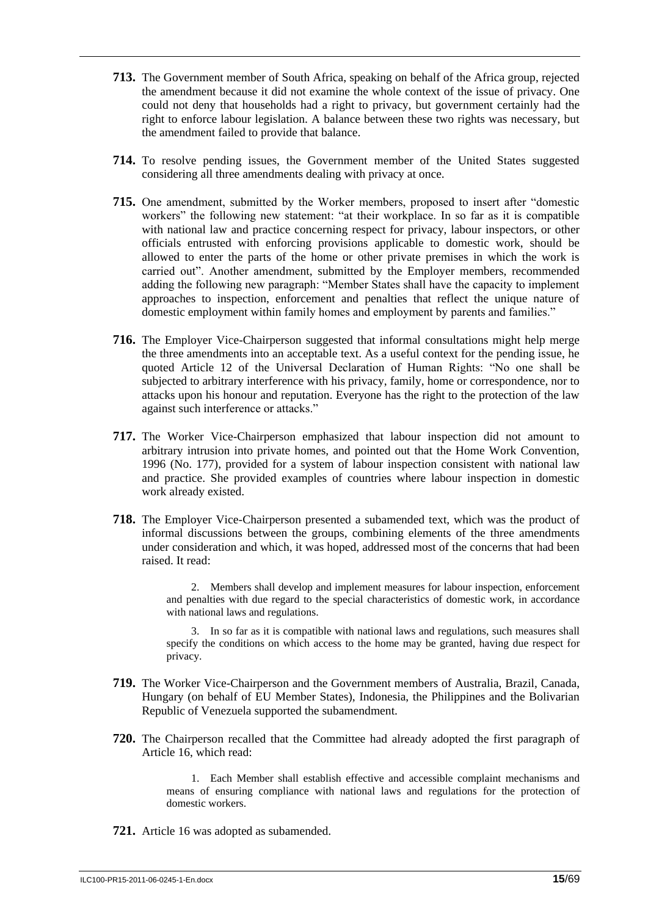- **713.** The Government member of South Africa, speaking on behalf of the Africa group, rejected the amendment because it did not examine the whole context of the issue of privacy. One could not deny that households had a right to privacy, but government certainly had the right to enforce labour legislation. A balance between these two rights was necessary, but the amendment failed to provide that balance.
- **714.** To resolve pending issues, the Government member of the United States suggested considering all three amendments dealing with privacy at once.
- **715.** One amendment, submitted by the Worker members, proposed to insert after "domestic workers" the following new statement: "at their workplace. In so far as it is compatible with national law and practice concerning respect for privacy, labour inspectors, or other officials entrusted with enforcing provisions applicable to domestic work, should be allowed to enter the parts of the home or other private premises in which the work is carried out". Another amendment, submitted by the Employer members, recommended adding the following new paragraph: "Member States shall have the capacity to implement approaches to inspection, enforcement and penalties that reflect the unique nature of domestic employment within family homes and employment by parents and families."
- **716.** The Employer Vice-Chairperson suggested that informal consultations might help merge the three amendments into an acceptable text. As a useful context for the pending issue, he quoted Article 12 of the Universal Declaration of Human Rights: "No one shall be subjected to arbitrary interference with his privacy, family, home or correspondence, nor to attacks upon his honour and reputation. Everyone has the right to the protection of the law against such interference or attacks."
- **717.** The Worker Vice-Chairperson emphasized that labour inspection did not amount to arbitrary intrusion into private homes, and pointed out that the Home Work Convention, 1996 (No. 177), provided for a system of labour inspection consistent with national law and practice. She provided examples of countries where labour inspection in domestic work already existed.
- **718.** The Employer Vice-Chairperson presented a subamended text, which was the product of informal discussions between the groups, combining elements of the three amendments under consideration and which, it was hoped, addressed most of the concerns that had been raised. It read:

2. Members shall develop and implement measures for labour inspection, enforcement and penalties with due regard to the special characteristics of domestic work, in accordance with national laws and regulations.

3. In so far as it is compatible with national laws and regulations, such measures shall specify the conditions on which access to the home may be granted, having due respect for privacy.

- **719.** The Worker Vice-Chairperson and the Government members of Australia, Brazil, Canada, Hungary (on behalf of EU Member States), Indonesia, the Philippines and the Bolivarian Republic of Venezuela supported the subamendment.
- **720.** The Chairperson recalled that the Committee had already adopted the first paragraph of Article 16, which read:

1. Each Member shall establish effective and accessible complaint mechanisms and means of ensuring compliance with national laws and regulations for the protection of domestic workers.

**721.** Article 16 was adopted as subamended.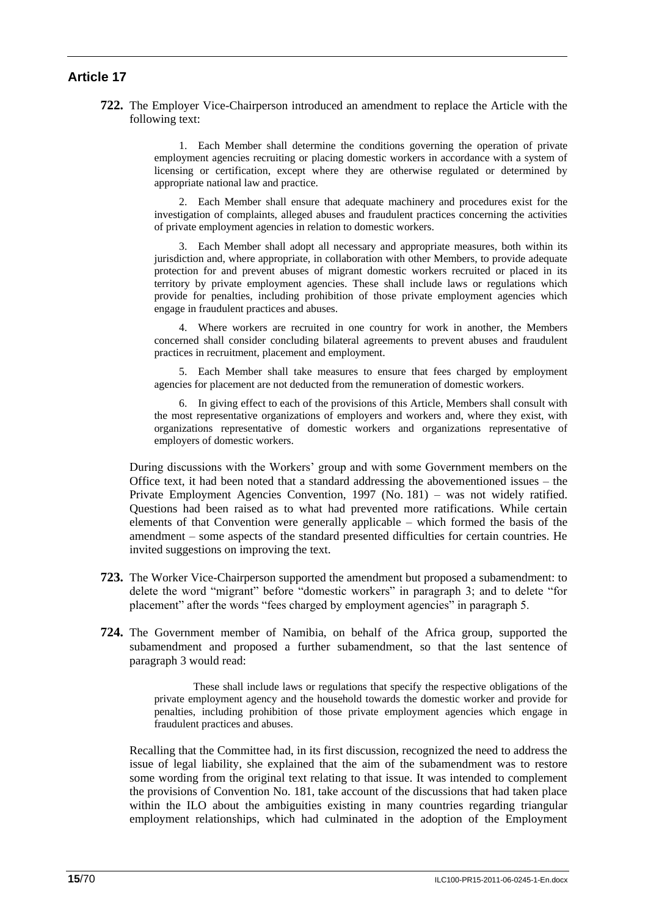**722.** The Employer Vice-Chairperson introduced an amendment to replace the Article with the following text:

> 1. Each Member shall determine the conditions governing the operation of private employment agencies recruiting or placing domestic workers in accordance with a system of licensing or certification, except where they are otherwise regulated or determined by appropriate national law and practice.

> 2. Each Member shall ensure that adequate machinery and procedures exist for the investigation of complaints, alleged abuses and fraudulent practices concerning the activities of private employment agencies in relation to domestic workers.

> 3. Each Member shall adopt all necessary and appropriate measures, both within its jurisdiction and, where appropriate, in collaboration with other Members, to provide adequate protection for and prevent abuses of migrant domestic workers recruited or placed in its territory by private employment agencies. These shall include laws or regulations which provide for penalties, including prohibition of those private employment agencies which engage in fraudulent practices and abuses.

> 4. Where workers are recruited in one country for work in another, the Members concerned shall consider concluding bilateral agreements to prevent abuses and fraudulent practices in recruitment, placement and employment.

> 5. Each Member shall take measures to ensure that fees charged by employment agencies for placement are not deducted from the remuneration of domestic workers.

> 6. In giving effect to each of the provisions of this Article, Members shall consult with the most representative organizations of employers and workers and, where they exist, with organizations representative of domestic workers and organizations representative of employers of domestic workers.

During discussions with the Workers" group and with some Government members on the Office text, it had been noted that a standard addressing the abovementioned issues – the Private Employment Agencies Convention, 1997 (No. 181) – was not widely ratified. Questions had been raised as to what had prevented more ratifications. While certain elements of that Convention were generally applicable – which formed the basis of the amendment – some aspects of the standard presented difficulties for certain countries. He invited suggestions on improving the text.

- **723.** The Worker Vice-Chairperson supported the amendment but proposed a subamendment: to delete the word "migrant" before "domestic workers" in paragraph 3; and to delete "for placement" after the words "fees charged by employment agencies" in paragraph 5.
- **724.** The Government member of Namibia, on behalf of the Africa group, supported the subamendment and proposed a further subamendment, so that the last sentence of paragraph 3 would read:

These shall include laws or regulations that specify the respective obligations of the private employment agency and the household towards the domestic worker and provide for penalties, including prohibition of those private employment agencies which engage in fraudulent practices and abuses.

Recalling that the Committee had, in its first discussion, recognized the need to address the issue of legal liability, she explained that the aim of the subamendment was to restore some wording from the original text relating to that issue. It was intended to complement the provisions of Convention No. 181, take account of the discussions that had taken place within the ILO about the ambiguities existing in many countries regarding triangular employment relationships, which had culminated in the adoption of the Employment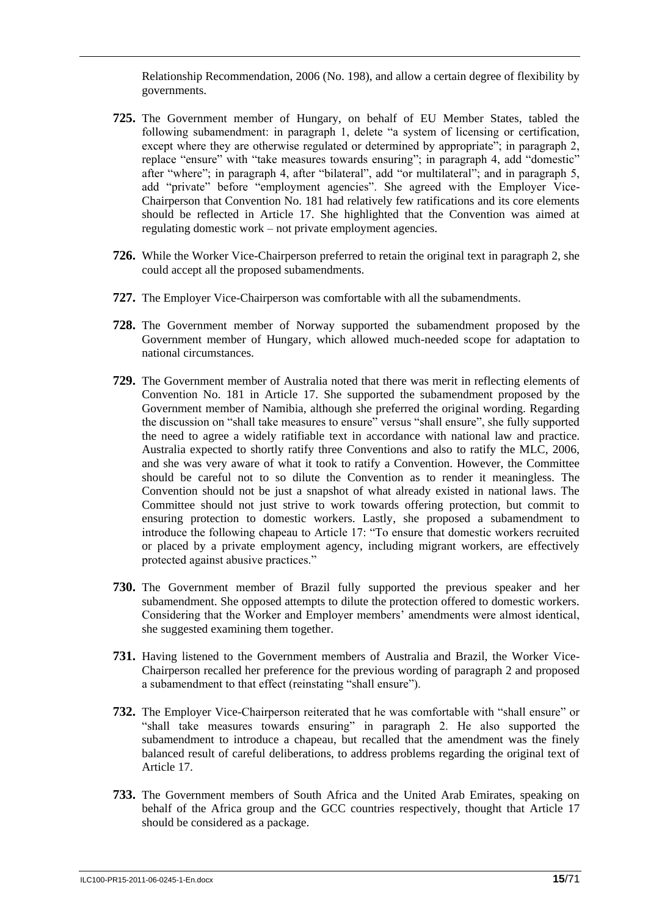Relationship Recommendation, 2006 (No. 198), and allow a certain degree of flexibility by governments.

- **725.** The Government member of Hungary, on behalf of EU Member States, tabled the following subamendment: in paragraph 1, delete "a system of licensing or certification, except where they are otherwise regulated or determined by appropriate"; in paragraph 2, replace "ensure" with "take measures towards ensuring"; in paragraph 4, add "domestic" after "where"; in paragraph 4, after "bilateral", add "or multilateral"; and in paragraph 5, add "private" before "employment agencies". She agreed with the Employer Vice-Chairperson that Convention No. 181 had relatively few ratifications and its core elements should be reflected in Article 17. She highlighted that the Convention was aimed at regulating domestic work – not private employment agencies.
- **726.** While the Worker Vice-Chairperson preferred to retain the original text in paragraph 2, she could accept all the proposed subamendments.
- **727.** The Employer Vice-Chairperson was comfortable with all the subamendments.
- **728.** The Government member of Norway supported the subamendment proposed by the Government member of Hungary, which allowed much-needed scope for adaptation to national circumstances.
- **729.** The Government member of Australia noted that there was merit in reflecting elements of Convention No. 181 in Article 17. She supported the subamendment proposed by the Government member of Namibia, although she preferred the original wording. Regarding the discussion on "shall take measures to ensure" versus "shall ensure", she fully supported the need to agree a widely ratifiable text in accordance with national law and practice. Australia expected to shortly ratify three Conventions and also to ratify the MLC, 2006, and she was very aware of what it took to ratify a Convention. However, the Committee should be careful not to so dilute the Convention as to render it meaningless. The Convention should not be just a snapshot of what already existed in national laws. The Committee should not just strive to work towards offering protection, but commit to ensuring protection to domestic workers. Lastly, she proposed a subamendment to introduce the following chapeau to Article 17: "To ensure that domestic workers recruited or placed by a private employment agency, including migrant workers, are effectively protected against abusive practices."
- **730.** The Government member of Brazil fully supported the previous speaker and her subamendment. She opposed attempts to dilute the protection offered to domestic workers. Considering that the Worker and Employer members' amendments were almost identical, she suggested examining them together.
- **731.** Having listened to the Government members of Australia and Brazil, the Worker Vice-Chairperson recalled her preference for the previous wording of paragraph 2 and proposed a subamendment to that effect (reinstating "shall ensure").
- **732.** The Employer Vice-Chairperson reiterated that he was comfortable with "shall ensure" or "shall take measures towards ensuring" in paragraph 2. He also supported the subamendment to introduce a chapeau, but recalled that the amendment was the finely balanced result of careful deliberations, to address problems regarding the original text of Article 17.
- **733.** The Government members of South Africa and the United Arab Emirates, speaking on behalf of the Africa group and the GCC countries respectively, thought that Article 17 should be considered as a package.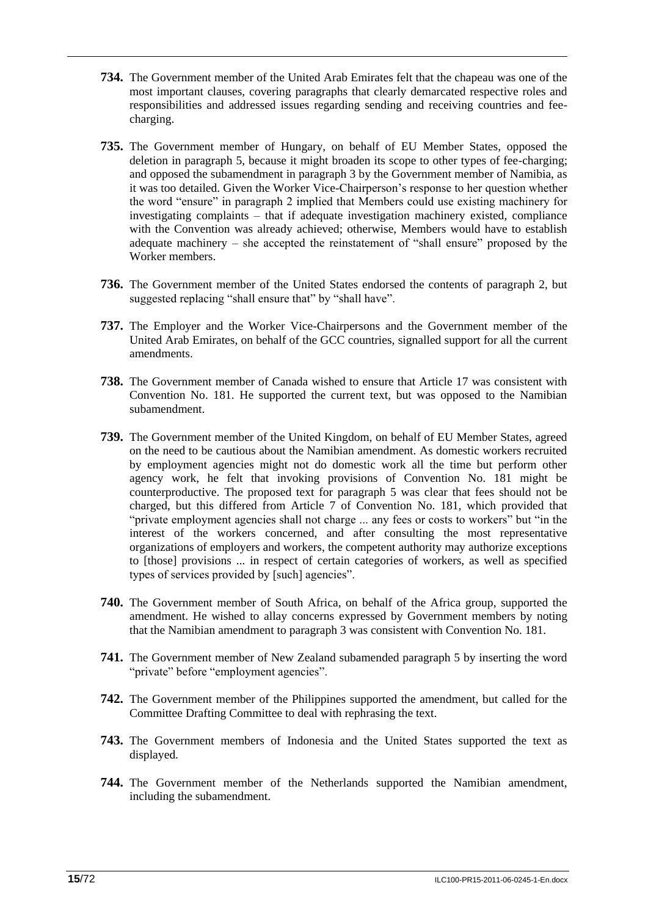- **734.** The Government member of the United Arab Emirates felt that the chapeau was one of the most important clauses, covering paragraphs that clearly demarcated respective roles and responsibilities and addressed issues regarding sending and receiving countries and feecharging.
- **735.** The Government member of Hungary, on behalf of EU Member States, opposed the deletion in paragraph 5, because it might broaden its scope to other types of fee-charging; and opposed the subamendment in paragraph 3 by the Government member of Namibia, as it was too detailed. Given the Worker Vice-Chairperson"s response to her question whether the word "ensure" in paragraph 2 implied that Members could use existing machinery for investigating complaints – that if adequate investigation machinery existed, compliance with the Convention was already achieved; otherwise, Members would have to establish adequate machinery – she accepted the reinstatement of "shall ensure" proposed by the Worker members.
- **736.** The Government member of the United States endorsed the contents of paragraph 2, but suggested replacing "shall ensure that" by "shall have".
- **737.** The Employer and the Worker Vice-Chairpersons and the Government member of the United Arab Emirates, on behalf of the GCC countries, signalled support for all the current amendments.
- **738.** The Government member of Canada wished to ensure that Article 17 was consistent with Convention No. 181. He supported the current text, but was opposed to the Namibian subamendment.
- **739.** The Government member of the United Kingdom, on behalf of EU Member States, agreed on the need to be cautious about the Namibian amendment. As domestic workers recruited by employment agencies might not do domestic work all the time but perform other agency work, he felt that invoking provisions of Convention No. 181 might be counterproductive. The proposed text for paragraph 5 was clear that fees should not be charged, but this differed from Article 7 of Convention No. 181, which provided that "private employment agencies shall not charge ... any fees or costs to workers" but "in the interest of the workers concerned, and after consulting the most representative organizations of employers and workers, the competent authority may authorize exceptions to [those] provisions ... in respect of certain categories of workers, as well as specified types of services provided by [such] agencies".
- **740.** The Government member of South Africa, on behalf of the Africa group, supported the amendment. He wished to allay concerns expressed by Government members by noting that the Namibian amendment to paragraph 3 was consistent with Convention No. 181.
- **741.** The Government member of New Zealand subamended paragraph 5 by inserting the word "private" before "employment agencies".
- **742.** The Government member of the Philippines supported the amendment, but called for the Committee Drafting Committee to deal with rephrasing the text.
- **743.** The Government members of Indonesia and the United States supported the text as displayed.
- **744.** The Government member of the Netherlands supported the Namibian amendment, including the subamendment.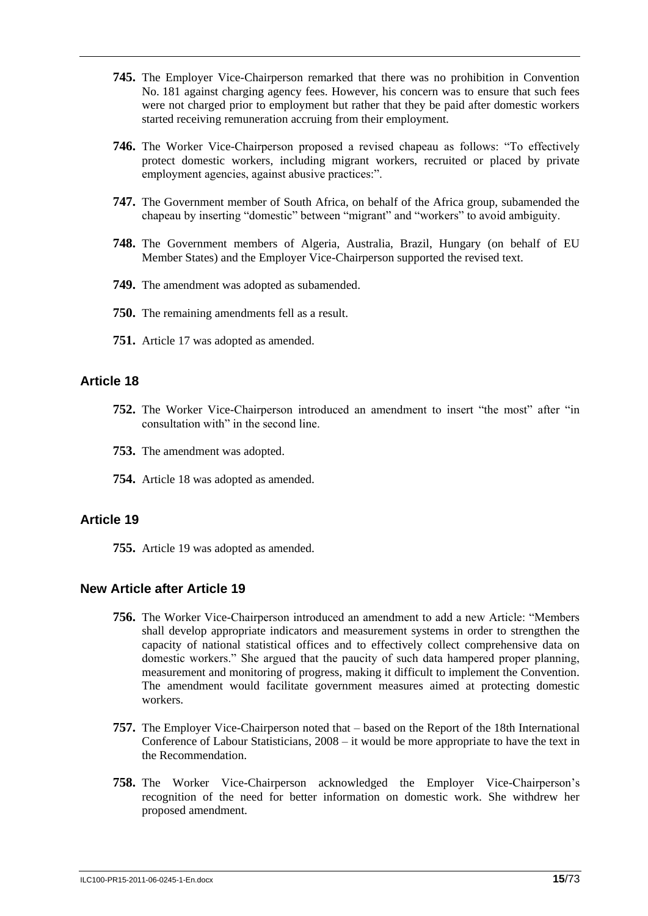- **745.** The Employer Vice-Chairperson remarked that there was no prohibition in Convention No. 181 against charging agency fees. However, his concern was to ensure that such fees were not charged prior to employment but rather that they be paid after domestic workers started receiving remuneration accruing from their employment.
- **746.** The Worker Vice-Chairperson proposed a revised chapeau as follows: "To effectively protect domestic workers, including migrant workers, recruited or placed by private employment agencies, against abusive practices:".
- **747.** The Government member of South Africa, on behalf of the Africa group, subamended the chapeau by inserting "domestic" between "migrant" and "workers" to avoid ambiguity.
- **748.** The Government members of Algeria, Australia, Brazil, Hungary (on behalf of EU Member States) and the Employer Vice-Chairperson supported the revised text.
- **749.** The amendment was adopted as subamended.
- **750.** The remaining amendments fell as a result.
- **751.** Article 17 was adopted as amended.

## **Article 18**

- **752.** The Worker Vice-Chairperson introduced an amendment to insert "the most" after "in consultation with" in the second line.
- **753.** The amendment was adopted.
- **754.** Article 18 was adopted as amended.

## **Article 19**

**755.** Article 19 was adopted as amended.

## **New Article after Article 19**

- **756.** The Worker Vice-Chairperson introduced an amendment to add a new Article: "Members shall develop appropriate indicators and measurement systems in order to strengthen the capacity of national statistical offices and to effectively collect comprehensive data on domestic workers." She argued that the paucity of such data hampered proper planning, measurement and monitoring of progress, making it difficult to implement the Convention. The amendment would facilitate government measures aimed at protecting domestic workers.
- **757.** The Employer Vice-Chairperson noted that based on the Report of the 18th International Conference of Labour Statisticians, 2008 – it would be more appropriate to have the text in the Recommendation.
- **758.** The Worker Vice-Chairperson acknowledged the Employer Vice-Chairperson"s recognition of the need for better information on domestic work. She withdrew her proposed amendment.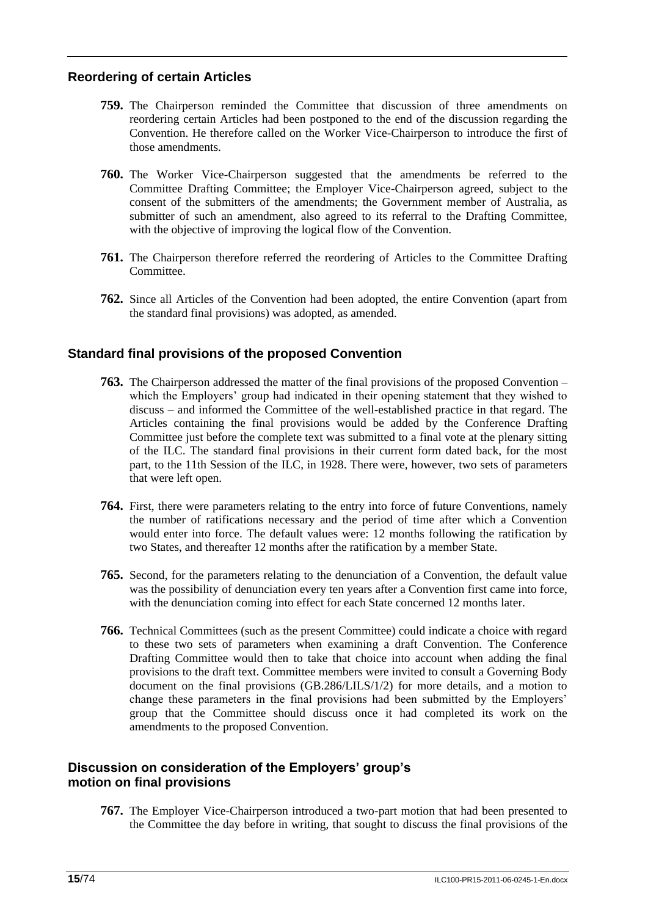## **Reordering of certain Articles**

- **759.** The Chairperson reminded the Committee that discussion of three amendments on reordering certain Articles had been postponed to the end of the discussion regarding the Convention. He therefore called on the Worker Vice-Chairperson to introduce the first of those amendments.
- **760.** The Worker Vice-Chairperson suggested that the amendments be referred to the Committee Drafting Committee; the Employer Vice-Chairperson agreed, subject to the consent of the submitters of the amendments; the Government member of Australia, as submitter of such an amendment, also agreed to its referral to the Drafting Committee, with the objective of improving the logical flow of the Convention.
- **761.** The Chairperson therefore referred the reordering of Articles to the Committee Drafting Committee.
- **762.** Since all Articles of the Convention had been adopted, the entire Convention (apart from the standard final provisions) was adopted, as amended.

## **Standard final provisions of the proposed Convention**

- **763.** The Chairperson addressed the matter of the final provisions of the proposed Convention which the Employers' group had indicated in their opening statement that they wished to discuss – and informed the Committee of the well-established practice in that regard. The Articles containing the final provisions would be added by the Conference Drafting Committee just before the complete text was submitted to a final vote at the plenary sitting of the ILC. The standard final provisions in their current form dated back, for the most part, to the 11th Session of the ILC, in 1928. There were, however, two sets of parameters that were left open.
- **764.** First, there were parameters relating to the entry into force of future Conventions, namely the number of ratifications necessary and the period of time after which a Convention would enter into force. The default values were: 12 months following the ratification by two States, and thereafter 12 months after the ratification by a member State.
- **765.** Second, for the parameters relating to the denunciation of a Convention, the default value was the possibility of denunciation every ten years after a Convention first came into force, with the denunciation coming into effect for each State concerned 12 months later.
- **766.** Technical Committees (such as the present Committee) could indicate a choice with regard to these two sets of parameters when examining a draft Convention. The Conference Drafting Committee would then to take that choice into account when adding the final provisions to the draft text. Committee members were invited to consult a Governing Body document on the final provisions (GB.286/LILS/1/2) for more details, and a motion to change these parameters in the final provisions had been submitted by the Employers' group that the Committee should discuss once it had completed its work on the amendments to the proposed Convention.

## **Discussion on consideration of the Employers' group's motion on final provisions**

**767.** The Employer Vice-Chairperson introduced a two-part motion that had been presented to the Committee the day before in writing, that sought to discuss the final provisions of the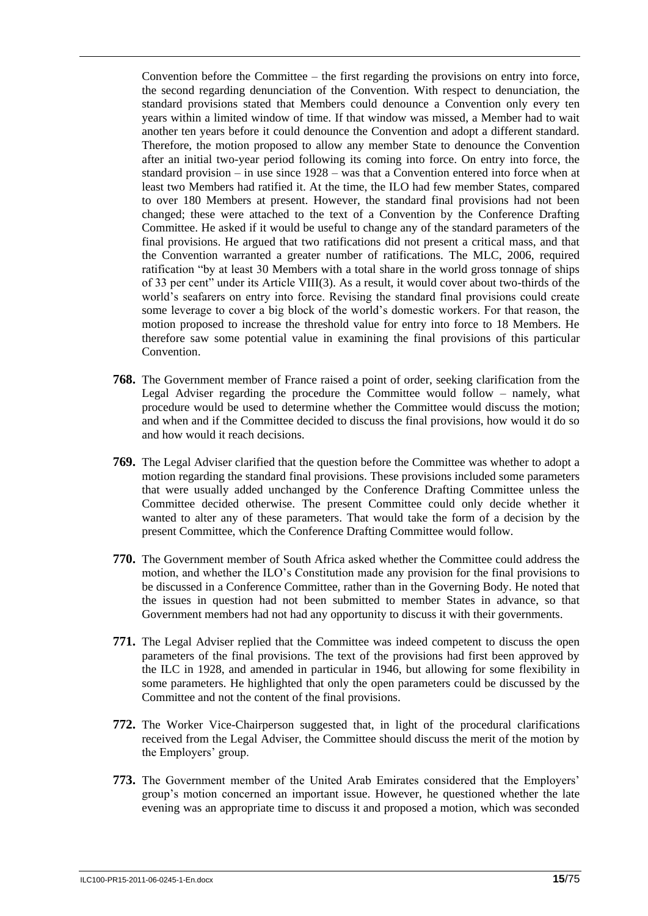Convention before the Committee – the first regarding the provisions on entry into force, the second regarding denunciation of the Convention. With respect to denunciation, the standard provisions stated that Members could denounce a Convention only every ten years within a limited window of time. If that window was missed, a Member had to wait another ten years before it could denounce the Convention and adopt a different standard. Therefore, the motion proposed to allow any member State to denounce the Convention after an initial two-year period following its coming into force. On entry into force, the standard provision – in use since 1928 – was that a Convention entered into force when at least two Members had ratified it. At the time, the ILO had few member States, compared to over 180 Members at present. However, the standard final provisions had not been changed; these were attached to the text of a Convention by the Conference Drafting Committee. He asked if it would be useful to change any of the standard parameters of the final provisions. He argued that two ratifications did not present a critical mass, and that the Convention warranted a greater number of ratifications. The MLC, 2006, required ratification "by at least 30 Members with a total share in the world gross tonnage of ships of 33 per cent" under its Article VIII(3). As a result, it would cover about two-thirds of the world"s seafarers on entry into force. Revising the standard final provisions could create some leverage to cover a big block of the world"s domestic workers. For that reason, the motion proposed to increase the threshold value for entry into force to 18 Members. He therefore saw some potential value in examining the final provisions of this particular Convention.

- **768.** The Government member of France raised a point of order, seeking clarification from the Legal Adviser regarding the procedure the Committee would follow – namely, what procedure would be used to determine whether the Committee would discuss the motion; and when and if the Committee decided to discuss the final provisions, how would it do so and how would it reach decisions.
- **769.** The Legal Adviser clarified that the question before the Committee was whether to adopt a motion regarding the standard final provisions. These provisions included some parameters that were usually added unchanged by the Conference Drafting Committee unless the Committee decided otherwise. The present Committee could only decide whether it wanted to alter any of these parameters. That would take the form of a decision by the present Committee, which the Conference Drafting Committee would follow.
- **770.** The Government member of South Africa asked whether the Committee could address the motion, and whether the ILO"s Constitution made any provision for the final provisions to be discussed in a Conference Committee, rather than in the Governing Body. He noted that the issues in question had not been submitted to member States in advance, so that Government members had not had any opportunity to discuss it with their governments.
- **771.** The Legal Adviser replied that the Committee was indeed competent to discuss the open parameters of the final provisions. The text of the provisions had first been approved by the ILC in 1928, and amended in particular in 1946, but allowing for some flexibility in some parameters. He highlighted that only the open parameters could be discussed by the Committee and not the content of the final provisions.
- **772.** The Worker Vice-Chairperson suggested that, in light of the procedural clarifications received from the Legal Adviser, the Committee should discuss the merit of the motion by the Employers' group.
- **773.** The Government member of the United Arab Emirates considered that the Employers' group"s motion concerned an important issue. However, he questioned whether the late evening was an appropriate time to discuss it and proposed a motion, which was seconded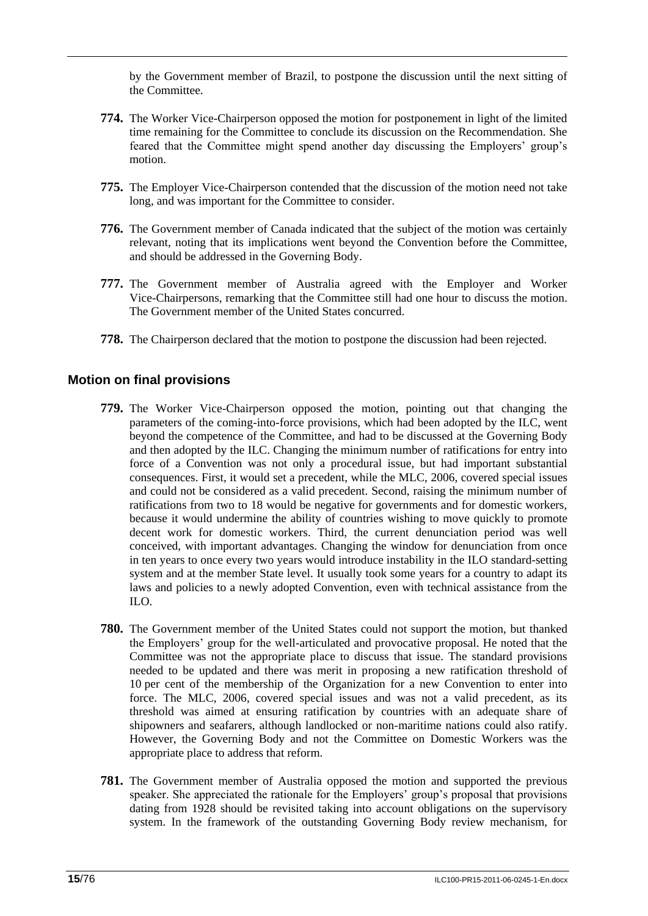by the Government member of Brazil, to postpone the discussion until the next sitting of the Committee.

- **774.** The Worker Vice-Chairperson opposed the motion for postponement in light of the limited time remaining for the Committee to conclude its discussion on the Recommendation. She feared that the Committee might spend another day discussing the Employers' group's motion.
- **775.** The Employer Vice-Chairperson contended that the discussion of the motion need not take long, and was important for the Committee to consider.
- **776.** The Government member of Canada indicated that the subject of the motion was certainly relevant, noting that its implications went beyond the Convention before the Committee, and should be addressed in the Governing Body.
- **777.** The Government member of Australia agreed with the Employer and Worker Vice-Chairpersons, remarking that the Committee still had one hour to discuss the motion. The Government member of the United States concurred.
- **778.** The Chairperson declared that the motion to postpone the discussion had been rejected.

## **Motion on final provisions**

- **779.** The Worker Vice-Chairperson opposed the motion, pointing out that changing the parameters of the coming-into-force provisions, which had been adopted by the ILC, went beyond the competence of the Committee, and had to be discussed at the Governing Body and then adopted by the ILC. Changing the minimum number of ratifications for entry into force of a Convention was not only a procedural issue, but had important substantial consequences. First, it would set a precedent, while the MLC, 2006, covered special issues and could not be considered as a valid precedent. Second, raising the minimum number of ratifications from two to 18 would be negative for governments and for domestic workers, because it would undermine the ability of countries wishing to move quickly to promote decent work for domestic workers. Third, the current denunciation period was well conceived, with important advantages. Changing the window for denunciation from once in ten years to once every two years would introduce instability in the ILO standard-setting system and at the member State level. It usually took some years for a country to adapt its laws and policies to a newly adopted Convention, even with technical assistance from the ILO.
- **780.** The Government member of the United States could not support the motion, but thanked the Employers" group for the well-articulated and provocative proposal. He noted that the Committee was not the appropriate place to discuss that issue. The standard provisions needed to be updated and there was merit in proposing a new ratification threshold of 10 per cent of the membership of the Organization for a new Convention to enter into force. The MLC, 2006, covered special issues and was not a valid precedent, as its threshold was aimed at ensuring ratification by countries with an adequate share of shipowners and seafarers, although landlocked or non-maritime nations could also ratify. However, the Governing Body and not the Committee on Domestic Workers was the appropriate place to address that reform.
- **781.** The Government member of Australia opposed the motion and supported the previous speaker. She appreciated the rationale for the Employers' group's proposal that provisions dating from 1928 should be revisited taking into account obligations on the supervisory system. In the framework of the outstanding Governing Body review mechanism, for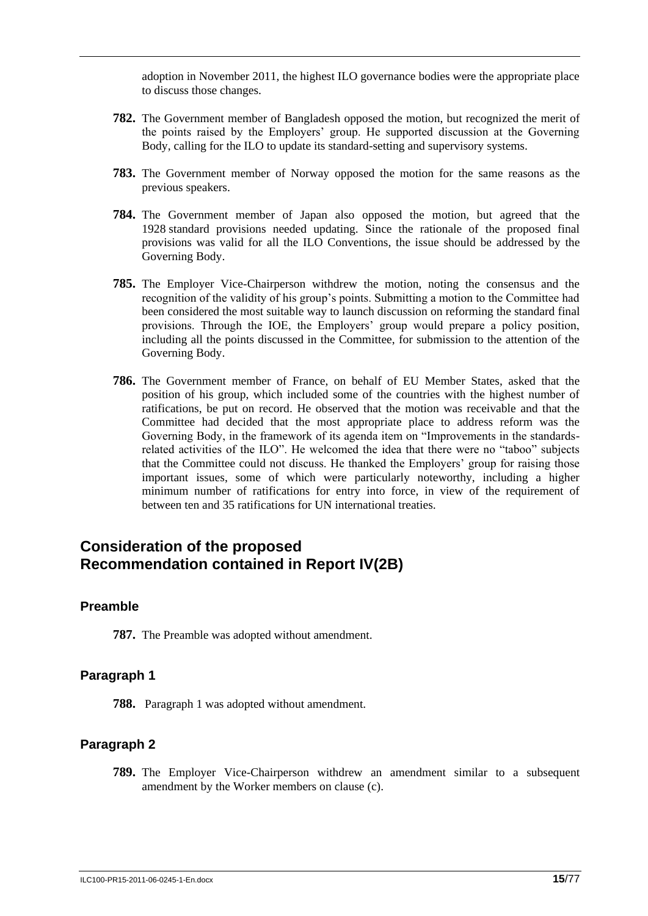adoption in November 2011, the highest ILO governance bodies were the appropriate place to discuss those changes.

- **782.** The Government member of Bangladesh opposed the motion, but recognized the merit of the points raised by the Employers" group. He supported discussion at the Governing Body, calling for the ILO to update its standard-setting and supervisory systems.
- **783.** The Government member of Norway opposed the motion for the same reasons as the previous speakers.
- **784.** The Government member of Japan also opposed the motion, but agreed that the 1928 standard provisions needed updating. Since the rationale of the proposed final provisions was valid for all the ILO Conventions, the issue should be addressed by the Governing Body.
- **785.** The Employer Vice-Chairperson withdrew the motion, noting the consensus and the recognition of the validity of his group"s points. Submitting a motion to the Committee had been considered the most suitable way to launch discussion on reforming the standard final provisions. Through the IOE, the Employers" group would prepare a policy position, including all the points discussed in the Committee, for submission to the attention of the Governing Body.
- **786.** The Government member of France, on behalf of EU Member States, asked that the position of his group, which included some of the countries with the highest number of ratifications, be put on record. He observed that the motion was receivable and that the Committee had decided that the most appropriate place to address reform was the Governing Body, in the framework of its agenda item on "Improvements in the standardsrelated activities of the ILO". He welcomed the idea that there were no "taboo" subjects that the Committee could not discuss. He thanked the Employers' group for raising those important issues, some of which were particularly noteworthy, including a higher minimum number of ratifications for entry into force, in view of the requirement of between ten and 35 ratifications for UN international treaties.

# **Consideration of the proposed Recommendation contained in Report IV(2B)**

## **Preamble**

**787.** The Preamble was adopted without amendment.

## **Paragraph 1**

**788.** Paragraph 1 was adopted without amendment.

## **Paragraph 2**

**789.** The Employer Vice-Chairperson withdrew an amendment similar to a subsequent amendment by the Worker members on clause (c).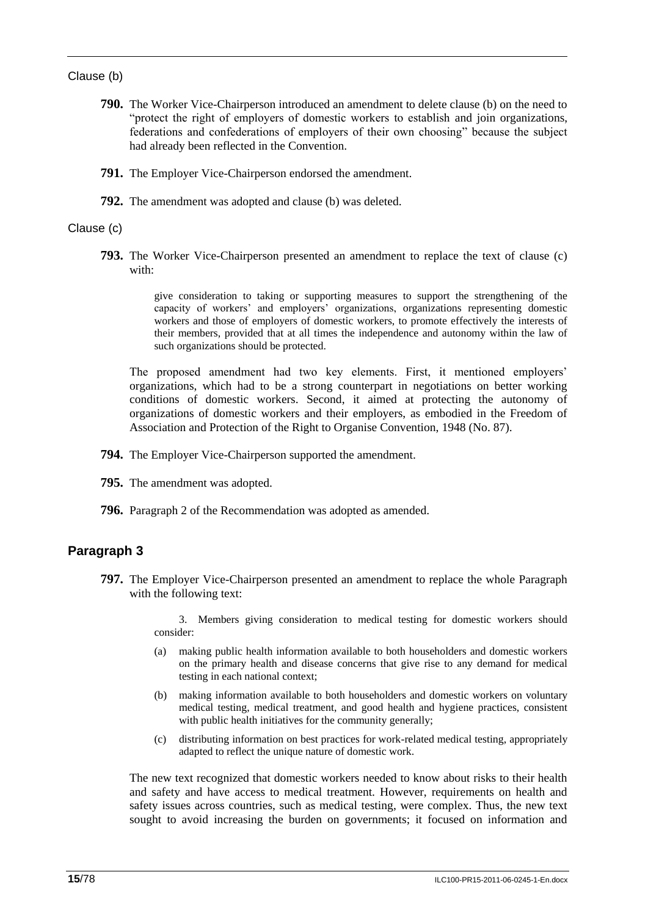#### Clause (b)

- **790.** The Worker Vice-Chairperson introduced an amendment to delete clause (b) on the need to "protect the right of employers of domestic workers to establish and join organizations, federations and confederations of employers of their own choosing" because the subject had already been reflected in the Convention.
- **791.** The Employer Vice-Chairperson endorsed the amendment.
- **792.** The amendment was adopted and clause (b) was deleted.

#### Clause (c)

**793.** The Worker Vice-Chairperson presented an amendment to replace the text of clause (c) with:

> give consideration to taking or supporting measures to support the strengthening of the capacity of workers" and employers" organizations, organizations representing domestic workers and those of employers of domestic workers, to promote effectively the interests of their members, provided that at all times the independence and autonomy within the law of such organizations should be protected.

The proposed amendment had two key elements. First, it mentioned employers' organizations, which had to be a strong counterpart in negotiations on better working conditions of domestic workers. Second, it aimed at protecting the autonomy of organizations of domestic workers and their employers, as embodied in the Freedom of Association and Protection of the Right to Organise Convention, 1948 (No. 87).

- **794.** The Employer Vice-Chairperson supported the amendment.
- **795.** The amendment was adopted.
- **796.** Paragraph 2 of the Recommendation was adopted as amended.

# **Paragraph 3**

**797.** The Employer Vice-Chairperson presented an amendment to replace the whole Paragraph with the following text:

> 3. Members giving consideration to medical testing for domestic workers should consider:

- (a) making public health information available to both householders and domestic workers on the primary health and disease concerns that give rise to any demand for medical testing in each national context;
- (b) making information available to both householders and domestic workers on voluntary medical testing, medical treatment, and good health and hygiene practices, consistent with public health initiatives for the community generally;
- (c) distributing information on best practices for work-related medical testing, appropriately adapted to reflect the unique nature of domestic work.

The new text recognized that domestic workers needed to know about risks to their health and safety and have access to medical treatment. However, requirements on health and safety issues across countries, such as medical testing, were complex. Thus, the new text sought to avoid increasing the burden on governments; it focused on information and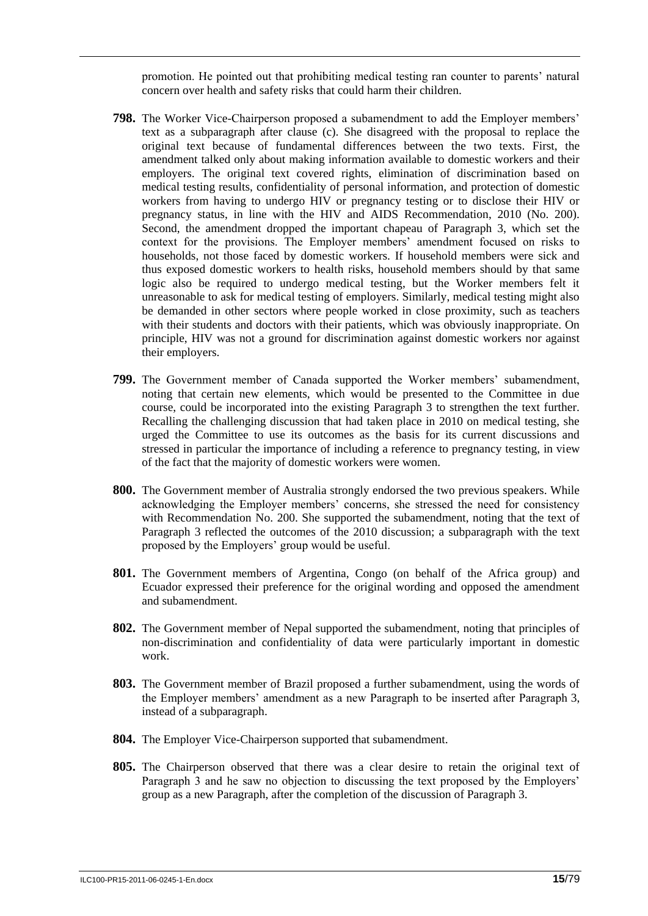promotion. He pointed out that prohibiting medical testing ran counter to parents' natural concern over health and safety risks that could harm their children.

- **798.** The Worker Vice-Chairperson proposed a subamendment to add the Employer members' text as a subparagraph after clause (c). She disagreed with the proposal to replace the original text because of fundamental differences between the two texts. First, the amendment talked only about making information available to domestic workers and their employers. The original text covered rights, elimination of discrimination based on medical testing results, confidentiality of personal information, and protection of domestic workers from having to undergo HIV or pregnancy testing or to disclose their HIV or pregnancy status, in line with the HIV and AIDS Recommendation, 2010 (No. 200). Second, the amendment dropped the important chapeau of Paragraph 3, which set the context for the provisions. The Employer members' amendment focused on risks to households, not those faced by domestic workers. If household members were sick and thus exposed domestic workers to health risks, household members should by that same logic also be required to undergo medical testing, but the Worker members felt it unreasonable to ask for medical testing of employers. Similarly, medical testing might also be demanded in other sectors where people worked in close proximity, such as teachers with their students and doctors with their patients, which was obviously inappropriate. On principle, HIV was not a ground for discrimination against domestic workers nor against their employers.
- 799. The Government member of Canada supported the Worker members' subamendment, noting that certain new elements, which would be presented to the Committee in due course, could be incorporated into the existing Paragraph 3 to strengthen the text further. Recalling the challenging discussion that had taken place in 2010 on medical testing, she urged the Committee to use its outcomes as the basis for its current discussions and stressed in particular the importance of including a reference to pregnancy testing, in view of the fact that the majority of domestic workers were women.
- **800.** The Government member of Australia strongly endorsed the two previous speakers. While acknowledging the Employer members" concerns, she stressed the need for consistency with Recommendation No. 200. She supported the subamendment, noting that the text of Paragraph 3 reflected the outcomes of the 2010 discussion; a subparagraph with the text proposed by the Employers" group would be useful.
- **801.** The Government members of Argentina, Congo (on behalf of the Africa group) and Ecuador expressed their preference for the original wording and opposed the amendment and subamendment.
- **802.** The Government member of Nepal supported the subamendment, noting that principles of non-discrimination and confidentiality of data were particularly important in domestic work.
- **803.** The Government member of Brazil proposed a further subamendment, using the words of the Employer members" amendment as a new Paragraph to be inserted after Paragraph 3, instead of a subparagraph.
- **804.** The Employer Vice-Chairperson supported that subamendment.
- **805.** The Chairperson observed that there was a clear desire to retain the original text of Paragraph 3 and he saw no objection to discussing the text proposed by the Employers' group as a new Paragraph, after the completion of the discussion of Paragraph 3.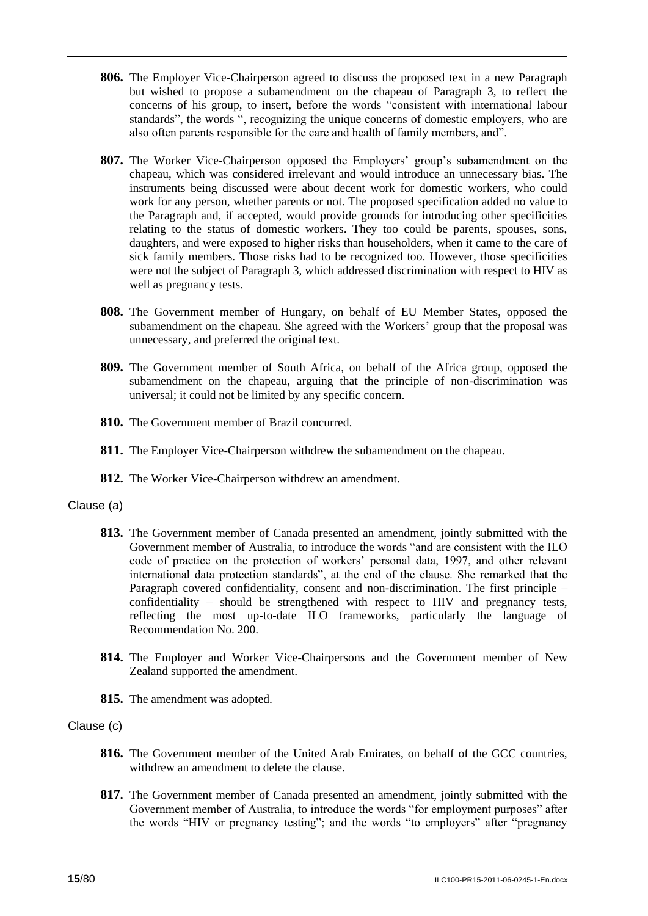- **806.** The Employer Vice-Chairperson agreed to discuss the proposed text in a new Paragraph but wished to propose a subamendment on the chapeau of Paragraph 3, to reflect the concerns of his group, to insert, before the words "consistent with international labour standards", the words ", recognizing the unique concerns of domestic employers, who are also often parents responsible for the care and health of family members, and".
- **807.** The Worker Vice-Chairperson opposed the Employers' group's subamendment on the chapeau, which was considered irrelevant and would introduce an unnecessary bias. The instruments being discussed were about decent work for domestic workers, who could work for any person, whether parents or not. The proposed specification added no value to the Paragraph and, if accepted, would provide grounds for introducing other specificities relating to the status of domestic workers. They too could be parents, spouses, sons, daughters, and were exposed to higher risks than householders, when it came to the care of sick family members. Those risks had to be recognized too. However, those specificities were not the subject of Paragraph 3, which addressed discrimination with respect to HIV as well as pregnancy tests.
- **808.** The Government member of Hungary, on behalf of EU Member States, opposed the subamendment on the chapeau. She agreed with the Workers' group that the proposal was unnecessary, and preferred the original text.
- **809.** The Government member of South Africa, on behalf of the Africa group, opposed the subamendment on the chapeau, arguing that the principle of non-discrimination was universal; it could not be limited by any specific concern.
- **810.** The Government member of Brazil concurred.
- **811.** The Employer Vice-Chairperson withdrew the subamendment on the chapeau.
- **812.** The Worker Vice-Chairperson withdrew an amendment.

#### Clause (a)

- **813.** The Government member of Canada presented an amendment, jointly submitted with the Government member of Australia, to introduce the words "and are consistent with the ILO code of practice on the protection of workers" personal data, 1997, and other relevant international data protection standards", at the end of the clause. She remarked that the Paragraph covered confidentiality, consent and non-discrimination. The first principle – confidentiality – should be strengthened with respect to HIV and pregnancy tests, reflecting the most up-to-date ILO frameworks, particularly the language of Recommendation No. 200.
- **814.** The Employer and Worker Vice-Chairpersons and the Government member of New Zealand supported the amendment.
- **815.** The amendment was adopted.

#### Clause (c)

- **816.** The Government member of the United Arab Emirates, on behalf of the GCC countries, withdrew an amendment to delete the clause.
- **817.** The Government member of Canada presented an amendment, jointly submitted with the Government member of Australia, to introduce the words "for employment purposes" after the words "HIV or pregnancy testing"; and the words "to employers" after "pregnancy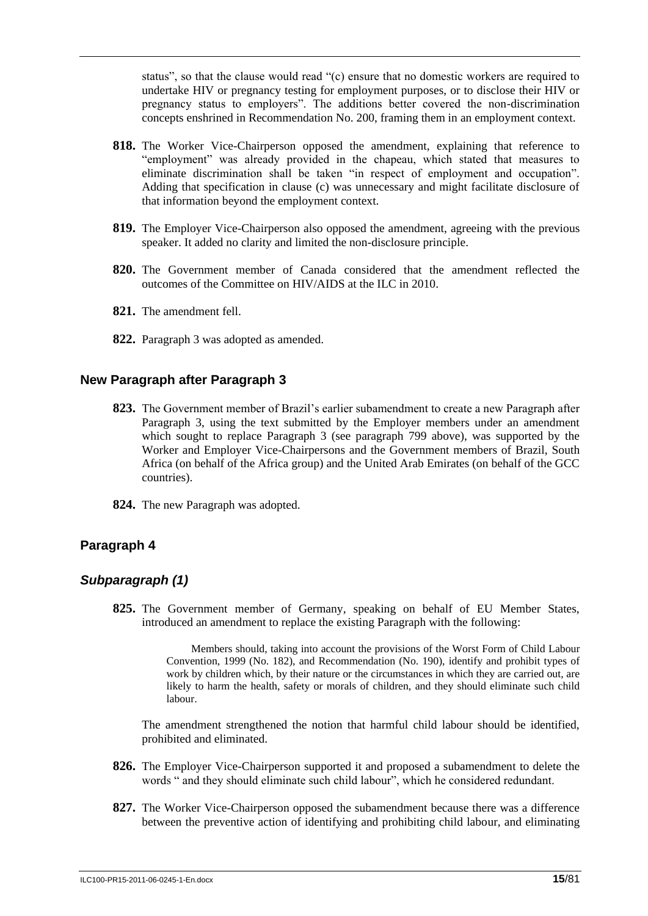status", so that the clause would read "(c) ensure that no domestic workers are required to undertake HIV or pregnancy testing for employment purposes, or to disclose their HIV or pregnancy status to employers". The additions better covered the non-discrimination concepts enshrined in Recommendation No. 200, framing them in an employment context.

- **818.** The Worker Vice-Chairperson opposed the amendment, explaining that reference to "employment" was already provided in the chapeau, which stated that measures to eliminate discrimination shall be taken "in respect of employment and occupation". Adding that specification in clause (c) was unnecessary and might facilitate disclosure of that information beyond the employment context.
- **819.** The Employer Vice-Chairperson also opposed the amendment, agreeing with the previous speaker. It added no clarity and limited the non-disclosure principle.
- **820.** The Government member of Canada considered that the amendment reflected the outcomes of the Committee on HIV/AIDS at the ILC in 2010.
- **821.** The amendment fell.
- **822.** Paragraph 3 was adopted as amended.

### **New Paragraph after Paragraph 3**

- **823.** The Government member of Brazil's earlier subamendment to create a new Paragraph after Paragraph 3, using the text submitted by the Employer members under an amendment which sought to replace Paragraph 3 (see paragraph 799 above), was supported by the Worker and Employer Vice-Chairpersons and the Government members of Brazil, South Africa (on behalf of the Africa group) and the United Arab Emirates (on behalf of the GCC countries).
- **824.** The new Paragraph was adopted.

## **Paragraph 4**

## *Subparagraph (1)*

**825.** The Government member of Germany, speaking on behalf of EU Member States, introduced an amendment to replace the existing Paragraph with the following:

> Members should, taking into account the provisions of the Worst Form of Child Labour Convention, 1999 (No. 182), and Recommendation (No. 190), identify and prohibit types of work by children which, by their nature or the circumstances in which they are carried out, are likely to harm the health, safety or morals of children, and they should eliminate such child labour.

The amendment strengthened the notion that harmful child labour should be identified, prohibited and eliminated.

- **826.** The Employer Vice-Chairperson supported it and proposed a subamendment to delete the words " and they should eliminate such child labour", which he considered redundant.
- **827.** The Worker Vice-Chairperson opposed the subamendment because there was a difference between the preventive action of identifying and prohibiting child labour, and eliminating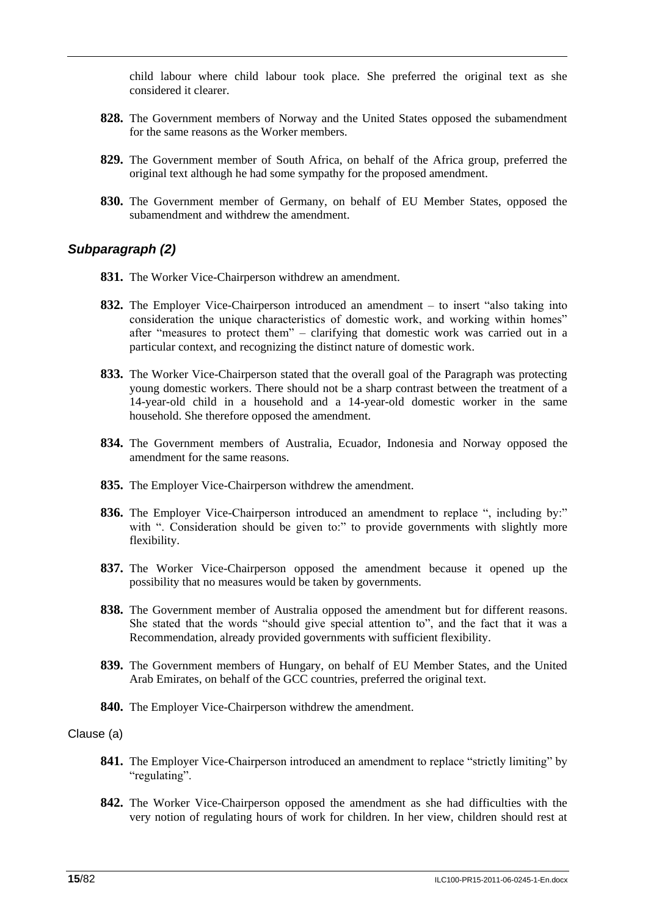child labour where child labour took place. She preferred the original text as she considered it clearer.

- **828.** The Government members of Norway and the United States opposed the subamendment for the same reasons as the Worker members.
- **829.** The Government member of South Africa, on behalf of the Africa group, preferred the original text although he had some sympathy for the proposed amendment.
- **830.** The Government member of Germany, on behalf of EU Member States, opposed the subamendment and withdrew the amendment.

### *Subparagraph (2)*

- **831.** The Worker Vice-Chairperson withdrew an amendment.
- **832.** The Employer Vice-Chairperson introduced an amendment to insert "also taking into consideration the unique characteristics of domestic work, and working within homes" after "measures to protect them" – clarifying that domestic work was carried out in a particular context, and recognizing the distinct nature of domestic work.
- **833.** The Worker Vice-Chairperson stated that the overall goal of the Paragraph was protecting young domestic workers. There should not be a sharp contrast between the treatment of a 14-year-old child in a household and a 14-year-old domestic worker in the same household. She therefore opposed the amendment.
- **834.** The Government members of Australia, Ecuador, Indonesia and Norway opposed the amendment for the same reasons.
- **835.** The Employer Vice-Chairperson withdrew the amendment.
- **836.** The Employer Vice-Chairperson introduced an amendment to replace ", including by:" with ". Consideration should be given to:" to provide governments with slightly more flexibility.
- **837.** The Worker Vice-Chairperson opposed the amendment because it opened up the possibility that no measures would be taken by governments.
- **838.** The Government member of Australia opposed the amendment but for different reasons. She stated that the words "should give special attention to", and the fact that it was a Recommendation, already provided governments with sufficient flexibility.
- **839.** The Government members of Hungary, on behalf of EU Member States, and the United Arab Emirates, on behalf of the GCC countries, preferred the original text.
- **840.** The Employer Vice-Chairperson withdrew the amendment.

### Clause (a)

- **841.** The Employer Vice-Chairperson introduced an amendment to replace "strictly limiting" by "regulating".
- **842.** The Worker Vice-Chairperson opposed the amendment as she had difficulties with the very notion of regulating hours of work for children. In her view, children should rest at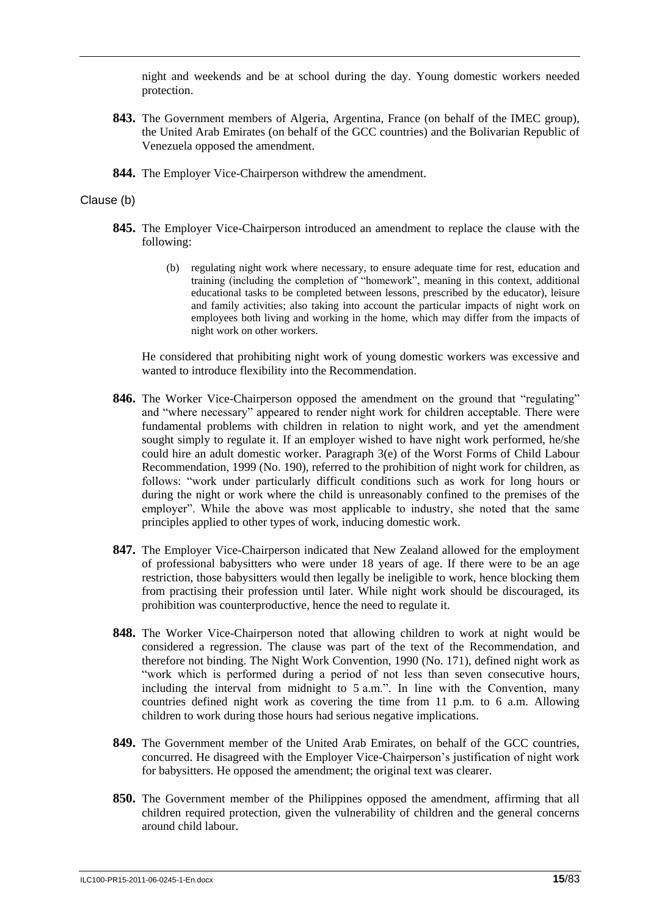night and weekends and be at school during the day. Young domestic workers needed protection.

- **843.** The Government members of Algeria, Argentina, France (on behalf of the IMEC group), the United Arab Emirates (on behalf of the GCC countries) and the Bolivarian Republic of Venezuela opposed the amendment.
- **844.** The Employer Vice-Chairperson withdrew the amendment.

#### Clause (b)

- **845.** The Employer Vice-Chairperson introduced an amendment to replace the clause with the following:
	- (b) regulating night work where necessary, to ensure adequate time for rest, education and training (including the completion of "homework", meaning in this context, additional educational tasks to be completed between lessons, prescribed by the educator), leisure and family activities; also taking into account the particular impacts of night work on employees both living and working in the home, which may differ from the impacts of night work on other workers.

He considered that prohibiting night work of young domestic workers was excessive and wanted to introduce flexibility into the Recommendation.

- 846. The Worker Vice-Chairperson opposed the amendment on the ground that "regulating" and "where necessary" appeared to render night work for children acceptable. There were fundamental problems with children in relation to night work, and yet the amendment sought simply to regulate it. If an employer wished to have night work performed, he/she could hire an adult domestic worker. Paragraph 3(e) of the Worst Forms of Child Labour Recommendation, 1999 (No. 190), referred to the prohibition of night work for children, as follows: "work under particularly difficult conditions such as work for long hours or during the night or work where the child is unreasonably confined to the premises of the employer". While the above was most applicable to industry, she noted that the same principles applied to other types of work, inducing domestic work.
- **847.** The Employer Vice-Chairperson indicated that New Zealand allowed for the employment of professional babysitters who were under 18 years of age. If there were to be an age restriction, those babysitters would then legally be ineligible to work, hence blocking them from practising their profession until later. While night work should be discouraged, its prohibition was counterproductive, hence the need to regulate it.
- **848.** The Worker Vice-Chairperson noted that allowing children to work at night would be considered a regression. The clause was part of the text of the Recommendation, and therefore not binding. The Night Work Convention, 1990 (No. 171), defined night work as "work which is performed during a period of not less than seven consecutive hours, including the interval from midnight to 5 a.m.". In line with the Convention, many countries defined night work as covering the time from 11 p.m. to 6 a.m. Allowing children to work during those hours had serious negative implications.
- **849.** The Government member of the United Arab Emirates, on behalf of the GCC countries, concurred. He disagreed with the Employer Vice-Chairperson"s justification of night work for babysitters. He opposed the amendment; the original text was clearer.
- **850.** The Government member of the Philippines opposed the amendment, affirming that all children required protection, given the vulnerability of children and the general concerns around child labour.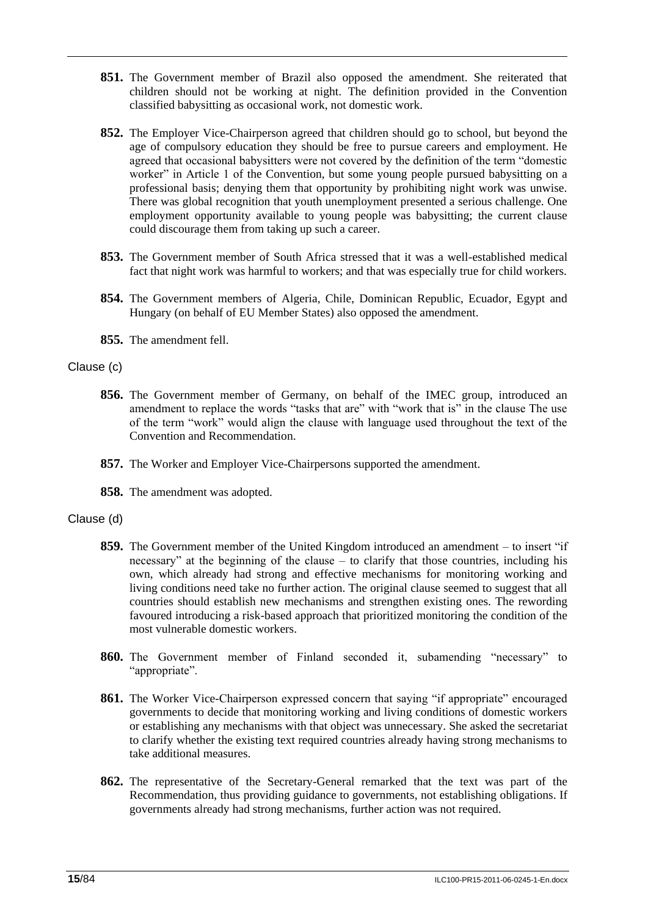- **851.** The Government member of Brazil also opposed the amendment. She reiterated that children should not be working at night. The definition provided in the Convention classified babysitting as occasional work, not domestic work.
- **852.** The Employer Vice-Chairperson agreed that children should go to school, but beyond the age of compulsory education they should be free to pursue careers and employment. He agreed that occasional babysitters were not covered by the definition of the term "domestic worker" in Article 1 of the Convention, but some young people pursued babysitting on a professional basis; denying them that opportunity by prohibiting night work was unwise. There was global recognition that youth unemployment presented a serious challenge. One employment opportunity available to young people was babysitting; the current clause could discourage them from taking up such a career.
- **853.** The Government member of South Africa stressed that it was a well-established medical fact that night work was harmful to workers; and that was especially true for child workers.
- **854.** The Government members of Algeria, Chile, Dominican Republic, Ecuador, Egypt and Hungary (on behalf of EU Member States) also opposed the amendment.
- **855.** The amendment fell.

### Clause (c)

- **856.** The Government member of Germany, on behalf of the IMEC group, introduced an amendment to replace the words "tasks that are" with "work that is" in the clause The use of the term "work" would align the clause with language used throughout the text of the Convention and Recommendation.
- **857.** The Worker and Employer Vice-Chairpersons supported the amendment.
- **858.** The amendment was adopted.

#### Clause (d)

- **859.** The Government member of the United Kingdom introduced an amendment to insert "if necessary" at the beginning of the clause – to clarify that those countries, including his own, which already had strong and effective mechanisms for monitoring working and living conditions need take no further action. The original clause seemed to suggest that all countries should establish new mechanisms and strengthen existing ones. The rewording favoured introducing a risk-based approach that prioritized monitoring the condition of the most vulnerable domestic workers.
- **860.** The Government member of Finland seconded it, subamending "necessary" to "appropriate".
- **861.** The Worker Vice-Chairperson expressed concern that saying "if appropriate" encouraged governments to decide that monitoring working and living conditions of domestic workers or establishing any mechanisms with that object was unnecessary. She asked the secretariat to clarify whether the existing text required countries already having strong mechanisms to take additional measures.
- **862.** The representative of the Secretary-General remarked that the text was part of the Recommendation, thus providing guidance to governments, not establishing obligations. If governments already had strong mechanisms, further action was not required.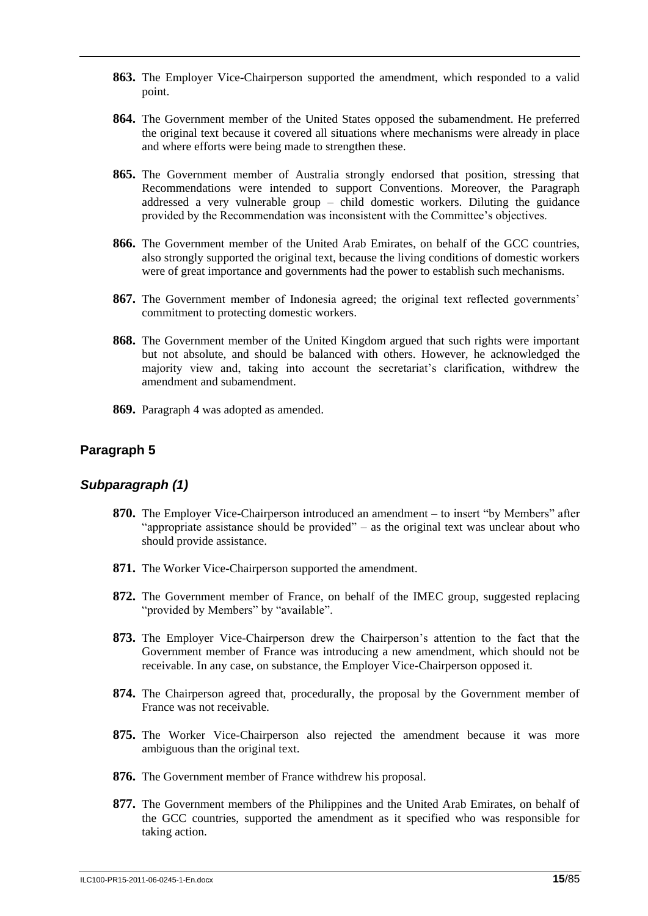- **863.** The Employer Vice-Chairperson supported the amendment, which responded to a valid point.
- **864.** The Government member of the United States opposed the subamendment. He preferred the original text because it covered all situations where mechanisms were already in place and where efforts were being made to strengthen these.
- **865.** The Government member of Australia strongly endorsed that position, stressing that Recommendations were intended to support Conventions. Moreover, the Paragraph addressed a very vulnerable group – child domestic workers. Diluting the guidance provided by the Recommendation was inconsistent with the Committee's objectives.
- **866.** The Government member of the United Arab Emirates, on behalf of the GCC countries, also strongly supported the original text, because the living conditions of domestic workers were of great importance and governments had the power to establish such mechanisms.
- **867.** The Government member of Indonesia agreed; the original text reflected governments' commitment to protecting domestic workers.
- **868.** The Government member of the United Kingdom argued that such rights were important but not absolute, and should be balanced with others. However, he acknowledged the majority view and, taking into account the secretariat's clarification, withdrew the amendment and subamendment.
- **869.** Paragraph 4 was adopted as amended.

## *Subparagraph (1)*

- **870.** The Employer Vice-Chairperson introduced an amendment to insert "by Members" after "appropriate assistance should be provided" – as the original text was unclear about who should provide assistance.
- **871.** The Worker Vice-Chairperson supported the amendment.
- **872.** The Government member of France, on behalf of the IMEC group, suggested replacing "provided by Members" by "available".
- 873. The Employer Vice-Chairperson drew the Chairperson's attention to the fact that the Government member of France was introducing a new amendment, which should not be receivable. In any case, on substance, the Employer Vice-Chairperson opposed it.
- **874.** The Chairperson agreed that, procedurally, the proposal by the Government member of France was not receivable.
- **875.** The Worker Vice-Chairperson also rejected the amendment because it was more ambiguous than the original text.
- **876.** The Government member of France withdrew his proposal.
- **877.** The Government members of the Philippines and the United Arab Emirates, on behalf of the GCC countries, supported the amendment as it specified who was responsible for taking action.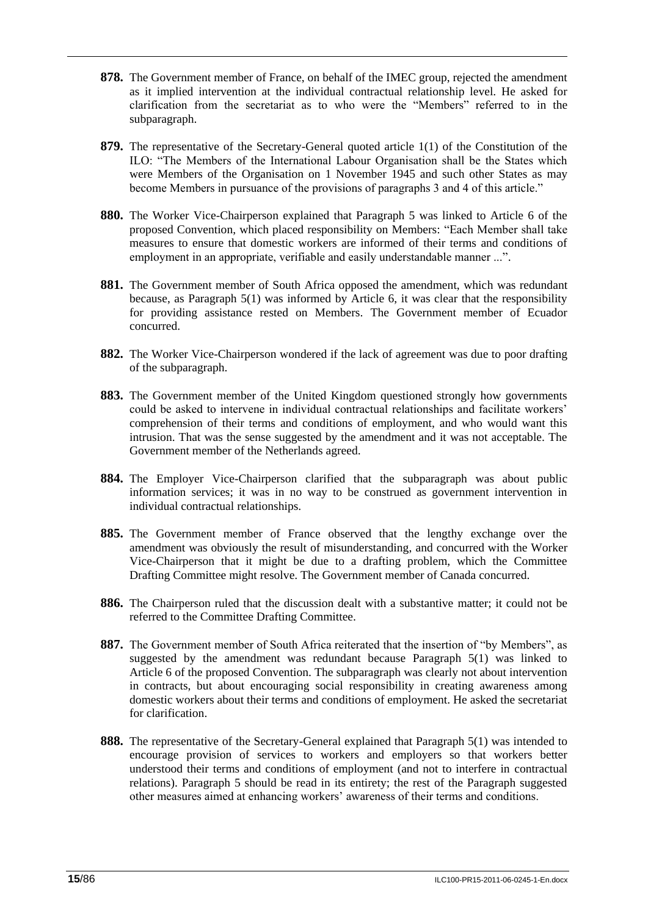- **878.** The Government member of France, on behalf of the IMEC group, rejected the amendment as it implied intervention at the individual contractual relationship level. He asked for clarification from the secretariat as to who were the "Members" referred to in the subparagraph.
- **879.** The representative of the Secretary-General quoted article 1(1) of the Constitution of the ILO: "The Members of the International Labour Organisation shall be the States which were Members of the Organisation on 1 November 1945 and such other States as may become Members in pursuance of the provisions of paragraphs 3 and 4 of this article."
- **880.** The Worker Vice-Chairperson explained that Paragraph 5 was linked to Article 6 of the proposed Convention, which placed responsibility on Members: "Each Member shall take measures to ensure that domestic workers are informed of their terms and conditions of employment in an appropriate, verifiable and easily understandable manner ...".
- **881.** The Government member of South Africa opposed the amendment, which was redundant because, as Paragraph 5(1) was informed by Article 6, it was clear that the responsibility for providing assistance rested on Members. The Government member of Ecuador concurred.
- **882.** The Worker Vice-Chairperson wondered if the lack of agreement was due to poor drafting of the subparagraph.
- **883.** The Government member of the United Kingdom questioned strongly how governments could be asked to intervene in individual contractual relationships and facilitate workers" comprehension of their terms and conditions of employment, and who would want this intrusion. That was the sense suggested by the amendment and it was not acceptable. The Government member of the Netherlands agreed.
- **884.** The Employer Vice-Chairperson clarified that the subparagraph was about public information services; it was in no way to be construed as government intervention in individual contractual relationships.
- **885.** The Government member of France observed that the lengthy exchange over the amendment was obviously the result of misunderstanding, and concurred with the Worker Vice-Chairperson that it might be due to a drafting problem, which the Committee Drafting Committee might resolve. The Government member of Canada concurred.
- **886.** The Chairperson ruled that the discussion dealt with a substantive matter; it could not be referred to the Committee Drafting Committee.
- **887.** The Government member of South Africa reiterated that the insertion of "by Members", as suggested by the amendment was redundant because Paragraph 5(1) was linked to Article 6 of the proposed Convention. The subparagraph was clearly not about intervention in contracts, but about encouraging social responsibility in creating awareness among domestic workers about their terms and conditions of employment. He asked the secretariat for clarification.
- **888.** The representative of the Secretary-General explained that Paragraph 5(1) was intended to encourage provision of services to workers and employers so that workers better understood their terms and conditions of employment (and not to interfere in contractual relations). Paragraph 5 should be read in its entirety; the rest of the Paragraph suggested other measures aimed at enhancing workers" awareness of their terms and conditions.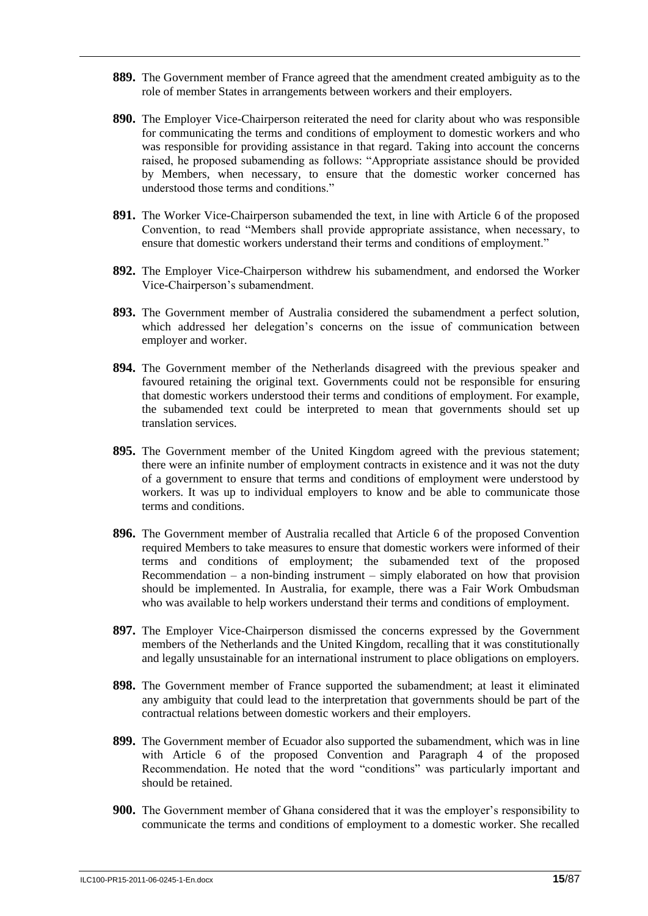- **889.** The Government member of France agreed that the amendment created ambiguity as to the role of member States in arrangements between workers and their employers.
- **890.** The Employer Vice-Chairperson reiterated the need for clarity about who was responsible for communicating the terms and conditions of employment to domestic workers and who was responsible for providing assistance in that regard. Taking into account the concerns raised, he proposed subamending as follows: "Appropriate assistance should be provided by Members, when necessary, to ensure that the domestic worker concerned has understood those terms and conditions."
- **891.** The Worker Vice-Chairperson subamended the text, in line with Article 6 of the proposed Convention, to read "Members shall provide appropriate assistance, when necessary, to ensure that domestic workers understand their terms and conditions of employment."
- **892.** The Employer Vice-Chairperson withdrew his subamendment, and endorsed the Worker Vice-Chairperson"s subamendment.
- **893.** The Government member of Australia considered the subamendment a perfect solution, which addressed her delegation"s concerns on the issue of communication between employer and worker.
- **894.** The Government member of the Netherlands disagreed with the previous speaker and favoured retaining the original text. Governments could not be responsible for ensuring that domestic workers understood their terms and conditions of employment. For example, the subamended text could be interpreted to mean that governments should set up translation services.
- **895.** The Government member of the United Kingdom agreed with the previous statement; there were an infinite number of employment contracts in existence and it was not the duty of a government to ensure that terms and conditions of employment were understood by workers. It was up to individual employers to know and be able to communicate those terms and conditions.
- **896.** The Government member of Australia recalled that Article 6 of the proposed Convention required Members to take measures to ensure that domestic workers were informed of their terms and conditions of employment; the subamended text of the proposed Recommendation – a non-binding instrument – simply elaborated on how that provision should be implemented. In Australia, for example, there was a Fair Work Ombudsman who was available to help workers understand their terms and conditions of employment.
- **897.** The Employer Vice-Chairperson dismissed the concerns expressed by the Government members of the Netherlands and the United Kingdom, recalling that it was constitutionally and legally unsustainable for an international instrument to place obligations on employers.
- **898.** The Government member of France supported the subamendment; at least it eliminated any ambiguity that could lead to the interpretation that governments should be part of the contractual relations between domestic workers and their employers.
- **899.** The Government member of Ecuador also supported the subamendment, which was in line with Article 6 of the proposed Convention and Paragraph 4 of the proposed Recommendation. He noted that the word "conditions" was particularly important and should be retained.
- **900.** The Government member of Ghana considered that it was the employer's responsibility to communicate the terms and conditions of employment to a domestic worker. She recalled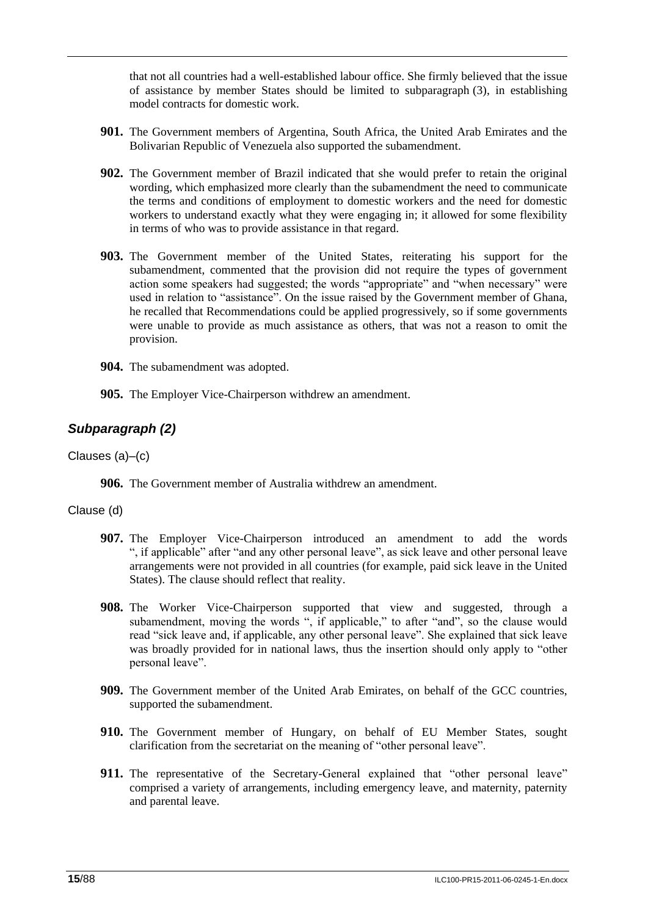that not all countries had a well-established labour office. She firmly believed that the issue of assistance by member States should be limited to subparagraph (3), in establishing model contracts for domestic work.

- **901.** The Government members of Argentina, South Africa, the United Arab Emirates and the Bolivarian Republic of Venezuela also supported the subamendment.
- **902.** The Government member of Brazil indicated that she would prefer to retain the original wording, which emphasized more clearly than the subamendment the need to communicate the terms and conditions of employment to domestic workers and the need for domestic workers to understand exactly what they were engaging in; it allowed for some flexibility in terms of who was to provide assistance in that regard.
- **903.** The Government member of the United States, reiterating his support for the subamendment, commented that the provision did not require the types of government action some speakers had suggested; the words "appropriate" and "when necessary" were used in relation to "assistance". On the issue raised by the Government member of Ghana, he recalled that Recommendations could be applied progressively, so if some governments were unable to provide as much assistance as others, that was not a reason to omit the provision.
- **904.** The subamendment was adopted.
- **905.** The Employer Vice-Chairperson withdrew an amendment.

## *Subparagraph (2)*

Clauses (a)–(c)

**906.** The Government member of Australia withdrew an amendment.

## Clause (d)

- **907.** The Employer Vice-Chairperson introduced an amendment to add the words ", if applicable" after "and any other personal leave", as sick leave and other personal leave arrangements were not provided in all countries (for example, paid sick leave in the United States). The clause should reflect that reality.
- **908.** The Worker Vice-Chairperson supported that view and suggested, through a subamendment, moving the words ", if applicable," to after "and", so the clause would read "sick leave and, if applicable, any other personal leave". She explained that sick leave was broadly provided for in national laws, thus the insertion should only apply to "other personal leave".
- **909.** The Government member of the United Arab Emirates, on behalf of the GCC countries, supported the subamendment.
- **910.** The Government member of Hungary, on behalf of EU Member States, sought clarification from the secretariat on the meaning of "other personal leave".
- **911.** The representative of the Secretary-General explained that "other personal leave" comprised a variety of arrangements, including emergency leave, and maternity, paternity and parental leave.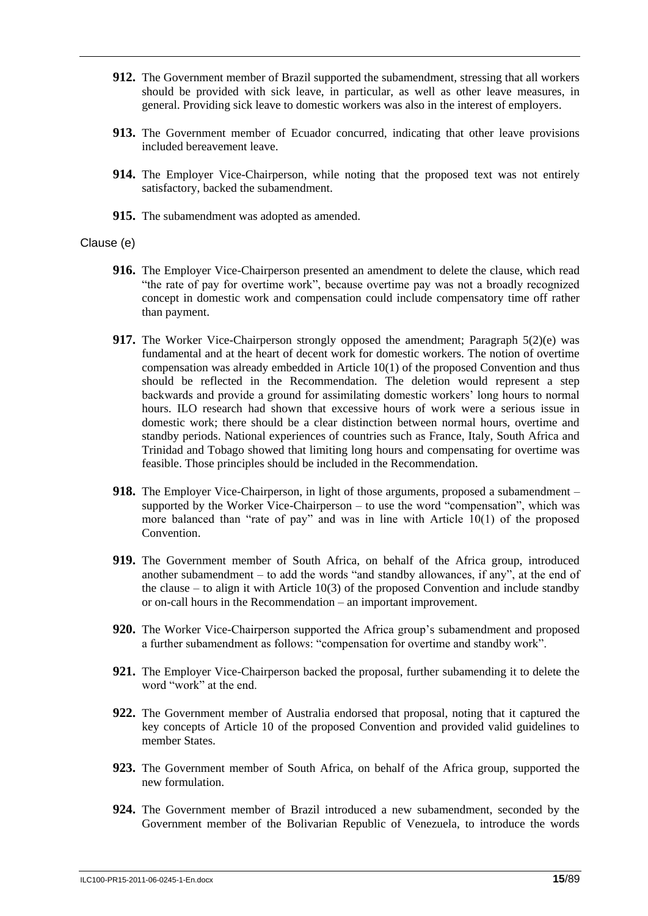- **912.** The Government member of Brazil supported the subamendment, stressing that all workers should be provided with sick leave, in particular, as well as other leave measures, in general. Providing sick leave to domestic workers was also in the interest of employers.
- **913.** The Government member of Ecuador concurred, indicating that other leave provisions included bereavement leave.
- **914.** The Employer Vice-Chairperson, while noting that the proposed text was not entirely satisfactory, backed the subamendment.
- **915.** The subamendment was adopted as amended.

#### Clause (e)

- **916.** The Employer Vice-Chairperson presented an amendment to delete the clause, which read "the rate of pay for overtime work", because overtime pay was not a broadly recognized concept in domestic work and compensation could include compensatory time off rather than payment.
- **917.** The Worker Vice-Chairperson strongly opposed the amendment; Paragraph 5(2)(e) was fundamental and at the heart of decent work for domestic workers. The notion of overtime compensation was already embedded in Article 10(1) of the proposed Convention and thus should be reflected in the Recommendation. The deletion would represent a step backwards and provide a ground for assimilating domestic workers" long hours to normal hours. ILO research had shown that excessive hours of work were a serious issue in domestic work; there should be a clear distinction between normal hours, overtime and standby periods. National experiences of countries such as France, Italy, South Africa and Trinidad and Tobago showed that limiting long hours and compensating for overtime was feasible. Those principles should be included in the Recommendation.
- **918.** The Employer Vice-Chairperson, in light of those arguments, proposed a subamendment supported by the Worker Vice-Chairperson – to use the word "compensation", which was more balanced than "rate of pay" and was in line with Article  $10(1)$  of the proposed **Convention**
- **919.** The Government member of South Africa, on behalf of the Africa group, introduced another subamendment – to add the words "and standby allowances, if any", at the end of the clause – to align it with Article 10(3) of the proposed Convention and include standby or on-call hours in the Recommendation – an important improvement.
- **920.** The Worker Vice-Chairperson supported the Africa group's subamendment and proposed a further subamendment as follows: "compensation for overtime and standby work".
- **921.** The Employer Vice-Chairperson backed the proposal, further subamending it to delete the word "work" at the end.
- **922.** The Government member of Australia endorsed that proposal, noting that it captured the key concepts of Article 10 of the proposed Convention and provided valid guidelines to member States.
- **923.** The Government member of South Africa, on behalf of the Africa group, supported the new formulation.
- **924.** The Government member of Brazil introduced a new subamendment, seconded by the Government member of the Bolivarian Republic of Venezuela, to introduce the words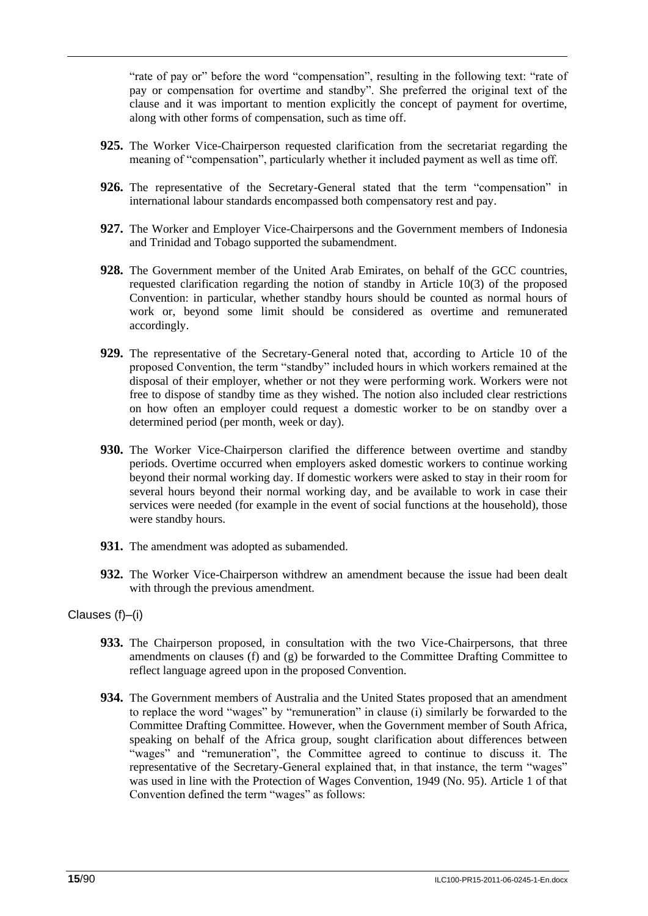"rate of pay or" before the word "compensation", resulting in the following text: "rate of pay or compensation for overtime and standby". She preferred the original text of the clause and it was important to mention explicitly the concept of payment for overtime, along with other forms of compensation, such as time off.

- **925.** The Worker Vice-Chairperson requested clarification from the secretariat regarding the meaning of "compensation", particularly whether it included payment as well as time off.
- **926.** The representative of the Secretary-General stated that the term "compensation" in international labour standards encompassed both compensatory rest and pay.
- **927.** The Worker and Employer Vice-Chairpersons and the Government members of Indonesia and Trinidad and Tobago supported the subamendment.
- **928.** The Government member of the United Arab Emirates, on behalf of the GCC countries, requested clarification regarding the notion of standby in Article 10(3) of the proposed Convention: in particular, whether standby hours should be counted as normal hours of work or, beyond some limit should be considered as overtime and remunerated accordingly.
- **929.** The representative of the Secretary-General noted that, according to Article 10 of the proposed Convention, the term "standby" included hours in which workers remained at the disposal of their employer, whether or not they were performing work. Workers were not free to dispose of standby time as they wished. The notion also included clear restrictions on how often an employer could request a domestic worker to be on standby over a determined period (per month, week or day).
- **930.** The Worker Vice-Chairperson clarified the difference between overtime and standby periods. Overtime occurred when employers asked domestic workers to continue working beyond their normal working day. If domestic workers were asked to stay in their room for several hours beyond their normal working day, and be available to work in case their services were needed (for example in the event of social functions at the household), those were standby hours.
- **931.** The amendment was adopted as subamended.
- **932.** The Worker Vice-Chairperson withdrew an amendment because the issue had been dealt with through the previous amendment.

#### Clauses (f)–(i)

- **933.** The Chairperson proposed, in consultation with the two Vice-Chairpersons, that three amendments on clauses (f) and (g) be forwarded to the Committee Drafting Committee to reflect language agreed upon in the proposed Convention.
- **934.** The Government members of Australia and the United States proposed that an amendment to replace the word "wages" by "remuneration" in clause (i) similarly be forwarded to the Committee Drafting Committee. However, when the Government member of South Africa, speaking on behalf of the Africa group, sought clarification about differences between "wages" and "remuneration", the Committee agreed to continue to discuss it. The representative of the Secretary-General explained that, in that instance, the term "wages" was used in line with the Protection of Wages Convention, 1949 (No. 95). Article 1 of that Convention defined the term "wages" as follows: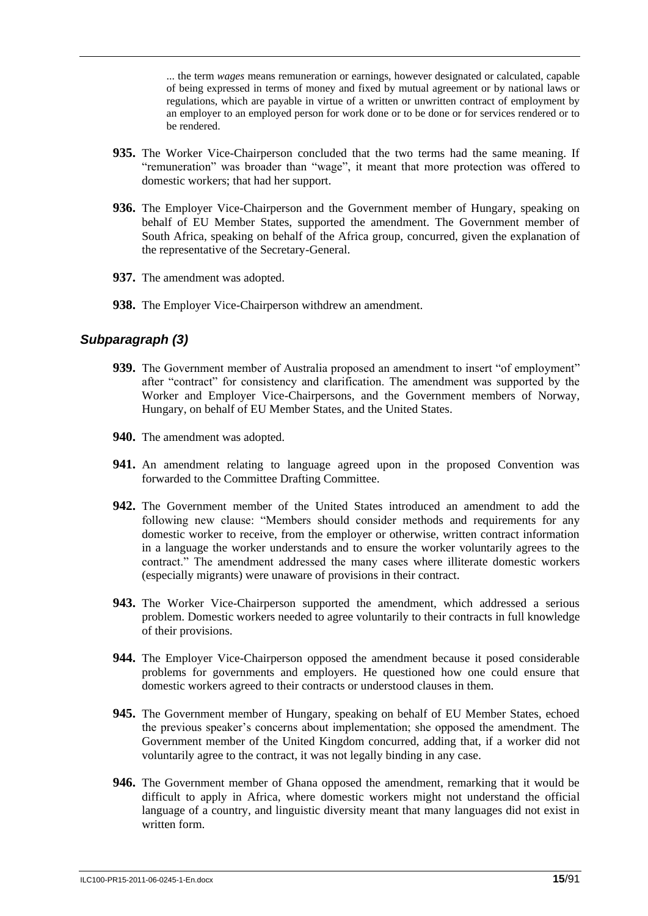... the term *wages* means remuneration or earnings, however designated or calculated, capable of being expressed in terms of money and fixed by mutual agreement or by national laws or regulations, which are payable in virtue of a written or unwritten contract of employment by an employer to an employed person for work done or to be done or for services rendered or to be rendered.

- **935.** The Worker Vice-Chairperson concluded that the two terms had the same meaning. If "remuneration" was broader than "wage", it meant that more protection was offered to domestic workers; that had her support.
- **936.** The Employer Vice-Chairperson and the Government member of Hungary, speaking on behalf of EU Member States, supported the amendment. The Government member of South Africa, speaking on behalf of the Africa group, concurred, given the explanation of the representative of the Secretary-General.
- **937.** The amendment was adopted.
- **938.** The Employer Vice-Chairperson withdrew an amendment.

## *Subparagraph (3)*

- **939.** The Government member of Australia proposed an amendment to insert "of employment" after "contract" for consistency and clarification. The amendment was supported by the Worker and Employer Vice-Chairpersons, and the Government members of Norway, Hungary, on behalf of EU Member States, and the United States.
- **940.** The amendment was adopted.
- **941.** An amendment relating to language agreed upon in the proposed Convention was forwarded to the Committee Drafting Committee.
- **942.** The Government member of the United States introduced an amendment to add the following new clause: "Members should consider methods and requirements for any domestic worker to receive, from the employer or otherwise, written contract information in a language the worker understands and to ensure the worker voluntarily agrees to the contract." The amendment addressed the many cases where illiterate domestic workers (especially migrants) were unaware of provisions in their contract.
- **943.** The Worker Vice-Chairperson supported the amendment, which addressed a serious problem. Domestic workers needed to agree voluntarily to their contracts in full knowledge of their provisions.
- **944.** The Employer Vice-Chairperson opposed the amendment because it posed considerable problems for governments and employers. He questioned how one could ensure that domestic workers agreed to their contracts or understood clauses in them.
- **945.** The Government member of Hungary, speaking on behalf of EU Member States, echoed the previous speaker"s concerns about implementation; she opposed the amendment. The Government member of the United Kingdom concurred, adding that, if a worker did not voluntarily agree to the contract, it was not legally binding in any case.
- **946.** The Government member of Ghana opposed the amendment, remarking that it would be difficult to apply in Africa, where domestic workers might not understand the official language of a country, and linguistic diversity meant that many languages did not exist in written form.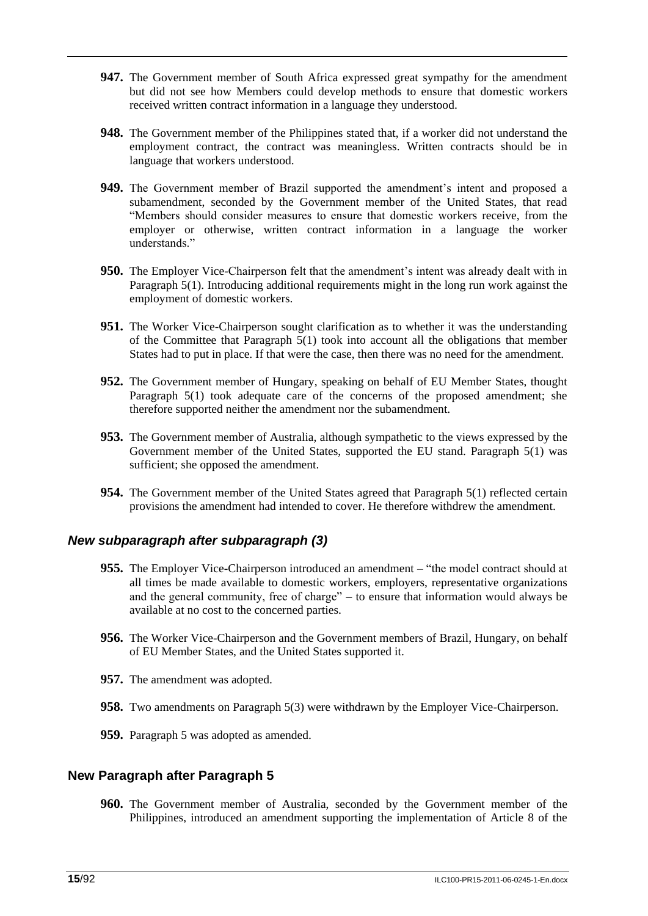- **947.** The Government member of South Africa expressed great sympathy for the amendment but did not see how Members could develop methods to ensure that domestic workers received written contract information in a language they understood.
- **948.** The Government member of the Philippines stated that, if a worker did not understand the employment contract, the contract was meaningless. Written contracts should be in language that workers understood.
- **949.** The Government member of Brazil supported the amendment's intent and proposed a subamendment, seconded by the Government member of the United States, that read "Members should consider measures to ensure that domestic workers receive, from the employer or otherwise, written contract information in a language the worker understands."
- **950.** The Employer Vice-Chairperson felt that the amendment's intent was already dealt with in Paragraph 5(1). Introducing additional requirements might in the long run work against the employment of domestic workers.
- **951.** The Worker Vice-Chairperson sought clarification as to whether it was the understanding of the Committee that Paragraph  $5(1)$  took into account all the obligations that member States had to put in place. If that were the case, then there was no need for the amendment.
- **952.** The Government member of Hungary, speaking on behalf of EU Member States, thought Paragraph 5(1) took adequate care of the concerns of the proposed amendment; she therefore supported neither the amendment nor the subamendment.
- **953.** The Government member of Australia, although sympathetic to the views expressed by the Government member of the United States, supported the EU stand. Paragraph 5(1) was sufficient; she opposed the amendment.
- **954.** The Government member of the United States agreed that Paragraph 5(1) reflected certain provisions the amendment had intended to cover. He therefore withdrew the amendment.

## *New subparagraph after subparagraph (3)*

- **955.** The Employer Vice-Chairperson introduced an amendment "the model contract should at all times be made available to domestic workers, employers, representative organizations and the general community, free of charge" – to ensure that information would always be available at no cost to the concerned parties.
- **956.** The Worker Vice-Chairperson and the Government members of Brazil, Hungary, on behalf of EU Member States, and the United States supported it.
- **957.** The amendment was adopted.
- **958.** Two amendments on Paragraph 5(3) were withdrawn by the Employer Vice-Chairperson.
- **959.** Paragraph 5 was adopted as amended.

## **New Paragraph after Paragraph 5**

**960.** The Government member of Australia, seconded by the Government member of the Philippines, introduced an amendment supporting the implementation of Article 8 of the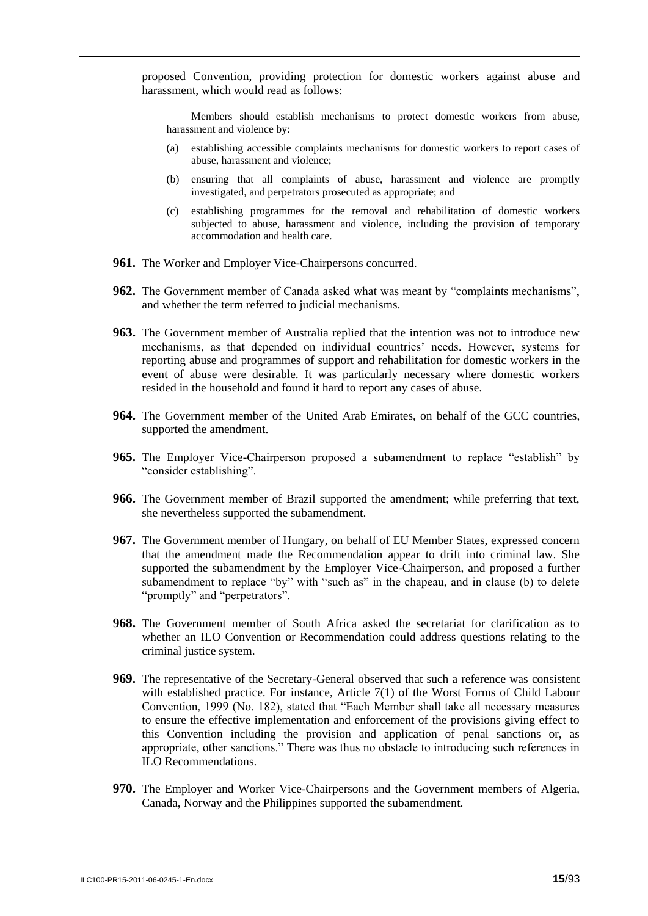proposed Convention, providing protection for domestic workers against abuse and harassment, which would read as follows:

Members should establish mechanisms to protect domestic workers from abuse, harassment and violence by:

- (a) establishing accessible complaints mechanisms for domestic workers to report cases of abuse, harassment and violence;
- (b) ensuring that all complaints of abuse, harassment and violence are promptly investigated, and perpetrators prosecuted as appropriate; and
- (c) establishing programmes for the removal and rehabilitation of domestic workers subjected to abuse, harassment and violence, including the provision of temporary accommodation and health care.
- **961.** The Worker and Employer Vice-Chairpersons concurred.
- **962.** The Government member of Canada asked what was meant by "complaints mechanisms", and whether the term referred to judicial mechanisms.
- **963.** The Government member of Australia replied that the intention was not to introduce new mechanisms, as that depended on individual countries' needs. However, systems for reporting abuse and programmes of support and rehabilitation for domestic workers in the event of abuse were desirable. It was particularly necessary where domestic workers resided in the household and found it hard to report any cases of abuse.
- **964.** The Government member of the United Arab Emirates, on behalf of the GCC countries, supported the amendment.
- **965.** The Employer Vice-Chairperson proposed a subamendment to replace "establish" by "consider establishing".
- **966.** The Government member of Brazil supported the amendment; while preferring that text, she nevertheless supported the subamendment.
- **967.** The Government member of Hungary, on behalf of EU Member States, expressed concern that the amendment made the Recommendation appear to drift into criminal law. She supported the subamendment by the Employer Vice-Chairperson, and proposed a further subamendment to replace "by" with "such as" in the chapeau, and in clause (b) to delete "promptly" and "perpetrators".
- **968.** The Government member of South Africa asked the secretariat for clarification as to whether an ILO Convention or Recommendation could address questions relating to the criminal justice system.
- **969.** The representative of the Secretary-General observed that such a reference was consistent with established practice. For instance, Article 7(1) of the Worst Forms of Child Labour Convention, 1999 (No. 182), stated that "Each Member shall take all necessary measures to ensure the effective implementation and enforcement of the provisions giving effect to this Convention including the provision and application of penal sanctions or, as appropriate, other sanctions." There was thus no obstacle to introducing such references in ILO Recommendations.
- **970.** The Employer and Worker Vice-Chairpersons and the Government members of Algeria, Canada, Norway and the Philippines supported the subamendment.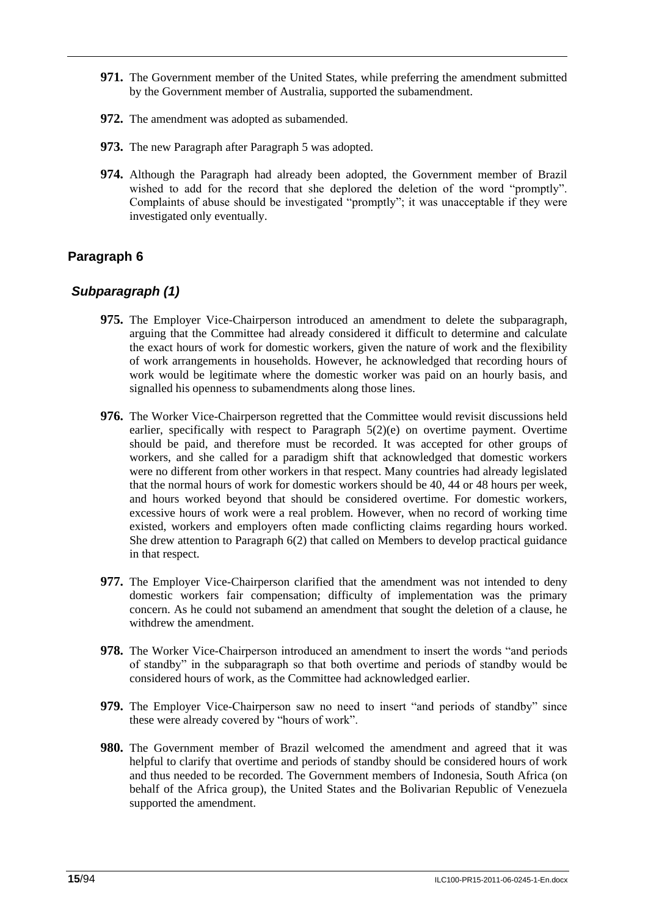- **971.** The Government member of the United States, while preferring the amendment submitted by the Government member of Australia, supported the subamendment.
- **972.** The amendment was adopted as subamended.
- **973.** The new Paragraph after Paragraph 5 was adopted.
- **974.** Although the Paragraph had already been adopted, the Government member of Brazil wished to add for the record that she deplored the deletion of the word "promptly". Complaints of abuse should be investigated "promptly"; it was unacceptable if they were investigated only eventually.

## *Subparagraph (1)*

- **975.** The Employer Vice-Chairperson introduced an amendment to delete the subparagraph, arguing that the Committee had already considered it difficult to determine and calculate the exact hours of work for domestic workers, given the nature of work and the flexibility of work arrangements in households. However, he acknowledged that recording hours of work would be legitimate where the domestic worker was paid on an hourly basis, and signalled his openness to subamendments along those lines.
- **976.** The Worker Vice-Chairperson regretted that the Committee would revisit discussions held earlier, specifically with respect to Paragraph 5(2)(e) on overtime payment. Overtime should be paid, and therefore must be recorded. It was accepted for other groups of workers, and she called for a paradigm shift that acknowledged that domestic workers were no different from other workers in that respect. Many countries had already legislated that the normal hours of work for domestic workers should be 40, 44 or 48 hours per week, and hours worked beyond that should be considered overtime. For domestic workers, excessive hours of work were a real problem. However, when no record of working time existed, workers and employers often made conflicting claims regarding hours worked. She drew attention to Paragraph 6(2) that called on Members to develop practical guidance in that respect.
- **977.** The Employer Vice-Chairperson clarified that the amendment was not intended to deny domestic workers fair compensation; difficulty of implementation was the primary concern. As he could not subamend an amendment that sought the deletion of a clause, he withdrew the amendment.
- **978.** The Worker Vice-Chairperson introduced an amendment to insert the words "and periods of standby" in the subparagraph so that both overtime and periods of standby would be considered hours of work, as the Committee had acknowledged earlier.
- **979.** The Employer Vice-Chairperson saw no need to insert "and periods of standby" since these were already covered by "hours of work".
- **980.** The Government member of Brazil welcomed the amendment and agreed that it was helpful to clarify that overtime and periods of standby should be considered hours of work and thus needed to be recorded. The Government members of Indonesia, South Africa (on behalf of the Africa group), the United States and the Bolivarian Republic of Venezuela supported the amendment.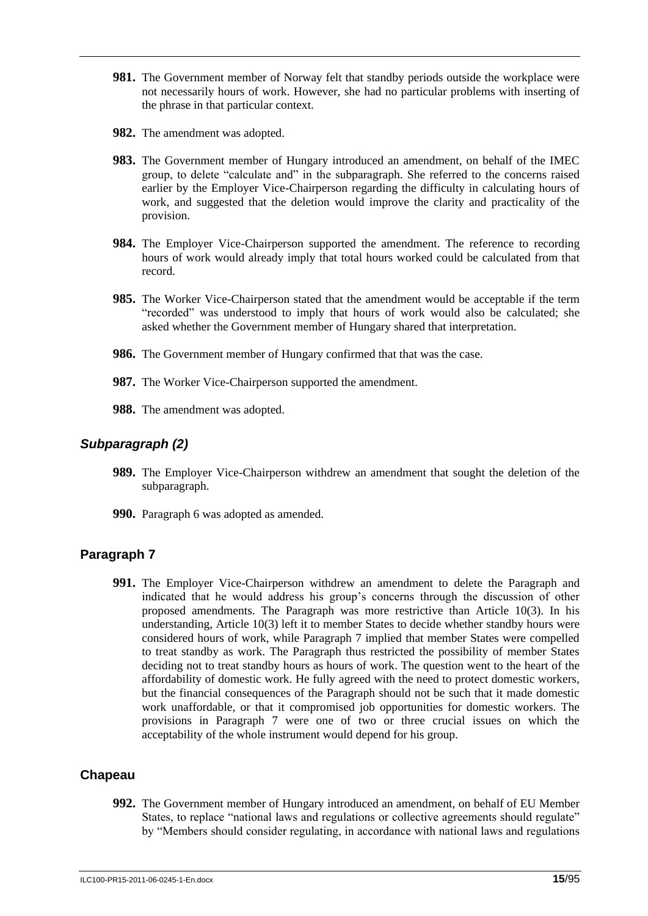- **981.** The Government member of Norway felt that standby periods outside the workplace were not necessarily hours of work. However, she had no particular problems with inserting of the phrase in that particular context.
- **982.** The amendment was adopted.
- **983.** The Government member of Hungary introduced an amendment, on behalf of the IMEC group, to delete "calculate and" in the subparagraph. She referred to the concerns raised earlier by the Employer Vice-Chairperson regarding the difficulty in calculating hours of work, and suggested that the deletion would improve the clarity and practicality of the provision.
- **984.** The Employer Vice-Chairperson supported the amendment. The reference to recording hours of work would already imply that total hours worked could be calculated from that record.
- **985.** The Worker Vice-Chairperson stated that the amendment would be acceptable if the term "recorded" was understood to imply that hours of work would also be calculated; she asked whether the Government member of Hungary shared that interpretation.
- **986.** The Government member of Hungary confirmed that that was the case.
- **987.** The Worker Vice-Chairperson supported the amendment.
- **988.** The amendment was adopted.

## *Subparagraph (2)*

- **989.** The Employer Vice-Chairperson withdrew an amendment that sought the deletion of the subparagraph.
- **990.** Paragraph 6 was adopted as amended.

## **Paragraph 7**

**991.** The Employer Vice-Chairperson withdrew an amendment to delete the Paragraph and indicated that he would address his group"s concerns through the discussion of other proposed amendments. The Paragraph was more restrictive than Article 10(3). In his understanding, Article 10(3) left it to member States to decide whether standby hours were considered hours of work, while Paragraph 7 implied that member States were compelled to treat standby as work. The Paragraph thus restricted the possibility of member States deciding not to treat standby hours as hours of work. The question went to the heart of the affordability of domestic work. He fully agreed with the need to protect domestic workers, but the financial consequences of the Paragraph should not be such that it made domestic work unaffordable, or that it compromised job opportunities for domestic workers. The provisions in Paragraph 7 were one of two or three crucial issues on which the acceptability of the whole instrument would depend for his group.

## **Chapeau**

**992.** The Government member of Hungary introduced an amendment, on behalf of EU Member States, to replace "national laws and regulations or collective agreements should regulate" by "Members should consider regulating, in accordance with national laws and regulations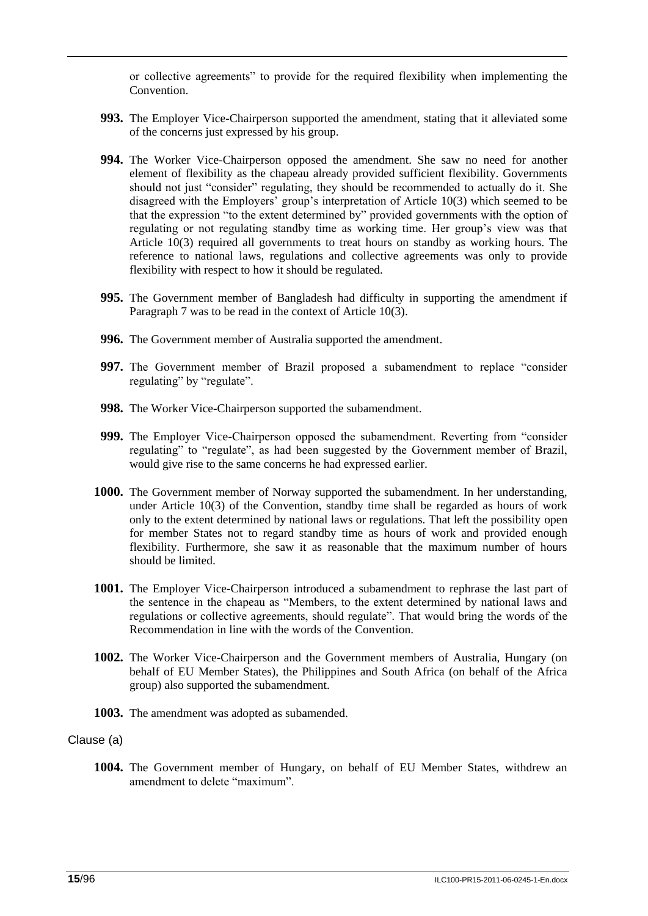or collective agreements" to provide for the required flexibility when implementing the Convention.

- **993.** The Employer Vice-Chairperson supported the amendment, stating that it alleviated some of the concerns just expressed by his group.
- **994.** The Worker Vice-Chairperson opposed the amendment. She saw no need for another element of flexibility as the chapeau already provided sufficient flexibility. Governments should not just "consider" regulating, they should be recommended to actually do it. She disagreed with the Employers" group"s interpretation of Article 10(3) which seemed to be that the expression "to the extent determined by" provided governments with the option of regulating or not regulating standby time as working time. Her group"s view was that Article 10(3) required all governments to treat hours on standby as working hours. The reference to national laws, regulations and collective agreements was only to provide flexibility with respect to how it should be regulated.
- **995.** The Government member of Bangladesh had difficulty in supporting the amendment if Paragraph 7 was to be read in the context of Article 10(3).
- **996.** The Government member of Australia supported the amendment.
- **997.** The Government member of Brazil proposed a subamendment to replace "consider regulating" by "regulate".
- **998.** The Worker Vice-Chairperson supported the subamendment.
- **999.** The Employer Vice-Chairperson opposed the subamendment. Reverting from "consider regulating" to "regulate", as had been suggested by the Government member of Brazil, would give rise to the same concerns he had expressed earlier.
- **1000.** The Government member of Norway supported the subamendment. In her understanding, under Article 10(3) of the Convention, standby time shall be regarded as hours of work only to the extent determined by national laws or regulations. That left the possibility open for member States not to regard standby time as hours of work and provided enough flexibility. Furthermore, she saw it as reasonable that the maximum number of hours should be limited.
- **1001.** The Employer Vice-Chairperson introduced a subamendment to rephrase the last part of the sentence in the chapeau as "Members, to the extent determined by national laws and regulations or collective agreements, should regulate". That would bring the words of the Recommendation in line with the words of the Convention.
- **1002.** The Worker Vice-Chairperson and the Government members of Australia, Hungary (on behalf of EU Member States), the Philippines and South Africa (on behalf of the Africa group) also supported the subamendment.
- **1003.** The amendment was adopted as subamended.

### Clause (a)

**1004.** The Government member of Hungary, on behalf of EU Member States, withdrew an amendment to delete "maximum".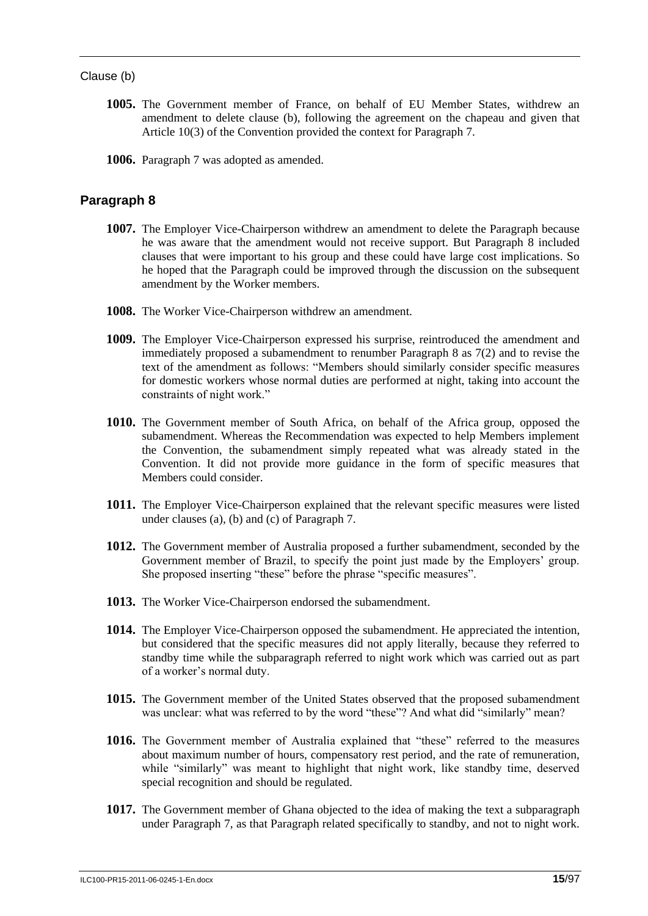#### Clause (b)

- **1005.** The Government member of France, on behalf of EU Member States, withdrew an amendment to delete clause (b), following the agreement on the chapeau and given that Article 10(3) of the Convention provided the context for Paragraph 7.
- **1006.** Paragraph 7 was adopted as amended.

## **Paragraph 8**

- **1007.** The Employer Vice-Chairperson withdrew an amendment to delete the Paragraph because he was aware that the amendment would not receive support. But Paragraph 8 included clauses that were important to his group and these could have large cost implications. So he hoped that the Paragraph could be improved through the discussion on the subsequent amendment by the Worker members.
- **1008.** The Worker Vice-Chairperson withdrew an amendment.
- **1009.** The Employer Vice-Chairperson expressed his surprise, reintroduced the amendment and immediately proposed a subamendment to renumber Paragraph 8 as 7(2) and to revise the text of the amendment as follows: "Members should similarly consider specific measures for domestic workers whose normal duties are performed at night, taking into account the constraints of night work."
- **1010.** The Government member of South Africa, on behalf of the Africa group, opposed the subamendment. Whereas the Recommendation was expected to help Members implement the Convention, the subamendment simply repeated what was already stated in the Convention. It did not provide more guidance in the form of specific measures that Members could consider.
- **1011.** The Employer Vice-Chairperson explained that the relevant specific measures were listed under clauses (a), (b) and (c) of Paragraph 7.
- **1012.** The Government member of Australia proposed a further subamendment, seconded by the Government member of Brazil, to specify the point just made by the Employers' group. She proposed inserting "these" before the phrase "specific measures".
- **1013.** The Worker Vice-Chairperson endorsed the subamendment.
- **1014.** The Employer Vice-Chairperson opposed the subamendment. He appreciated the intention, but considered that the specific measures did not apply literally, because they referred to standby time while the subparagraph referred to night work which was carried out as part of a worker"s normal duty.
- **1015.** The Government member of the United States observed that the proposed subamendment was unclear: what was referred to by the word "these"? And what did "similarly" mean?
- **1016.** The Government member of Australia explained that "these" referred to the measures about maximum number of hours, compensatory rest period, and the rate of remuneration, while "similarly" was meant to highlight that night work, like standby time, deserved special recognition and should be regulated.
- **1017.** The Government member of Ghana objected to the idea of making the text a subparagraph under Paragraph 7, as that Paragraph related specifically to standby, and not to night work.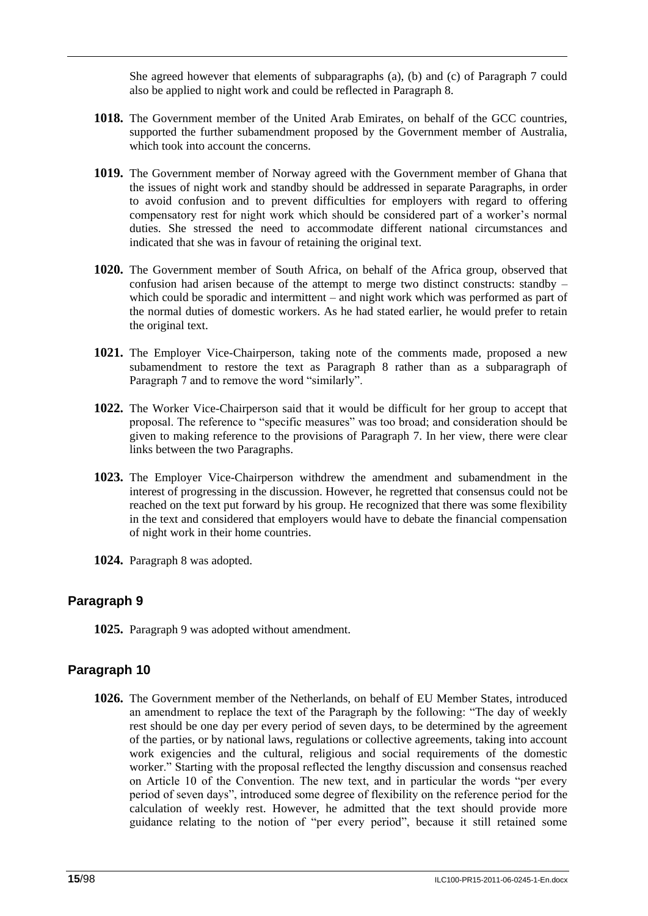She agreed however that elements of subparagraphs (a), (b) and (c) of Paragraph 7 could also be applied to night work and could be reflected in Paragraph 8.

- **1018.** The Government member of the United Arab Emirates, on behalf of the GCC countries, supported the further subamendment proposed by the Government member of Australia, which took into account the concerns.
- **1019.** The Government member of Norway agreed with the Government member of Ghana that the issues of night work and standby should be addressed in separate Paragraphs, in order to avoid confusion and to prevent difficulties for employers with regard to offering compensatory rest for night work which should be considered part of a worker"s normal duties. She stressed the need to accommodate different national circumstances and indicated that she was in favour of retaining the original text.
- **1020.** The Government member of South Africa, on behalf of the Africa group, observed that confusion had arisen because of the attempt to merge two distinct constructs: standby – which could be sporadic and intermittent – and night work which was performed as part of the normal duties of domestic workers. As he had stated earlier, he would prefer to retain the original text.
- **1021.** The Employer Vice-Chairperson, taking note of the comments made, proposed a new subamendment to restore the text as Paragraph 8 rather than as a subparagraph of Paragraph 7 and to remove the word "similarly".
- **1022.** The Worker Vice-Chairperson said that it would be difficult for her group to accept that proposal. The reference to "specific measures" was too broad; and consideration should be given to making reference to the provisions of Paragraph 7. In her view, there were clear links between the two Paragraphs.
- **1023.** The Employer Vice-Chairperson withdrew the amendment and subamendment in the interest of progressing in the discussion. However, he regretted that consensus could not be reached on the text put forward by his group. He recognized that there was some flexibility in the text and considered that employers would have to debate the financial compensation of night work in their home countries.
- **1024.** Paragraph 8 was adopted.

## **Paragraph 9**

**1025.** Paragraph 9 was adopted without amendment.

## **Paragraph 10**

**1026.** The Government member of the Netherlands, on behalf of EU Member States, introduced an amendment to replace the text of the Paragraph by the following: "The day of weekly rest should be one day per every period of seven days, to be determined by the agreement of the parties, or by national laws, regulations or collective agreements, taking into account work exigencies and the cultural, religious and social requirements of the domestic worker." Starting with the proposal reflected the lengthy discussion and consensus reached on Article 10 of the Convention. The new text, and in particular the words "per every period of seven days", introduced some degree of flexibility on the reference period for the calculation of weekly rest. However, he admitted that the text should provide more guidance relating to the notion of "per every period", because it still retained some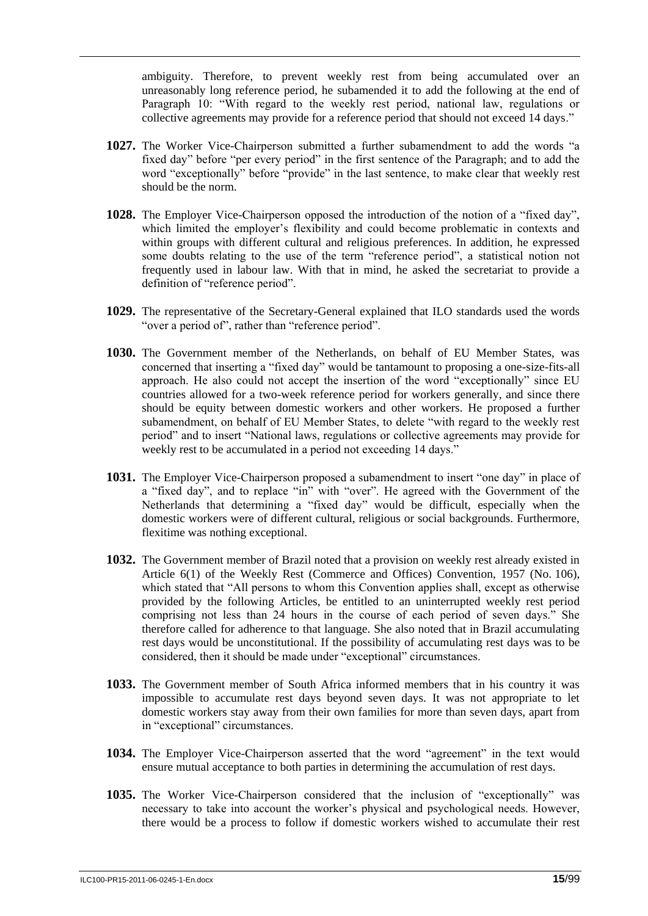ambiguity. Therefore, to prevent weekly rest from being accumulated over an unreasonably long reference period, he subamended it to add the following at the end of Paragraph 10: "With regard to the weekly rest period, national law, regulations or collective agreements may provide for a reference period that should not exceed 14 days."

- **1027.** The Worker Vice-Chairperson submitted a further subamendment to add the words "a fixed day" before "per every period" in the first sentence of the Paragraph; and to add the word "exceptionally" before "provide" in the last sentence, to make clear that weekly rest should be the norm.
- **1028.** The Employer Vice-Chairperson opposed the introduction of the notion of a "fixed day", which limited the employer's flexibility and could become problematic in contexts and within groups with different cultural and religious preferences. In addition, he expressed some doubts relating to the use of the term "reference period", a statistical notion not frequently used in labour law. With that in mind, he asked the secretariat to provide a definition of "reference period".
- **1029.** The representative of the Secretary-General explained that ILO standards used the words "over a period of", rather than "reference period".
- **1030.** The Government member of the Netherlands, on behalf of EU Member States, was concerned that inserting a "fixed day" would be tantamount to proposing a one-size-fits-all approach. He also could not accept the insertion of the word "exceptionally" since EU countries allowed for a two-week reference period for workers generally, and since there should be equity between domestic workers and other workers. He proposed a further subamendment, on behalf of EU Member States, to delete "with regard to the weekly rest period" and to insert "National laws, regulations or collective agreements may provide for weekly rest to be accumulated in a period not exceeding 14 days."
- **1031.** The Employer Vice-Chairperson proposed a subamendment to insert "one day" in place of a "fixed day", and to replace "in" with "over". He agreed with the Government of the Netherlands that determining a "fixed day" would be difficult, especially when the domestic workers were of different cultural, religious or social backgrounds. Furthermore, flexitime was nothing exceptional.
- **1032.** The Government member of Brazil noted that a provision on weekly rest already existed in Article 6(1) of the Weekly Rest (Commerce and Offices) Convention, 1957 (No. 106), which stated that "All persons to whom this Convention applies shall, except as otherwise provided by the following Articles, be entitled to an uninterrupted weekly rest period comprising not less than 24 hours in the course of each period of seven days." She therefore called for adherence to that language. She also noted that in Brazil accumulating rest days would be unconstitutional. If the possibility of accumulating rest days was to be considered, then it should be made under "exceptional" circumstances.
- **1033.** The Government member of South Africa informed members that in his country it was impossible to accumulate rest days beyond seven days. It was not appropriate to let domestic workers stay away from their own families for more than seven days, apart from in "exceptional" circumstances.
- **1034.** The Employer Vice-Chairperson asserted that the word "agreement" in the text would ensure mutual acceptance to both parties in determining the accumulation of rest days.
- **1035.** The Worker Vice-Chairperson considered that the inclusion of "exceptionally" was necessary to take into account the worker"s physical and psychological needs. However, there would be a process to follow if domestic workers wished to accumulate their rest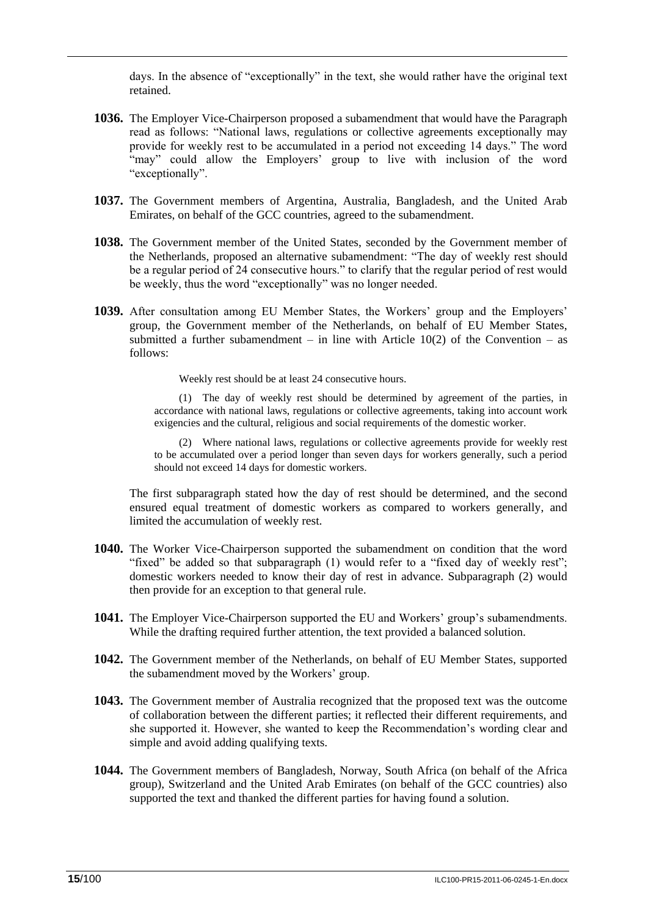days. In the absence of "exceptionally" in the text, she would rather have the original text retained.

- **1036.** The Employer Vice-Chairperson proposed a subamendment that would have the Paragraph read as follows: "National laws, regulations or collective agreements exceptionally may provide for weekly rest to be accumulated in a period not exceeding 14 days." The word "may" could allow the Employers' group to live with inclusion of the word "exceptionally".
- **1037.** The Government members of Argentina, Australia, Bangladesh, and the United Arab Emirates, on behalf of the GCC countries, agreed to the subamendment.
- **1038.** The Government member of the United States, seconded by the Government member of the Netherlands, proposed an alternative subamendment: "The day of weekly rest should be a regular period of 24 consecutive hours." to clarify that the regular period of rest would be weekly, thus the word "exceptionally" was no longer needed.
- 1039. After consultation among EU Member States, the Workers' group and the Employers' group, the Government member of the Netherlands, on behalf of EU Member States, submitted a further subamendment – in line with Article  $10(2)$  of the Convention – as follows:

Weekly rest should be at least 24 consecutive hours.

(1) The day of weekly rest should be determined by agreement of the parties, in accordance with national laws, regulations or collective agreements, taking into account work exigencies and the cultural, religious and social requirements of the domestic worker.

(2) Where national laws, regulations or collective agreements provide for weekly rest to be accumulated over a period longer than seven days for workers generally, such a period should not exceed 14 days for domestic workers.

The first subparagraph stated how the day of rest should be determined, and the second ensured equal treatment of domestic workers as compared to workers generally, and limited the accumulation of weekly rest.

- **1040.** The Worker Vice-Chairperson supported the subamendment on condition that the word "fixed" be added so that subparagraph (1) would refer to a "fixed day of weekly rest"; domestic workers needed to know their day of rest in advance. Subparagraph (2) would then provide for an exception to that general rule.
- 1041. The Employer Vice-Chairperson supported the EU and Workers' group's subamendments. While the drafting required further attention, the text provided a balanced solution.
- **1042.** The Government member of the Netherlands, on behalf of EU Member States, supported the subamendment moved by the Workers' group.
- **1043.** The Government member of Australia recognized that the proposed text was the outcome of collaboration between the different parties; it reflected their different requirements, and she supported it. However, she wanted to keep the Recommendation"s wording clear and simple and avoid adding qualifying texts.
- **1044.** The Government members of Bangladesh, Norway, South Africa (on behalf of the Africa group), Switzerland and the United Arab Emirates (on behalf of the GCC countries) also supported the text and thanked the different parties for having found a solution.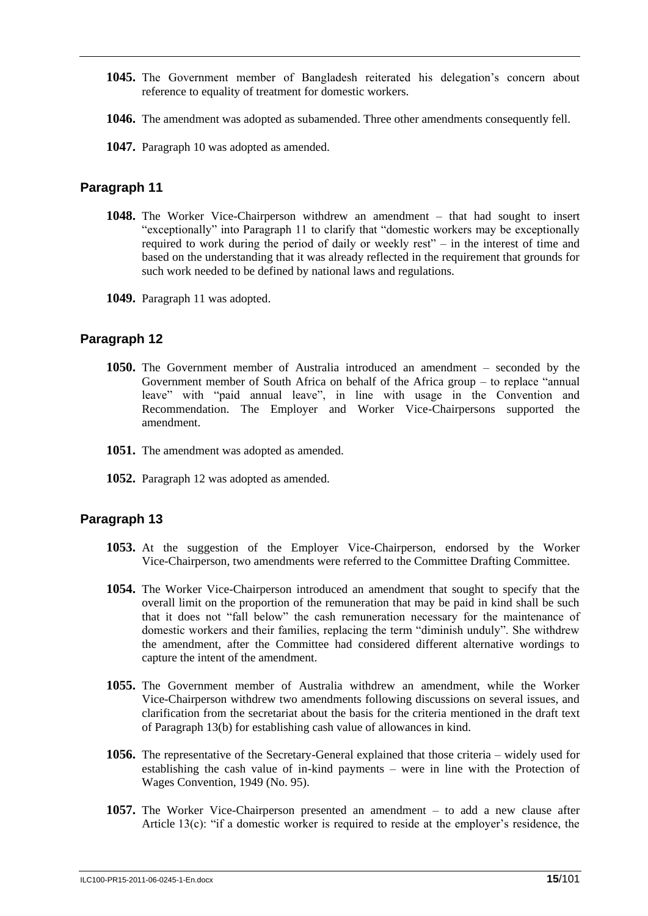- **1045.** The Government member of Bangladesh reiterated his delegation"s concern about reference to equality of treatment for domestic workers.
- **1046.** The amendment was adopted as subamended. Three other amendments consequently fell.
- **1047.** Paragraph 10 was adopted as amended.

- **1048.** The Worker Vice-Chairperson withdrew an amendment that had sought to insert "exceptionally" into Paragraph 11 to clarify that "domestic workers may be exceptionally required to work during the period of daily or weekly rest" – in the interest of time and based on the understanding that it was already reflected in the requirement that grounds for such work needed to be defined by national laws and regulations.
- **1049.** Paragraph 11 was adopted.

## **Paragraph 12**

- **1050.** The Government member of Australia introduced an amendment seconded by the Government member of South Africa on behalf of the Africa group – to replace "annual leave" with "paid annual leave", in line with usage in the Convention and Recommendation. The Employer and Worker Vice-Chairpersons supported the amendment.
- **1051.** The amendment was adopted as amended.
- **1052.** Paragraph 12 was adopted as amended.

## **Paragraph 13**

- **1053.** At the suggestion of the Employer Vice-Chairperson, endorsed by the Worker Vice-Chairperson, two amendments were referred to the Committee Drafting Committee.
- **1054.** The Worker Vice-Chairperson introduced an amendment that sought to specify that the overall limit on the proportion of the remuneration that may be paid in kind shall be such that it does not "fall below" the cash remuneration necessary for the maintenance of domestic workers and their families, replacing the term "diminish unduly". She withdrew the amendment, after the Committee had considered different alternative wordings to capture the intent of the amendment.
- **1055.** The Government member of Australia withdrew an amendment, while the Worker Vice-Chairperson withdrew two amendments following discussions on several issues, and clarification from the secretariat about the basis for the criteria mentioned in the draft text of Paragraph 13(b) for establishing cash value of allowances in kind.
- **1056.** The representative of the Secretary-General explained that those criteria widely used for establishing the cash value of in-kind payments – were in line with the Protection of Wages Convention, 1949 (No. 95).
- **1057.** The Worker Vice-Chairperson presented an amendment to add a new clause after Article 13(c): "if a domestic worker is required to reside at the employer's residence, the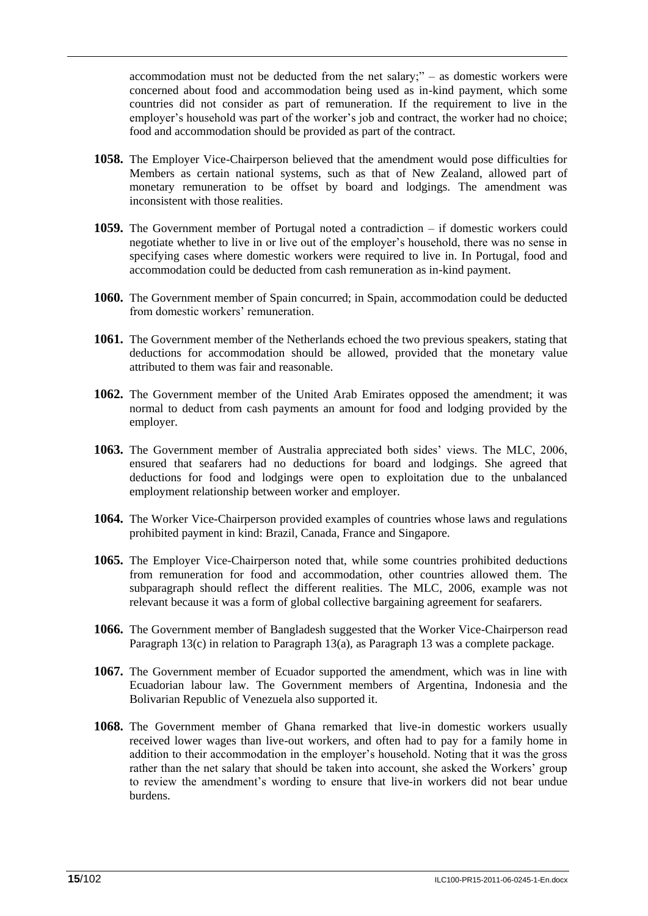accommodation must not be deducted from the net salary;" – as domestic workers were concerned about food and accommodation being used as in-kind payment, which some countries did not consider as part of remuneration. If the requirement to live in the employer's household was part of the worker's job and contract, the worker had no choice; food and accommodation should be provided as part of the contract.

- **1058.** The Employer Vice-Chairperson believed that the amendment would pose difficulties for Members as certain national systems, such as that of New Zealand, allowed part of monetary remuneration to be offset by board and lodgings. The amendment was inconsistent with those realities.
- **1059.** The Government member of Portugal noted a contradiction if domestic workers could negotiate whether to live in or live out of the employer"s household, there was no sense in specifying cases where domestic workers were required to live in. In Portugal, food and accommodation could be deducted from cash remuneration as in-kind payment.
- **1060.** The Government member of Spain concurred; in Spain, accommodation could be deducted from domestic workers' remuneration.
- **1061.** The Government member of the Netherlands echoed the two previous speakers, stating that deductions for accommodation should be allowed, provided that the monetary value attributed to them was fair and reasonable.
- **1062.** The Government member of the United Arab Emirates opposed the amendment; it was normal to deduct from cash payments an amount for food and lodging provided by the employer.
- 1063. The Government member of Australia appreciated both sides' views. The MLC, 2006, ensured that seafarers had no deductions for board and lodgings. She agreed that deductions for food and lodgings were open to exploitation due to the unbalanced employment relationship between worker and employer.
- **1064.** The Worker Vice-Chairperson provided examples of countries whose laws and regulations prohibited payment in kind: Brazil, Canada, France and Singapore.
- **1065.** The Employer Vice-Chairperson noted that, while some countries prohibited deductions from remuneration for food and accommodation, other countries allowed them. The subparagraph should reflect the different realities. The MLC, 2006, example was not relevant because it was a form of global collective bargaining agreement for seafarers.
- **1066.** The Government member of Bangladesh suggested that the Worker Vice-Chairperson read Paragraph 13(c) in relation to Paragraph 13(a), as Paragraph 13 was a complete package.
- **1067.** The Government member of Ecuador supported the amendment, which was in line with Ecuadorian labour law. The Government members of Argentina, Indonesia and the Bolivarian Republic of Venezuela also supported it.
- **1068.** The Government member of Ghana remarked that live-in domestic workers usually received lower wages than live-out workers, and often had to pay for a family home in addition to their accommodation in the employer"s household. Noting that it was the gross rather than the net salary that should be taken into account, she asked the Workers' group to review the amendment"s wording to ensure that live-in workers did not bear undue burdens.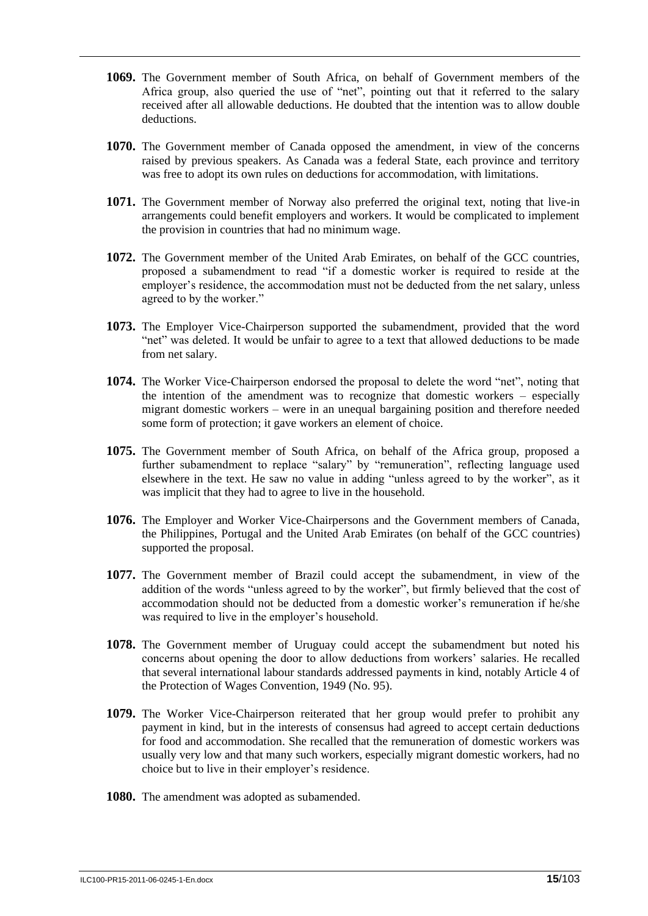- **1069.** The Government member of South Africa, on behalf of Government members of the Africa group, also queried the use of "net", pointing out that it referred to the salary received after all allowable deductions. He doubted that the intention was to allow double deductions.
- **1070.** The Government member of Canada opposed the amendment, in view of the concerns raised by previous speakers. As Canada was a federal State, each province and territory was free to adopt its own rules on deductions for accommodation, with limitations.
- **1071.** The Government member of Norway also preferred the original text, noting that live-in arrangements could benefit employers and workers. It would be complicated to implement the provision in countries that had no minimum wage.
- **1072.** The Government member of the United Arab Emirates, on behalf of the GCC countries, proposed a subamendment to read "if a domestic worker is required to reside at the employer"s residence, the accommodation must not be deducted from the net salary, unless agreed to by the worker."
- **1073.** The Employer Vice-Chairperson supported the subamendment, provided that the word "net" was deleted. It would be unfair to agree to a text that allowed deductions to be made from net salary.
- **1074.** The Worker Vice-Chairperson endorsed the proposal to delete the word "net", noting that the intention of the amendment was to recognize that domestic workers – especially migrant domestic workers – were in an unequal bargaining position and therefore needed some form of protection; it gave workers an element of choice.
- **1075.** The Government member of South Africa, on behalf of the Africa group, proposed a further subamendment to replace "salary" by "remuneration", reflecting language used elsewhere in the text. He saw no value in adding "unless agreed to by the worker", as it was implicit that they had to agree to live in the household.
- **1076.** The Employer and Worker Vice-Chairpersons and the Government members of Canada, the Philippines, Portugal and the United Arab Emirates (on behalf of the GCC countries) supported the proposal.
- **1077.** The Government member of Brazil could accept the subamendment, in view of the addition of the words "unless agreed to by the worker", but firmly believed that the cost of accommodation should not be deducted from a domestic worker"s remuneration if he/she was required to live in the employer's household.
- **1078.** The Government member of Uruguay could accept the subamendment but noted his concerns about opening the door to allow deductions from workers' salaries. He recalled that several international labour standards addressed payments in kind, notably Article 4 of the Protection of Wages Convention, 1949 (No. 95).
- **1079.** The Worker Vice-Chairperson reiterated that her group would prefer to prohibit any payment in kind, but in the interests of consensus had agreed to accept certain deductions for food and accommodation. She recalled that the remuneration of domestic workers was usually very low and that many such workers, especially migrant domestic workers, had no choice but to live in their employer"s residence.
- **1080.** The amendment was adopted as subamended.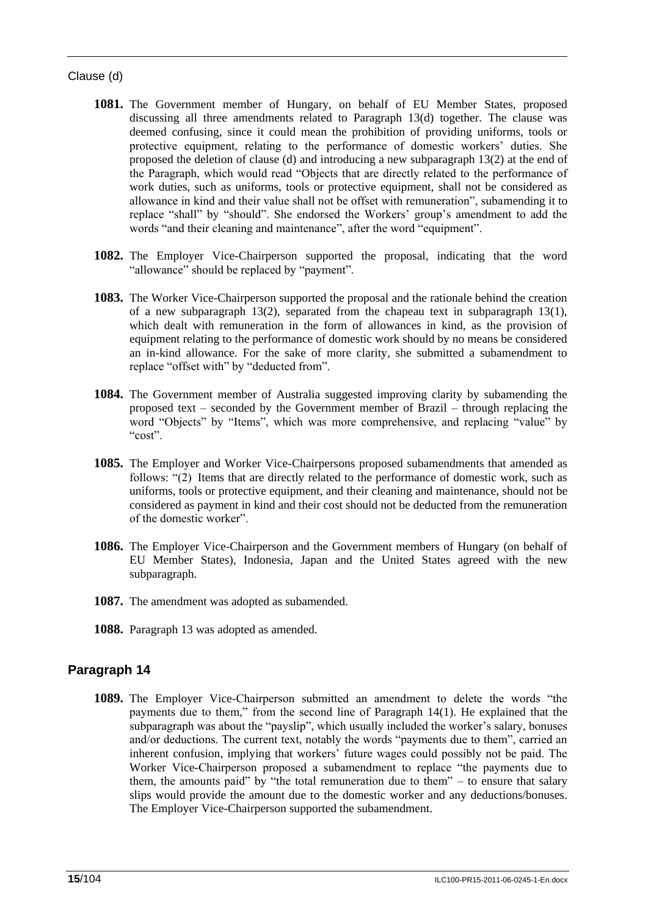## Clause (d)

- **1081.** The Government member of Hungary, on behalf of EU Member States, proposed discussing all three amendments related to Paragraph 13(d) together. The clause was deemed confusing, since it could mean the prohibition of providing uniforms, tools or protective equipment, relating to the performance of domestic workers" duties. She proposed the deletion of clause (d) and introducing a new subparagraph 13(2) at the end of the Paragraph, which would read "Objects that are directly related to the performance of work duties, such as uniforms, tools or protective equipment, shall not be considered as allowance in kind and their value shall not be offset with remuneration", subamending it to replace "shall" by "should". She endorsed the Workers' group's amendment to add the words "and their cleaning and maintenance", after the word "equipment".
- **1082.** The Employer Vice-Chairperson supported the proposal, indicating that the word "allowance" should be replaced by "payment".
- **1083.** The Worker Vice-Chairperson supported the proposal and the rationale behind the creation of a new subparagraph 13(2), separated from the chapeau text in subparagraph 13(1), which dealt with remuneration in the form of allowances in kind, as the provision of equipment relating to the performance of domestic work should by no means be considered an in-kind allowance. For the sake of more clarity, she submitted a subamendment to replace "offset with" by "deducted from".
- **1084.** The Government member of Australia suggested improving clarity by subamending the proposed text – seconded by the Government member of Brazil – through replacing the word "Objects" by "Items", which was more comprehensive, and replacing "value" by "cost".
- **1085.** The Employer and Worker Vice-Chairpersons proposed subamendments that amended as follows: "(2) Items that are directly related to the performance of domestic work, such as uniforms, tools or protective equipment, and their cleaning and maintenance, should not be considered as payment in kind and their cost should not be deducted from the remuneration of the domestic worker".
- **1086.** The Employer Vice-Chairperson and the Government members of Hungary (on behalf of EU Member States), Indonesia, Japan and the United States agreed with the new subparagraph.
- **1087.** The amendment was adopted as subamended.
- **1088.** Paragraph 13 was adopted as amended.

## **Paragraph 14**

**1089.** The Employer Vice-Chairperson submitted an amendment to delete the words "the payments due to them," from the second line of Paragraph 14(1). He explained that the subparagraph was about the "payslip", which usually included the worker's salary, bonuses and/or deductions. The current text, notably the words "payments due to them", carried an inherent confusion, implying that workers' future wages could possibly not be paid. The Worker Vice-Chairperson proposed a subamendment to replace "the payments due to them, the amounts paid" by "the total remuneration due to them"  $-$  to ensure that salary slips would provide the amount due to the domestic worker and any deductions/bonuses. The Employer Vice-Chairperson supported the subamendment.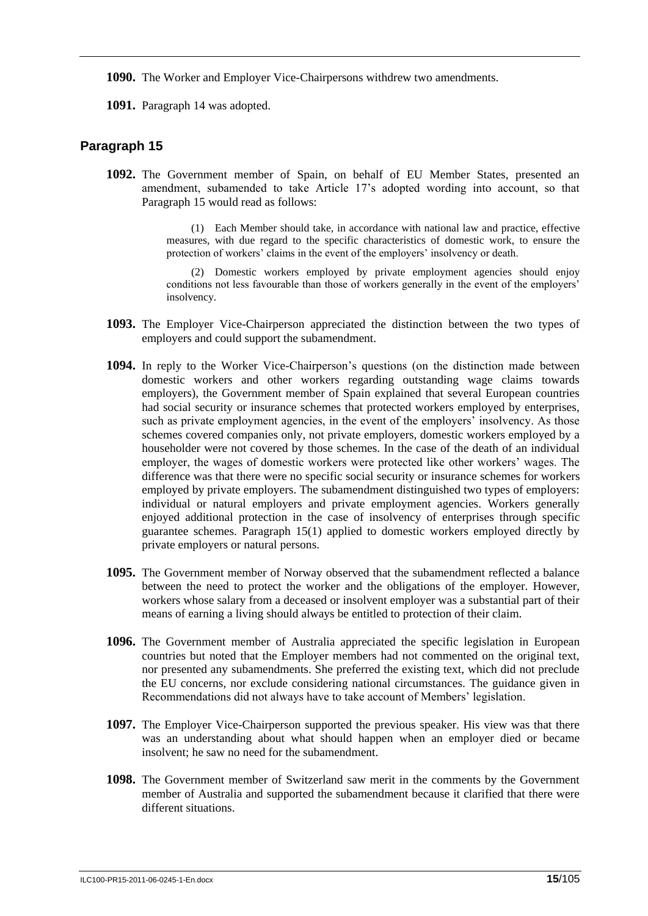- **1090.** The Worker and Employer Vice-Chairpersons withdrew two amendments.
- **1091.** Paragraph 14 was adopted.

**1092.** The Government member of Spain, on behalf of EU Member States, presented an amendment, subamended to take Article 17"s adopted wording into account, so that Paragraph 15 would read as follows:

> (1) Each Member should take, in accordance with national law and practice, effective measures, with due regard to the specific characteristics of domestic work, to ensure the protection of workers' claims in the event of the employers' insolvency or death.

> (2) Domestic workers employed by private employment agencies should enjoy conditions not less favourable than those of workers generally in the event of the employers' insolvency.

- **1093.** The Employer Vice-Chairperson appreciated the distinction between the two types of employers and could support the subamendment.
- **1094.** In reply to the Worker Vice-Chairperson"s questions (on the distinction made between domestic workers and other workers regarding outstanding wage claims towards employers), the Government member of Spain explained that several European countries had social security or insurance schemes that protected workers employed by enterprises, such as private employment agencies, in the event of the employers' insolvency. As those schemes covered companies only, not private employers, domestic workers employed by a householder were not covered by those schemes. In the case of the death of an individual employer, the wages of domestic workers were protected like other workers" wages. The difference was that there were no specific social security or insurance schemes for workers employed by private employers. The subamendment distinguished two types of employers: individual or natural employers and private employment agencies. Workers generally enjoyed additional protection in the case of insolvency of enterprises through specific guarantee schemes. Paragraph 15(1) applied to domestic workers employed directly by private employers or natural persons.
- **1095.** The Government member of Norway observed that the subamendment reflected a balance between the need to protect the worker and the obligations of the employer. However, workers whose salary from a deceased or insolvent employer was a substantial part of their means of earning a living should always be entitled to protection of their claim.
- **1096.** The Government member of Australia appreciated the specific legislation in European countries but noted that the Employer members had not commented on the original text, nor presented any subamendments. She preferred the existing text, which did not preclude the EU concerns, nor exclude considering national circumstances. The guidance given in Recommendations did not always have to take account of Members' legislation.
- **1097.** The Employer Vice-Chairperson supported the previous speaker. His view was that there was an understanding about what should happen when an employer died or became insolvent; he saw no need for the subamendment.
- **1098.** The Government member of Switzerland saw merit in the comments by the Government member of Australia and supported the subamendment because it clarified that there were different situations.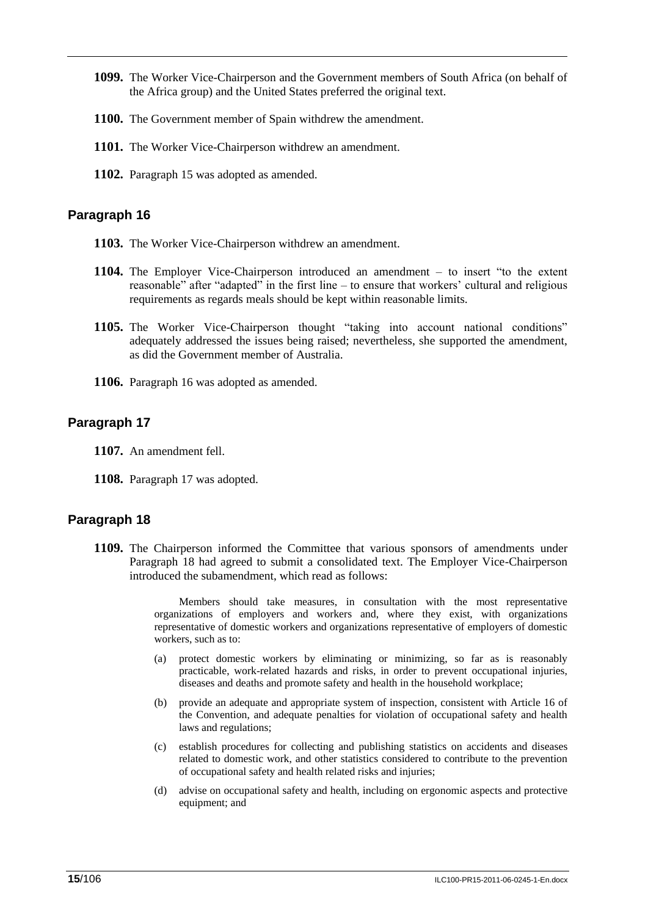- **1099.** The Worker Vice-Chairperson and the Government members of South Africa (on behalf of the Africa group) and the United States preferred the original text.
- **1100.** The Government member of Spain withdrew the amendment.
- **1101.** The Worker Vice-Chairperson withdrew an amendment.
- **1102.** Paragraph 15 was adopted as amended.

- **1103.** The Worker Vice-Chairperson withdrew an amendment.
- **1104.** The Employer Vice-Chairperson introduced an amendment to insert "to the extent reasonable" after "adapted" in the first line – to ensure that workers' cultural and religious requirements as regards meals should be kept within reasonable limits.
- **1105.** The Worker Vice-Chairperson thought "taking into account national conditions" adequately addressed the issues being raised; nevertheless, she supported the amendment, as did the Government member of Australia.
- **1106.** Paragraph 16 was adopted as amended.

## **Paragraph 17**

- **1107.** An amendment fell.
- **1108.** Paragraph 17 was adopted.

## **Paragraph 18**

**1109.** The Chairperson informed the Committee that various sponsors of amendments under Paragraph 18 had agreed to submit a consolidated text. The Employer Vice-Chairperson introduced the subamendment, which read as follows:

> Members should take measures, in consultation with the most representative organizations of employers and workers and, where they exist, with organizations representative of domestic workers and organizations representative of employers of domestic workers, such as to:

- (a) protect domestic workers by eliminating or minimizing, so far as is reasonably practicable, work-related hazards and risks, in order to prevent occupational injuries, diseases and deaths and promote safety and health in the household workplace;
- (b) provide an adequate and appropriate system of inspection, consistent with Article 16 of the Convention, and adequate penalties for violation of occupational safety and health laws and regulations;
- (c) establish procedures for collecting and publishing statistics on accidents and diseases related to domestic work, and other statistics considered to contribute to the prevention of occupational safety and health related risks and injuries;
- (d) advise on occupational safety and health, including on ergonomic aspects and protective equipment; and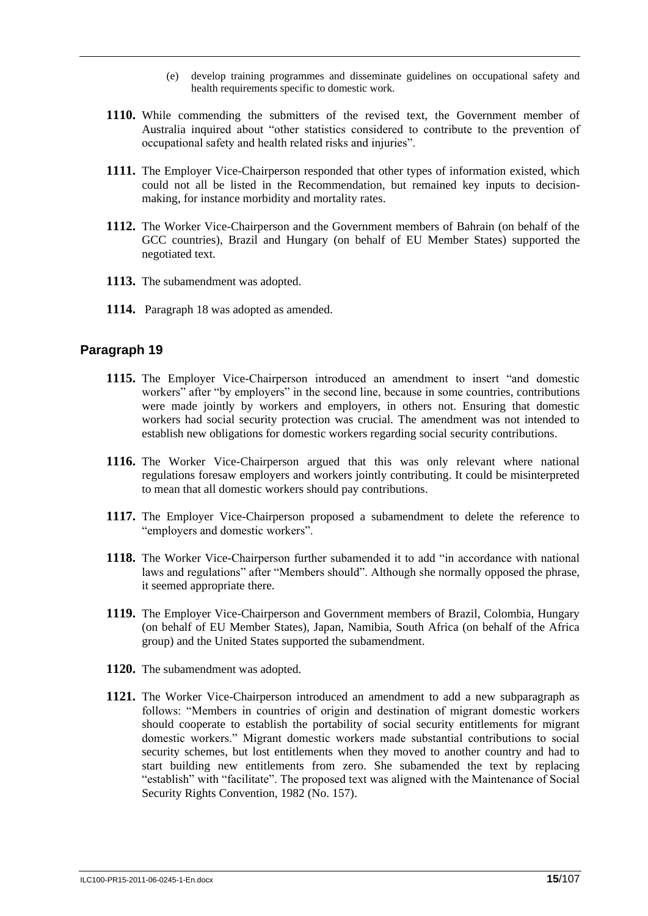- (e) develop training programmes and disseminate guidelines on occupational safety and health requirements specific to domestic work.
- **1110.** While commending the submitters of the revised text, the Government member of Australia inquired about "other statistics considered to contribute to the prevention of occupational safety and health related risks and injuries".
- **1111.** The Employer Vice-Chairperson responded that other types of information existed, which could not all be listed in the Recommendation, but remained key inputs to decisionmaking, for instance morbidity and mortality rates.
- **1112.** The Worker Vice-Chairperson and the Government members of Bahrain (on behalf of the GCC countries), Brazil and Hungary (on behalf of EU Member States) supported the negotiated text.
- **1113.** The subamendment was adopted.
- **1114.** Paragraph 18 was adopted as amended.

- **1115.** The Employer Vice-Chairperson introduced an amendment to insert "and domestic workers" after "by employers" in the second line, because in some countries, contributions were made jointly by workers and employers, in others not. Ensuring that domestic workers had social security protection was crucial. The amendment was not intended to establish new obligations for domestic workers regarding social security contributions.
- **1116.** The Worker Vice-Chairperson argued that this was only relevant where national regulations foresaw employers and workers jointly contributing. It could be misinterpreted to mean that all domestic workers should pay contributions.
- **1117.** The Employer Vice-Chairperson proposed a subamendment to delete the reference to "employers and domestic workers".
- **1118.** The Worker Vice-Chairperson further subamended it to add "in accordance with national laws and regulations" after "Members should". Although she normally opposed the phrase, it seemed appropriate there.
- **1119.** The Employer Vice-Chairperson and Government members of Brazil, Colombia, Hungary (on behalf of EU Member States), Japan, Namibia, South Africa (on behalf of the Africa group) and the United States supported the subamendment.
- **1120.** The subamendment was adopted.
- **1121.** The Worker Vice-Chairperson introduced an amendment to add a new subparagraph as follows: "Members in countries of origin and destination of migrant domestic workers should cooperate to establish the portability of social security entitlements for migrant domestic workers." Migrant domestic workers made substantial contributions to social security schemes, but lost entitlements when they moved to another country and had to start building new entitlements from zero. She subamended the text by replacing "establish" with "facilitate". The proposed text was aligned with the Maintenance of Social Security Rights Convention, 1982 (No. 157).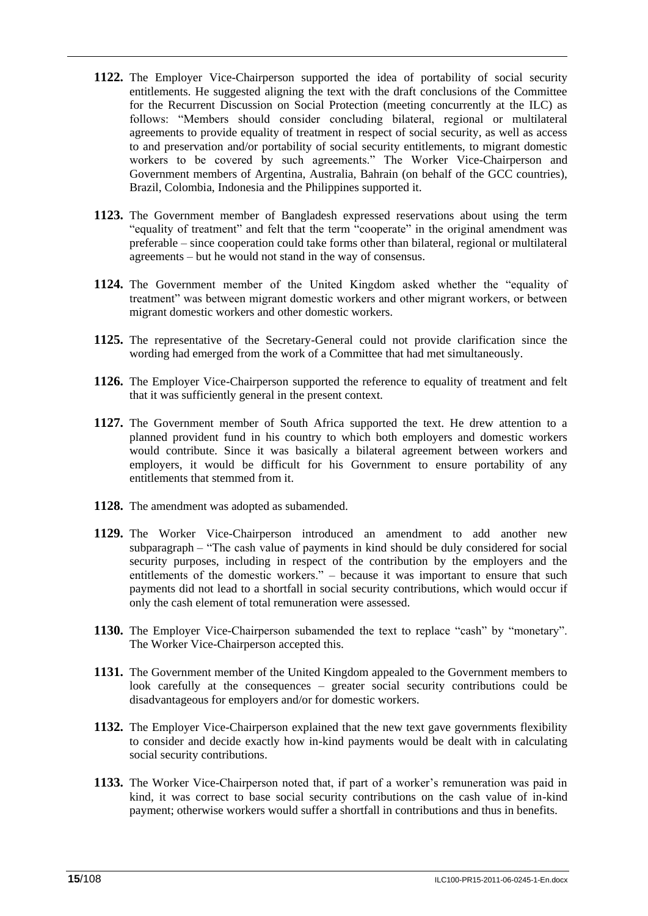- **1122.** The Employer Vice-Chairperson supported the idea of portability of social security entitlements. He suggested aligning the text with the draft conclusions of the Committee for the Recurrent Discussion on Social Protection (meeting concurrently at the ILC) as follows: "Members should consider concluding bilateral, regional or multilateral agreements to provide equality of treatment in respect of social security, as well as access to and preservation and/or portability of social security entitlements, to migrant domestic workers to be covered by such agreements." The Worker Vice-Chairperson and Government members of Argentina, Australia, Bahrain (on behalf of the GCC countries), Brazil, Colombia, Indonesia and the Philippines supported it.
- **1123.** The Government member of Bangladesh expressed reservations about using the term "equality of treatment" and felt that the term "cooperate" in the original amendment was preferable – since cooperation could take forms other than bilateral, regional or multilateral agreements – but he would not stand in the way of consensus.
- **1124.** The Government member of the United Kingdom asked whether the "equality of treatment" was between migrant domestic workers and other migrant workers, or between migrant domestic workers and other domestic workers.
- **1125.** The representative of the Secretary-General could not provide clarification since the wording had emerged from the work of a Committee that had met simultaneously.
- **1126.** The Employer Vice-Chairperson supported the reference to equality of treatment and felt that it was sufficiently general in the present context.
- **1127.** The Government member of South Africa supported the text. He drew attention to a planned provident fund in his country to which both employers and domestic workers would contribute. Since it was basically a bilateral agreement between workers and employers, it would be difficult for his Government to ensure portability of any entitlements that stemmed from it.
- **1128.** The amendment was adopted as subamended.
- **1129.** The Worker Vice-Chairperson introduced an amendment to add another new subparagraph – "The cash value of payments in kind should be duly considered for social security purposes, including in respect of the contribution by the employers and the entitlements of the domestic workers." – because it was important to ensure that such payments did not lead to a shortfall in social security contributions, which would occur if only the cash element of total remuneration were assessed.
- **1130.** The Employer Vice-Chairperson subamended the text to replace "cash" by "monetary". The Worker Vice-Chairperson accepted this.
- **1131.** The Government member of the United Kingdom appealed to the Government members to look carefully at the consequences – greater social security contributions could be disadvantageous for employers and/or for domestic workers.
- **1132.** The Employer Vice-Chairperson explained that the new text gave governments flexibility to consider and decide exactly how in-kind payments would be dealt with in calculating social security contributions.
- 1133. The Worker Vice-Chairperson noted that, if part of a worker's remuneration was paid in kind, it was correct to base social security contributions on the cash value of in-kind payment; otherwise workers would suffer a shortfall in contributions and thus in benefits.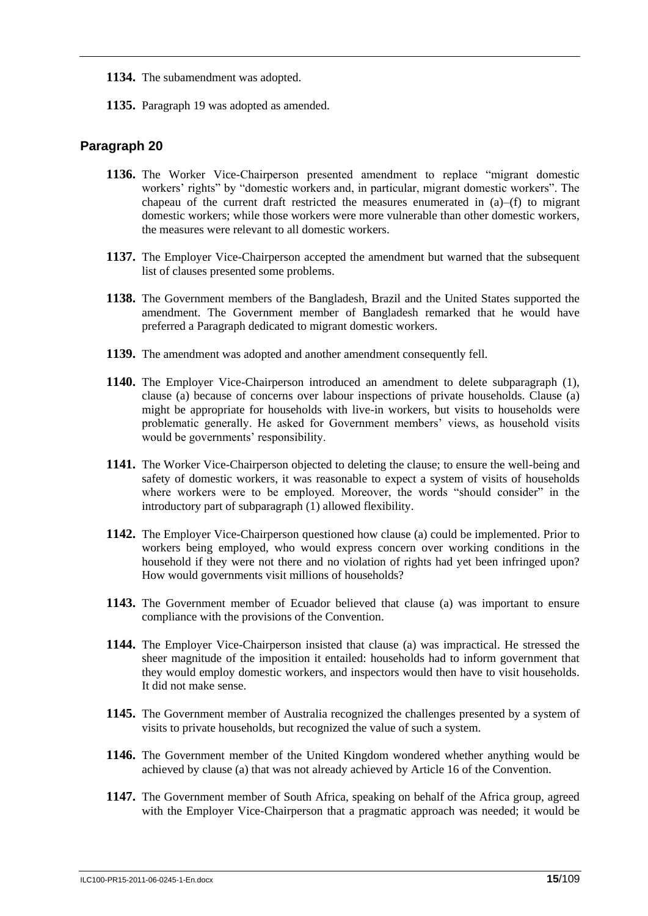**1134.** The subamendment was adopted.

**1135.** Paragraph 19 was adopted as amended.

# **Paragraph 20**

- **1136.** The Worker Vice-Chairperson presented amendment to replace "migrant domestic workers' rights" by "domestic workers and, in particular, migrant domestic workers". The chapeau of the current draft restricted the measures enumerated in (a)–(f) to migrant domestic workers; while those workers were more vulnerable than other domestic workers, the measures were relevant to all domestic workers.
- **1137.** The Employer Vice-Chairperson accepted the amendment but warned that the subsequent list of clauses presented some problems.
- **1138.** The Government members of the Bangladesh, Brazil and the United States supported the amendment. The Government member of Bangladesh remarked that he would have preferred a Paragraph dedicated to migrant domestic workers.
- **1139.** The amendment was adopted and another amendment consequently fell.
- **1140.** The Employer Vice-Chairperson introduced an amendment to delete subparagraph (1), clause (a) because of concerns over labour inspections of private households. Clause (a) might be appropriate for households with live-in workers, but visits to households were problematic generally. He asked for Government members' views, as household visits would be governments' responsibility.
- **1141.** The Worker Vice-Chairperson objected to deleting the clause; to ensure the well-being and safety of domestic workers, it was reasonable to expect a system of visits of households where workers were to be employed. Moreover, the words "should consider" in the introductory part of subparagraph (1) allowed flexibility.
- **1142.** The Employer Vice-Chairperson questioned how clause (a) could be implemented. Prior to workers being employed, who would express concern over working conditions in the household if they were not there and no violation of rights had yet been infringed upon? How would governments visit millions of households?
- **1143.** The Government member of Ecuador believed that clause (a) was important to ensure compliance with the provisions of the Convention.
- **1144.** The Employer Vice-Chairperson insisted that clause (a) was impractical. He stressed the sheer magnitude of the imposition it entailed: households had to inform government that they would employ domestic workers, and inspectors would then have to visit households. It did not make sense.
- **1145.** The Government member of Australia recognized the challenges presented by a system of visits to private households, but recognized the value of such a system.
- **1146.** The Government member of the United Kingdom wondered whether anything would be achieved by clause (a) that was not already achieved by Article 16 of the Convention.
- **1147.** The Government member of South Africa, speaking on behalf of the Africa group, agreed with the Employer Vice-Chairperson that a pragmatic approach was needed; it would be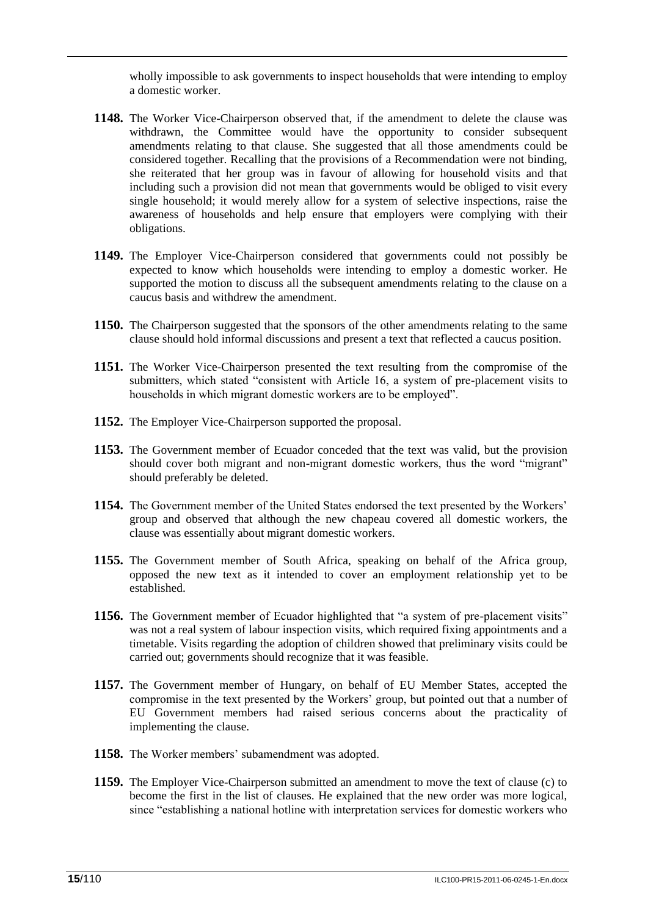wholly impossible to ask governments to inspect households that were intending to employ a domestic worker.

- **1148.** The Worker Vice-Chairperson observed that, if the amendment to delete the clause was withdrawn, the Committee would have the opportunity to consider subsequent amendments relating to that clause. She suggested that all those amendments could be considered together. Recalling that the provisions of a Recommendation were not binding, she reiterated that her group was in favour of allowing for household visits and that including such a provision did not mean that governments would be obliged to visit every single household; it would merely allow for a system of selective inspections, raise the awareness of households and help ensure that employers were complying with their obligations.
- **1149.** The Employer Vice-Chairperson considered that governments could not possibly be expected to know which households were intending to employ a domestic worker. He supported the motion to discuss all the subsequent amendments relating to the clause on a caucus basis and withdrew the amendment.
- **1150.** The Chairperson suggested that the sponsors of the other amendments relating to the same clause should hold informal discussions and present a text that reflected a caucus position.
- **1151.** The Worker Vice-Chairperson presented the text resulting from the compromise of the submitters, which stated "consistent with Article 16, a system of pre-placement visits to households in which migrant domestic workers are to be employed".
- **1152.** The Employer Vice-Chairperson supported the proposal.
- **1153.** The Government member of Ecuador conceded that the text was valid, but the provision should cover both migrant and non-migrant domestic workers, thus the word "migrant" should preferably be deleted.
- **1154.** The Government member of the United States endorsed the text presented by the Workers" group and observed that although the new chapeau covered all domestic workers, the clause was essentially about migrant domestic workers.
- **1155.** The Government member of South Africa, speaking on behalf of the Africa group, opposed the new text as it intended to cover an employment relationship yet to be established.
- **1156.** The Government member of Ecuador highlighted that "a system of pre-placement visits" was not a real system of labour inspection visits, which required fixing appointments and a timetable. Visits regarding the adoption of children showed that preliminary visits could be carried out; governments should recognize that it was feasible.
- **1157.** The Government member of Hungary, on behalf of EU Member States, accepted the compromise in the text presented by the Workers' group, but pointed out that a number of EU Government members had raised serious concerns about the practicality of implementing the clause.
- 1158. The Worker members' subamendment was adopted.
- **1159.** The Employer Vice-Chairperson submitted an amendment to move the text of clause (c) to become the first in the list of clauses. He explained that the new order was more logical, since "establishing a national hotline with interpretation services for domestic workers who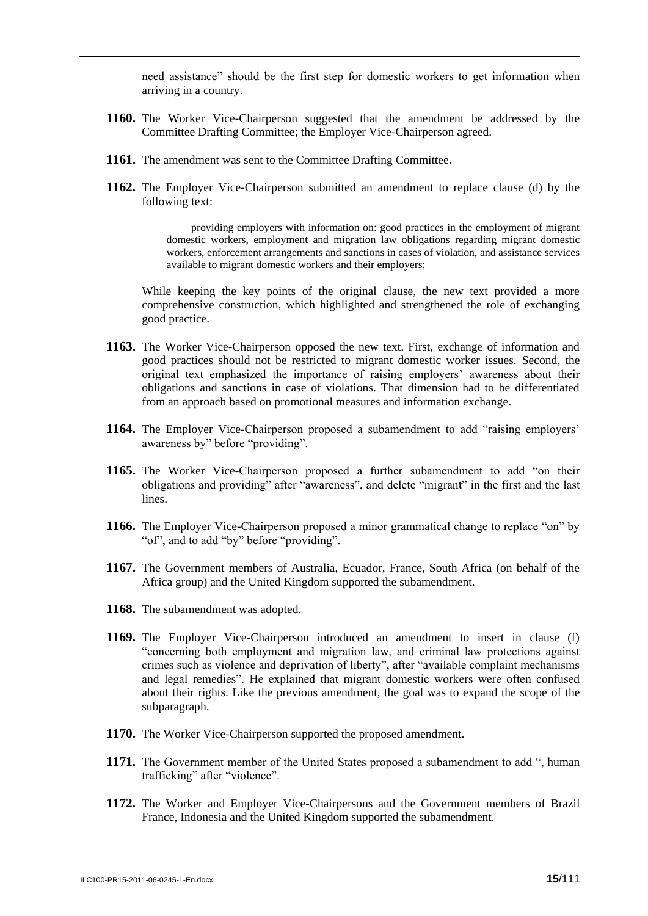need assistance" should be the first step for domestic workers to get information when arriving in a country.

- **1160.** The Worker Vice-Chairperson suggested that the amendment be addressed by the Committee Drafting Committee; the Employer Vice-Chairperson agreed.
- **1161.** The amendment was sent to the Committee Drafting Committee.
- **1162.** The Employer Vice-Chairperson submitted an amendment to replace clause (d) by the following text:

providing employers with information on: good practices in the employment of migrant domestic workers, employment and migration law obligations regarding migrant domestic workers, enforcement arrangements and sanctions in cases of violation, and assistance services available to migrant domestic workers and their employers;

While keeping the key points of the original clause, the new text provided a more comprehensive construction, which highlighted and strengthened the role of exchanging good practice.

- **1163.** The Worker Vice-Chairperson opposed the new text. First, exchange of information and good practices should not be restricted to migrant domestic worker issues. Second, the original text emphasized the importance of raising employers" awareness about their obligations and sanctions in case of violations. That dimension had to be differentiated from an approach based on promotional measures and information exchange.
- 1164. The Employer Vice-Chairperson proposed a subamendment to add "raising employers" awareness by" before "providing".
- **1165.** The Worker Vice-Chairperson proposed a further subamendment to add "on their obligations and providing" after "awareness", and delete "migrant" in the first and the last lines.
- **1166.** The Employer Vice-Chairperson proposed a minor grammatical change to replace "on" by "of", and to add "by" before "providing".
- **1167.** The Government members of Australia, Ecuador, France, South Africa (on behalf of the Africa group) and the United Kingdom supported the subamendment.
- **1168.** The subamendment was adopted.
- **1169.** The Employer Vice-Chairperson introduced an amendment to insert in clause (f) "concerning both employment and migration law, and criminal law protections against crimes such as violence and deprivation of liberty", after "available complaint mechanisms and legal remedies". He explained that migrant domestic workers were often confused about their rights. Like the previous amendment, the goal was to expand the scope of the subparagraph.
- **1170.** The Worker Vice-Chairperson supported the proposed amendment.
- **1171.** The Government member of the United States proposed a subamendment to add ", human trafficking" after "violence".
- **1172.** The Worker and Employer Vice-Chairpersons and the Government members of Brazil France, Indonesia and the United Kingdom supported the subamendment.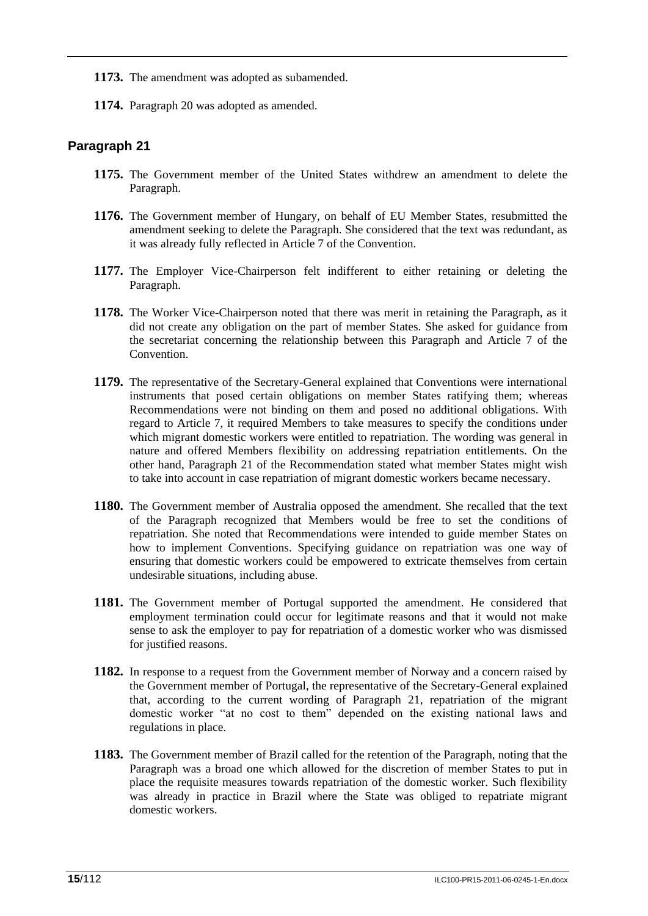- **1173.** The amendment was adopted as subamended.
- **1174.** Paragraph 20 was adopted as amended.

# **Paragraph 21**

- **1175.** The Government member of the United States withdrew an amendment to delete the Paragraph.
- **1176.** The Government member of Hungary, on behalf of EU Member States, resubmitted the amendment seeking to delete the Paragraph. She considered that the text was redundant, as it was already fully reflected in Article 7 of the Convention.
- **1177.** The Employer Vice-Chairperson felt indifferent to either retaining or deleting the Paragraph.
- **1178.** The Worker Vice-Chairperson noted that there was merit in retaining the Paragraph, as it did not create any obligation on the part of member States. She asked for guidance from the secretariat concerning the relationship between this Paragraph and Article 7 of the Convention.
- **1179.** The representative of the Secretary-General explained that Conventions were international instruments that posed certain obligations on member States ratifying them; whereas Recommendations were not binding on them and posed no additional obligations. With regard to Article 7, it required Members to take measures to specify the conditions under which migrant domestic workers were entitled to repatriation. The wording was general in nature and offered Members flexibility on addressing repatriation entitlements. On the other hand, Paragraph 21 of the Recommendation stated what member States might wish to take into account in case repatriation of migrant domestic workers became necessary.
- **1180.** The Government member of Australia opposed the amendment. She recalled that the text of the Paragraph recognized that Members would be free to set the conditions of repatriation. She noted that Recommendations were intended to guide member States on how to implement Conventions. Specifying guidance on repatriation was one way of ensuring that domestic workers could be empowered to extricate themselves from certain undesirable situations, including abuse.
- **1181.** The Government member of Portugal supported the amendment. He considered that employment termination could occur for legitimate reasons and that it would not make sense to ask the employer to pay for repatriation of a domestic worker who was dismissed for justified reasons.
- **1182.** In response to a request from the Government member of Norway and a concern raised by the Government member of Portugal, the representative of the Secretary-General explained that, according to the current wording of Paragraph 21, repatriation of the migrant domestic worker "at no cost to them" depended on the existing national laws and regulations in place.
- **1183.** The Government member of Brazil called for the retention of the Paragraph, noting that the Paragraph was a broad one which allowed for the discretion of member States to put in place the requisite measures towards repatriation of the domestic worker. Such flexibility was already in practice in Brazil where the State was obliged to repatriate migrant domestic workers.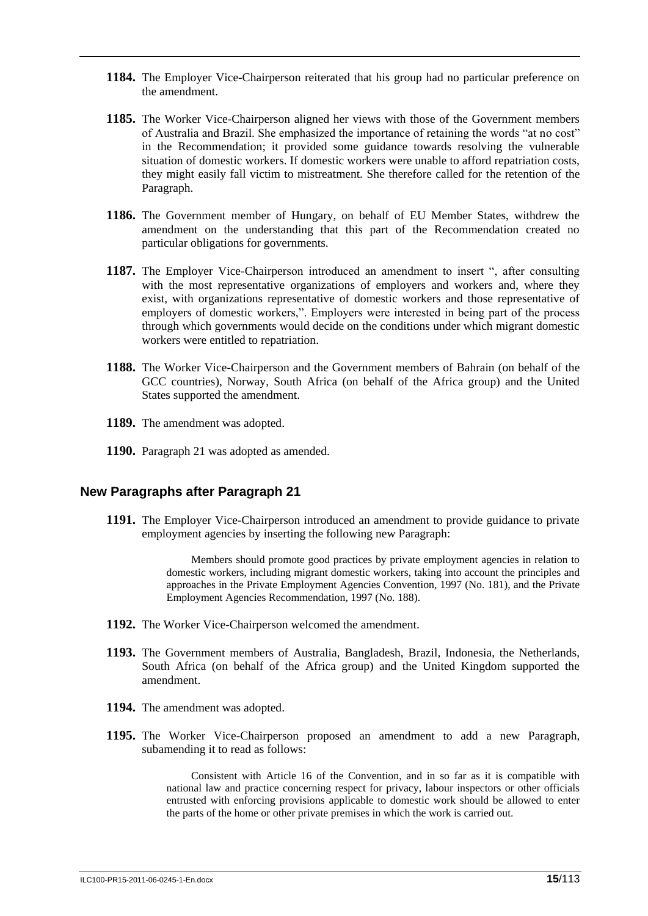- **1184.** The Employer Vice-Chairperson reiterated that his group had no particular preference on the amendment.
- **1185.** The Worker Vice-Chairperson aligned her views with those of the Government members of Australia and Brazil. She emphasized the importance of retaining the words "at no cost" in the Recommendation; it provided some guidance towards resolving the vulnerable situation of domestic workers. If domestic workers were unable to afford repatriation costs, they might easily fall victim to mistreatment. She therefore called for the retention of the Paragraph.
- **1186.** The Government member of Hungary, on behalf of EU Member States, withdrew the amendment on the understanding that this part of the Recommendation created no particular obligations for governments.
- **1187.** The Employer Vice-Chairperson introduced an amendment to insert ", after consulting with the most representative organizations of employers and workers and, where they exist, with organizations representative of domestic workers and those representative of employers of domestic workers,". Employers were interested in being part of the process through which governments would decide on the conditions under which migrant domestic workers were entitled to repatriation.
- **1188.** The Worker Vice-Chairperson and the Government members of Bahrain (on behalf of the GCC countries), Norway, South Africa (on behalf of the Africa group) and the United States supported the amendment.
- **1189.** The amendment was adopted.
- **1190.** Paragraph 21 was adopted as amended.

## **New Paragraphs after Paragraph 21**

**1191.** The Employer Vice-Chairperson introduced an amendment to provide guidance to private employment agencies by inserting the following new Paragraph:

> Members should promote good practices by private employment agencies in relation to domestic workers, including migrant domestic workers, taking into account the principles and approaches in the Private Employment Agencies Convention, 1997 (No. 181), and the Private Employment Agencies Recommendation, 1997 (No. 188).

- **1192.** The Worker Vice-Chairperson welcomed the amendment.
- **1193.** The Government members of Australia, Bangladesh, Brazil, Indonesia, the Netherlands, South Africa (on behalf of the Africa group) and the United Kingdom supported the amendment.
- **1194.** The amendment was adopted.
- **1195.** The Worker Vice-Chairperson proposed an amendment to add a new Paragraph, subamending it to read as follows:

Consistent with Article 16 of the Convention, and in so far as it is compatible with national law and practice concerning respect for privacy, labour inspectors or other officials entrusted with enforcing provisions applicable to domestic work should be allowed to enter the parts of the home or other private premises in which the work is carried out.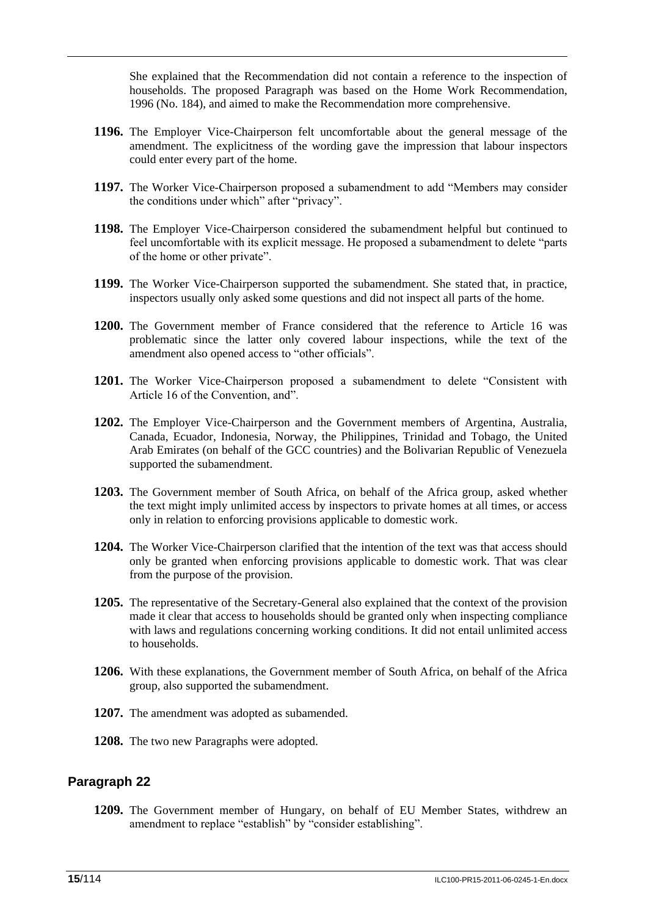She explained that the Recommendation did not contain a reference to the inspection of households. The proposed Paragraph was based on the Home Work Recommendation, 1996 (No. 184), and aimed to make the Recommendation more comprehensive.

- **1196.** The Employer Vice-Chairperson felt uncomfortable about the general message of the amendment. The explicitness of the wording gave the impression that labour inspectors could enter every part of the home.
- **1197.** The Worker Vice-Chairperson proposed a subamendment to add "Members may consider the conditions under which" after "privacy".
- **1198.** The Employer Vice-Chairperson considered the subamendment helpful but continued to feel uncomfortable with its explicit message. He proposed a subamendment to delete "parts of the home or other private".
- **1199.** The Worker Vice-Chairperson supported the subamendment. She stated that, in practice, inspectors usually only asked some questions and did not inspect all parts of the home.
- **1200.** The Government member of France considered that the reference to Article 16 was problematic since the latter only covered labour inspections, while the text of the amendment also opened access to "other officials".
- **1201.** The Worker Vice-Chairperson proposed a subamendment to delete "Consistent with Article 16 of the Convention, and".
- **1202.** The Employer Vice-Chairperson and the Government members of Argentina, Australia, Canada, Ecuador, Indonesia, Norway, the Philippines, Trinidad and Tobago, the United Arab Emirates (on behalf of the GCC countries) and the Bolivarian Republic of Venezuela supported the subamendment.
- **1203.** The Government member of South Africa, on behalf of the Africa group, asked whether the text might imply unlimited access by inspectors to private homes at all times, or access only in relation to enforcing provisions applicable to domestic work.
- **1204.** The Worker Vice-Chairperson clarified that the intention of the text was that access should only be granted when enforcing provisions applicable to domestic work. That was clear from the purpose of the provision.
- **1205.** The representative of the Secretary-General also explained that the context of the provision made it clear that access to households should be granted only when inspecting compliance with laws and regulations concerning working conditions. It did not entail unlimited access to households.
- **1206.** With these explanations, the Government member of South Africa, on behalf of the Africa group, also supported the subamendment.
- **1207.** The amendment was adopted as subamended.
- **1208.** The two new Paragraphs were adopted.

# **Paragraph 22**

**1209.** The Government member of Hungary, on behalf of EU Member States, withdrew an amendment to replace "establish" by "consider establishing".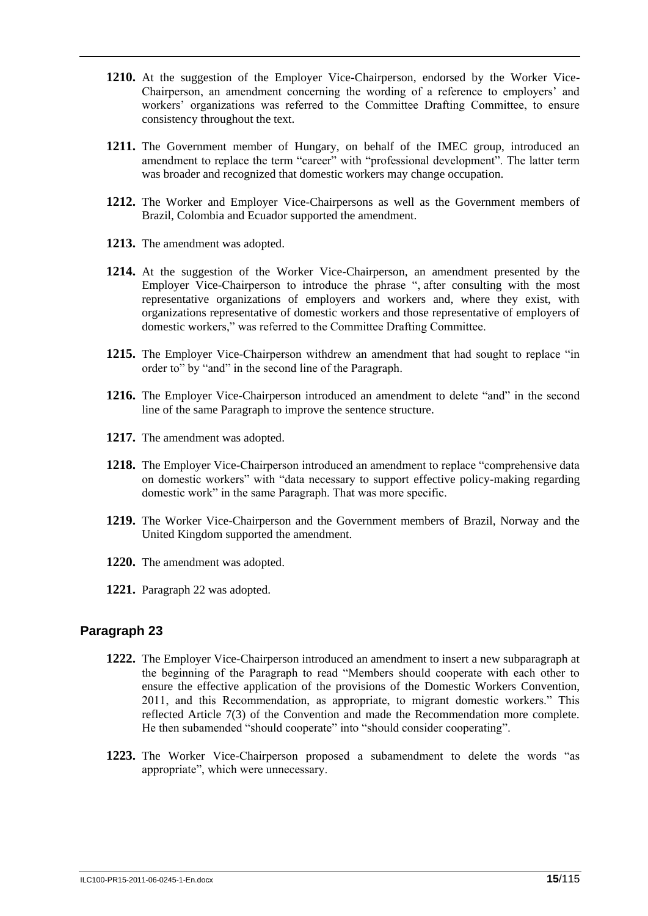- **1210.** At the suggestion of the Employer Vice-Chairperson, endorsed by the Worker Vice-Chairperson, an amendment concerning the wording of a reference to employers" and workers' organizations was referred to the Committee Drafting Committee, to ensure consistency throughout the text.
- **1211.** The Government member of Hungary, on behalf of the IMEC group, introduced an amendment to replace the term "career" with "professional development". The latter term was broader and recognized that domestic workers may change occupation.
- **1212.** The Worker and Employer Vice-Chairpersons as well as the Government members of Brazil, Colombia and Ecuador supported the amendment.
- **1213.** The amendment was adopted.
- **1214.** At the suggestion of the Worker Vice-Chairperson, an amendment presented by the Employer Vice-Chairperson to introduce the phrase ", after consulting with the most representative organizations of employers and workers and, where they exist, with organizations representative of domestic workers and those representative of employers of domestic workers," was referred to the Committee Drafting Committee.
- **1215.** The Employer Vice-Chairperson withdrew an amendment that had sought to replace "in order to" by "and" in the second line of the Paragraph.
- **1216.** The Employer Vice-Chairperson introduced an amendment to delete "and" in the second line of the same Paragraph to improve the sentence structure.
- **1217.** The amendment was adopted.
- **1218.** The Employer Vice-Chairperson introduced an amendment to replace "comprehensive data on domestic workers" with "data necessary to support effective policy-making regarding domestic work" in the same Paragraph. That was more specific.
- **1219.** The Worker Vice-Chairperson and the Government members of Brazil, Norway and the United Kingdom supported the amendment.
- **1220.** The amendment was adopted.
- **1221.** Paragraph 22 was adopted.

## **Paragraph 23**

- **1222.** The Employer Vice-Chairperson introduced an amendment to insert a new subparagraph at the beginning of the Paragraph to read "Members should cooperate with each other to ensure the effective application of the provisions of the Domestic Workers Convention, 2011, and this Recommendation, as appropriate, to migrant domestic workers." This reflected Article 7(3) of the Convention and made the Recommendation more complete. He then subamended "should cooperate" into "should consider cooperating".
- **1223.** The Worker Vice-Chairperson proposed a subamendment to delete the words "as appropriate", which were unnecessary.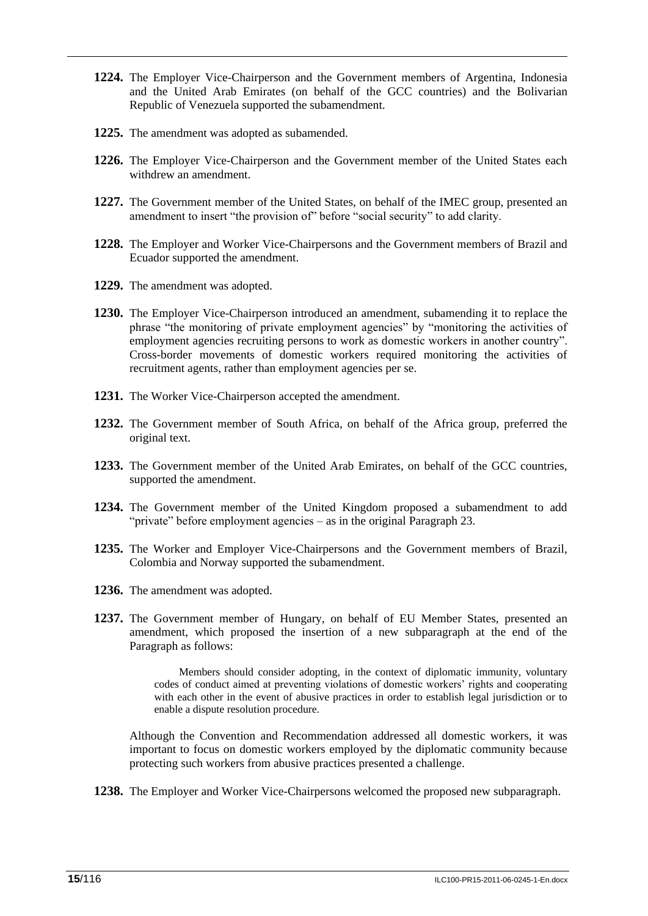- **1224.** The Employer Vice-Chairperson and the Government members of Argentina, Indonesia and the United Arab Emirates (on behalf of the GCC countries) and the Bolivarian Republic of Venezuela supported the subamendment.
- **1225.** The amendment was adopted as subamended.
- **1226.** The Employer Vice-Chairperson and the Government member of the United States each withdrew an amendment.
- **1227.** The Government member of the United States, on behalf of the IMEC group, presented an amendment to insert "the provision of" before "social security" to add clarity.
- **1228.** The Employer and Worker Vice-Chairpersons and the Government members of Brazil and Ecuador supported the amendment.
- **1229.** The amendment was adopted.
- **1230.** The Employer Vice-Chairperson introduced an amendment, subamending it to replace the phrase "the monitoring of private employment agencies" by "monitoring the activities of employment agencies recruiting persons to work as domestic workers in another country". Cross-border movements of domestic workers required monitoring the activities of recruitment agents, rather than employment agencies per se.
- **1231.** The Worker Vice-Chairperson accepted the amendment.
- **1232.** The Government member of South Africa, on behalf of the Africa group, preferred the original text.
- **1233.** The Government member of the United Arab Emirates, on behalf of the GCC countries, supported the amendment.
- **1234.** The Government member of the United Kingdom proposed a subamendment to add "private" before employment agencies – as in the original Paragraph 23.
- **1235.** The Worker and Employer Vice-Chairpersons and the Government members of Brazil, Colombia and Norway supported the subamendment.
- **1236.** The amendment was adopted.
- **1237.** The Government member of Hungary, on behalf of EU Member States, presented an amendment, which proposed the insertion of a new subparagraph at the end of the Paragraph as follows:

Members should consider adopting, in the context of diplomatic immunity, voluntary codes of conduct aimed at preventing violations of domestic workers" rights and cooperating with each other in the event of abusive practices in order to establish legal jurisdiction or to enable a dispute resolution procedure.

Although the Convention and Recommendation addressed all domestic workers, it was important to focus on domestic workers employed by the diplomatic community because protecting such workers from abusive practices presented a challenge.

**1238.** The Employer and Worker Vice-Chairpersons welcomed the proposed new subparagraph.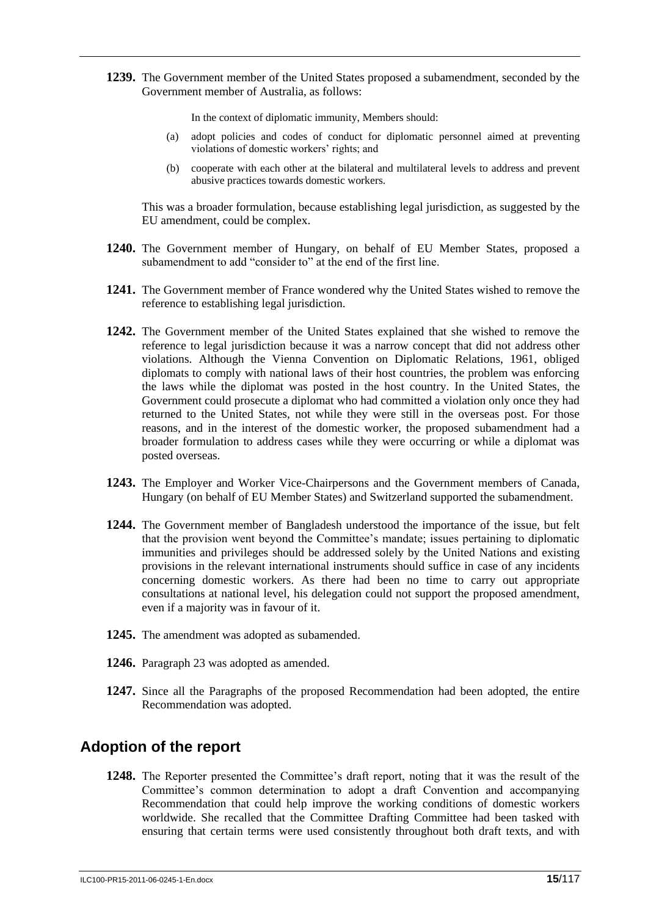**1239.** The Government member of the United States proposed a subamendment, seconded by the Government member of Australia, as follows:

In the context of diplomatic immunity, Members should:

- (a) adopt policies and codes of conduct for diplomatic personnel aimed at preventing violations of domestic workers' rights; and
- (b) cooperate with each other at the bilateral and multilateral levels to address and prevent abusive practices towards domestic workers.

This was a broader formulation, because establishing legal jurisdiction, as suggested by the EU amendment, could be complex.

- **1240.** The Government member of Hungary, on behalf of EU Member States, proposed a subamendment to add "consider to" at the end of the first line.
- **1241.** The Government member of France wondered why the United States wished to remove the reference to establishing legal jurisdiction.
- **1242.** The Government member of the United States explained that she wished to remove the reference to legal jurisdiction because it was a narrow concept that did not address other violations. Although the Vienna Convention on Diplomatic Relations, 1961, obliged diplomats to comply with national laws of their host countries, the problem was enforcing the laws while the diplomat was posted in the host country. In the United States, the Government could prosecute a diplomat who had committed a violation only once they had returned to the United States, not while they were still in the overseas post. For those reasons, and in the interest of the domestic worker, the proposed subamendment had a broader formulation to address cases while they were occurring or while a diplomat was posted overseas.
- **1243.** The Employer and Worker Vice-Chairpersons and the Government members of Canada, Hungary (on behalf of EU Member States) and Switzerland supported the subamendment.
- **1244.** The Government member of Bangladesh understood the importance of the issue, but felt that the provision went beyond the Committee's mandate; issues pertaining to diplomatic immunities and privileges should be addressed solely by the United Nations and existing provisions in the relevant international instruments should suffice in case of any incidents concerning domestic workers. As there had been no time to carry out appropriate consultations at national level, his delegation could not support the proposed amendment, even if a majority was in favour of it.
- **1245.** The amendment was adopted as subamended.
- **1246.** Paragraph 23 was adopted as amended.
- **1247.** Since all the Paragraphs of the proposed Recommendation had been adopted, the entire Recommendation was adopted.

# **Adoption of the report**

**1248.** The Reporter presented the Committee"s draft report, noting that it was the result of the Committee"s common determination to adopt a draft Convention and accompanying Recommendation that could help improve the working conditions of domestic workers worldwide. She recalled that the Committee Drafting Committee had been tasked with ensuring that certain terms were used consistently throughout both draft texts, and with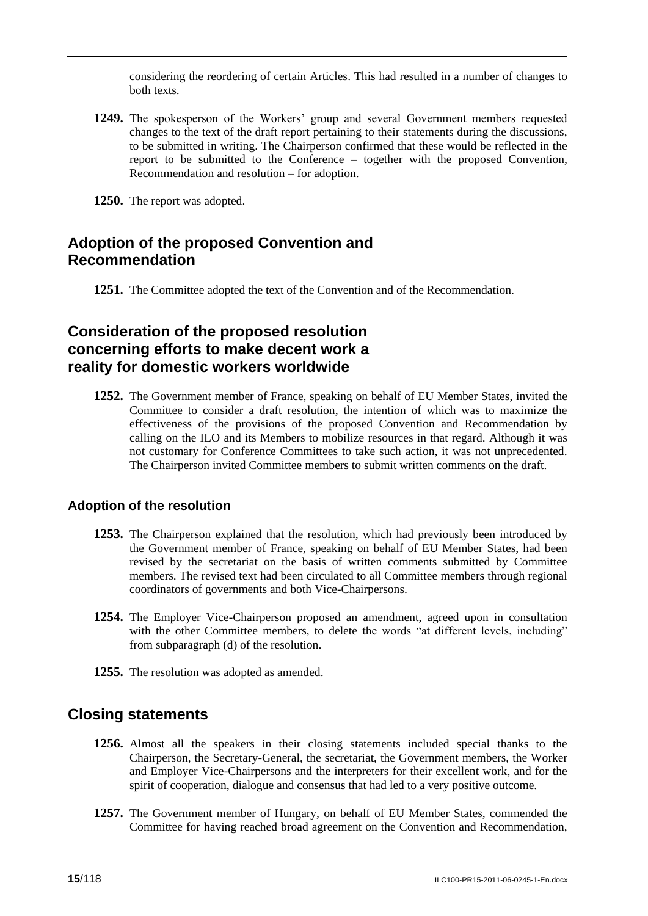considering the reordering of certain Articles. This had resulted in a number of changes to both texts.

- **1249.** The spokesperson of the Workers" group and several Government members requested changes to the text of the draft report pertaining to their statements during the discussions, to be submitted in writing. The Chairperson confirmed that these would be reflected in the report to be submitted to the Conference – together with the proposed Convention, Recommendation and resolution – for adoption.
- **1250.** The report was adopted.

# **Adoption of the proposed Convention and Recommendation**

**1251.** The Committee adopted the text of the Convention and of the Recommendation.

# **Consideration of the proposed resolution concerning efforts to make decent work a reality for domestic workers worldwide**

**1252.** The Government member of France, speaking on behalf of EU Member States, invited the Committee to consider a draft resolution, the intention of which was to maximize the effectiveness of the provisions of the proposed Convention and Recommendation by calling on the ILO and its Members to mobilize resources in that regard. Although it was not customary for Conference Committees to take such action, it was not unprecedented. The Chairperson invited Committee members to submit written comments on the draft.

# **Adoption of the resolution**

- **1253.** The Chairperson explained that the resolution, which had previously been introduced by the Government member of France, speaking on behalf of EU Member States, had been revised by the secretariat on the basis of written comments submitted by Committee members. The revised text had been circulated to all Committee members through regional coordinators of governments and both Vice-Chairpersons.
- **1254.** The Employer Vice-Chairperson proposed an amendment, agreed upon in consultation with the other Committee members, to delete the words "at different levels, including" from subparagraph (d) of the resolution.
- **1255.** The resolution was adopted as amended.

# **Closing statements**

- **1256.** Almost all the speakers in their closing statements included special thanks to the Chairperson, the Secretary-General, the secretariat, the Government members, the Worker and Employer Vice-Chairpersons and the interpreters for their excellent work, and for the spirit of cooperation, dialogue and consensus that had led to a very positive outcome.
- **1257.** The Government member of Hungary, on behalf of EU Member States, commended the Committee for having reached broad agreement on the Convention and Recommendation,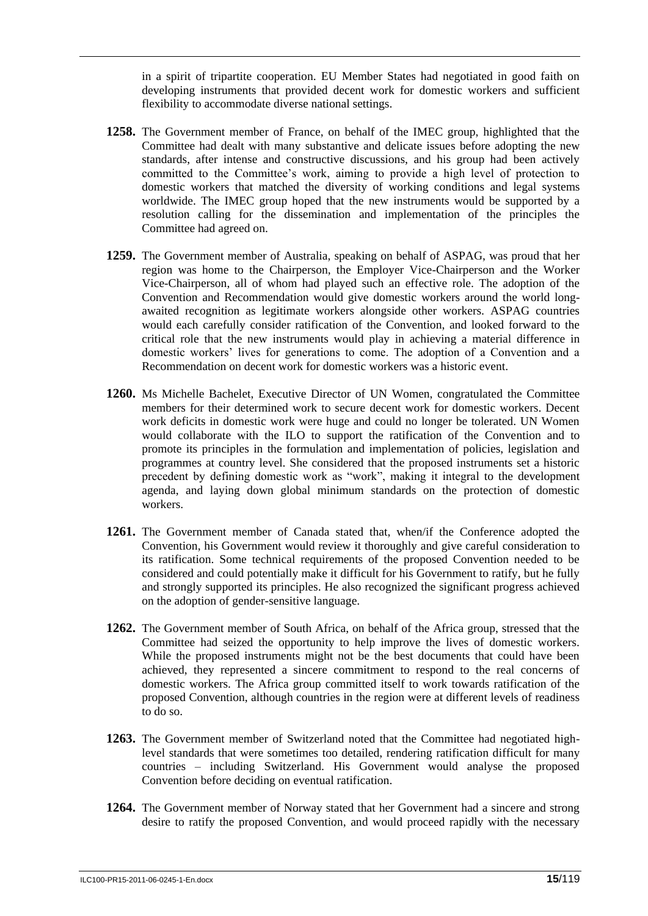in a spirit of tripartite cooperation. EU Member States had negotiated in good faith on developing instruments that provided decent work for domestic workers and sufficient flexibility to accommodate diverse national settings.

- **1258.** The Government member of France, on behalf of the IMEC group, highlighted that the Committee had dealt with many substantive and delicate issues before adopting the new standards, after intense and constructive discussions, and his group had been actively committed to the Committee"s work, aiming to provide a high level of protection to domestic workers that matched the diversity of working conditions and legal systems worldwide. The IMEC group hoped that the new instruments would be supported by a resolution calling for the dissemination and implementation of the principles the Committee had agreed on.
- **1259.** The Government member of Australia, speaking on behalf of ASPAG, was proud that her region was home to the Chairperson, the Employer Vice-Chairperson and the Worker Vice-Chairperson, all of whom had played such an effective role. The adoption of the Convention and Recommendation would give domestic workers around the world longawaited recognition as legitimate workers alongside other workers. ASPAG countries would each carefully consider ratification of the Convention, and looked forward to the critical role that the new instruments would play in achieving a material difference in domestic workers' lives for generations to come. The adoption of a Convention and a Recommendation on decent work for domestic workers was a historic event.
- **1260.** Ms Michelle Bachelet, Executive Director of UN Women, congratulated the Committee members for their determined work to secure decent work for domestic workers. Decent work deficits in domestic work were huge and could no longer be tolerated. UN Women would collaborate with the ILO to support the ratification of the Convention and to promote its principles in the formulation and implementation of policies, legislation and programmes at country level. She considered that the proposed instruments set a historic precedent by defining domestic work as "work", making it integral to the development agenda, and laying down global minimum standards on the protection of domestic workers.
- **1261.** The Government member of Canada stated that, when/if the Conference adopted the Convention, his Government would review it thoroughly and give careful consideration to its ratification. Some technical requirements of the proposed Convention needed to be considered and could potentially make it difficult for his Government to ratify, but he fully and strongly supported its principles. He also recognized the significant progress achieved on the adoption of gender-sensitive language.
- **1262.** The Government member of South Africa, on behalf of the Africa group, stressed that the Committee had seized the opportunity to help improve the lives of domestic workers. While the proposed instruments might not be the best documents that could have been achieved, they represented a sincere commitment to respond to the real concerns of domestic workers. The Africa group committed itself to work towards ratification of the proposed Convention, although countries in the region were at different levels of readiness to do so.
- **1263.** The Government member of Switzerland noted that the Committee had negotiated highlevel standards that were sometimes too detailed, rendering ratification difficult for many countries – including Switzerland. His Government would analyse the proposed Convention before deciding on eventual ratification.
- **1264.** The Government member of Norway stated that her Government had a sincere and strong desire to ratify the proposed Convention, and would proceed rapidly with the necessary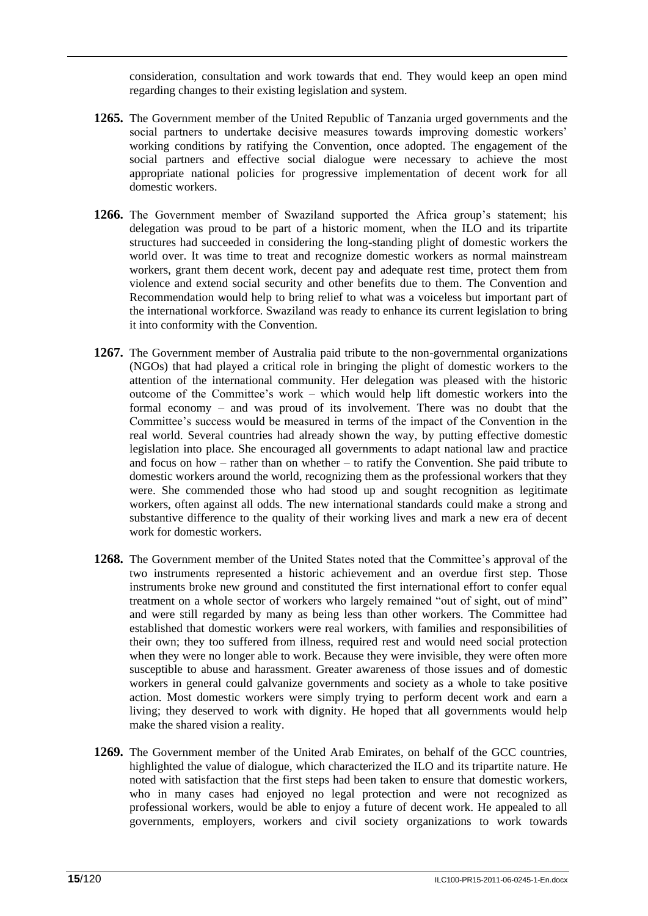consideration, consultation and work towards that end. They would keep an open mind regarding changes to their existing legislation and system.

- **1265.** The Government member of the United Republic of Tanzania urged governments and the social partners to undertake decisive measures towards improving domestic workers' working conditions by ratifying the Convention, once adopted. The engagement of the social partners and effective social dialogue were necessary to achieve the most appropriate national policies for progressive implementation of decent work for all domestic workers.
- 1266. The Government member of Swaziland supported the Africa group's statement; his delegation was proud to be part of a historic moment, when the ILO and its tripartite structures had succeeded in considering the long-standing plight of domestic workers the world over. It was time to treat and recognize domestic workers as normal mainstream workers, grant them decent work, decent pay and adequate rest time, protect them from violence and extend social security and other benefits due to them. The Convention and Recommendation would help to bring relief to what was a voiceless but important part of the international workforce. Swaziland was ready to enhance its current legislation to bring it into conformity with the Convention.
- **1267.** The Government member of Australia paid tribute to the non-governmental organizations (NGOs) that had played a critical role in bringing the plight of domestic workers to the attention of the international community. Her delegation was pleased with the historic outcome of the Committee"s work – which would help lift domestic workers into the formal economy – and was proud of its involvement. There was no doubt that the Committee's success would be measured in terms of the impact of the Convention in the real world. Several countries had already shown the way, by putting effective domestic legislation into place. She encouraged all governments to adapt national law and practice and focus on how – rather than on whether – to ratify the Convention. She paid tribute to domestic workers around the world, recognizing them as the professional workers that they were. She commended those who had stood up and sought recognition as legitimate workers, often against all odds. The new international standards could make a strong and substantive difference to the quality of their working lives and mark a new era of decent work for domestic workers.
- **1268.** The Government member of the United States noted that the Committee"s approval of the two instruments represented a historic achievement and an overdue first step. Those instruments broke new ground and constituted the first international effort to confer equal treatment on a whole sector of workers who largely remained "out of sight, out of mind" and were still regarded by many as being less than other workers. The Committee had established that domestic workers were real workers, with families and responsibilities of their own; they too suffered from illness, required rest and would need social protection when they were no longer able to work. Because they were invisible, they were often more susceptible to abuse and harassment. Greater awareness of those issues and of domestic workers in general could galvanize governments and society as a whole to take positive action. Most domestic workers were simply trying to perform decent work and earn a living; they deserved to work with dignity. He hoped that all governments would help make the shared vision a reality.
- **1269.** The Government member of the United Arab Emirates, on behalf of the GCC countries, highlighted the value of dialogue, which characterized the ILO and its tripartite nature. He noted with satisfaction that the first steps had been taken to ensure that domestic workers, who in many cases had enjoyed no legal protection and were not recognized as professional workers, would be able to enjoy a future of decent work. He appealed to all governments, employers, workers and civil society organizations to work towards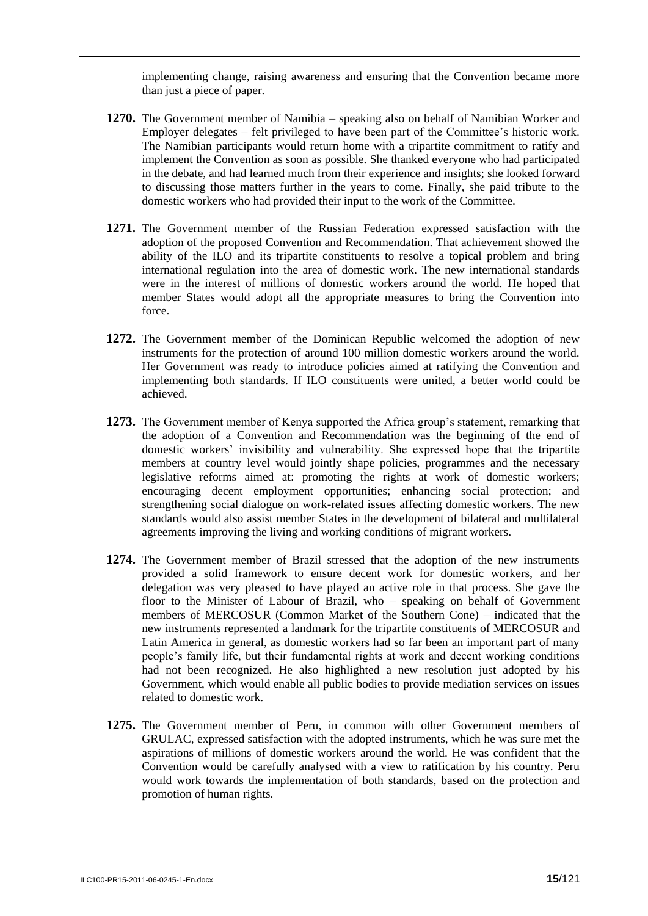implementing change, raising awareness and ensuring that the Convention became more than just a piece of paper.

- **1270.** The Government member of Namibia speaking also on behalf of Namibian Worker and Employer delegates – felt privileged to have been part of the Committee's historic work. The Namibian participants would return home with a tripartite commitment to ratify and implement the Convention as soon as possible. She thanked everyone who had participated in the debate, and had learned much from their experience and insights; she looked forward to discussing those matters further in the years to come. Finally, she paid tribute to the domestic workers who had provided their input to the work of the Committee.
- **1271.** The Government member of the Russian Federation expressed satisfaction with the adoption of the proposed Convention and Recommendation. That achievement showed the ability of the ILO and its tripartite constituents to resolve a topical problem and bring international regulation into the area of domestic work. The new international standards were in the interest of millions of domestic workers around the world. He hoped that member States would adopt all the appropriate measures to bring the Convention into force.
- **1272.** The Government member of the Dominican Republic welcomed the adoption of new instruments for the protection of around 100 million domestic workers around the world. Her Government was ready to introduce policies aimed at ratifying the Convention and implementing both standards. If ILO constituents were united, a better world could be achieved.
- **1273.** The Government member of Kenya supported the Africa group"s statement, remarking that the adoption of a Convention and Recommendation was the beginning of the end of domestic workers" invisibility and vulnerability. She expressed hope that the tripartite members at country level would jointly shape policies, programmes and the necessary legislative reforms aimed at: promoting the rights at work of domestic workers; encouraging decent employment opportunities; enhancing social protection; and strengthening social dialogue on work-related issues affecting domestic workers. The new standards would also assist member States in the development of bilateral and multilateral agreements improving the living and working conditions of migrant workers.
- **1274.** The Government member of Brazil stressed that the adoption of the new instruments provided a solid framework to ensure decent work for domestic workers, and her delegation was very pleased to have played an active role in that process. She gave the floor to the Minister of Labour of Brazil, who – speaking on behalf of Government members of MERCOSUR (Common Market of the Southern Cone) – indicated that the new instruments represented a landmark for the tripartite constituents of MERCOSUR and Latin America in general, as domestic workers had so far been an important part of many people"s family life, but their fundamental rights at work and decent working conditions had not been recognized. He also highlighted a new resolution just adopted by his Government, which would enable all public bodies to provide mediation services on issues related to domestic work.
- **1275.** The Government member of Peru, in common with other Government members of GRULAC, expressed satisfaction with the adopted instruments, which he was sure met the aspirations of millions of domestic workers around the world. He was confident that the Convention would be carefully analysed with a view to ratification by his country. Peru would work towards the implementation of both standards, based on the protection and promotion of human rights.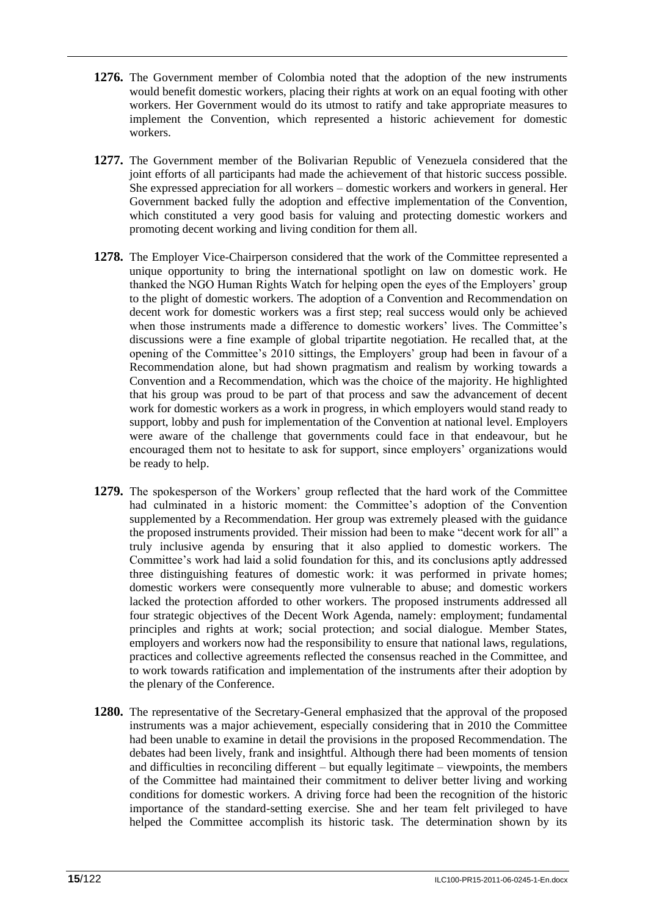- **1276.** The Government member of Colombia noted that the adoption of the new instruments would benefit domestic workers, placing their rights at work on an equal footing with other workers. Her Government would do its utmost to ratify and take appropriate measures to implement the Convention, which represented a historic achievement for domestic workers.
- **1277.** The Government member of the Bolivarian Republic of Venezuela considered that the joint efforts of all participants had made the achievement of that historic success possible. She expressed appreciation for all workers – domestic workers and workers in general. Her Government backed fully the adoption and effective implementation of the Convention, which constituted a very good basis for valuing and protecting domestic workers and promoting decent working and living condition for them all.
- **1278.** The Employer Vice-Chairperson considered that the work of the Committee represented a unique opportunity to bring the international spotlight on law on domestic work. He thanked the NGO Human Rights Watch for helping open the eyes of the Employers" group to the plight of domestic workers. The adoption of a Convention and Recommendation on decent work for domestic workers was a first step; real success would only be achieved when those instruments made a difference to domestic workers' lives. The Committee's discussions were a fine example of global tripartite negotiation. He recalled that, at the opening of the Committee's 2010 sittings, the Employers' group had been in favour of a Recommendation alone, but had shown pragmatism and realism by working towards a Convention and a Recommendation, which was the choice of the majority. He highlighted that his group was proud to be part of that process and saw the advancement of decent work for domestic workers as a work in progress, in which employers would stand ready to support, lobby and push for implementation of the Convention at national level. Employers were aware of the challenge that governments could face in that endeavour, but he encouraged them not to hesitate to ask for support, since employers" organizations would be ready to help.
- **1279.** The spokesperson of the Workers' group reflected that the hard work of the Committee had culminated in a historic moment: the Committee's adoption of the Convention supplemented by a Recommendation. Her group was extremely pleased with the guidance the proposed instruments provided. Their mission had been to make "decent work for all" a truly inclusive agenda by ensuring that it also applied to domestic workers. The Committee"s work had laid a solid foundation for this, and its conclusions aptly addressed three distinguishing features of domestic work: it was performed in private homes; domestic workers were consequently more vulnerable to abuse; and domestic workers lacked the protection afforded to other workers. The proposed instruments addressed all four strategic objectives of the Decent Work Agenda, namely: employment; fundamental principles and rights at work; social protection; and social dialogue. Member States, employers and workers now had the responsibility to ensure that national laws, regulations, practices and collective agreements reflected the consensus reached in the Committee, and to work towards ratification and implementation of the instruments after their adoption by the plenary of the Conference.
- **1280.** The representative of the Secretary-General emphasized that the approval of the proposed instruments was a major achievement, especially considering that in 2010 the Committee had been unable to examine in detail the provisions in the proposed Recommendation. The debates had been lively, frank and insightful. Although there had been moments of tension and difficulties in reconciling different – but equally legitimate – viewpoints, the members of the Committee had maintained their commitment to deliver better living and working conditions for domestic workers. A driving force had been the recognition of the historic importance of the standard-setting exercise. She and her team felt privileged to have helped the Committee accomplish its historic task. The determination shown by its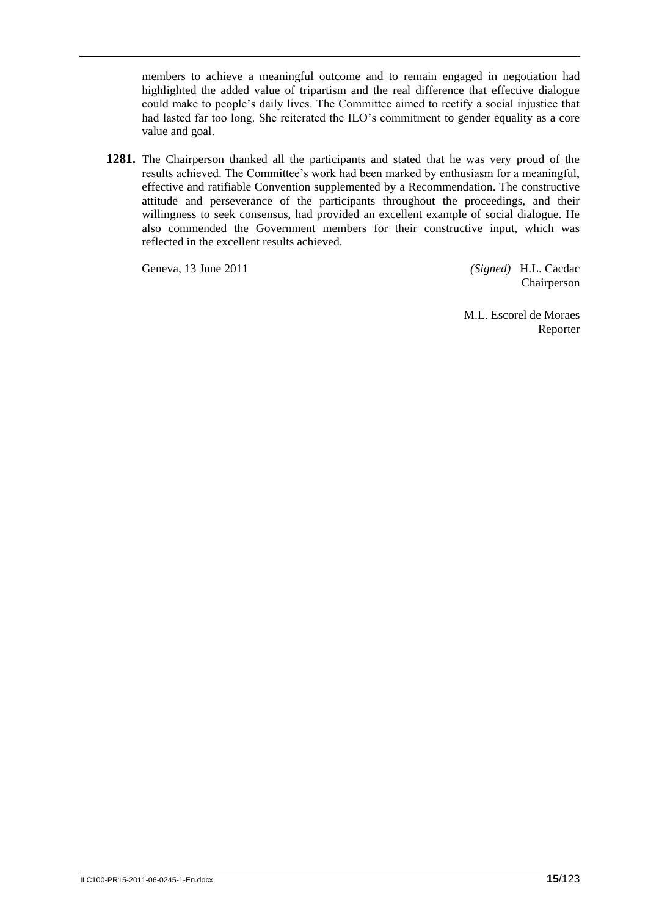members to achieve a meaningful outcome and to remain engaged in negotiation had highlighted the added value of tripartism and the real difference that effective dialogue could make to people"s daily lives. The Committee aimed to rectify a social injustice that had lasted far too long. She reiterated the ILO"s commitment to gender equality as a core value and goal.

**1281.** The Chairperson thanked all the participants and stated that he was very proud of the results achieved. The Committee"s work had been marked by enthusiasm for a meaningful, effective and ratifiable Convention supplemented by a Recommendation. The constructive attitude and perseverance of the participants throughout the proceedings, and their willingness to seek consensus, had provided an excellent example of social dialogue. He also commended the Government members for their constructive input, which was reflected in the excellent results achieved.

Geneva, 13 June 2011 *(Signed)* H.L. Cacdac Chairperson

> M.L. Escorel de Moraes Reporter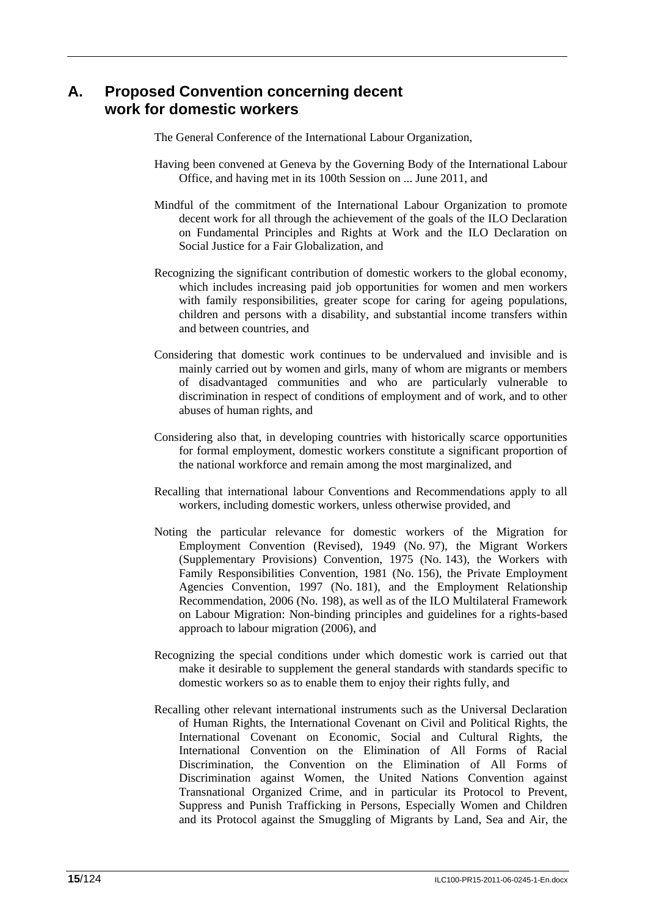# **A. Proposed Convention concerning decent work for domestic workers**

The General Conference of the International Labour Organization,

- Having been convened at Geneva by the Governing Body of the International Labour Office, and having met in its 100th Session on ... June 2011, and
- Mindful of the commitment of the International Labour Organization to promote decent work for all through the achievement of the goals of the ILO Declaration on Fundamental Principles and Rights at Work and the ILO Declaration on Social Justice for a Fair Globalization, and
- Recognizing the significant contribution of domestic workers to the global economy, which includes increasing paid job opportunities for women and men workers with family responsibilities, greater scope for caring for ageing populations, children and persons with a disability, and substantial income transfers within and between countries, and
- Considering that domestic work continues to be undervalued and invisible and is mainly carried out by women and girls, many of whom are migrants or members of disadvantaged communities and who are particularly vulnerable to discrimination in respect of conditions of employment and of work, and to other abuses of human rights, and
- Considering also that, in developing countries with historically scarce opportunities for formal employment, domestic workers constitute a significant proportion of the national workforce and remain among the most marginalized, and
- Recalling that international labour Conventions and Recommendations apply to all workers, including domestic workers, unless otherwise provided, and
- Noting the particular relevance for domestic workers of the Migration for Employment Convention (Revised), 1949 (No. 97), the Migrant Workers (Supplementary Provisions) Convention, 1975 (No. 143), the Workers with Family Responsibilities Convention, 1981 (No. 156), the Private Employment Agencies Convention, 1997 (No. 181), and the Employment Relationship Recommendation, 2006 (No. 198), as well as of the ILO Multilateral Framework on Labour Migration: Non-binding principles and guidelines for a rights-based approach to labour migration (2006), and
- Recognizing the special conditions under which domestic work is carried out that make it desirable to supplement the general standards with standards specific to domestic workers so as to enable them to enjoy their rights fully, and
- Recalling other relevant international instruments such as the Universal Declaration of Human Rights, the International Covenant on Civil and Political Rights, the International Covenant on Economic, Social and Cultural Rights, the International Convention on the Elimination of All Forms of Racial Discrimination, the Convention on the Elimination of All Forms of Discrimination against Women, the United Nations Convention against Transnational Organized Crime, and in particular its Protocol to Prevent, Suppress and Punish Trafficking in Persons, Especially Women and Children and its Protocol against the Smuggling of Migrants by Land, Sea and Air, the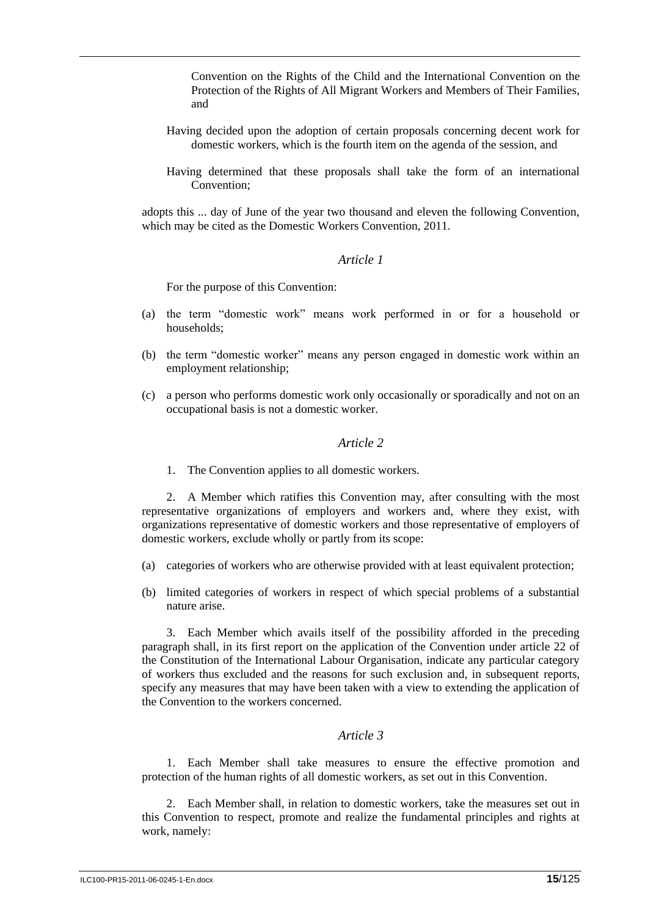Convention on the Rights of the Child and the International Convention on the Protection of the Rights of All Migrant Workers and Members of Their Families, and

- Having decided upon the adoption of certain proposals concerning decent work for domestic workers, which is the fourth item on the agenda of the session, and
- Having determined that these proposals shall take the form of an international Convention;

adopts this ... day of June of the year two thousand and eleven the following Convention, which may be cited as the Domestic Workers Convention, 2011.

#### *Article 1*

For the purpose of this Convention:

- (a) the term "domestic work" means work performed in or for a household or households;
- (b) the term "domestic worker" means any person engaged in domestic work within an employment relationship;
- (c) a person who performs domestic work only occasionally or sporadically and not on an occupational basis is not a domestic worker.

### *Article 2*

1. The Convention applies to all domestic workers.

2. A Member which ratifies this Convention may, after consulting with the most representative organizations of employers and workers and, where they exist, with organizations representative of domestic workers and those representative of employers of domestic workers, exclude wholly or partly from its scope:

- (a) categories of workers who are otherwise provided with at least equivalent protection;
- (b) limited categories of workers in respect of which special problems of a substantial nature arise.

3. Each Member which avails itself of the possibility afforded in the preceding paragraph shall, in its first report on the application of the Convention under article 22 of the Constitution of the International Labour Organisation, indicate any particular category of workers thus excluded and the reasons for such exclusion and, in subsequent reports, specify any measures that may have been taken with a view to extending the application of the Convention to the workers concerned.

# *Article 3*

1. Each Member shall take measures to ensure the effective promotion and protection of the human rights of all domestic workers, as set out in this Convention.

2. Each Member shall, in relation to domestic workers, take the measures set out in this Convention to respect, promote and realize the fundamental principles and rights at work, namely: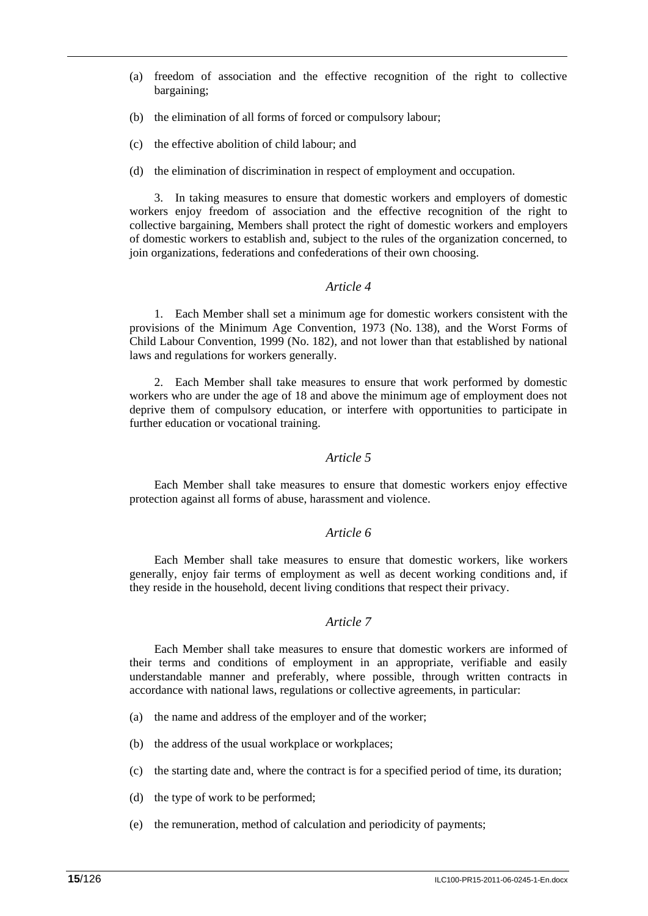- (a) freedom of association and the effective recognition of the right to collective bargaining;
- (b) the elimination of all forms of forced or compulsory labour;
- (c) the effective abolition of child labour; and
- (d) the elimination of discrimination in respect of employment and occupation.

3. In taking measures to ensure that domestic workers and employers of domestic workers enjoy freedom of association and the effective recognition of the right to collective bargaining, Members shall protect the right of domestic workers and employers of domestic workers to establish and, subject to the rules of the organization concerned, to join organizations, federations and confederations of their own choosing.

#### *Article 4*

1. Each Member shall set a minimum age for domestic workers consistent with the provisions of the Minimum Age Convention, 1973 (No. 138), and the Worst Forms of Child Labour Convention, 1999 (No. 182), and not lower than that established by national laws and regulations for workers generally.

2. Each Member shall take measures to ensure that work performed by domestic workers who are under the age of 18 and above the minimum age of employment does not deprive them of compulsory education, or interfere with opportunities to participate in further education or vocational training.

#### *Article 5*

Each Member shall take measures to ensure that domestic workers enjoy effective protection against all forms of abuse, harassment and violence.

#### *Article 6*

Each Member shall take measures to ensure that domestic workers, like workers generally, enjoy fair terms of employment as well as decent working conditions and, if they reside in the household, decent living conditions that respect their privacy.

## *Article 7*

Each Member shall take measures to ensure that domestic workers are informed of their terms and conditions of employment in an appropriate, verifiable and easily understandable manner and preferably, where possible, through written contracts in accordance with national laws, regulations or collective agreements, in particular:

- (a) the name and address of the employer and of the worker;
- (b) the address of the usual workplace or workplaces;
- (c) the starting date and, where the contract is for a specified period of time, its duration;
- (d) the type of work to be performed;
- (e) the remuneration, method of calculation and periodicity of payments;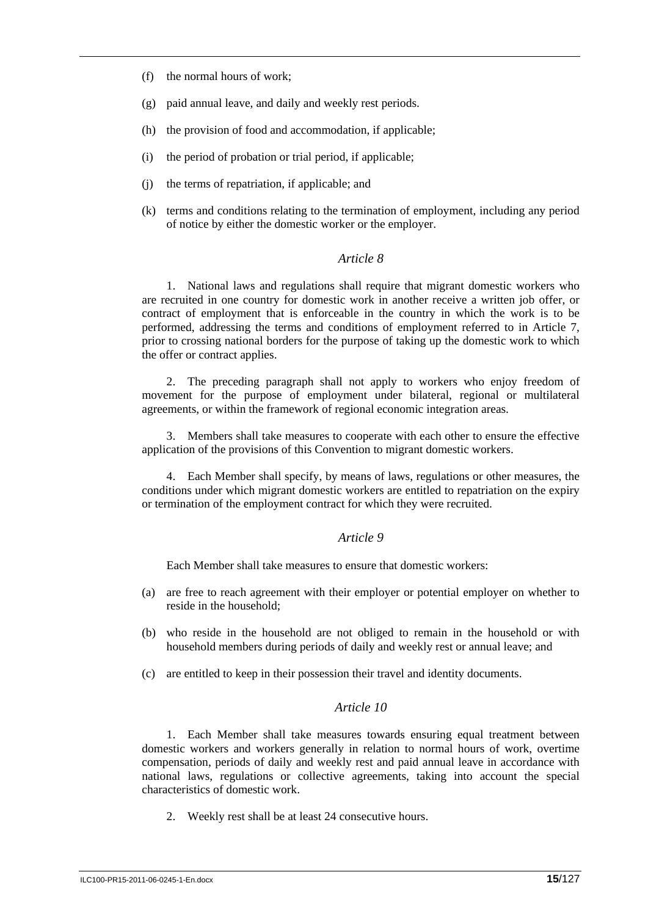- (f) the normal hours of work;
- (g) paid annual leave, and daily and weekly rest periods.
- (h) the provision of food and accommodation, if applicable;
- (i) the period of probation or trial period, if applicable;
- (j) the terms of repatriation, if applicable; and
- (k) terms and conditions relating to the termination of employment, including any period of notice by either the domestic worker or the employer.

#### *Article 8*

1. National laws and regulations shall require that migrant domestic workers who are recruited in one country for domestic work in another receive a written job offer, or contract of employment that is enforceable in the country in which the work is to be performed, addressing the terms and conditions of employment referred to in Article 7, prior to crossing national borders for the purpose of taking up the domestic work to which the offer or contract applies.

2. The preceding paragraph shall not apply to workers who enjoy freedom of movement for the purpose of employment under bilateral, regional or multilateral agreements, or within the framework of regional economic integration areas.

3. Members shall take measures to cooperate with each other to ensure the effective application of the provisions of this Convention to migrant domestic workers.

4. Each Member shall specify, by means of laws, regulations or other measures, the conditions under which migrant domestic workers are entitled to repatriation on the expiry or termination of the employment contract for which they were recruited.

#### *Article 9*

Each Member shall take measures to ensure that domestic workers:

- (a) are free to reach agreement with their employer or potential employer on whether to reside in the household;
- (b) who reside in the household are not obliged to remain in the household or with household members during periods of daily and weekly rest or annual leave; and
- (c) are entitled to keep in their possession their travel and identity documents.

#### *Article 10*

1. Each Member shall take measures towards ensuring equal treatment between domestic workers and workers generally in relation to normal hours of work, overtime compensation, periods of daily and weekly rest and paid annual leave in accordance with national laws, regulations or collective agreements, taking into account the special characteristics of domestic work.

2. Weekly rest shall be at least 24 consecutive hours.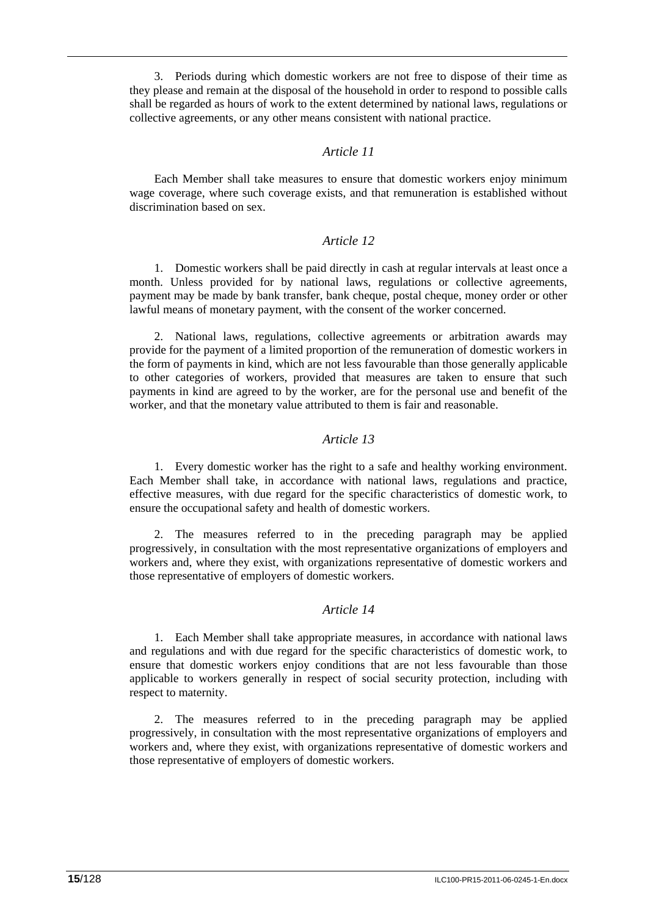3. Periods during which domestic workers are not free to dispose of their time as they please and remain at the disposal of the household in order to respond to possible calls shall be regarded as hours of work to the extent determined by national laws, regulations or collective agreements, or any other means consistent with national practice.

## *Article 11*

Each Member shall take measures to ensure that domestic workers enjoy minimum wage coverage, where such coverage exists, and that remuneration is established without discrimination based on sex.

## *Article 12*

1. Domestic workers shall be paid directly in cash at regular intervals at least once a month. Unless provided for by national laws, regulations or collective agreements, payment may be made by bank transfer, bank cheque, postal cheque, money order or other lawful means of monetary payment, with the consent of the worker concerned.

2. National laws, regulations, collective agreements or arbitration awards may provide for the payment of a limited proportion of the remuneration of domestic workers in the form of payments in kind, which are not less favourable than those generally applicable to other categories of workers, provided that measures are taken to ensure that such payments in kind are agreed to by the worker, are for the personal use and benefit of the worker, and that the monetary value attributed to them is fair and reasonable.

# *Article 13*

1. Every domestic worker has the right to a safe and healthy working environment. Each Member shall take, in accordance with national laws, regulations and practice, effective measures, with due regard for the specific characteristics of domestic work, to ensure the occupational safety and health of domestic workers.

2. The measures referred to in the preceding paragraph may be applied progressively, in consultation with the most representative organizations of employers and workers and, where they exist, with organizations representative of domestic workers and those representative of employers of domestic workers.

## *Article 14*

1. Each Member shall take appropriate measures, in accordance with national laws and regulations and with due regard for the specific characteristics of domestic work, to ensure that domestic workers enjoy conditions that are not less favourable than those applicable to workers generally in respect of social security protection, including with respect to maternity.

2. The measures referred to in the preceding paragraph may be applied progressively, in consultation with the most representative organizations of employers and workers and, where they exist, with organizations representative of domestic workers and those representative of employers of domestic workers.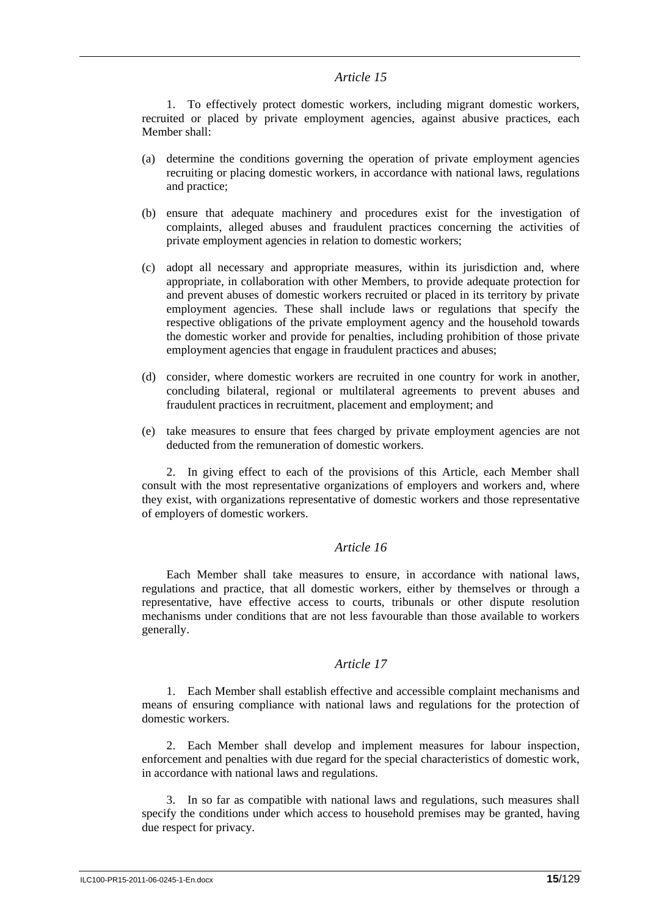# *Article 15*

1. To effectively protect domestic workers, including migrant domestic workers, recruited or placed by private employment agencies, against abusive practices, each Member shall:

- (a) determine the conditions governing the operation of private employment agencies recruiting or placing domestic workers, in accordance with national laws, regulations and practice;
- (b) ensure that adequate machinery and procedures exist for the investigation of complaints, alleged abuses and fraudulent practices concerning the activities of private employment agencies in relation to domestic workers;
- (c) adopt all necessary and appropriate measures, within its jurisdiction and, where appropriate, in collaboration with other Members, to provide adequate protection for and prevent abuses of domestic workers recruited or placed in its territory by private employment agencies. These shall include laws or regulations that specify the respective obligations of the private employment agency and the household towards the domestic worker and provide for penalties, including prohibition of those private employment agencies that engage in fraudulent practices and abuses;
- (d) consider, where domestic workers are recruited in one country for work in another, concluding bilateral, regional or multilateral agreements to prevent abuses and fraudulent practices in recruitment, placement and employment; and
- (e) take measures to ensure that fees charged by private employment agencies are not deducted from the remuneration of domestic workers.

2. In giving effect to each of the provisions of this Article, each Member shall consult with the most representative organizations of employers and workers and, where they exist, with organizations representative of domestic workers and those representative of employers of domestic workers.

## *Article 16*

Each Member shall take measures to ensure, in accordance with national laws, regulations and practice, that all domestic workers, either by themselves or through a representative, have effective access to courts, tribunals or other dispute resolution mechanisms under conditions that are not less favourable than those available to workers generally.

### *Article 17*

1. Each Member shall establish effective and accessible complaint mechanisms and means of ensuring compliance with national laws and regulations for the protection of domestic workers.

2. Each Member shall develop and implement measures for labour inspection, enforcement and penalties with due regard for the special characteristics of domestic work, in accordance with national laws and regulations.

3. In so far as compatible with national laws and regulations, such measures shall specify the conditions under which access to household premises may be granted, having due respect for privacy.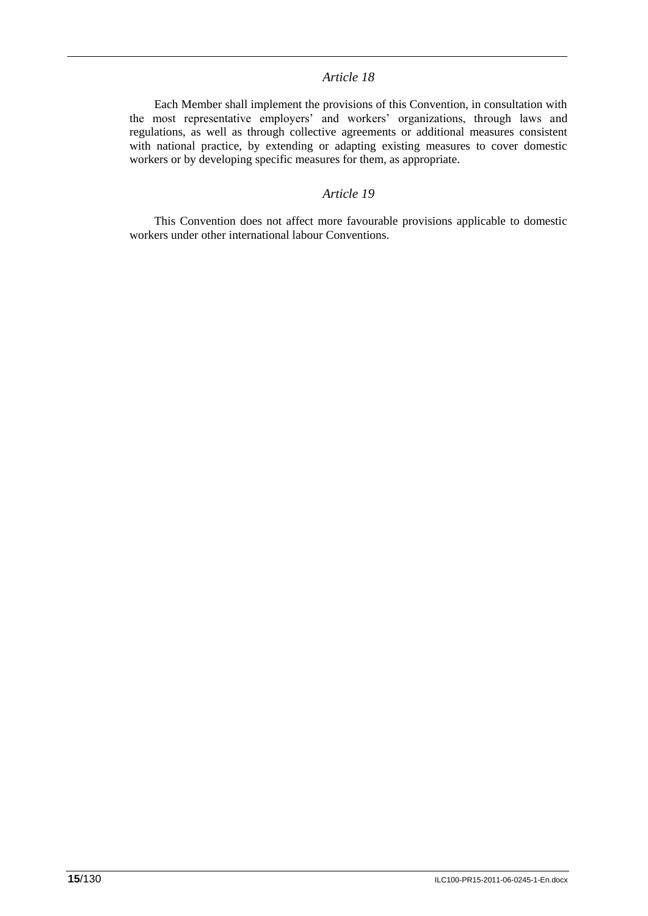### *Article 18*

Each Member shall implement the provisions of this Convention, in consultation with the most representative employers' and workers' organizations, through laws and regulations, as well as through collective agreements or additional measures consistent with national practice, by extending or adapting existing measures to cover domestic workers or by developing specific measures for them, as appropriate.

## *Article 19*

This Convention does not affect more favourable provisions applicable to domestic workers under other international labour Conventions.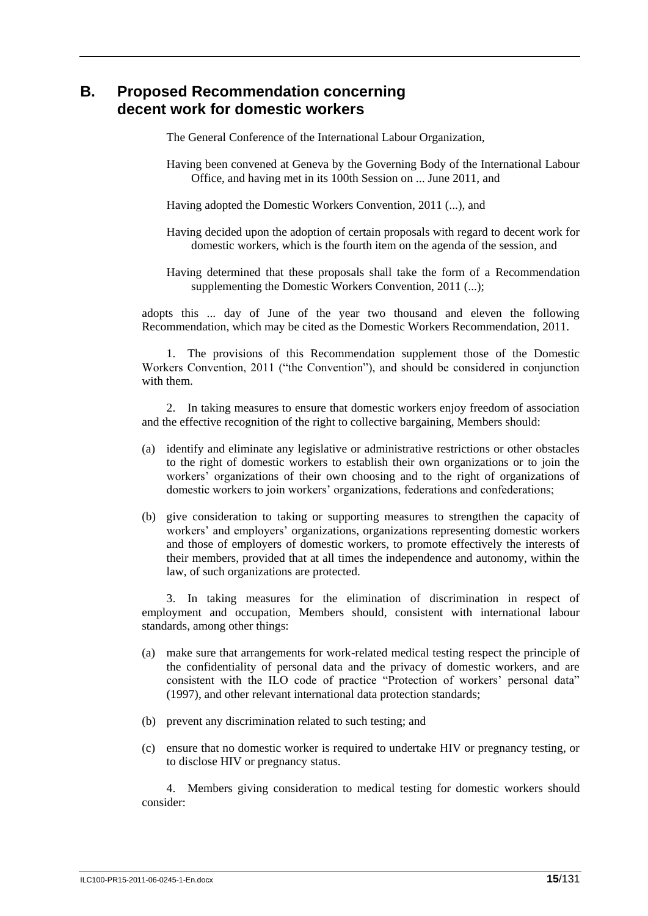# **B. Proposed Recommendation concerning decent work for domestic workers**

The General Conference of the International Labour Organization,

- Having been convened at Geneva by the Governing Body of the International Labour Office, and having met in its 100th Session on ... June 2011, and
- Having adopted the Domestic Workers Convention, 2011 (...), and
- Having decided upon the adoption of certain proposals with regard to decent work for domestic workers, which is the fourth item on the agenda of the session, and
- Having determined that these proposals shall take the form of a Recommendation supplementing the Domestic Workers Convention, 2011 (...);

adopts this ... day of June of the year two thousand and eleven the following Recommendation, which may be cited as the Domestic Workers Recommendation, 2011.

1. The provisions of this Recommendation supplement those of the Domestic Workers Convention, 2011 ("the Convention"), and should be considered in conjunction with them.

2. In taking measures to ensure that domestic workers enjoy freedom of association and the effective recognition of the right to collective bargaining, Members should:

- (a) identify and eliminate any legislative or administrative restrictions or other obstacles to the right of domestic workers to establish their own organizations or to join the workers" organizations of their own choosing and to the right of organizations of domestic workers to join workers' organizations, federations and confederations;
- (b) give consideration to taking or supporting measures to strengthen the capacity of workers" and employers" organizations, organizations representing domestic workers and those of employers of domestic workers, to promote effectively the interests of their members, provided that at all times the independence and autonomy, within the law, of such organizations are protected.

3. In taking measures for the elimination of discrimination in respect of employment and occupation, Members should, consistent with international labour standards, among other things:

- (a) make sure that arrangements for work-related medical testing respect the principle of the confidentiality of personal data and the privacy of domestic workers, and are consistent with the ILO code of practice "Protection of workers' personal data" (1997), and other relevant international data protection standards;
- (b) prevent any discrimination related to such testing; and
- (c) ensure that no domestic worker is required to undertake HIV or pregnancy testing, or to disclose HIV or pregnancy status.

4. Members giving consideration to medical testing for domestic workers should consider: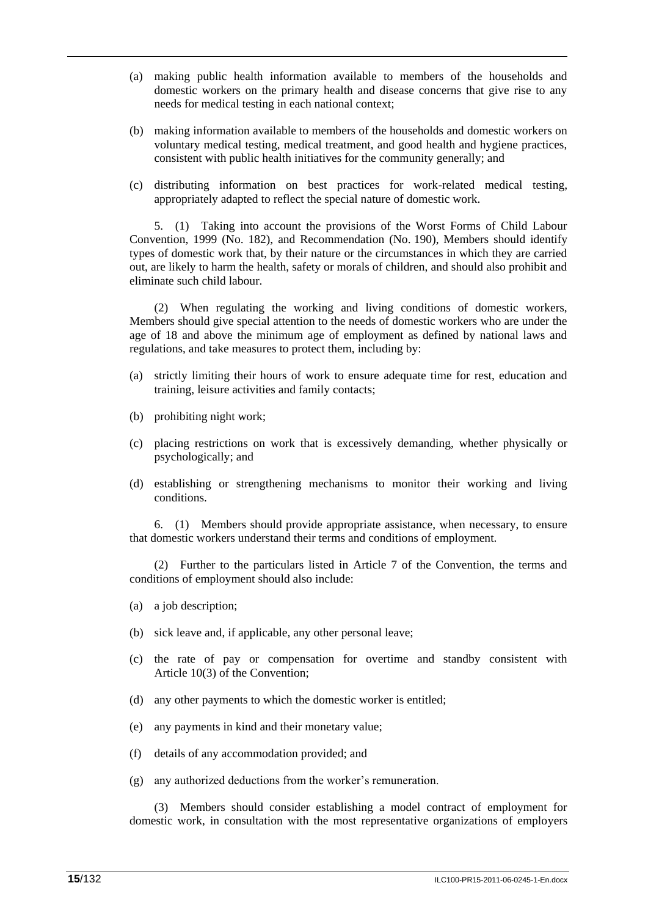- (a) making public health information available to members of the households and domestic workers on the primary health and disease concerns that give rise to any needs for medical testing in each national context;
- (b) making information available to members of the households and domestic workers on voluntary medical testing, medical treatment, and good health and hygiene practices, consistent with public health initiatives for the community generally; and
- (c) distributing information on best practices for work-related medical testing, appropriately adapted to reflect the special nature of domestic work.

5. (1) Taking into account the provisions of the Worst Forms of Child Labour Convention, 1999 (No. 182), and Recommendation (No. 190), Members should identify types of domestic work that, by their nature or the circumstances in which they are carried out, are likely to harm the health, safety or morals of children, and should also prohibit and eliminate such child labour.

(2) When regulating the working and living conditions of domestic workers, Members should give special attention to the needs of domestic workers who are under the age of 18 and above the minimum age of employment as defined by national laws and regulations, and take measures to protect them, including by:

- (a) strictly limiting their hours of work to ensure adequate time for rest, education and training, leisure activities and family contacts;
- (b) prohibiting night work;
- (c) placing restrictions on work that is excessively demanding, whether physically or psychologically; and
- (d) establishing or strengthening mechanisms to monitor their working and living conditions.

6. (1) Members should provide appropriate assistance, when necessary, to ensure that domestic workers understand their terms and conditions of employment.

(2) Further to the particulars listed in Article 7 of the Convention, the terms and conditions of employment should also include:

- (a) a job description;
- (b) sick leave and, if applicable, any other personal leave;
- (c) the rate of pay or compensation for overtime and standby consistent with Article 10(3) of the Convention;
- (d) any other payments to which the domestic worker is entitled;
- (e) any payments in kind and their monetary value;
- (f) details of any accommodation provided; and
- (g) any authorized deductions from the worker"s remuneration.

(3) Members should consider establishing a model contract of employment for domestic work, in consultation with the most representative organizations of employers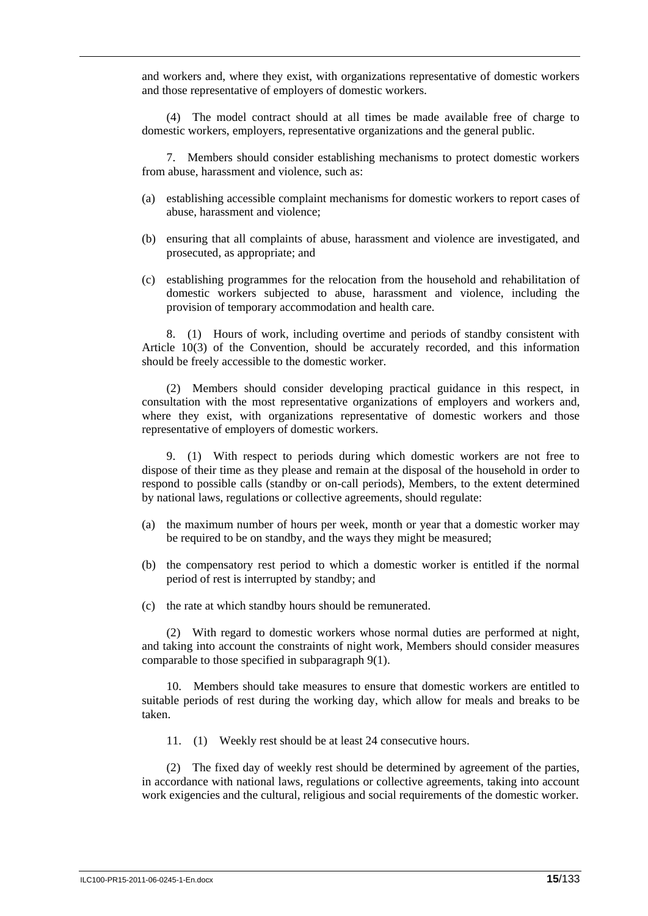and workers and, where they exist, with organizations representative of domestic workers and those representative of employers of domestic workers.

(4) The model contract should at all times be made available free of charge to domestic workers, employers, representative organizations and the general public.

7. Members should consider establishing mechanisms to protect domestic workers from abuse, harassment and violence, such as:

- (a) establishing accessible complaint mechanisms for domestic workers to report cases of abuse, harassment and violence;
- (b) ensuring that all complaints of abuse, harassment and violence are investigated, and prosecuted, as appropriate; and
- (c) establishing programmes for the relocation from the household and rehabilitation of domestic workers subjected to abuse, harassment and violence, including the provision of temporary accommodation and health care.

8. (1) Hours of work, including overtime and periods of standby consistent with Article 10(3) of the Convention, should be accurately recorded, and this information should be freely accessible to the domestic worker.

(2) Members should consider developing practical guidance in this respect, in consultation with the most representative organizations of employers and workers and, where they exist, with organizations representative of domestic workers and those representative of employers of domestic workers.

9. (1) With respect to periods during which domestic workers are not free to dispose of their time as they please and remain at the disposal of the household in order to respond to possible calls (standby or on-call periods), Members, to the extent determined by national laws, regulations or collective agreements, should regulate:

- (a) the maximum number of hours per week, month or year that a domestic worker may be required to be on standby, and the ways they might be measured;
- (b) the compensatory rest period to which a domestic worker is entitled if the normal period of rest is interrupted by standby; and
- (c) the rate at which standby hours should be remunerated.

(2) With regard to domestic workers whose normal duties are performed at night, and taking into account the constraints of night work, Members should consider measures comparable to those specified in subparagraph 9(1).

10. Members should take measures to ensure that domestic workers are entitled to suitable periods of rest during the working day, which allow for meals and breaks to be taken.

11. (1) Weekly rest should be at least 24 consecutive hours.

(2) The fixed day of weekly rest should be determined by agreement of the parties, in accordance with national laws, regulations or collective agreements, taking into account work exigencies and the cultural, religious and social requirements of the domestic worker.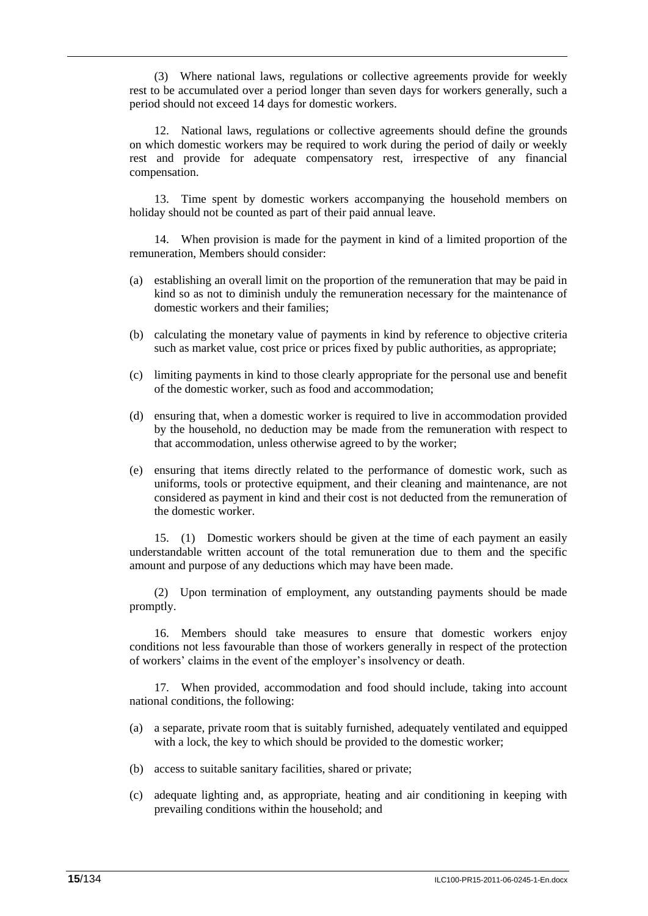(3) Where national laws, regulations or collective agreements provide for weekly rest to be accumulated over a period longer than seven days for workers generally, such a period should not exceed 14 days for domestic workers.

12. National laws, regulations or collective agreements should define the grounds on which domestic workers may be required to work during the period of daily or weekly rest and provide for adequate compensatory rest, irrespective of any financial compensation.

13. Time spent by domestic workers accompanying the household members on holiday should not be counted as part of their paid annual leave.

14. When provision is made for the payment in kind of a limited proportion of the remuneration, Members should consider:

- (a) establishing an overall limit on the proportion of the remuneration that may be paid in kind so as not to diminish unduly the remuneration necessary for the maintenance of domestic workers and their families;
- (b) calculating the monetary value of payments in kind by reference to objective criteria such as market value, cost price or prices fixed by public authorities, as appropriate;
- (c) limiting payments in kind to those clearly appropriate for the personal use and benefit of the domestic worker, such as food and accommodation;
- (d) ensuring that, when a domestic worker is required to live in accommodation provided by the household, no deduction may be made from the remuneration with respect to that accommodation, unless otherwise agreed to by the worker;
- (e) ensuring that items directly related to the performance of domestic work, such as uniforms, tools or protective equipment, and their cleaning and maintenance, are not considered as payment in kind and their cost is not deducted from the remuneration of the domestic worker.

15. (1) Domestic workers should be given at the time of each payment an easily understandable written account of the total remuneration due to them and the specific amount and purpose of any deductions which may have been made.

(2) Upon termination of employment, any outstanding payments should be made promptly.

16. Members should take measures to ensure that domestic workers enjoy conditions not less favourable than those of workers generally in respect of the protection of workers" claims in the event of the employer"s insolvency or death.

17. When provided, accommodation and food should include, taking into account national conditions, the following:

- (a) a separate, private room that is suitably furnished, adequately ventilated and equipped with a lock, the key to which should be provided to the domestic worker;
- (b) access to suitable sanitary facilities, shared or private;
- (c) adequate lighting and, as appropriate, heating and air conditioning in keeping with prevailing conditions within the household; and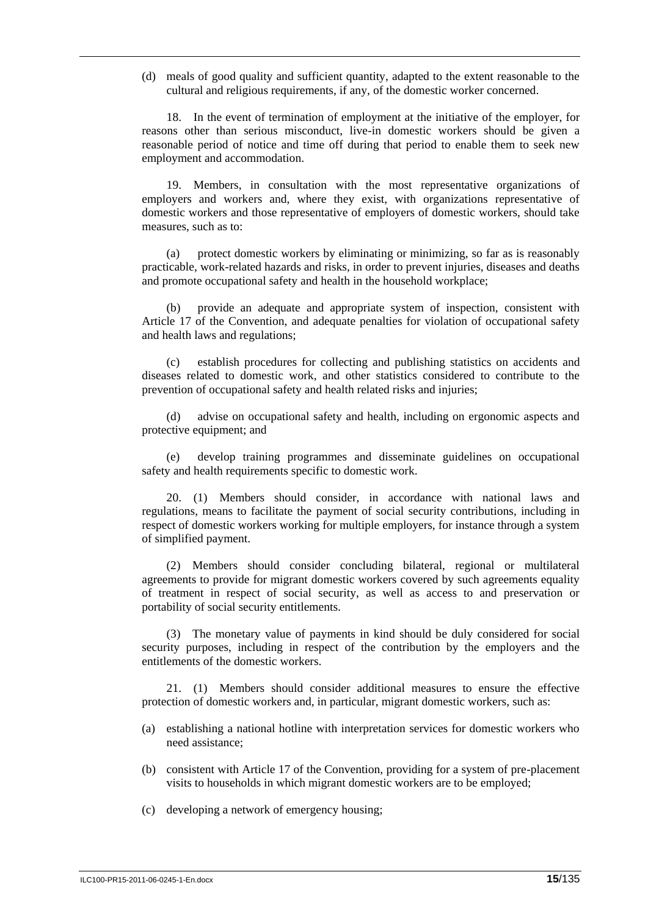(d) meals of good quality and sufficient quantity, adapted to the extent reasonable to the cultural and religious requirements, if any, of the domestic worker concerned.

18. In the event of termination of employment at the initiative of the employer, for reasons other than serious misconduct, live-in domestic workers should be given a reasonable period of notice and time off during that period to enable them to seek new employment and accommodation.

19. Members, in consultation with the most representative organizations of employers and workers and, where they exist, with organizations representative of domestic workers and those representative of employers of domestic workers, should take measures, such as to:

(a) protect domestic workers by eliminating or minimizing, so far as is reasonably practicable, work-related hazards and risks, in order to prevent injuries, diseases and deaths and promote occupational safety and health in the household workplace;

(b) provide an adequate and appropriate system of inspection, consistent with Article 17 of the Convention, and adequate penalties for violation of occupational safety and health laws and regulations;

(c) establish procedures for collecting and publishing statistics on accidents and diseases related to domestic work, and other statistics considered to contribute to the prevention of occupational safety and health related risks and injuries;

(d) advise on occupational safety and health, including on ergonomic aspects and protective equipment; and

(e) develop training programmes and disseminate guidelines on occupational safety and health requirements specific to domestic work.

20. (1) Members should consider, in accordance with national laws and regulations, means to facilitate the payment of social security contributions, including in respect of domestic workers working for multiple employers, for instance through a system of simplified payment.

(2) Members should consider concluding bilateral, regional or multilateral agreements to provide for migrant domestic workers covered by such agreements equality of treatment in respect of social security, as well as access to and preservation or portability of social security entitlements.

(3) The monetary value of payments in kind should be duly considered for social security purposes, including in respect of the contribution by the employers and the entitlements of the domestic workers.

21. (1) Members should consider additional measures to ensure the effective protection of domestic workers and, in particular, migrant domestic workers, such as:

- (a) establishing a national hotline with interpretation services for domestic workers who need assistance;
- (b) consistent with Article 17 of the Convention, providing for a system of pre-placement visits to households in which migrant domestic workers are to be employed;
- (c) developing a network of emergency housing;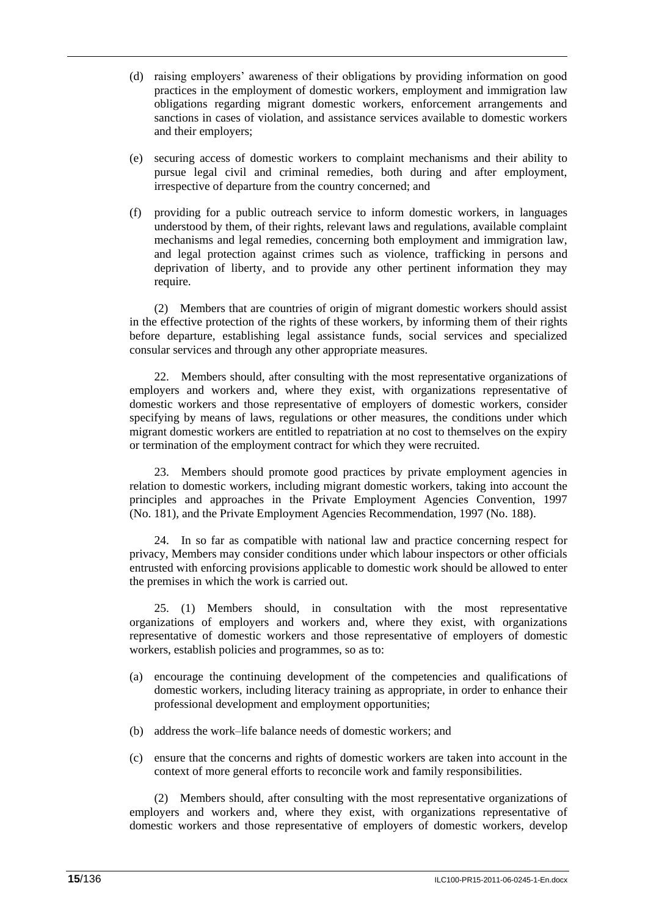- (d) raising employers" awareness of their obligations by providing information on good practices in the employment of domestic workers, employment and immigration law obligations regarding migrant domestic workers, enforcement arrangements and sanctions in cases of violation, and assistance services available to domestic workers and their employers;
- (e) securing access of domestic workers to complaint mechanisms and their ability to pursue legal civil and criminal remedies, both during and after employment, irrespective of departure from the country concerned; and
- (f) providing for a public outreach service to inform domestic workers, in languages understood by them, of their rights, relevant laws and regulations, available complaint mechanisms and legal remedies, concerning both employment and immigration law, and legal protection against crimes such as violence, trafficking in persons and deprivation of liberty, and to provide any other pertinent information they may require.

(2) Members that are countries of origin of migrant domestic workers should assist in the effective protection of the rights of these workers, by informing them of their rights before departure, establishing legal assistance funds, social services and specialized consular services and through any other appropriate measures.

22. Members should, after consulting with the most representative organizations of employers and workers and, where they exist, with organizations representative of domestic workers and those representative of employers of domestic workers, consider specifying by means of laws, regulations or other measures, the conditions under which migrant domestic workers are entitled to repatriation at no cost to themselves on the expiry or termination of the employment contract for which they were recruited.

23. Members should promote good practices by private employment agencies in relation to domestic workers, including migrant domestic workers, taking into account the principles and approaches in the Private Employment Agencies Convention, 1997 (No. 181), and the Private Employment Agencies Recommendation, 1997 (No. 188).

24. In so far as compatible with national law and practice concerning respect for privacy, Members may consider conditions under which labour inspectors or other officials entrusted with enforcing provisions applicable to domestic work should be allowed to enter the premises in which the work is carried out.

25. (1) Members should, in consultation with the most representative organizations of employers and workers and, where they exist, with organizations representative of domestic workers and those representative of employers of domestic workers, establish policies and programmes, so as to:

- (a) encourage the continuing development of the competencies and qualifications of domestic workers, including literacy training as appropriate, in order to enhance their professional development and employment opportunities;
- (b) address the work–life balance needs of domestic workers; and
- (c) ensure that the concerns and rights of domestic workers are taken into account in the context of more general efforts to reconcile work and family responsibilities.

(2) Members should, after consulting with the most representative organizations of employers and workers and, where they exist, with organizations representative of domestic workers and those representative of employers of domestic workers, develop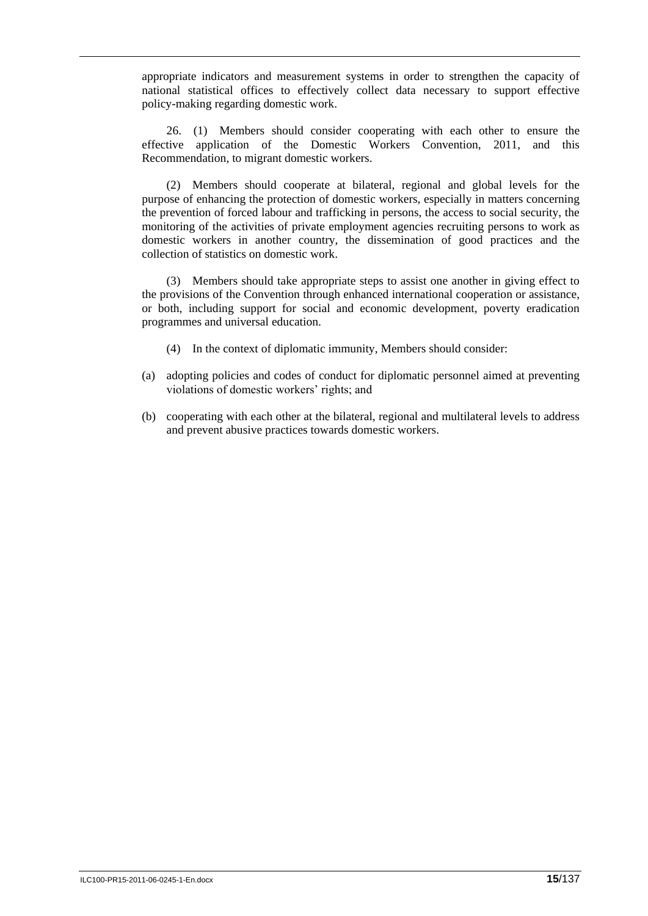appropriate indicators and measurement systems in order to strengthen the capacity of national statistical offices to effectively collect data necessary to support effective policy-making regarding domestic work.

26. (1) Members should consider cooperating with each other to ensure the effective application of the Domestic Workers Convention, 2011, and this Recommendation, to migrant domestic workers.

(2) Members should cooperate at bilateral, regional and global levels for the purpose of enhancing the protection of domestic workers, especially in matters concerning the prevention of forced labour and trafficking in persons, the access to social security, the monitoring of the activities of private employment agencies recruiting persons to work as domestic workers in another country, the dissemination of good practices and the collection of statistics on domestic work.

(3) Members should take appropriate steps to assist one another in giving effect to the provisions of the Convention through enhanced international cooperation or assistance, or both, including support for social and economic development, poverty eradication programmes and universal education.

- (4) In the context of diplomatic immunity, Members should consider:
- (a) adopting policies and codes of conduct for diplomatic personnel aimed at preventing violations of domestic workers' rights; and
- (b) cooperating with each other at the bilateral, regional and multilateral levels to address and prevent abusive practices towards domestic workers.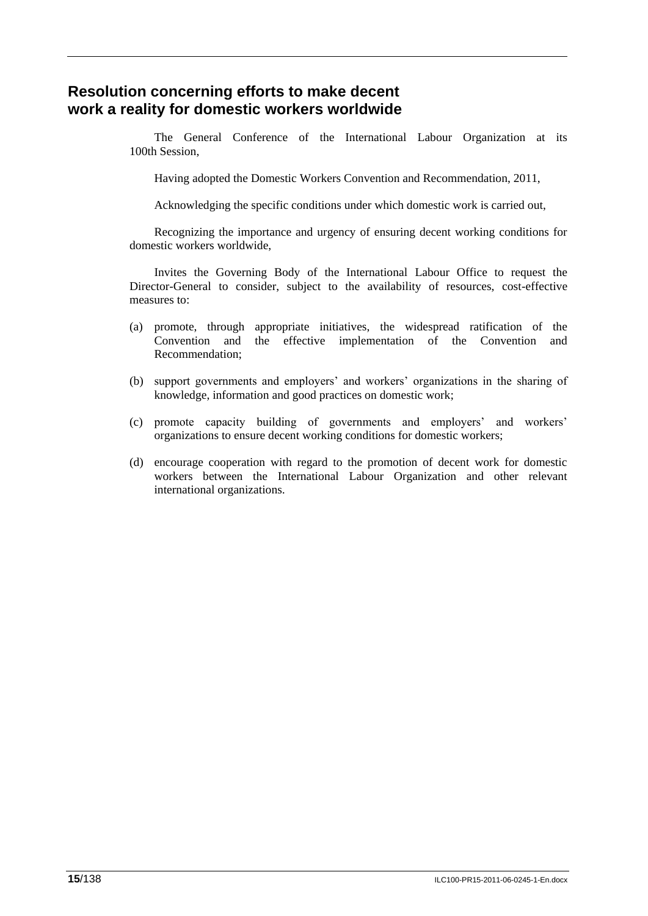# **Resolution concerning efforts to make decent work a reality for domestic workers worldwide**

The General Conference of the International Labour Organization at its 100th Session,

Having adopted the Domestic Workers Convention and Recommendation, 2011,

Acknowledging the specific conditions under which domestic work is carried out,

Recognizing the importance and urgency of ensuring decent working conditions for domestic workers worldwide,

Invites the Governing Body of the International Labour Office to request the Director-General to consider, subject to the availability of resources, cost-effective measures to:

- (a) promote, through appropriate initiatives, the widespread ratification of the Convention and the effective implementation of the Convention and Recommendation;
- (b) support governments and employers" and workers" organizations in the sharing of knowledge, information and good practices on domestic work;
- (c) promote capacity building of governments and employers" and workers" organizations to ensure decent working conditions for domestic workers;
- (d) encourage cooperation with regard to the promotion of decent work for domestic workers between the International Labour Organization and other relevant international organizations.